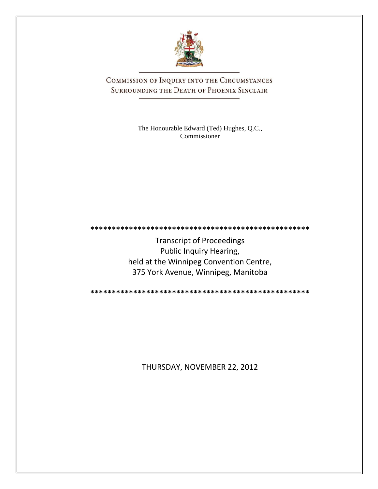

COMMISSION OF INQUIRY INTO THE CIRCUMSTANCES SURROUNDING THE DEATH OF PHOENIX SINCLAIR

> The Honourable Edward (Ted) Hughes, Q.C., Commissioner

Transcript of Proceedings Public Inquiry Hearing, held at the Winnipeg Convention Centre, 375 York Avenue, Winnipeg, Manitoba

**\*\*\*\*\*\*\*\*\*\*\*\*\*\*\*\*\*\*\*\*\*\*\*\*\*\*\*\*\*\*\*\*\*\*\*\*\*\*\*\*\*\*\*\*\*\*\*\*\*\*\***

**\*\*\*\*\*\*\*\*\*\*\*\*\*\*\*\*\*\*\*\*\*\*\*\*\*\*\*\*\*\*\*\*\*\*\*\*\*\*\*\*\*\*\*\*\*\*\*\*\*\*\***

THURSDAY, NOVEMBER 22, 2012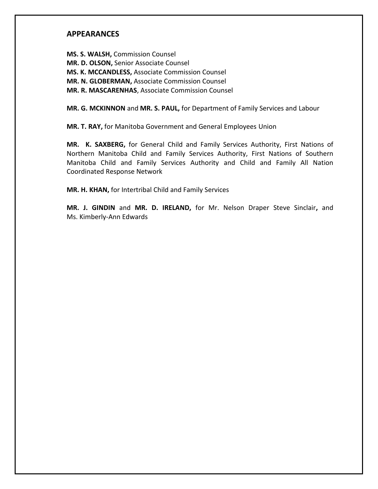## **APPEARANCES**

**MS. S. WALSH,** Commission Counsel **MR. D. OLSON,** Senior Associate Counsel **MS. K. MCCANDLESS,** Associate Commission Counsel **MR. N. GLOBERMAN,** Associate Commission Counsel **MR. R. MASCARENHAS**, Associate Commission Counsel

**MR. G. MCKINNON** and **MR. S. PAUL,** for Department of Family Services and Labour

**MR. T. RAY,** for Manitoba Government and General Employees Union

**MR. K. SAXBERG,** for General Child and Family Services Authority, First Nations of Northern Manitoba Child and Family Services Authority, First Nations of Southern Manitoba Child and Family Services Authority and Child and Family All Nation Coordinated Response Network

**MR. H. KHAN,** for Intertribal Child and Family Services

**MR. J. GINDIN** and **MR. D. IRELAND,** for Mr. Nelson Draper Steve Sinclair**,** and Ms. Kimberly-Ann Edwards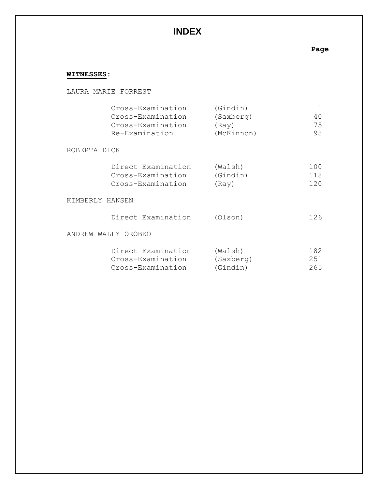# **INDEX**

# **Page**

# **WITNESSES**:

|                 | LAURA MARIE FORREST                                                           |                                              |                     |
|-----------------|-------------------------------------------------------------------------------|----------------------------------------------|---------------------|
|                 | Cross-Examination<br>Cross-Examination<br>Cross-Examination<br>Re-Examination | (Gindin)<br>(Saxberg)<br>(Ray)<br>(McKinnon) | 1<br>40<br>75<br>98 |
| ROBERTA DICK    |                                                                               |                                              |                     |
|                 | Direct Examination<br>Cross-Examination<br>Cross-Examination                  | (Walsh)<br>(Gindin)<br>(Ray)                 | 100<br>118<br>120   |
| KIMBERLY HANSEN |                                                                               |                                              |                     |
|                 | Direct Examination                                                            | (Olson)                                      | 126                 |
|                 | ANDREW WALLY OROBKO                                                           |                                              |                     |
|                 | Direct Examination<br>Cross-Examination<br>Cross-Examination                  | (Walsh)<br>(Saxberg)<br>(Gindin)             | 182<br>251<br>265   |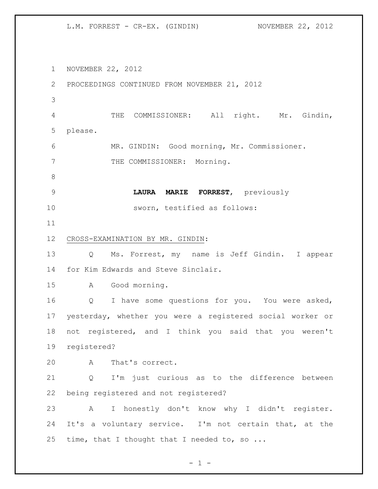NOVEMBER 22, 2012 PROCEEDINGS CONTINUED FROM NOVEMBER 21, 2012 THE COMMISSIONER: All right. Mr. Gindin, please. MR. GINDIN: Good morning, Mr. Commissioner. 7 THE COMMISSIONER: Morning. **LAURA MARIE FORREST**, previously sworn, testified as follows: CROSS-EXAMINATION BY MR. GINDIN: Q Ms. Forrest, my name is Jeff Gindin. I appear for Kim Edwards and Steve Sinclair. A Good morning. Q I have some questions for you. You were asked, yesterday, whether you were a registered social worker or not registered, and I think you said that you weren't registered? A That's correct. Q I'm just curious as to the difference between being registered and not registered? A I honestly don't know why I didn't register. It's a voluntary service. I'm not certain that, at the 25 time, that I thought that I needed to, so ...

 $- 1 -$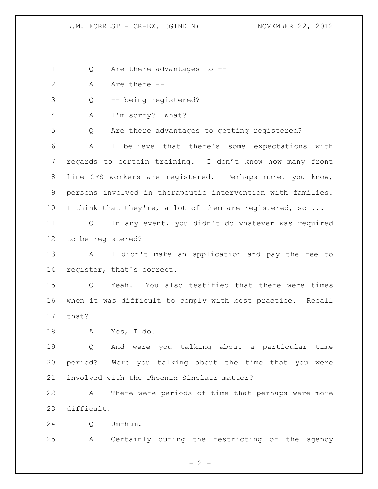1 Q Are there advantages to --

- 2 A Are there  $-$
- Q -- being registered?
- A I'm sorry? What?

Q Are there advantages to getting registered?

 A I believe that there's some expectations with regards to certain training. I don't know how many front 8 line CFS workers are registered. Perhaps more, you know, persons involved in therapeutic intervention with families. 10 I think that they're, a lot of them are registered, so ...

 Q In any event, you didn't do whatever was required to be registered?

 A I didn't make an application and pay the fee to register, that's correct.

 Q Yeah. You also testified that there were times when it was difficult to comply with best practice. Recall that?

A Yes, I do.

 Q And were you talking about a particular time period? Were you talking about the time that you were involved with the Phoenix Sinclair matter?

 A There were periods of time that perhaps were more difficult.

Q Um-hum.

A Certainly during the restricting of the agency

 $- 2 -$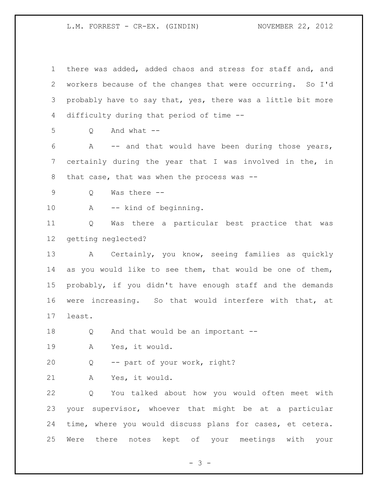there was added, added chaos and stress for staff and, and workers because of the changes that were occurring. So I'd probably have to say that, yes, there was a little bit more difficulty during that period of time -- Q And what -- A -- and that would have been during those years, certainly during the year that I was involved in the, in 8 that case, that was when the process was -- Q Was there -- A -- kind of beginning. Q Was there a particular best practice that was getting neglected? A Certainly, you know, seeing families as quickly as you would like to see them, that would be one of them, probably, if you didn't have enough staff and the demands were increasing. So that would interfere with that, at least. Q And that would be an important -- A Yes, it would. Q -- part of your work, right? A Yes, it would. Q You talked about how you would often meet with your supervisor, whoever that might be at a particular time, where you would discuss plans for cases, et cetera. Were there notes kept of your meetings with your

- 3 -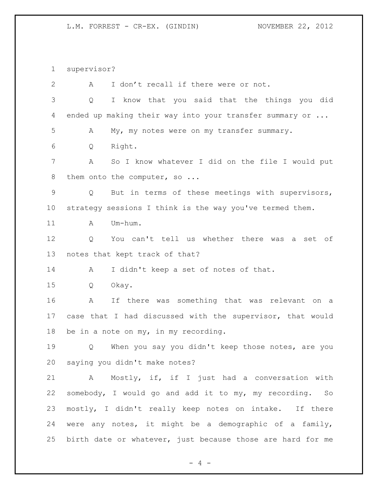supervisor?

| $\overline{2}$  | I don't recall if there were or not.<br>Α                  |
|-----------------|------------------------------------------------------------|
| 3               | I know that you said that the things you did<br>Q          |
| 4               | ended up making their way into your transfer summary or    |
| 5               | My, my notes were on my transfer summary.<br>А             |
| 6               | Right.<br>Q                                                |
| 7               | So I know whatever I did on the file I would put<br>Α      |
| 8               | them onto the computer, so                                 |
| 9               | But in terms of these meetings with supervisors,<br>Q      |
| 10 <sub>o</sub> | strategy sessions I think is the way you've termed them.   |
| 11              | Um-hum.<br>A                                               |
| 12              | Q<br>You can't tell us whether there was a set of          |
| 13              | notes that kept track of that?                             |
| 14              | I didn't keep a set of notes of that.<br>A                 |
| 15              | Okay.<br>Q                                                 |
| 16              | If there was something that was<br>А<br>relevant<br>on a   |
| 17              | case that I had discussed with the supervisor, that would  |
| 18              | be in a note on my, in my recording.                       |
| 19              | When you say you didn't keep those notes, are you<br>Q     |
|                 | 20 saying you didn't make notes?                           |
| 21              | A Mostly, if, if I just had a conversation with            |
| 22              | somebody, I would go and add it to my, my recording. So    |
| 23              | mostly, I didn't really keep notes on intake. If there     |
| 24              | were any notes, it might be a demographic of a family,     |
| 25              | birth date or whatever, just because those are hard for me |
|                 |                                                            |

- 4 -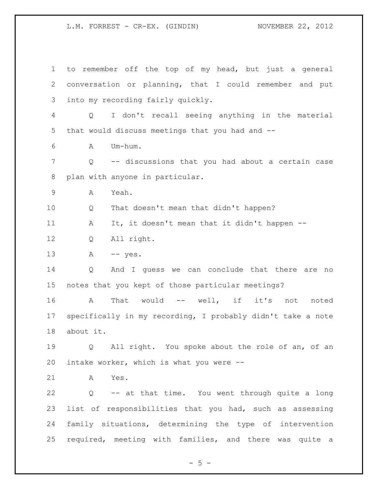to remember off the top of my head, but just a general conversation or planning, that I could remember and put into my recording fairly quickly. Q I don't recall seeing anything in the material that would discuss meetings that you had and -- A Um-hum. Q -- discussions that you had about a certain case plan with anyone in particular. A Yeah. Q That doesn't mean that didn't happen? A It, it doesn't mean that it didn't happen -- Q All right. A -- yes. Q And I guess we can conclude that there are no notes that you kept of those particular meetings? A That would -- well, if it's not noted specifically in my recording, I probably didn't take a note about it. Q All right. You spoke about the role of an, of an intake worker, which is what you were -- A Yes. Q -- at that time. You went through quite a long list of responsibilities that you had, such as assessing family situations, determining the type of intervention required, meeting with families, and there was quite a

 $-5 -$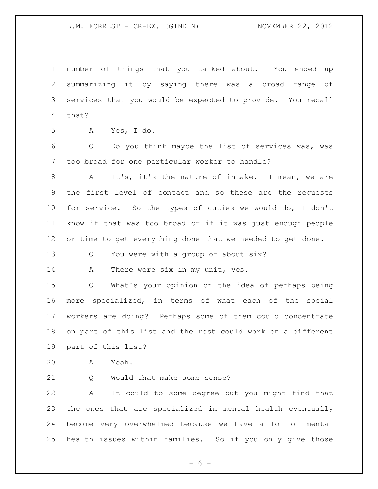number of things that you talked about. You ended up summarizing it by saying there was a broad range of services that you would be expected to provide. You recall that?

A Yes, I do.

 Q Do you think maybe the list of services was, was too broad for one particular worker to handle?

 A It's, it's the nature of intake. I mean, we are the first level of contact and so these are the requests for service. So the types of duties we would do, I don't know if that was too broad or if it was just enough people or time to get everything done that we needed to get done.

Q You were with a group of about six?

14 A There were six in my unit, yes.

 Q What's your opinion on the idea of perhaps being more specialized, in terms of what each of the social workers are doing? Perhaps some of them could concentrate on part of this list and the rest could work on a different part of this list?

A Yeah.

21 O Would that make some sense?

 A It could to some degree but you might find that the ones that are specialized in mental health eventually become very overwhelmed because we have a lot of mental health issues within families. So if you only give those

 $- 6 -$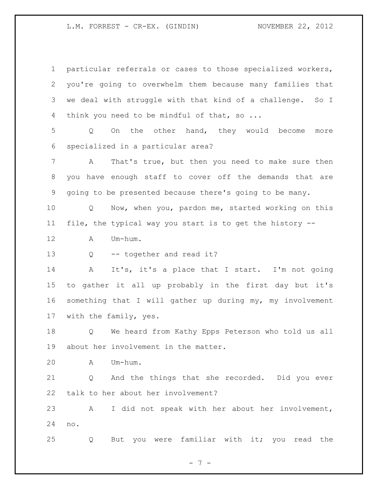| $\mathbf 1$    | particular referrals or cases to those specialized workers,       |
|----------------|-------------------------------------------------------------------|
| 2              | you're going to overwhelm them because many families that         |
| 3              | we deal with struggle with that kind of a challenge. So I         |
| $\overline{4}$ | think you need to be mindful of that, so                          |
| 5              | On the other hand, they would become<br>$Q \qquad \qquad$<br>more |
| 6              | specialized in a particular area?                                 |
| 7              | That's true, but then you need to make sure then<br>$\mathbf{A}$  |
| 8              | you have enough staff to cover off the demands that are           |
| 9              | going to be presented because there's going to be many.           |
| 10             | Now, when you, pardon me, started working on this<br>Q            |
| 11             | file, the typical way you start is to get the history --          |
| 12             | Um-hum.<br>Α                                                      |
| 13             | -- together and read it?<br>Q                                     |
| 14             | It's, it's a place that I start. I'm not going<br>Α               |
| 15             | to gather it all up probably in the first day but it's            |
| 16             | something that I will gather up during my, my involvement         |
| 17             | with the family, yes.                                             |
| 18             | We heard from Kathy Epps Peterson who told us all<br>Q            |
| 19             | about her involvement in the matter.                              |
| 20             | Um-hum.<br>А                                                      |
| 21             | And the things that she recorded. Did you ever<br>Q               |
| 22             | talk to her about her involvement?                                |
| 23             | I did not speak with her about her involvement,<br>A              |
| 24             | no.                                                               |
| 25             | you were familiar with it;<br>read the<br>you<br>But<br>Q         |

- 7 -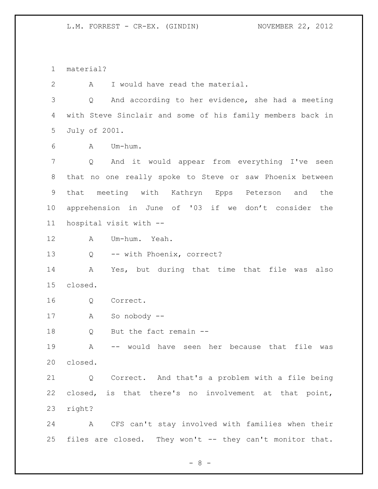material?

A I would have read the material.

 Q And according to her evidence, she had a meeting with Steve Sinclair and some of his family members back in July of 2001.

A Um-hum.

 Q And it would appear from everything I've seen that no one really spoke to Steve or saw Phoenix between that meeting with Kathryn Epps Peterson and the apprehension in June of '03 if we don't consider the hospital visit with --

A Um-hum. Yeah.

Q -- with Phoenix, correct?

 A Yes, but during that time that file was also closed.

Q Correct.

A So nobody --

Q But the fact remain --

 A -- would have seen her because that file was closed.

 Q Correct. And that's a problem with a file being closed, is that there's no involvement at that point, right?

 A CFS can't stay involved with families when their files are closed. They won't -- they can't monitor that.

- 8 -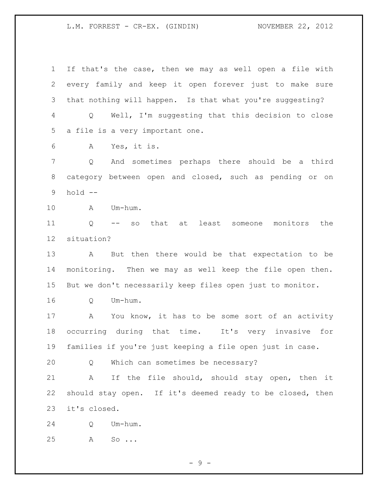If that's the case, then we may as well open a file with every family and keep it open forever just to make sure that nothing will happen. Is that what you're suggesting? Q Well, I'm suggesting that this decision to close a file is a very important one. A Yes, it is. Q And sometimes perhaps there should be a third category between open and closed, such as pending or on hold -- A Um-hum. Q -- so that at least someone monitors the situation? A But then there would be that expectation to be monitoring. Then we may as well keep the file open then. But we don't necessarily keep files open just to monitor. Q Um-hum. A You know, it has to be some sort of an activity occurring during that time. It's very invasive for families if you're just keeping a file open just in case. Q Which can sometimes be necessary? A If the file should, should stay open, then it should stay open. If it's deemed ready to be closed, then it's closed. Q Um-hum. A So ...

- 9 -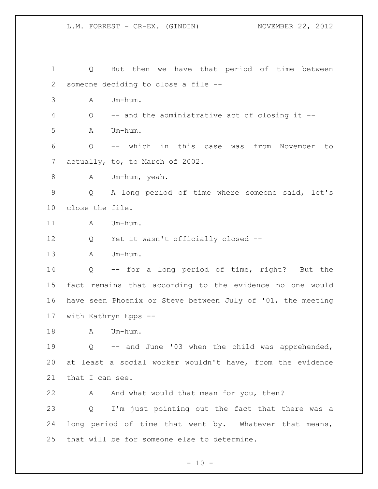Q But then we have that period of time between someone deciding to close a file -- A Um-hum. Q -- and the administrative act of closing it -- A Um-hum. Q -- which in this case was from November to 7 actually, to, to March of 2002. 8 A Um-hum, yeah. Q A long period of time where someone said, let's close the file. 11 A Um-hum. Q Yet it wasn't officially closed -- A Um-hum. Q -- for a long period of time, right? But the fact remains that according to the evidence no one would have seen Phoenix or Steve between July of '01, the meeting with Kathryn Epps -- 18 A Um-hum. Q -- and June '03 when the child was apprehended, at least a social worker wouldn't have, from the evidence 21 that I can see. 22 A And what would that mean for you, then? Q I'm just pointing out the fact that there was a long period of time that went by. Whatever that means, that will be for someone else to determine.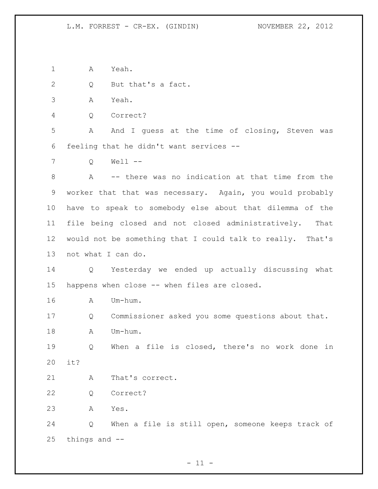A Yeah.

Q But that's a fact.

A Yeah.

Q Correct?

 A And I guess at the time of closing, Steven was feeling that he didn't want services --

Q Well --

 A -- there was no indication at that time from the worker that that was necessary. Again, you would probably have to speak to somebody else about that dilemma of the file being closed and not closed administratively. That would not be something that I could talk to really. That's not what I can do.

 Q Yesterday we ended up actually discussing what happens when close -- when files are closed.

A Um-hum.

Q Commissioner asked you some questions about that.

18 A Um-hum.

 Q When a file is closed, there's no work done in it?

21 A That's correct.

Q Correct?

A Yes.

 Q When a file is still open, someone keeps track of things and --

 $- 11 -$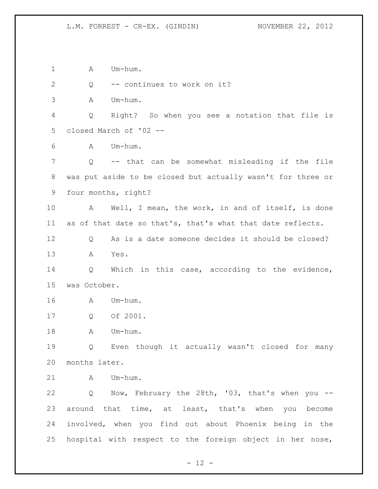1 A Um-hum. Q -- continues to work on it? A Um-hum. Q Right? So when you see a notation that file is closed March of '02 -- A Um-hum. Q -- that can be somewhat misleading if the file was put aside to be closed but actually wasn't for three or four months, right? A Well, I mean, the work, in and of itself, is done as of that date so that's, that's what that date reflects. Q As is a date someone decides it should be closed? A Yes. Q Which in this case, according to the evidence, was October. A Um-hum. Q Of 2001. 18 A Um-hum. Q Even though it actually wasn't closed for many months later. A Um-hum. Q Now, February the 28th, '03, that's when you -- around that time, at least, that's when you become involved, when you find out about Phoenix being in the hospital with respect to the foreign object in her nose,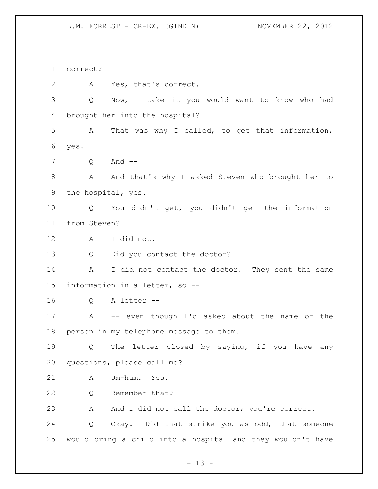correct?

 A Yes, that's correct. Q Now, I take it you would want to know who had brought her into the hospital? A That was why I called, to get that information, yes. Q And -- 8 A And that's why I asked Steven who brought her to the hospital, yes. Q You didn't get, you didn't get the information from Steven? A I did not. 13 Q Did you contact the doctor? 14 A I did not contact the doctor. They sent the same information in a letter, so -- Q A letter -- A -- even though I'd asked about the name of the person in my telephone message to them. Q The letter closed by saying, if you have any questions, please call me? A Um-hum. Yes. 22 Q Remember that? 23 A And I did not call the doctor; you're correct. Q Okay. Did that strike you as odd, that someone would bring a child into a hospital and they wouldn't have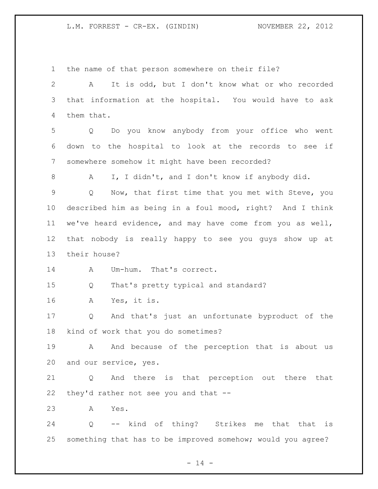the name of that person somewhere on their file? A It is odd, but I don't know what or who recorded that information at the hospital. You would have to ask them that. Q Do you know anybody from your office who went down to the hospital to look at the records to see if somewhere somehow it might have been recorded? A I, I didn't, and I don't know if anybody did. Q Now, that first time that you met with Steve, you described him as being in a foul mood, right? And I think we've heard evidence, and may have come from you as well, that nobody is really happy to see you guys show up at their house? 14 A Um-hum. That's correct. Q That's pretty typical and standard? A Yes, it is. Q And that's just an unfortunate byproduct of the kind of work that you do sometimes? A And because of the perception that is about us and our service, yes. Q And there is that perception out there that they'd rather not see you and that -- A Yes. Q -- kind of thing? Strikes me that that is something that has to be improved somehow; would you agree?

 $- 14 -$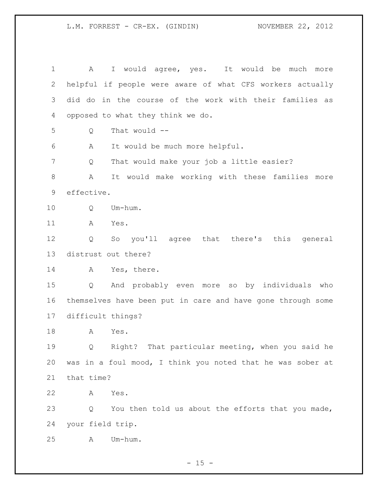A I would agree, yes. It would be much more helpful if people were aware of what CFS workers actually did do in the course of the work with their families as opposed to what they think we do. Q That would -- A It would be much more helpful. Q That would make your job a little easier? A It would make working with these families more effective. Q Um-hum. A Yes. Q So you'll agree that there's this general distrust out there? A Yes, there. Q And probably even more so by individuals who themselves have been put in care and have gone through some difficult things? A Yes. Q Right? That particular meeting, when you said he was in a foul mood, I think you noted that he was sober at that time? A Yes. Q You then told us about the efforts that you made, your field trip. A Um-hum.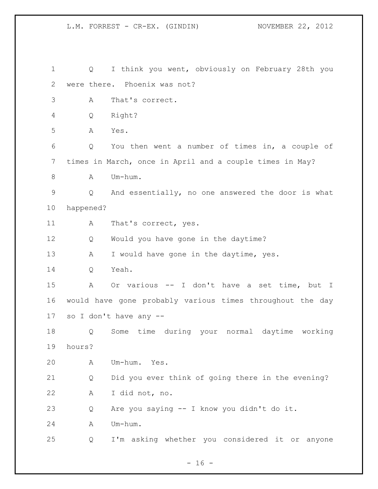| 1  | Q         | I think you went, obviously on February 28th you          |
|----|-----------|-----------------------------------------------------------|
| 2  |           | were there. Phoenix was not?                              |
| 3  | A         | That's correct.                                           |
| 4  | Q         | Right?                                                    |
| 5  | Α         | Yes.                                                      |
| 6  | Q         | You then went a number of times in, a couple of           |
| 7  |           | times in March, once in April and a couple times in May?  |
| 8  | Α         | Um-hum.                                                   |
| 9  | Q         | And essentially, no one answered the door is what         |
| 10 | happened? |                                                           |
| 11 | A         | That's correct, yes.                                      |
| 12 | Q         | Would you have gone in the daytime?                       |
| 13 | Α         | I would have gone in the daytime, yes.                    |
| 14 | Q         | Yeah.                                                     |
| 15 | Α         | Or various -- I don't have a set time, but I              |
| 16 |           | would have gone probably various times throughout the day |
| 17 |           | so I don't have any --                                    |
| 18 | Q         | Some time during your normal daytime<br>working           |
| 19 | hours?    |                                                           |
| 20 | A         | Um-hum. Yes.                                              |
| 21 | Q         | Did you ever think of going there in the evening?         |
| 22 | A         | I did not, no.                                            |
| 23 | Q         | Are you saying -- I know you didn't do it.                |
| 24 | A         | Um-hum.                                                   |
| 25 | Q         | I'm asking whether you considered it or anyone            |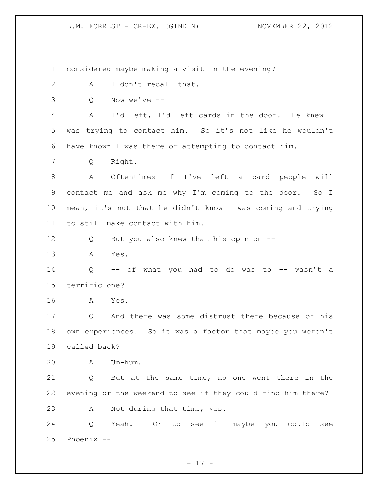considered maybe making a visit in the evening? 2 A I don't recall that. Q Now we've -- A I'd left, I'd left cards in the door. He knew I was trying to contact him. So it's not like he wouldn't have known I was there or attempting to contact him. Q Right. A Oftentimes if I've left a card people will contact me and ask me why I'm coming to the door. So I mean, it's not that he didn't know I was coming and trying to still make contact with him. Q But you also knew that his opinion -- A Yes. Q -- of what you had to do was to -- wasn't a terrific one? A Yes. Q And there was some distrust there because of his own experiences. So it was a factor that maybe you weren't called back? A Um-hum. Q But at the same time, no one went there in the evening or the weekend to see if they could find him there? A Not during that time, yes. Q Yeah. Or to see if maybe you could see Phoenix --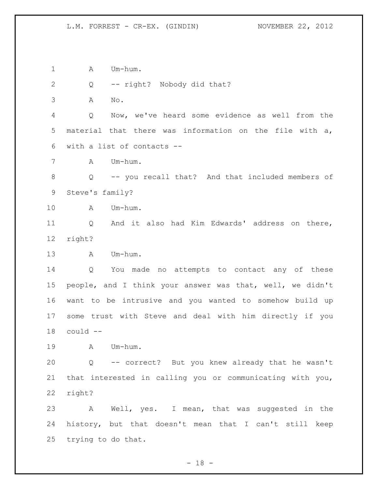1 A Um-hum.

Q -- right? Nobody did that?

A No.

 Q Now, we've heard some evidence as well from the material that there was information on the file with a, with a list of contacts --

A Um-hum.

 Q -- you recall that? And that included members of Steve's family?

A Um-hum.

 Q And it also had Kim Edwards' address on there, right?

A Um-hum.

 Q You made no attempts to contact any of these people, and I think your answer was that, well, we didn't want to be intrusive and you wanted to somehow build up some trust with Steve and deal with him directly if you could --

A Um-hum.

 Q -- correct? But you knew already that he wasn't that interested in calling you or communicating with you, right?

 A Well, yes. I mean, that was suggested in the history, but that doesn't mean that I can't still keep trying to do that.

 $- 18 -$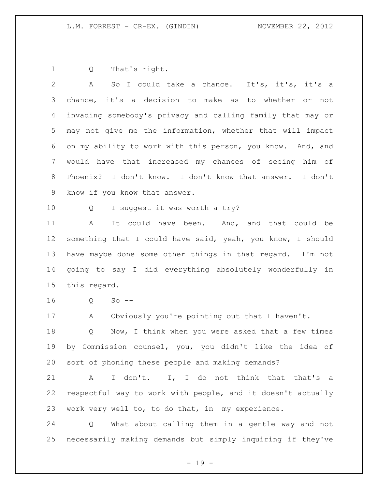Q That's right.

2 A So I could take a chance. It's, it's, it's a chance, it's a decision to make as to whether or not invading somebody's privacy and calling family that may or may not give me the information, whether that will impact on my ability to work with this person, you know. And, and would have that increased my chances of seeing him of Phoenix? I don't know. I don't know that answer. I don't know if you know that answer. 10 Q I suggest it was worth a try? A It could have been. And, and that could be something that I could have said, yeah, you know, I should have maybe done some other things in that regard. I'm not going to say I did everything absolutely wonderfully in

this regard.

Q So --

A Obviously you're pointing out that I haven't.

18 Q Now, I think when you were asked that a few times by Commission counsel, you, you didn't like the idea of sort of phoning these people and making demands?

21 A I don't. I, I do not think that that's a respectful way to work with people, and it doesn't actually work very well to, to do that, in my experience.

 Q What about calling them in a gentle way and not necessarily making demands but simply inquiring if they've

 $- 19 -$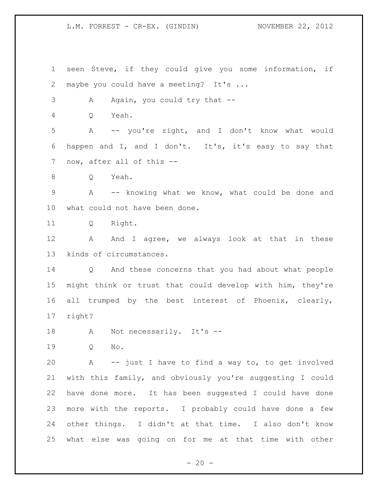seen Steve, if they could give you some information, if 2 maybe you could have a meeting? It's ... 3 A Again, you could try that -- Q Yeah. A -- you're right, and I don't know what would happen and I, and I don't. It's, it's easy to say that now, after all of this -- Q Yeah. A -- knowing what we know, what could be done and what could not have been done. Q Right. 12 A And I agree, we always look at that in these kinds of circumstances. Q And these concerns that you had about what people might think or trust that could develop with him, they're all trumped by the best interest of Phoenix, clearly, right? 18 A Not necessarily. It's -- Q No. A -- just I have to find a way to, to get involved with this family, and obviously you're suggesting I could have done more. It has been suggested I could have done more with the reports. I probably could have done a few other things. I didn't at that time. I also don't know what else was going on for me at that time with other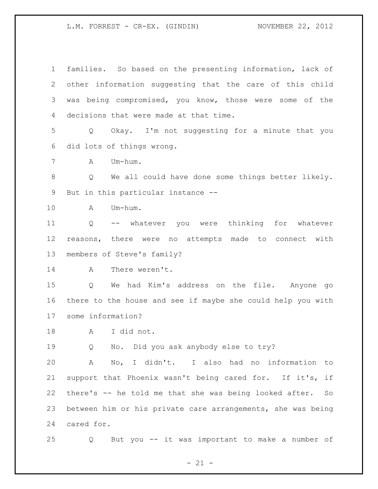families. So based on the presenting information, lack of other information suggesting that the care of this child was being compromised, you know, those were some of the decisions that were made at that time. Q Okay. I'm not suggesting for a minute that you did lots of things wrong. A Um-hum. Q We all could have done some things better likely. But in this particular instance -- A Um-hum. Q -- whatever you were thinking for whatever reasons, there were no attempts made to connect with members of Steve's family? A There weren't. Q We had Kim's address on the file. Anyone go there to the house and see if maybe she could help you with some information? A I did not. Q No. Did you ask anybody else to try? A No, I didn't. I also had no information to support that Phoenix wasn't being cared for. If it's, if there's -- he told me that she was being looked after. So between him or his private care arrangements, she was being cared for. Q But you -- it was important to make a number of

 $- 21 -$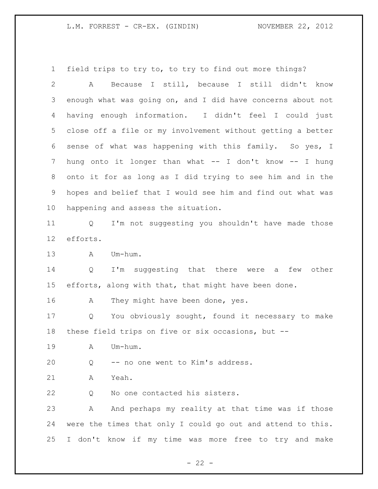field trips to try to, to try to find out more things?

 A Because I still, because I still didn't know enough what was going on, and I did have concerns about not having enough information. I didn't feel I could just close off a file or my involvement without getting a better sense of what was happening with this family. So yes, I hung onto it longer than what -- I don't know -- I hung onto it for as long as I did trying to see him and in the hopes and belief that I would see him and find out what was happening and assess the situation. Q I'm not suggesting you shouldn't have made those efforts. A Um-hum. Q I'm suggesting that there were a few other efforts, along with that, that might have been done. 16 A They might have been done, yes. Q You obviously sought, found it necessary to make these field trips on five or six occasions, but -- A Um-hum. Q -- no one went to Kim's address. A Yeah. Q No one contacted his sisters. A And perhaps my reality at that time was if those were the times that only I could go out and attend to this. I don't know if my time was more free to try and make

 $- 22 -$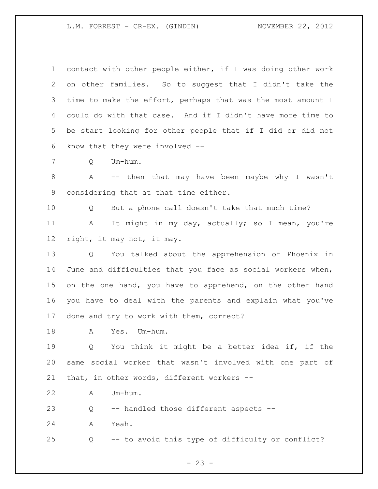contact with other people either, if I was doing other work on other families. So to suggest that I didn't take the time to make the effort, perhaps that was the most amount I could do with that case. And if I didn't have more time to be start looking for other people that if I did or did not know that they were involved --

Q Um-hum.

 A -- then that may have been maybe why I wasn't considering that at that time either.

 Q But a phone call doesn't take that much time? A It might in my day, actually; so I mean, you're right, it may not, it may.

 Q You talked about the apprehension of Phoenix in June and difficulties that you face as social workers when, on the one hand, you have to apprehend, on the other hand you have to deal with the parents and explain what you've done and try to work with them, correct?

A Yes. Um-hum.

 Q You think it might be a better idea if, if the same social worker that wasn't involved with one part of that, in other words, different workers --

A Um-hum.

Q -- handled those different aspects --

A Yeah.

Q -- to avoid this type of difficulty or conflict?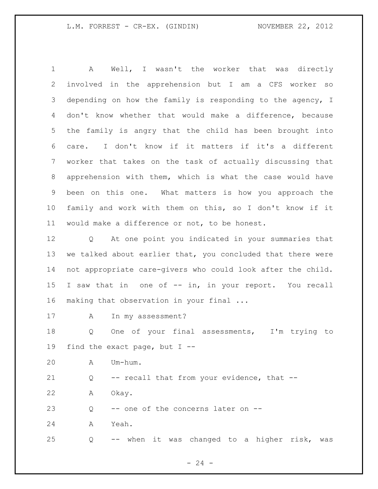A Well, I wasn't the worker that was directly involved in the apprehension but I am a CFS worker so depending on how the family is responding to the agency, I don't know whether that would make a difference, because the family is angry that the child has been brought into care. I don't know if it matters if it's a different worker that takes on the task of actually discussing that apprehension with them, which is what the case would have been on this one. What matters is how you approach the family and work with them on this, so I don't know if it would make a difference or not, to be honest.

 Q At one point you indicated in your summaries that we talked about earlier that, you concluded that there were not appropriate care-givers who could look after the child. 15 I saw that in one of -- in, in your report. You recall making that observation in your final ...

A In my assessment?

 Q One of your final assessments, I'm trying to find the exact page, but I --

A Um-hum.

Q -- recall that from your evidence, that --

A Okay.

23 Q -- one of the concerns later on --

A Yeah.

Q -- when it was changed to a higher risk, was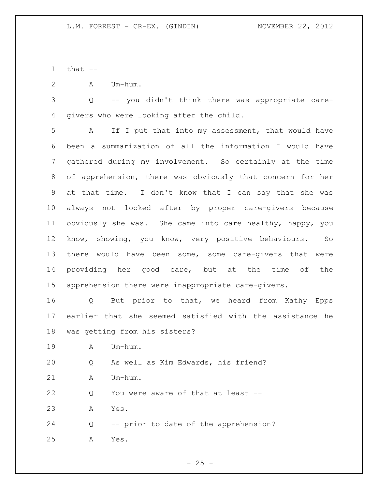1  $that$   $-$ 

A Um-hum.

 Q -- you didn't think there was appropriate care-givers who were looking after the child.

 A If I put that into my assessment, that would have been a summarization of all the information I would have gathered during my involvement. So certainly at the time of apprehension, there was obviously that concern for her at that time. I don't know that I can say that she was always not looked after by proper care-givers because obviously she was. She came into care healthy, happy, you know, showing, you know, very positive behaviours. So there would have been some, some care-givers that were providing her good care, but at the time of the apprehension there were inappropriate care-givers.

 Q But prior to that, we heard from Kathy Epps earlier that she seemed satisfied with the assistance he was getting from his sisters?

A Um-hum.

Q As well as Kim Edwards, his friend?

21 A Um-hum.

22 Q You were aware of that at least --

A Yes.

 Q -- prior to date of the apprehension? A Yes.

 $- 25 -$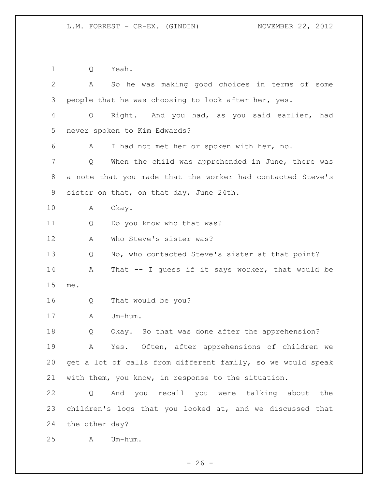Q Yeah. A So he was making good choices in terms of some people that he was choosing to look after her, yes. Q Right. And you had, as you said earlier, had never spoken to Kim Edwards? A I had not met her or spoken with her, no. Q When the child was apprehended in June, there was a note that you made that the worker had contacted Steve's sister on that, on that day, June 24th. A Okay. 11 Q Do you know who that was? A Who Steve's sister was? Q No, who contacted Steve's sister at that point? A That -- I guess if it says worker, that would be me. Q That would be you? A Um-hum. Q Okay. So that was done after the apprehension? A Yes. Often, after apprehensions of children we get a lot of calls from different family, so we would speak with them, you know, in response to the situation. Q And you recall you were talking about the children's logs that you looked at, and we discussed that the other day? A Um-hum.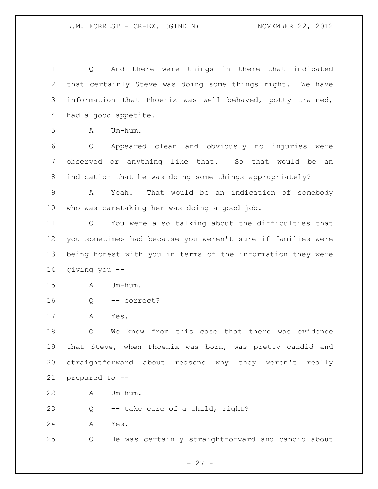Q And there were things in there that indicated that certainly Steve was doing some things right. We have information that Phoenix was well behaved, potty trained, had a good appetite.  $A$   $Um-h \, \ldots$  Q Appeared clean and obviously no injuries were observed or anything like that. So that would be an indication that he was doing some things appropriately? A Yeah. That would be an indication of somebody who was caretaking her was doing a good job. Q You were also talking about the difficulties that you sometimes had because you weren't sure if families were being honest with you in terms of the information they were giving you -- A Um-hum. Q -- correct? A Yes. Q We know from this case that there was evidence that Steve, when Phoenix was born, was pretty candid and straightforward about reasons why they weren't really prepared to -- A Um-hum. Q -- take care of a child, right? A Yes. Q He was certainly straightforward and candid about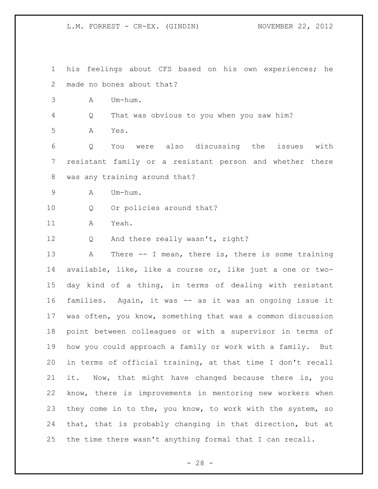his feelings about CFS based on his own experiences; he made no bones about that?

A Um-hum.

Q That was obvious to you when you saw him?

A Yes.

 Q You were also discussing the issues with resistant family or a resistant person and whether there was any training around that?

A Um-hum.

Q Or policies around that?

A Yeah.

Q And there really wasn't, right?

 A There -- I mean, there is, there is some training available, like, like a course or, like just a one or two- day kind of a thing, in terms of dealing with resistant families. Again, it was -- as it was an ongoing issue it was often, you know, something that was a common discussion point between colleagues or with a supervisor in terms of how you could approach a family or work with a family. But in terms of official training, at that time I don't recall it. Now, that might have changed because there is, you know, there is improvements in mentoring new workers when they come in to the, you know, to work with the system, so that, that is probably changing in that direction, but at the time there wasn't anything formal that I can recall.

 $- 28 -$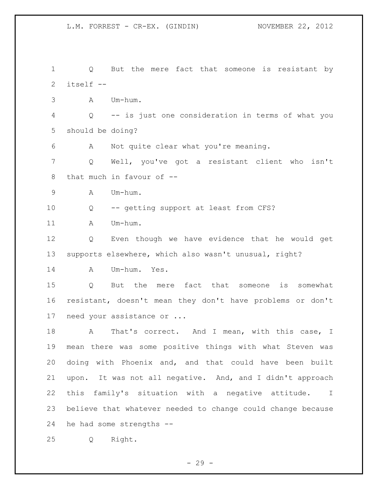Q But the mere fact that someone is resistant by itself -- A Um-hum. Q -- is just one consideration in terms of what you should be doing? A Not quite clear what you're meaning. Q Well, you've got a resistant client who isn't 8 that much in favour of -- A Um-hum. Q -- getting support at least from CFS? 11 A Um-hum. Q Even though we have evidence that he would get supports elsewhere, which also wasn't unusual, right? A Um-hum. Yes. Q But the mere fact that someone is somewhat resistant, doesn't mean they don't have problems or don't need your assistance or ... 18 A That's correct. And I mean, with this case, I mean there was some positive things with what Steven was doing with Phoenix and, and that could have been built upon. It was not all negative. And, and I didn't approach this family's situation with a negative attitude. I believe that whatever needed to change could change because he had some strengths -- Q Right.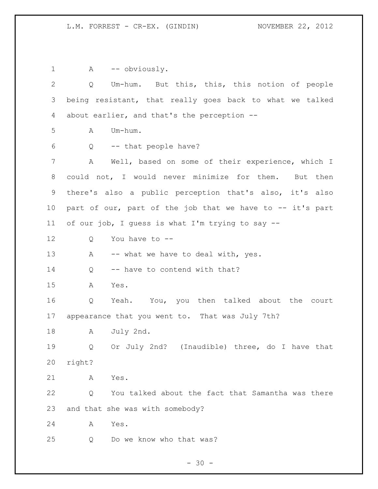1 A -- obviously. Q Um-hum. But this, this, this notion of people being resistant, that really goes back to what we talked about earlier, and that's the perception --  $A$   $Um-h\ddot{}$  Q -- that people have? A Well, based on some of their experience, which I could not, I would never minimize for them. But then there's also a public perception that's also, it's also part of our, part of the job that we have to -- it's part of our job, I guess is what I'm trying to say -- Q You have to -- 13 A -- what we have to deal with, yes. 14 Q -- have to contend with that? A Yes. Q Yeah. You, you then talked about the court appearance that you went to. That was July 7th? A July 2nd. Q Or July 2nd? (Inaudible) three, do I have that right? A Yes. Q You talked about the fact that Samantha was there and that she was with somebody? A Yes. Q Do we know who that was?

 $- 30 -$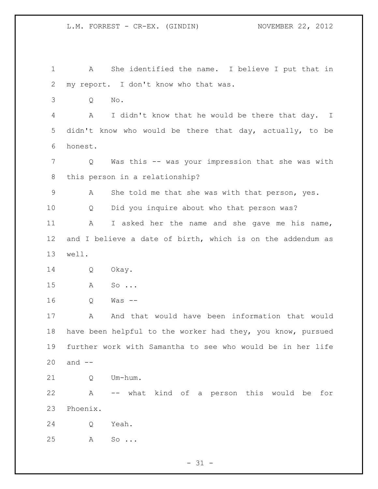| 1           | She identified the name. I believe I put that in<br>A       |
|-------------|-------------------------------------------------------------|
| 2           | my report. I don't know who that was.                       |
| 3           | No.<br>Q                                                    |
| 4           | I didn't know that he would be there that day. I<br>A       |
| 5           | didn't know who would be there that day, actually, to be    |
| 6           | honest.                                                     |
| 7           | Was this -- was your impression that she was with<br>Q      |
| 8           | this person in a relationship?                              |
| $\mathsf 9$ | She told me that she was with that person, yes.<br>A        |
| 10          | Did you inquire about who that person was?<br>Q             |
| 11          | A<br>I asked her the name and she gave me his name,         |
| 12          | and I believe a date of birth, which is on the addendum as  |
| 13          | well.                                                       |
| 14          | Okay.<br>Q                                                  |
| 15          | A<br>So $\ldots$                                            |
| 16          | $Was$ $--$<br>Q                                             |
| 17          | And that would have been information that would<br>Α        |
| 18          | have been helpful to the worker had they, you know, pursued |
| 19          | further work with Samantha to see who would be in her life  |
| 20          | and $--$                                                    |
| 21          | Um-hum.<br>Q                                                |
| 22          | Α<br>-- what kind of a person this would<br>be<br>for       |
| 23          | Phoenix.                                                    |
| 24          | Yeah.<br>Q                                                  |
| 25          | Α<br>So $\ldots$                                            |

- 31 -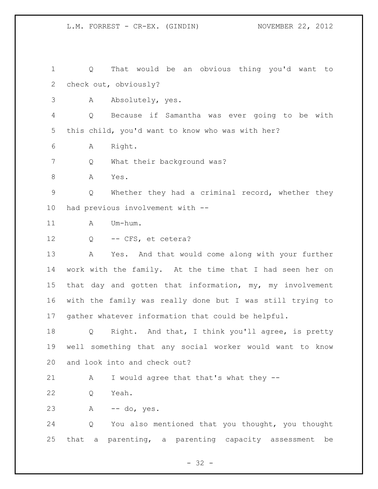Q That would be an obvious thing you'd want to check out, obviously? A Absolutely, yes. Q Because if Samantha was ever going to be with this child, you'd want to know who was with her? A Right. 7 Q What their background was? A Yes. Q Whether they had a criminal record, whether they had previous involvement with -- 11 A Um-hum. 12 Q -- CFS, et cetera? 13 A Yes. And that would come along with your further work with the family. At the time that I had seen her on that day and gotten that information, my, my involvement with the family was really done but I was still trying to gather whatever information that could be helpful. Q Right. And that, I think you'll agree, is pretty well something that any social worker would want to know and look into and check out? 21 A I would agree that that's what they -- Q Yeah. A -- do, yes. Q You also mentioned that you thought, you thought that a parenting, a parenting capacity assessment be

 $- 32 -$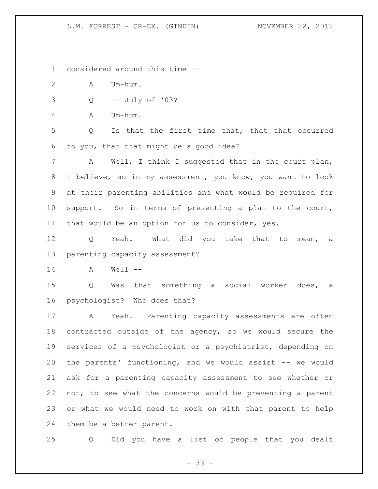considered around this time --

- A Um-hum.
- Q -- July of '03?

A Um-hum.

 Q Is that the first time that, that that occurred to you, that that might be a good idea?

 A Well, I think I suggested that in the court plan, I believe, so in my assessment, you know, you want to look at their parenting abilities and what would be required for support. So in terms of presenting a plan to the court, that would be an option for us to consider, yes.

 Q Yeah. What did you take that to mean, a parenting capacity assessment?

A Well --

 Q Was that something a social worker does, a psychologist? Who does that?

 A Yeah. Parenting capacity assessments are often contracted outside of the agency, so we would secure the services of a psychologist or a psychiatrist, depending on the parents' functioning, and we would assist -- we would ask for a parenting capacity assessment to see whether or not, to see what the concerns would be preventing a parent or what we would need to work on with that parent to help them be a better parent.

Q Did you have a list of people that you dealt

 $- 33 -$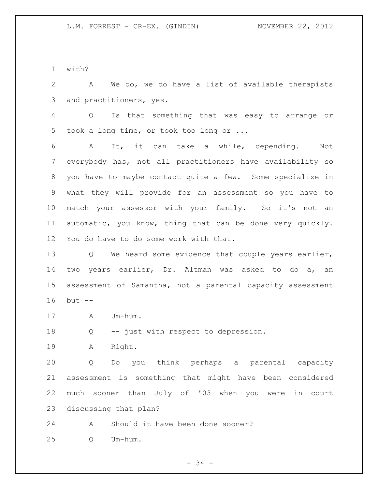with?

 A We do, we do have a list of available therapists and practitioners, yes.

 Q Is that something that was easy to arrange or took a long time, or took too long or ...

 A It, it can take a while, depending. Not everybody has, not all practitioners have availability so you have to maybe contact quite a few. Some specialize in what they will provide for an assessment so you have to match your assessor with your family. So it's not an automatic, you know, thing that can be done very quickly. You do have to do some work with that.

 Q We heard some evidence that couple years earlier, two years earlier, Dr. Altman was asked to do a, an assessment of Samantha, not a parental capacity assessment but --

17 A Um-hum.

Q -- just with respect to depression.

A Right.

 Q Do you think perhaps a parental capacity assessment is something that might have been considered much sooner than July of '03 when you were in court discussing that plan?

A Should it have been done sooner?

Q Um-hum.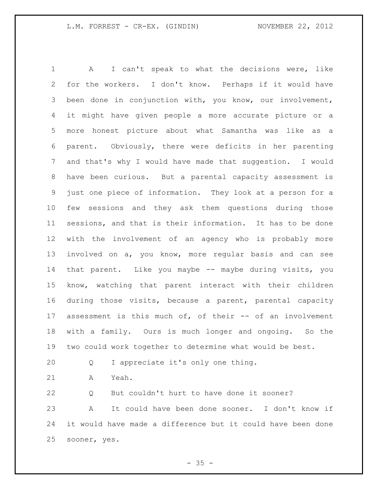A I can't speak to what the decisions were, like for the workers. I don't know. Perhaps if it would have been done in conjunction with, you know, our involvement, it might have given people a more accurate picture or a more honest picture about what Samantha was like as a parent. Obviously, there were deficits in her parenting and that's why I would have made that suggestion. I would have been curious. But a parental capacity assessment is just one piece of information. They look at a person for a few sessions and they ask them questions during those sessions, and that is their information. It has to be done with the involvement of an agency who is probably more involved on a, you know, more regular basis and can see 14 that parent. Like you maybe -- maybe during visits, you know, watching that parent interact with their children during those visits, because a parent, parental capacity assessment is this much of, of their -- of an involvement with a family. Ours is much longer and ongoing. So the two could work together to determine what would be best.

Q I appreciate it's only one thing.

A Yeah.

 Q But couldn't hurt to have done it sooner? A It could have been done sooner. I don't know if it would have made a difference but it could have been done sooner, yes.

 $- 35 -$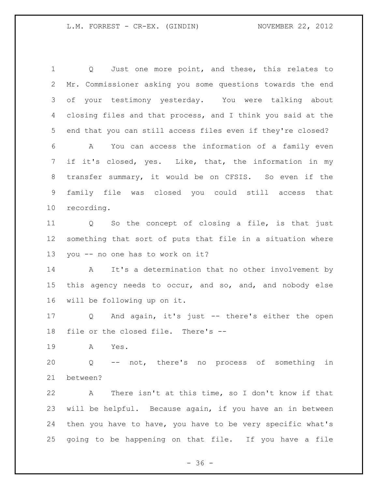1 Q Just one more point, and these, this relates to Mr. Commissioner asking you some questions towards the end of your testimony yesterday. You were talking about closing files and that process, and I think you said at the end that you can still access files even if they're closed? A You can access the information of a family even if it's closed, yes. Like, that, the information in my transfer summary, it would be on CFSIS. So even if the family file was closed you could still access that recording. Q So the concept of closing a file, is that just something that sort of puts that file in a situation where you -- no one has to work on it? A It's a determination that no other involvement by this agency needs to occur, and so, and, and nobody else will be following up on it. Q And again, it's just -- there's either the open file or the closed file. There's -- A Yes. Q -- not, there's no process of something in between?

 A There isn't at this time, so I don't know if that will be helpful. Because again, if you have an in between then you have to have, you have to be very specific what's going to be happening on that file. If you have a file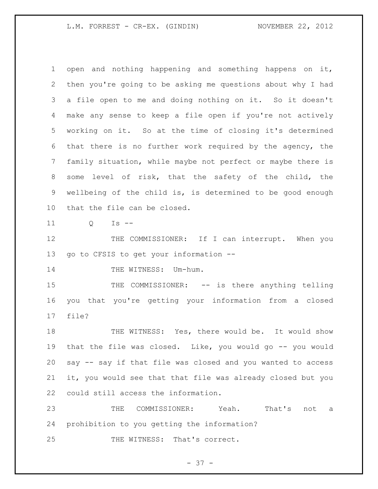## L.M. FORREST - CR-EX. (GINDIN) NOVEMBER 22, 2012

 open and nothing happening and something happens on it, then you're going to be asking me questions about why I had a file open to me and doing nothing on it. So it doesn't make any sense to keep a file open if you're not actively working on it. So at the time of closing it's determined that there is no further work required by the agency, the family situation, while maybe not perfect or maybe there is some level of risk, that the safety of the child, the wellbeing of the child is, is determined to be good enough that the file can be closed.

Q Is --

12 THE COMMISSIONER: If I can interrupt. When you go to CFSIS to get your information --

14 THE WITNESS: Um-hum.

15 THE COMMISSIONER: -- is there anything telling you that you're getting your information from a closed file?

 THE WITNESS: Yes, there would be. It would show that the file was closed. Like, you would go -- you would say -- say if that file was closed and you wanted to access it, you would see that that file was already closed but you could still access the information.

 THE COMMISSIONER: Yeah. That's not a prohibition to you getting the information?

25 THE WITNESS: That's correct.

- 37 -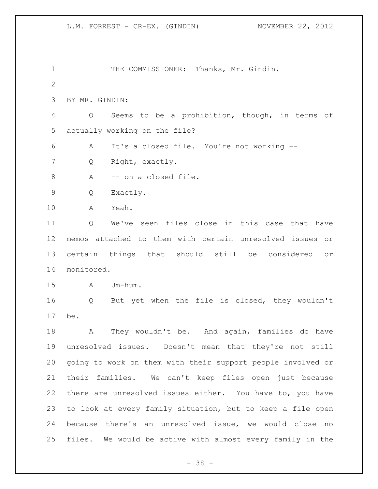1 THE COMMISSIONER: Thanks, Mr. Gindin. BY MR. GINDIN: Q Seems to be a prohibition, though, in terms of actually working on the file? A It's a closed file. You're not working -- Q Right, exactly. 8 A -- on a closed file. Q Exactly. A Yeah. Q We've seen files close in this case that have memos attached to them with certain unresolved issues or certain things that should still be considered or monitored. A Um-hum. Q But yet when the file is closed, they wouldn't be. 18 A They wouldn't be. And again, families do have unresolved issues. Doesn't mean that they're not still going to work on them with their support people involved or their families. We can't keep files open just because there are unresolved issues either. You have to, you have to look at every family situation, but to keep a file open because there's an unresolved issue, we would close no files. We would be active with almost every family in the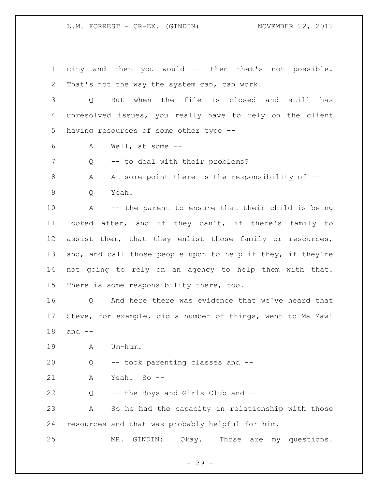L.M. FORREST - CR-EX. (GINDIN) NOVEMBER 22, 2012

 city and then you would -- then that's not possible. That's not the way the system can, can work. Q But when the file is closed and still has unresolved issues, you really have to rely on the client having resources of some other type -- A Well, at some -- 7 Q -- to deal with their problems? 8 A At some point there is the responsibility of -- Q Yeah. A -- the parent to ensure that their child is being looked after, and if they can't, if there's family to assist them, that they enlist those family or resources, 13 and, and call those people upon to help if they, if they're not going to rely on an agency to help them with that. There is some responsibility there, too. Q And here there was evidence that we've heard that Steve, for example, did a number of things, went to Ma Mawi and -- A Um-hum. Q -- took parenting classes and -- A Yeah. So -- Q -- the Boys and Girls Club and -- A So he had the capacity in relationship with those resources and that was probably helpful for him. MR. GINDIN: Okay. Those are my questions.

- 39 -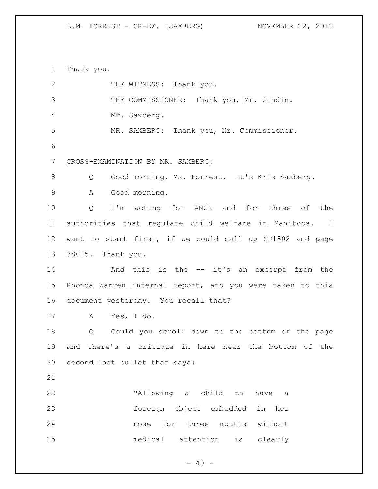Thank you. 2 THE WITNESS: Thank you. THE COMMISSIONER: Thank you, Mr. Gindin. Mr. Saxberg. MR. SAXBERG: Thank you, Mr. Commissioner. CROSS-EXAMINATION BY MR. SAXBERG: 8 Q Good morning, Ms. Forrest. It's Kris Saxberg. A Good morning. Q I'm acting for ANCR and for three of the authorities that regulate child welfare in Manitoba. I want to start first, if we could call up CD1802 and page 38015. Thank you. And this is the -- it's an excerpt from the Rhonda Warren internal report, and you were taken to this document yesterday. You recall that? A Yes, I do. Q Could you scroll down to the bottom of the page and there's a critique in here near the bottom of the second last bullet that says: "Allowing a child to have a foreign object embedded in her nose for three months without medical attention is clearly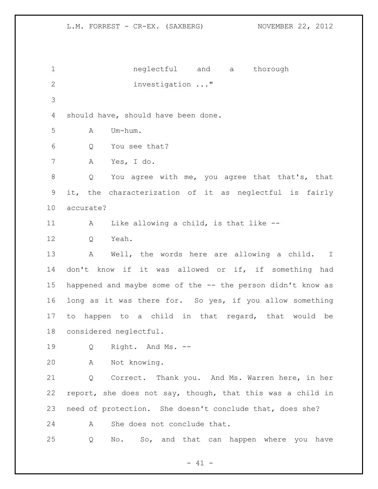neglectful and a thorough investigation ..." should have, should have been done. A Um-hum. Q You see that? A Yes, I do. Q You agree with me, you agree that that's, that it, the characterization of it as neglectful is fairly accurate? A Like allowing a child, is that like -- 12 O Yeah. A Well, the words here are allowing a child. I don't know if it was allowed or if, if something had happened and maybe some of the -- the person didn't know as long as it was there for. So yes, if you allow something to happen to a child in that regard, that would be considered neglectful. Q Right. And Ms. -- A Not knowing. Q Correct. Thank you. And Ms. Warren here, in her report, she does not say, though, that this was a child in need of protection. She doesn't conclude that, does she? 24 A She does not conclude that. Q No. So, and that can happen where you have

 $- 41 -$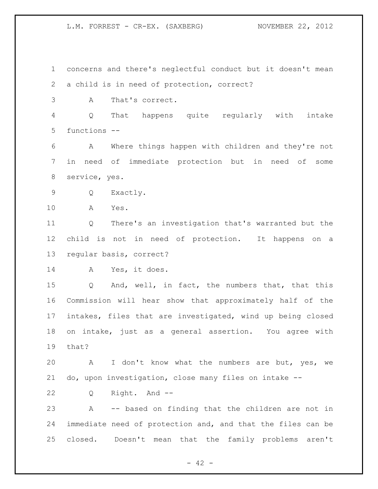concerns and there's neglectful conduct but it doesn't mean a child is in need of protection, correct? A That's correct. Q That happens quite regularly with intake functions -- A Where things happen with children and they're not in need of immediate protection but in need of some service, yes. Q Exactly. A Yes. Q There's an investigation that's warranted but the child is not in need of protection. It happens on a regular basis, correct? A Yes, it does. Q And, well, in fact, the numbers that, that this Commission will hear show that approximately half of the intakes, files that are investigated, wind up being closed on intake, just as a general assertion. You agree with that? A I don't know what the numbers are but, yes, we do, upon investigation, close many files on intake -- Q Right. And -- A -- based on finding that the children are not in immediate need of protection and, and that the files can be closed. Doesn't mean that the family problems aren't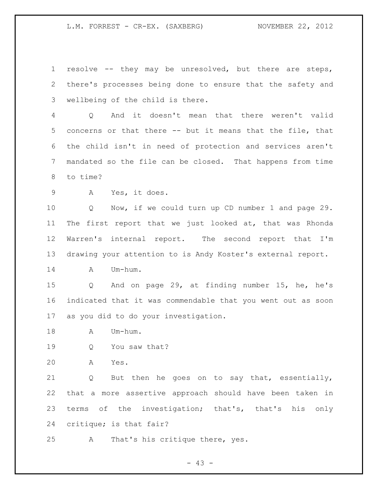resolve -- they may be unresolved, but there are steps, there's processes being done to ensure that the safety and wellbeing of the child is there.

 Q And it doesn't mean that there weren't valid concerns or that there -- but it means that the file, that the child isn't in need of protection and services aren't mandated so the file can be closed. That happens from time to time?

A Yes, it does.

 Q Now, if we could turn up CD number 1 and page 29. The first report that we just looked at, that was Rhonda Warren's internal report. The second report that I'm drawing your attention to is Andy Koster's external report.

A Um-hum.

 Q And on page 29, at finding number 15, he, he's indicated that it was commendable that you went out as soon as you did to do your investigation.

A Um-hum.

Q You saw that?

A Yes.

 Q But then he goes on to say that, essentially, that a more assertive approach should have been taken in terms of the investigation; that's, that's his only critique; is that fair?

A That's his critique there, yes.

- 43 -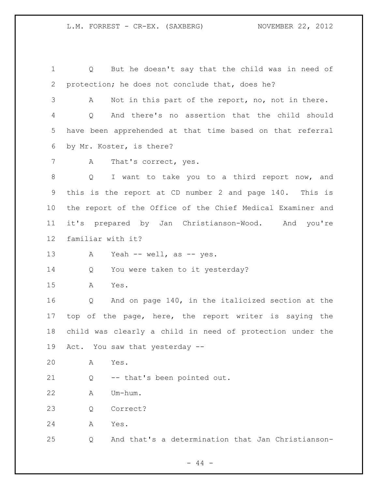Q But he doesn't say that the child was in need of protection; he does not conclude that, does he? A Not in this part of the report, no, not in there. Q And there's no assertion that the child should have been apprehended at that time based on that referral by Mr. Koster, is there? 7 A That's correct, yes. 8 Q I want to take you to a third report now, and this is the report at CD number 2 and page 140. This is the report of the Office of the Chief Medical Examiner and it's prepared by Jan Christianson-Wood. And you're familiar with it? 13 A Yeah -- well, as -- yes. Q You were taken to it yesterday? A Yes. Q And on page 140, in the italicized section at the top of the page, here, the report writer is saying the child was clearly a child in need of protection under the Act. You saw that yesterday -- A Yes. Q -- that's been pointed out. A Um-hum. Q Correct? A Yes. Q And that's a determination that Jan Christianson-

 $-44 -$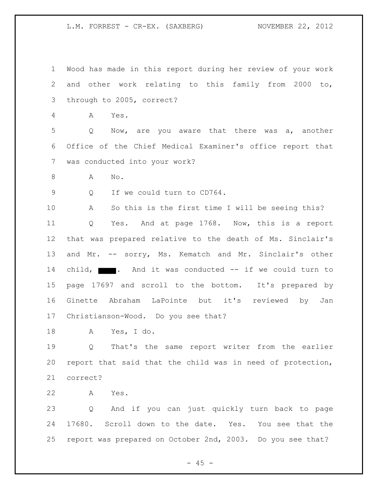Wood has made in this report during her review of your work and other work relating to this family from 2000 to, through to 2005, correct? A Yes. Q Now, are you aware that there was a, another Office of the Chief Medical Examiner's office report that was conducted into your work? A No. Q If we could turn to CD764. A So this is the first time I will be seeing this? Q Yes. And at page 1768. Now, this is a report that was prepared relative to the death of Ms. Sinclair's 13 and Mr. -- sorry, Ms. Kematch and Mr. Sinclair's other 14 child, **. And it was conducted -- if we could turn to**  page 17697 and scroll to the bottom. It's prepared by Ginette Abraham LaPointe but it's reviewed by Jan Christianson-Wood. Do you see that? A Yes, I do. Q That's the same report writer from the earlier report that said that the child was in need of protection, correct?

A Yes.

 Q And if you can just quickly turn back to page 17680. Scroll down to the date. Yes. You see that the report was prepared on October 2nd, 2003. Do you see that?

 $- 45 -$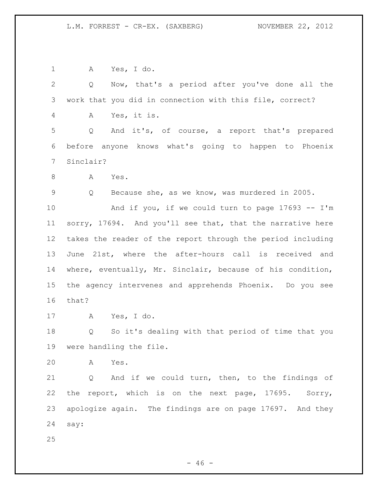A Yes, I do. Q Now, that's a period after you've done all the work that you did in connection with this file, correct? A Yes, it is. Q And it's, of course, a report that's prepared before anyone knows what's going to happen to Phoenix Sinclair? 8 A Yes. Q Because she, as we know, was murdered in 2005. And if you, if we could turn to page 17693 -- I'm sorry, 17694. And you'll see that, that the narrative here takes the reader of the report through the period including June 21st, where the after-hours call is received and where, eventually, Mr. Sinclair, because of his condition, the agency intervenes and apprehends Phoenix. Do you see that? A Yes, I do. Q So it's dealing with that period of time that you were handling the file. A Yes. Q And if we could turn, then, to the findings of the report, which is on the next page, 17695. Sorry, apologize again. The findings are on page 17697. And they say: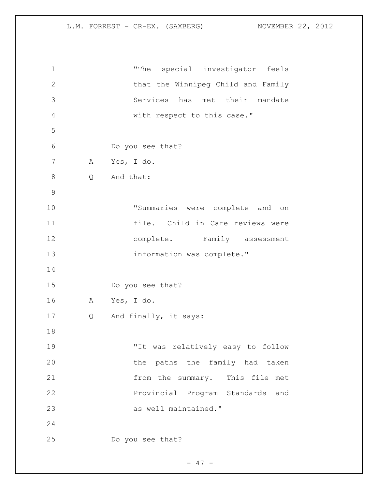| $\mathbf 1$    |              | "The special investigator feels    |
|----------------|--------------|------------------------------------|
| $\mathbf{2}$   |              | that the Winnipeg Child and Family |
| 3              |              | Services has met their mandate     |
| $\overline{4}$ |              | with respect to this case."        |
| 5              |              |                                    |
| 6              |              | Do you see that?                   |
| 7              | $\mathbf{A}$ | Yes, I do.                         |
| $\,8\,$        | Q            | And that:                          |
| $\mathsf 9$    |              |                                    |
| 10             |              | "Summaries were complete and on    |
| 11             |              | file. Child in Care reviews were   |
| 12             |              | complete. Family assessment        |
| 13             |              | information was complete."         |
| 14             |              |                                    |
| 15             |              | Do you see that?                   |
| 16             | $\mathbf{A}$ | Yes, I do.                         |
| 17             | Q            | And finally, it says:              |
| 18             |              |                                    |
| 19             |              | "It was relatively easy to follow  |
| 20             |              | the paths the family had taken     |
| 21             |              | from the summary. This file met    |
| 22             |              | Provincial Program Standards and   |
| 23             |              | as well maintained."               |
| 24             |              |                                    |
| 25             |              | Do you see that?                   |

- 47 -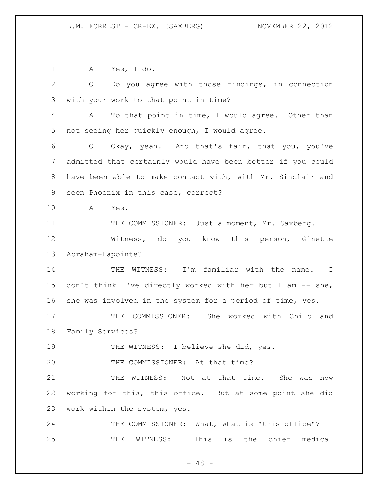A Yes, I do. Q Do you agree with those findings, in connection with your work to that point in time? A To that point in time, I would agree. Other than not seeing her quickly enough, I would agree. Q Okay, yeah. And that's fair, that you, you've admitted that certainly would have been better if you could have been able to make contact with, with Mr. Sinclair and seen Phoenix in this case, correct? A Yes. 11 THE COMMISSIONER: Just a moment, Mr. Saxberg. Witness, do you know this person, Ginette Abraham-Lapointe? 14 THE WITNESS: I'm familiar with the name. I 15 don't think I've directly worked with her but I am -- she, she was involved in the system for a period of time, yes. THE COMMISSIONER: She worked with Child and Family Services? 19 THE WITNESS: I believe she did, yes. 20 THE COMMISSIONER: At that time? 21 THE WITNESS: Not at that time. She was now working for this, this office. But at some point she did work within the system, yes. 24 THE COMMISSIONER: What, what is "this office"? THE WITNESS: This is the chief medical

 $- 48 -$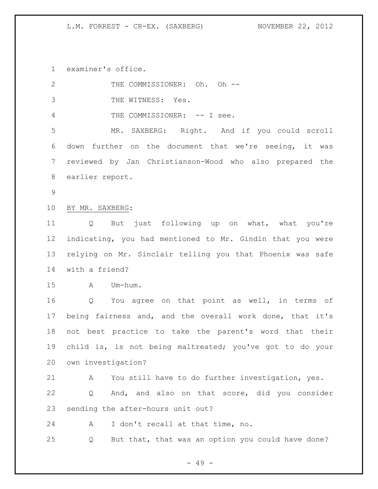examiner's office.

| 2              | THE COMMISSIONER: Oh. Oh --                                     |  |  |
|----------------|-----------------------------------------------------------------|--|--|
| 3              | THE WITNESS: Yes.                                               |  |  |
| $\overline{4}$ | THE COMMISSIONER: -- I see.                                     |  |  |
| 5              | MR. SAXBERG: Right. And if you could scroll                     |  |  |
| 6              | down further on the document that we're seeing, it was          |  |  |
| 7              | reviewed by Jan Christianson-Wood who also prepared the         |  |  |
| 8              | earlier report.                                                 |  |  |
| $\overline{9}$ |                                                                 |  |  |
| 10             | BY MR. SAXBERG:                                                 |  |  |
| 11             | But just following up on what, what you're<br>$Q \qquad \qquad$ |  |  |
| 12             | indicating, you had mentioned to Mr. Gindin that you were       |  |  |
| 13             | relying on Mr. Sinclair telling you that Phoenix was safe       |  |  |
| 14             | with a friend?                                                  |  |  |
| 15             | A Um-hum.                                                       |  |  |
| 16             | Q You agree on that point as well, in terms of                  |  |  |
| 17             | being fairness and, and the overall work done, that it's        |  |  |
| 18             | not best practice to take the parent's word that their          |  |  |
| 19             | child is, is not being maltreated; you've got to do your        |  |  |
| 20             | own investigation?                                              |  |  |
| 21             | You still have to do further investigation, yes.<br>A           |  |  |
| 22             | And, and also on that score, did you consider<br>Q              |  |  |
| 23             | sending the after-hours unit out?                               |  |  |
| 24             | I don't recall at that time, no.<br>A                           |  |  |
| 25             | But that, that was an option you could have done?<br>Q          |  |  |

- 49 -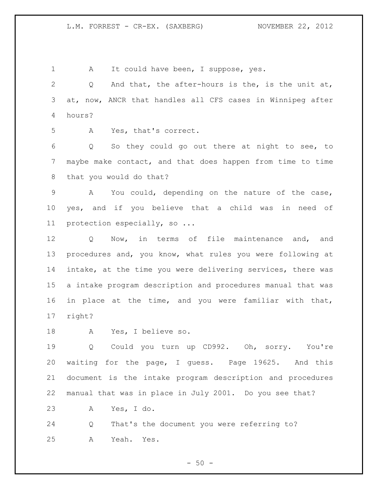1 A It could have been, I suppose, yes. Q And that, the after-hours is the, is the unit at, at, now, ANCR that handles all CFS cases in Winnipeg after hours? A Yes, that's correct. Q So they could go out there at night to see, to maybe make contact, and that does happen from time to time that you would do that? A You could, depending on the nature of the case, yes, and if you believe that a child was in need of protection especially, so ... Q Now, in terms of file maintenance and, and procedures and, you know, what rules you were following at intake, at the time you were delivering services, there was a intake program description and procedures manual that was in place at the time, and you were familiar with that, right? A Yes, I believe so. Q Could you turn up CD992. Oh, sorry. You're waiting for the page, I guess. Page 19625. And this document is the intake program description and procedures manual that was in place in July 2001. Do you see that? A Yes, I do. Q That's the document you were referring to? A Yeah. Yes.

 $-50 -$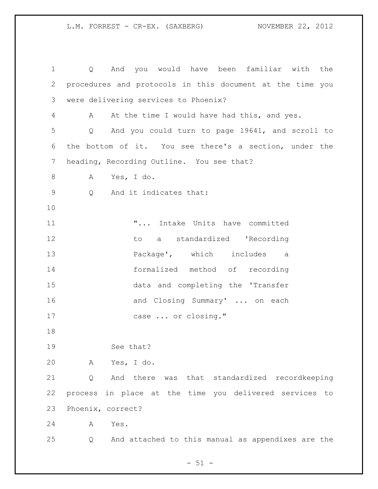Q And you would have been familiar with the procedures and protocols in this document at the time you were delivering services to Phoenix? A At the time I would have had this, and yes. Q And you could turn to page 19641, and scroll to the bottom of it. You see there's a section, under the heading, Recording Outline. You see that? A Yes, I do. Q And it indicates that: "... Intake Units have committed 12 to a standardized 'Recording Package', which includes a formalized method of recording data and completing the 'Transfer 16 and Closing Summary' ... on each case ... or closing." See that? A Yes, I do. Q And there was that standardized recordkeeping process in place at the time you delivered services to Phoenix, correct? A Yes. Q And attached to this manual as appendixes are the

 $- 51 -$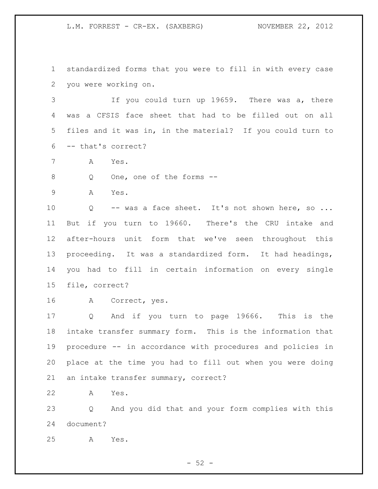standardized forms that you were to fill in with every case you were working on.

 If you could turn up 19659. There was a, there was a CFSIS face sheet that had to be filled out on all files and it was in, in the material? If you could turn to -- that's correct?

A Yes.

Q One, one of the forms --

A Yes.

10 Q -- was a face sheet. It's not shown here, so ... But if you turn to 19660. There's the CRU intake and after-hours unit form that we've seen throughout this proceeding. It was a standardized form. It had headings, you had to fill in certain information on every single file, correct?

A Correct, yes.

 Q And if you turn to page 19666. This is the intake transfer summary form. This is the information that procedure -- in accordance with procedures and policies in place at the time you had to fill out when you were doing an intake transfer summary, correct?

A Yes.

 Q And you did that and your form complies with this document?

A Yes.

 $-52 -$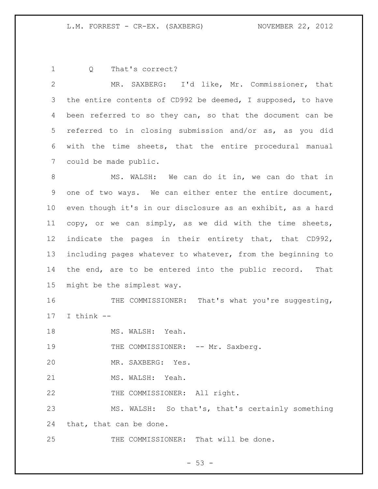Q That's correct?

 MR. SAXBERG: I'd like, Mr. Commissioner, that the entire contents of CD992 be deemed, I supposed, to have been referred to so they can, so that the document can be referred to in closing submission and/or as, as you did with the time sheets, that the entire procedural manual could be made public.

 MS. WALSH: We can do it in, we can do that in one of two ways. We can either enter the entire document, even though it's in our disclosure as an exhibit, as a hard copy, or we can simply, as we did with the time sheets, indicate the pages in their entirety that, that CD992, including pages whatever to whatever, from the beginning to the end, are to be entered into the public record. That might be the simplest way.

16 THE COMMISSIONER: That's what you're suggesting, I think --

18 MS. WALSH: Yeah.

19 THE COMMISSIONER: -- Mr. Saxberg.

MR. SAXBERG: Yes.

21 MS. WALSH: Yeah.

22 THE COMMISSIONER: All right.

 MS. WALSH: So that's, that's certainly something that, that can be done.

25 THE COMMISSIONER: That will be done.

 $-53 -$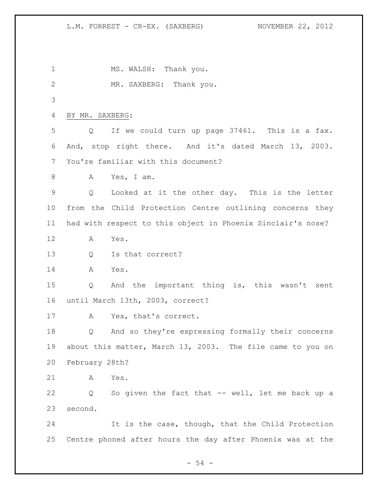1 MS. WALSH: Thank you. 2 MR. SAXBERG: Thank you. BY MR. SAXBERG: Q If we could turn up page 37461. This is a fax. And, stop right there. And it's dated March 13, 2003. You're familiar with this document? A Yes, I am. Q Looked at it the other day. This is the letter from the Child Protection Centre outlining concerns they had with respect to this object in Phoenix Sinclair's nose? A Yes. Q Is that correct? A Yes. Q And the important thing is, this wasn't sent until March 13th, 2003, correct? A Yes, that's correct. Q And so they're expressing formally their concerns about this matter, March 13, 2003. The file came to you on February 28th? A Yes. Q So given the fact that -- well, let me back up a second. It is the case, though, that the Child Protection Centre phoned after hours the day after Phoenix was at the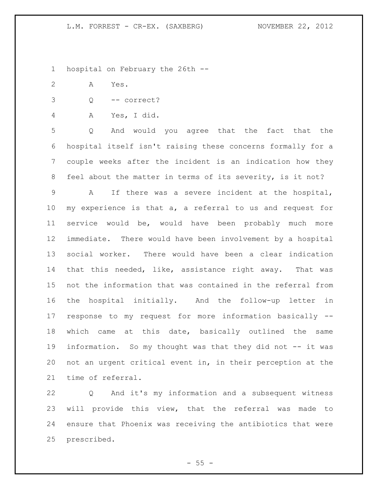hospital on February the 26th --

- A Yes.
- Q -- correct?
- A Yes, I did.

 Q And would you agree that the fact that the hospital itself isn't raising these concerns formally for a couple weeks after the incident is an indication how they feel about the matter in terms of its severity, is it not?

 A If there was a severe incident at the hospital, my experience is that a, a referral to us and request for service would be, would have been probably much more immediate. There would have been involvement by a hospital social worker. There would have been a clear indication that this needed, like, assistance right away. That was not the information that was contained in the referral from the hospital initially. And the follow-up letter in response to my request for more information basically -- which came at this date, basically outlined the same information. So my thought was that they did not -- it was not an urgent critical event in, in their perception at the time of referral.

 Q And it's my information and a subsequent witness will provide this view, that the referral was made to ensure that Phoenix was receiving the antibiotics that were prescribed.

 $-55 -$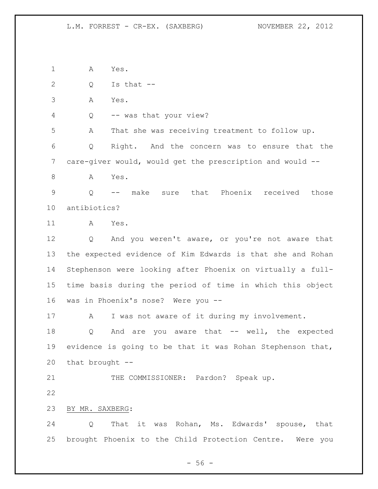A Yes.

Q Is that --

A Yes.

Q -- was that your view?

A That she was receiving treatment to follow up.

 Q Right. And the concern was to ensure that the care-giver would, would get the prescription and would --

A Yes.

 Q -- make sure that Phoenix received those antibiotics?

A Yes.

 Q And you weren't aware, or you're not aware that the expected evidence of Kim Edwards is that she and Rohan Stephenson were looking after Phoenix on virtually a full- time basis during the period of time in which this object was in Phoenix's nose? Were you --

17 A I was not aware of it during my involvement.

18 Q And are you aware that -- well, the expected evidence is going to be that it was Rohan Stephenson that, that brought --

21 THE COMMISSIONER: Pardon? Speak up.

BY MR. SAXBERG:

 Q That it was Rohan, Ms. Edwards' spouse, that brought Phoenix to the Child Protection Centre. Were you

- 56 -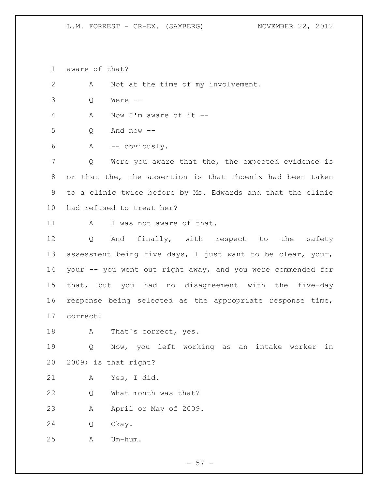aware of that?

A Not at the time of my involvement.

Q Were --

A Now I'm aware of it --

Q And now --

A -- obviously.

 Q Were you aware that the, the expected evidence is or that the, the assertion is that Phoenix had been taken to a clinic twice before by Ms. Edwards and that the clinic had refused to treat her?

11 A I was not aware of that.

12 Q And finally, with respect to the safety assessment being five days, I just want to be clear, your, your -- you went out right away, and you were commended for that, but you had no disagreement with the five-day response being selected as the appropriate response time, correct?

18 A That's correct, yes.

 Q Now, you left working as an intake worker in 2009; is that right?

A Yes, I did.

22 Q What month was that?

A April or May of 2009.

Q Okay.

A Um-hum.

 $-57 -$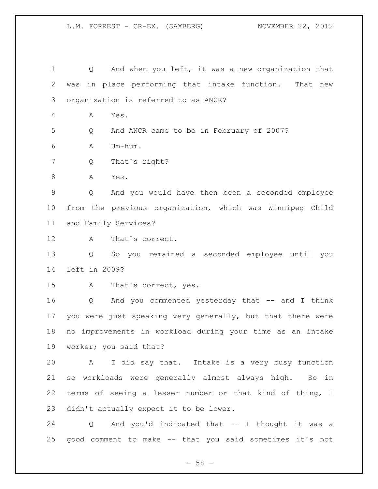Q And when you left, it was a new organization that was in place performing that intake function. That new organization is referred to as ANCR? A Yes. Q And ANCR came to be in February of 2007? A Um-hum. Q That's right? 8 A Yes. Q And you would have then been a seconded employee from the previous organization, which was Winnipeg Child and Family Services? A That's correct. Q So you remained a seconded employee until you left in 2009? A That's correct, yes. Q And you commented yesterday that -- and I think you were just speaking very generally, but that there were no improvements in workload during your time as an intake worker; you said that? A I did say that. Intake is a very busy function so workloads were generally almost always high. So in terms of seeing a lesser number or that kind of thing, I didn't actually expect it to be lower. Q And you'd indicated that -- I thought it was a

- 58 -

good comment to make -- that you said sometimes it's not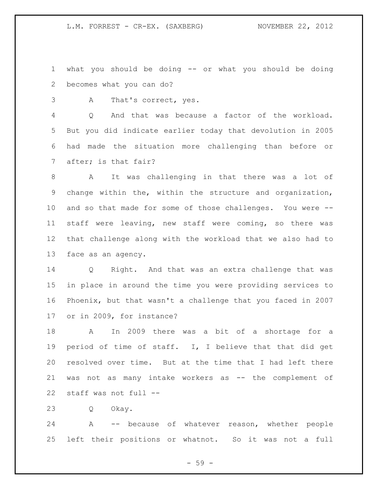what you should be doing -- or what you should be doing becomes what you can do?

A That's correct, yes.

 Q And that was because a factor of the workload. But you did indicate earlier today that devolution in 2005 had made the situation more challenging than before or after; is that fair?

 A It was challenging in that there was a lot of change within the, within the structure and organization, and so that made for some of those challenges. You were -- staff were leaving, new staff were coming, so there was that challenge along with the workload that we also had to face as an agency.

 Q Right. And that was an extra challenge that was in place in around the time you were providing services to Phoenix, but that wasn't a challenge that you faced in 2007 or in 2009, for instance?

 A In 2009 there was a bit of a shortage for a period of time of staff. I, I believe that that did get resolved over time. But at the time that I had left there was not as many intake workers as -- the complement of staff was not full --

Q Okay.

 A -- because of whatever reason, whether people left their positions or whatnot. So it was not a full

 $-59 -$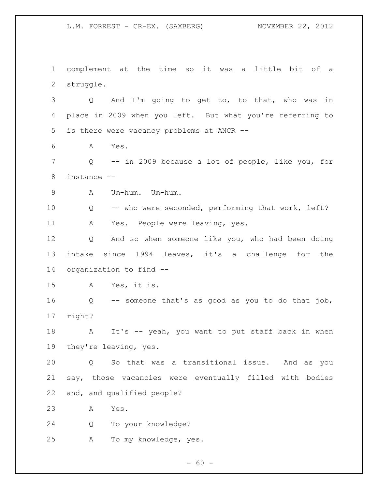complement at the time so it was a little bit of a struggle. Q And I'm going to get to, to that, who was in place in 2009 when you left. But what you're referring to is there were vacancy problems at ANCR -- A Yes. Q -- in 2009 because a lot of people, like you, for instance -- A Um-hum. Um-hum. Q -- who were seconded, performing that work, left? A Yes. People were leaving, yes. Q And so when someone like you, who had been doing intake since 1994 leaves, it's a challenge for the organization to find -- A Yes, it is. Q -- someone that's as good as you to do that job, right? 18 A It's -- yeah, you want to put staff back in when they're leaving, yes. Q So that was a transitional issue. And as you say, those vacancies were eventually filled with bodies and, and qualified people? A Yes. Q To your knowledge? A To my knowledge, yes.

 $- 60 -$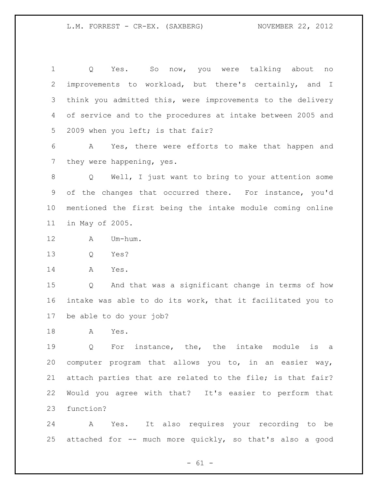Q Yes. So now, you were talking about no improvements to workload, but there's certainly, and I think you admitted this, were improvements to the delivery of service and to the procedures at intake between 2005 and 5 2009 when you left; is that fair?

 A Yes, there were efforts to make that happen and they were happening, yes.

 Q Well, I just want to bring to your attention some of the changes that occurred there. For instance, you'd mentioned the first being the intake module coming online in May of 2005.

- A Um-hum.
- Q Yes?
- A Yes.

 Q And that was a significant change in terms of how intake was able to do its work, that it facilitated you to be able to do your job?

A Yes.

 Q For instance, the, the intake module is a computer program that allows you to, in an easier way, attach parties that are related to the file; is that fair? Would you agree with that? It's easier to perform that function?

 A Yes. It also requires your recording to be attached for -- much more quickly, so that's also a good

 $- 61 -$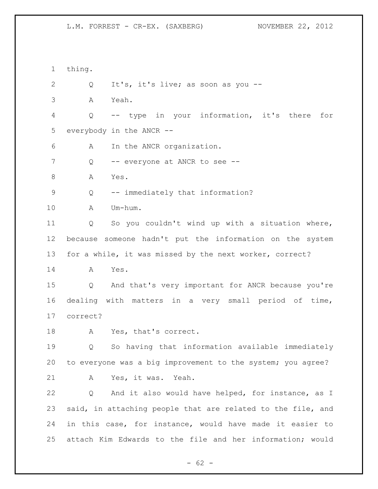thing. Q It's, it's live; as soon as you -- A Yeah. Q -- type in your information, it's there for everybody in the ANCR -- A In the ANCR organization. 7 Q -- everyone at ANCR to see --8 A Yes. Q -- immediately that information? A Um-hum. Q So you couldn't wind up with a situation where, because someone hadn't put the information on the system for a while, it was missed by the next worker, correct? A Yes. Q And that's very important for ANCR because you're dealing with matters in a very small period of time, correct? A Yes, that's correct. Q So having that information available immediately to everyone was a big improvement to the system; you agree? A Yes, it was. Yeah. Q And it also would have helped, for instance, as I said, in attaching people that are related to the file, and in this case, for instance, would have made it easier to attach Kim Edwards to the file and her information; would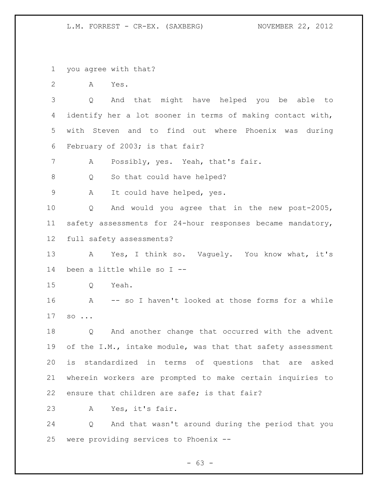you agree with that?

A Yes.

 Q And that might have helped you be able to identify her a lot sooner in terms of making contact with, with Steven and to find out where Phoenix was during February of 2003; is that fair?

A Possibly, yes. Yeah, that's fair.

8 Q So that could have helped?

A It could have helped, yes.

 Q And would you agree that in the new post-2005, safety assessments for 24-hour responses became mandatory, full safety assessments?

13 A Yes, I think so. Vaguely. You know what, it's been a little while so I --

Q Yeah.

 A -- so I haven't looked at those forms for a while so ...

 Q And another change that occurred with the advent 19 of the I.M., intake module, was that that safety assessment is standardized in terms of questions that are asked wherein workers are prompted to make certain inquiries to ensure that children are safe; is that fair?

A Yes, it's fair.

 Q And that wasn't around during the period that you were providing services to Phoenix --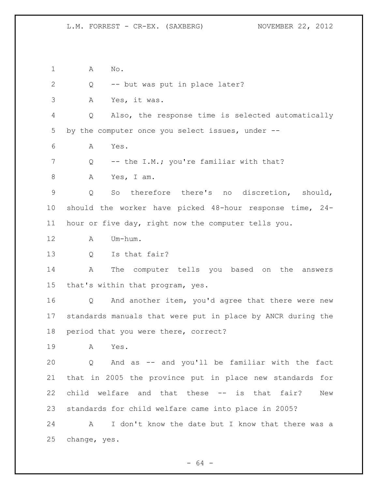A No. Q -- but was put in place later? A Yes, it was. Q Also, the response time is selected automatically by the computer once you select issues, under -- A Yes. 7 Q -- the I.M.; you're familiar with that? A Yes, I am. Q So therefore there's no discretion, should, should the worker have picked 48-hour response time, 24- hour or five day, right now the computer tells you. A Um-hum. Q Is that fair? A The computer tells you based on the answers that's within that program, yes. Q And another item, you'd agree that there were new standards manuals that were put in place by ANCR during the period that you were there, correct? A Yes. Q And as -- and you'll be familiar with the fact that in 2005 the province put in place new standards for child welfare and that these -- is that fair? New standards for child welfare came into place in 2005? A I don't know the date but I know that there was a change, yes.

 $- 64 -$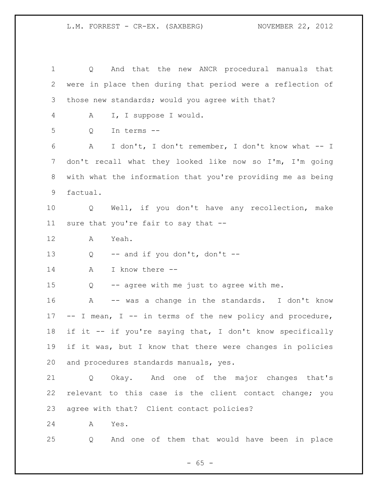Q And that the new ANCR procedural manuals that were in place then during that period were a reflection of those new standards; would you agree with that? A I, I suppose I would. Q In terms -- A I don't, I don't remember, I don't know what -- I don't recall what they looked like now so I'm, I'm going with what the information that you're providing me as being factual. Q Well, if you don't have any recollection, make sure that you're fair to say that -- A Yeah. Q -- and if you don't, don't -- A I know there -- Q -- agree with me just to agree with me. A -- was a change in the standards. I don't know -- I mean, I -- in terms of the new policy and procedure, if it -- if you're saying that, I don't know specifically if it was, but I know that there were changes in policies and procedures standards manuals, yes. Q Okay. And one of the major changes that's relevant to this case is the client contact change; you agree with that? Client contact policies? A Yes. Q And one of them that would have been in place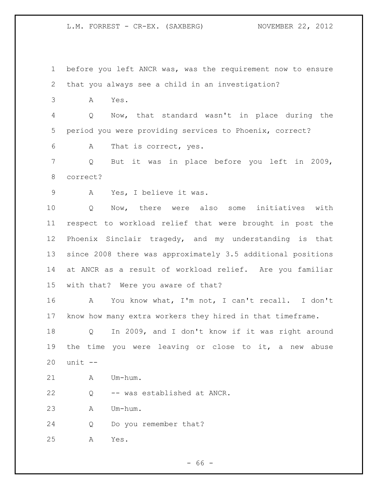before you left ANCR was, was the requirement now to ensure that you always see a child in an investigation?

A Yes.

 Q Now, that standard wasn't in place during the period you were providing services to Phoenix, correct?

A That is correct, yes.

 Q But it was in place before you left in 2009, correct?

A Yes, I believe it was.

 Q Now, there were also some initiatives with respect to workload relief that were brought in post the Phoenix Sinclair tragedy, and my understanding is that since 2008 there was approximately 3.5 additional positions at ANCR as a result of workload relief. Are you familiar with that? Were you aware of that?

 A You know what, I'm not, I can't recall. I don't know how many extra workers they hired in that timeframe.

 Q In 2009, and I don't know if it was right around the time you were leaving or close to it, a new abuse unit --

A Um-hum.

Q -- was established at ANCR.

A Um-hum.

Q Do you remember that?

A Yes.

- 66 -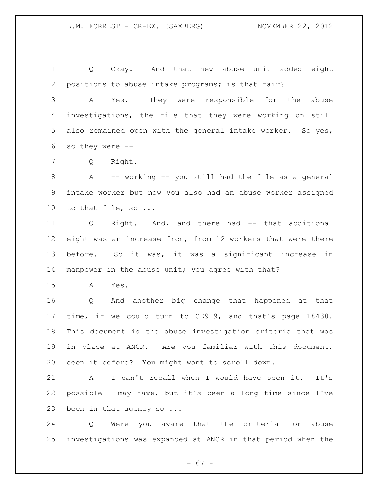Q Okay. And that new abuse unit added eight positions to abuse intake programs; is that fair?

 A Yes. They were responsible for the abuse investigations, the file that they were working on still also remained open with the general intake worker. So yes, so they were --

Q Right.

 A -- working -- you still had the file as a general intake worker but now you also had an abuse worker assigned 10 to that file, so ...

 Q Right. And, and there had -- that additional eight was an increase from, from 12 workers that were there before. So it was, it was a significant increase in 14 manpower in the abuse unit; you agree with that?

A Yes.

 Q And another big change that happened at that time, if we could turn to CD919, and that's page 18430. This document is the abuse investigation criteria that was in place at ANCR. Are you familiar with this document, seen it before? You might want to scroll down.

 A I can't recall when I would have seen it. It's possible I may have, but it's been a long time since I've been in that agency so ...

 Q Were you aware that the criteria for abuse investigations was expanded at ANCR in that period when the

 $- 67 -$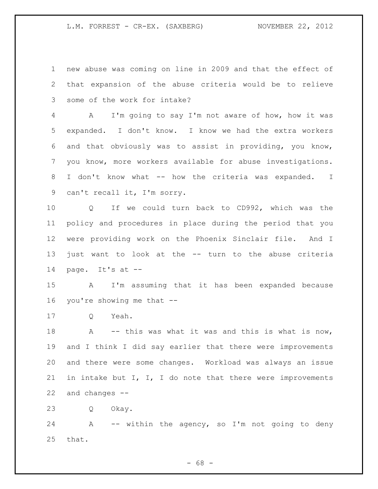new abuse was coming on line in 2009 and that the effect of that expansion of the abuse criteria would be to relieve some of the work for intake?

 A I'm going to say I'm not aware of how, how it was expanded. I don't know. I know we had the extra workers and that obviously was to assist in providing, you know, you know, more workers available for abuse investigations. I don't know what -- how the criteria was expanded. I can't recall it, I'm sorry.

 Q If we could turn back to CD992, which was the policy and procedures in place during the period that you were providing work on the Phoenix Sinclair file. And I just want to look at the -- turn to the abuse criteria page. It's at --

 A I'm assuming that it has been expanded because you're showing me that --

Q Yeah.

18 A -- this was what it was and this is what is now, and I think I did say earlier that there were improvements and there were some changes. Workload was always an issue 21 in intake but I, I, I do note that there were improvements and changes --

Q Okay.

 A -- within the agency, so I'm not going to deny that.

 $- 68 -$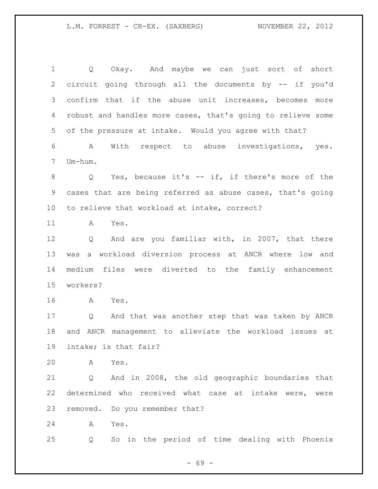Q Okay. And maybe we can just sort of short circuit going through all the documents by -- if you'd confirm that if the abuse unit increases, becomes more robust and handles more cases, that's going to relieve some of the pressure at intake. Would you agree with that? A With respect to abuse investigations, yes. Um-hum. Q Yes, because it's -- if, if there's more of the cases that are being referred as abuse cases, that's going to relieve that workload at intake, correct? A Yes. Q And are you familiar with, in 2007, that there was a workload diversion process at ANCR where low and medium files were diverted to the family enhancement workers? A Yes. Q And that was another step that was taken by ANCR and ANCR management to alleviate the workload issues at intake; is that fair? A Yes. Q And in 2008, the old geographic boundaries that determined who received what case at intake were, were removed. Do you remember that? A Yes. Q So in the period of time dealing with Phoenix

- 69 -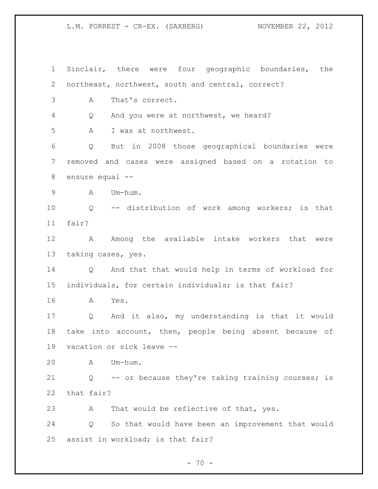Sinclair, there were four geographic boundaries, the northeast, northwest, south and central, correct? A That's correct. Q And you were at northwest, we heard? A I was at northwest. Q But in 2008 those geographical boundaries were removed and cases were assigned based on a rotation to ensure equal -- A Um-hum. Q -- distribution of work among workers; is that fair? 12 A Among the available intake workers that were taking cases, yes. Q And that that would help in terms of workload for individuals, for certain individuals; is that fair? A Yes. Q And it also, my understanding is that it would take into account, then, people being absent because of vacation or sick leave -- A Um-hum. Q -- or because they're taking training courses; is that fair? A That would be reflective of that, yes. Q So that would have been an improvement that would assist in workload; is that fair?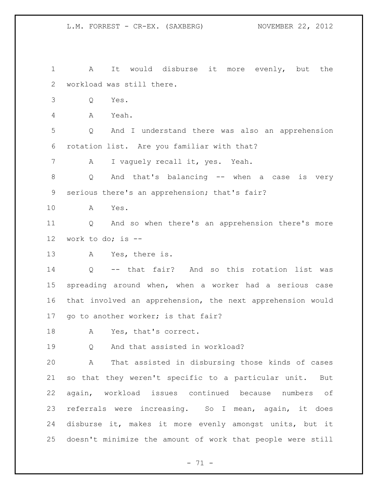A It would disburse it more evenly, but the workload was still there.

Q Yes.

A Yeah.

 Q And I understand there was also an apprehension rotation list. Are you familiar with that?

A I vaguely recall it, yes. Yeah.

 Q And that's balancing -- when a case is very serious there's an apprehension; that's fair?

A Yes.

 Q And so when there's an apprehension there's more work to do; is --

A Yes, there is.

 Q -- that fair? And so this rotation list was spreading around when, when a worker had a serious case that involved an apprehension, the next apprehension would go to another worker; is that fair?

A Yes, that's correct.

Q And that assisted in workload?

 A That assisted in disbursing those kinds of cases so that they weren't specific to a particular unit. But again, workload issues continued because numbers of referrals were increasing. So I mean, again, it does disburse it, makes it more evenly amongst units, but it doesn't minimize the amount of work that people were still

- 71 -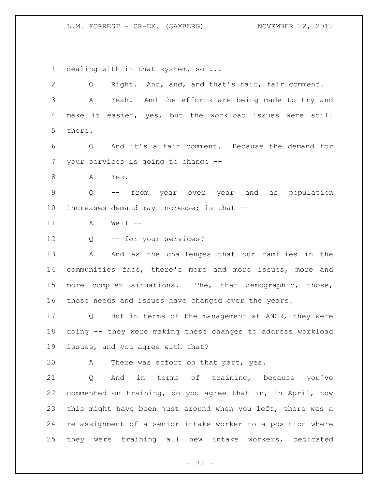1 dealing with in that system, so ... Q Right. And, and, and that's fair, fair comment. A Yeah. And the efforts are being made to try and make it easier, yes, but the workload issues were still there. Q And it's a fair comment. Because the demand for your services is going to change -- A Yes. Q -- from year over year and as population increases demand may increase; is that -- A Well -- Q -- for your services? 13 A And as the challenges that our families in the communities face, there's more and more issues, more and more complex situations. The, that demographic, those, those needs and issues have changed over the years. Q But in terms of the management at ANCR, they were doing -- they were making these changes to address workload issues, and you agree with that? A There was effort on that part, yes. Q And in terms of training, because you've commented on training, do you agree that in, in April, now this might have been just around when you left, there was a re-assignment of a senior intake worker to a position where they were training all new intake workers, dedicated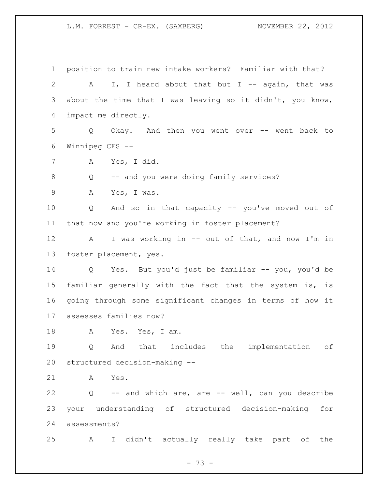position to train new intake workers? Familiar with that? 2 A I, I heard about that but I -- again, that was about the time that I was leaving so it didn't, you know, impact me directly. Q Okay. And then you went over -- went back to Winnipeg CFS -- A Yes, I did. Q -- and you were doing family services? A Yes, I was. Q And so in that capacity -- you've moved out of that now and you're working in foster placement? A I was working in -- out of that, and now I'm in foster placement, yes. Q Yes. But you'd just be familiar -- you, you'd be familiar generally with the fact that the system is, is going through some significant changes in terms of how it assesses families now? 18 A Yes. Yes, I am. Q And that includes the implementation of structured decision-making -- A Yes. Q -- and which are, are -- well, can you describe your understanding of structured decision-making for assessments? A I didn't actually really take part of the

- 73 -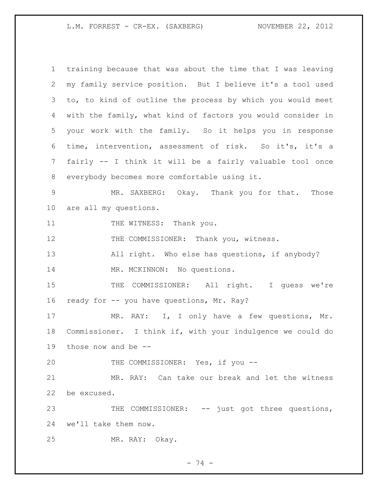| $\mathbf{1}$    | training because that was about the time that I was leaving |
|-----------------|-------------------------------------------------------------|
| 2               | my family service position. But I believe it's a tool used  |
| 3               | to, to kind of outline the process by which you would meet  |
| 4               | with the family, what kind of factors you would consider in |
| 5               | your work with the family. So it helps you in response      |
| 6               | time, intervention, assessment of risk. So it's, it's a     |
| 7               | fairly -- I think it will be a fairly valuable tool once    |
| 8               | everybody becomes more comfortable using it.                |
| $\overline{9}$  | MR. SAXBERG: Okay. Thank you for that. Those                |
| 10 <sub>o</sub> | are all my questions.                                       |
| 11              | THE WITNESS: Thank you.                                     |
| 12              | THE COMMISSIONER: Thank you, witness.                       |
| 13              | All right. Who else has questions, if anybody?              |
| 14              | MR. MCKINNON: No questions.                                 |
| 15              | THE COMMISSIONER: All right. I guess we're                  |
| 16              | ready for -- you have questions, Mr. Ray?                   |
| 17              | MR. RAY: I, I only have a few questions, Mr.                |
| 18              | Commissioner. I think if, with your indulgence we could do  |
|                 | 19 those now and be --                                      |
| 20              | THE COMMISSIONER: Yes, if you --                            |
| 21              | MR. RAY: Can take our break and let the witness             |
| 22              | be excused.                                                 |
| 23              | THE COMMISSIONER: -- just got three questions,              |
| 24              | we'll take them now.                                        |
| 25              | MR. RAY: Okay.                                              |

- 74 -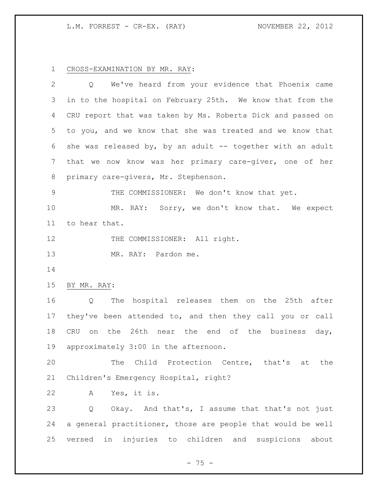CROSS-EXAMINATION BY MR. RAY:

| $\overline{2}$ | We've heard from your evidence that Phoenix came<br>Q        |
|----------------|--------------------------------------------------------------|
| 3              | in to the hospital on February 25th. We know that from the   |
| 4              | CRU report that was taken by Ms. Roberta Dick and passed on  |
| 5              | to you, and we know that she was treated and we know that    |
| 6              | she was released by, by an adult $-$ together with an adult  |
| 7              | that we now know was her primary care-giver, one of her      |
| 8              | primary care-givers, Mr. Stephenson.                         |
| 9              | THE COMMISSIONER: We don't know that yet.                    |
| 10             | MR. RAY: Sorry, we don't know that. We expect                |
| 11             | to hear that.                                                |
| 12             | THE COMMISSIONER: All right.                                 |
| 13             | MR. RAY: Pardon me.                                          |
| 14             |                                                              |
| 15             | BY MR. RAY:                                                  |
| 16             | The hospital releases them on the 25th after<br>Q            |
| 17             | they've been attended to, and then they call you or call     |
| 18             | CRU on the 26th near the end of the business day,            |
| 19             | approximately 3:00 in the afternoon.                         |
| 20             | The Child Protection Centre, that's at the                   |
| 21             | Children's Emergency Hospital, right?                        |
| 22             | Yes, it is.<br>Α                                             |
| 23             | Okay. And that's, I assume that that's not just<br>Q         |
| 24             | a general practitioner, those are people that would be well  |
| 25             | injuries to children and suspicions<br>versed<br>in<br>about |

- 75 -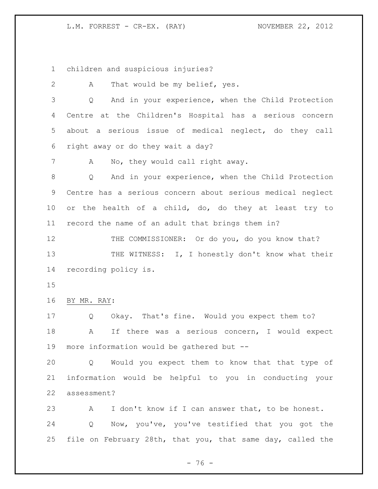children and suspicious injuries?

 A That would be my belief, yes. Q And in your experience, when the Child Protection Centre at the Children's Hospital has a serious concern about a serious issue of medical neglect, do they call right away or do they wait a day? A No, they would call right away. Q And in your experience, when the Child Protection Centre has a serious concern about serious medical neglect or the health of a child, do, do they at least try to record the name of an adult that brings them in? 12 THE COMMISSIONER: Or do you, do you know that? 13 THE WITNESS: I, I honestly don't know what their recording policy is. BY MR. RAY: Q Okay. That's fine. Would you expect them to? A If there was a serious concern, I would expect more information would be gathered but -- Q Would you expect them to know that that type of

 information would be helpful to you in conducting your assessment?

 A I don't know if I can answer that, to be honest. Q Now, you've, you've testified that you got the file on February 28th, that you, that same day, called the

- 76 -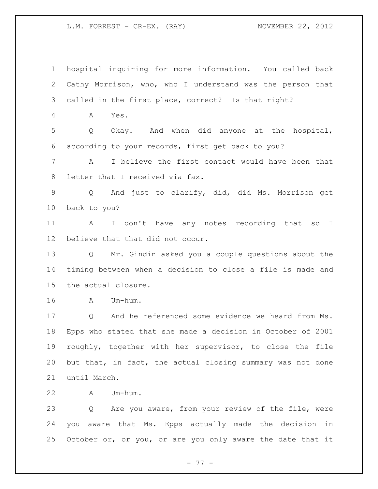hospital inquiring for more information. You called back Cathy Morrison, who, who I understand was the person that called in the first place, correct? Is that right? A Yes. Q Okay. And when did anyone at the hospital, according to your records, first get back to you? A I believe the first contact would have been that letter that I received via fax. Q And just to clarify, did, did Ms. Morrison get back to you? A I don't have any notes recording that so I believe that that did not occur. Q Mr. Gindin asked you a couple questions about the timing between when a decision to close a file is made and the actual closure. A Um-hum. Q And he referenced some evidence we heard from Ms. Epps who stated that she made a decision in October of 2001 roughly, together with her supervisor, to close the file but that, in fact, the actual closing summary was not done until March. A Um-hum. Q Are you aware, from your review of the file, were you aware that Ms. Epps actually made the decision in

- 77 -

25 October or, or you, or are you only aware the date that it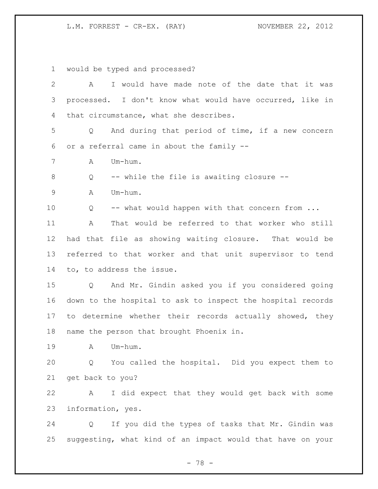would be typed and processed?

| $\mathbf{2}$ | I would have made note of the date that it was<br>A                    |
|--------------|------------------------------------------------------------------------|
| 3            | processed. I don't know what would have occurred, like in              |
| 4            | that circumstance, what she describes.                                 |
| 5            | And during that period of time, if a new concern<br>Q                  |
| 6            | or a referral came in about the family --                              |
| 7            | Um-hum.<br>A                                                           |
| $\,8\,$      | -- while the file is awaiting closure --<br>Q                          |
| $\mathsf 9$  | Um-hum.<br>Α                                                           |
| 10           | -- what would happen with that concern from<br>Q                       |
| 11           | That would be referred to that worker who still<br>A                   |
| 12           | had that file as showing waiting closure. That would be                |
| 13           | referred to that worker and that unit supervisor to tend               |
| 14           | to, to address the issue.                                              |
| 15           | And Mr. Gindin asked you if you considered going<br>Q                  |
| 16           | down to the hospital to ask to inspect the hospital records            |
| 17           | to determine whether their records actually showed, they               |
| 18           | name the person that brought Phoenix in.                               |
| 19           | Um-hum.<br>Α                                                           |
| 20           | Q You called the hospital. Did you expect them to                      |
| 21           | get back to you?                                                       |
| 22           | I did expect that they would get back with some<br>A                   |
| 23           | information, yes.                                                      |
| 24           | If you did the types of tasks that Mr. Gindin was<br>$Q \qquad \qquad$ |
| 25           | suggesting, what kind of an impact would that have on your             |
|              | 78 -                                                                   |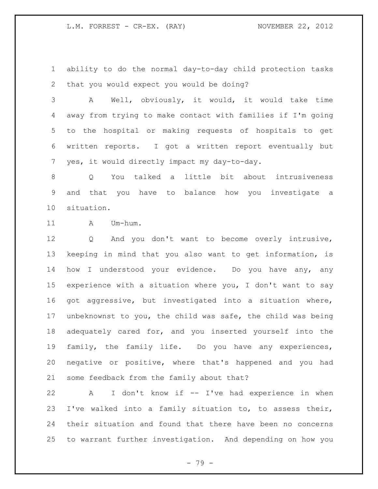ability to do the normal day-to-day child protection tasks that you would expect you would be doing?

 A Well, obviously, it would, it would take time away from trying to make contact with families if I'm going to the hospital or making requests of hospitals to get written reports. I got a written report eventually but yes, it would directly impact my day-to-day.

 Q You talked a little bit about intrusiveness and that you have to balance how you investigate a situation.

11 A Um-hum.

 Q And you don't want to become overly intrusive, keeping in mind that you also want to get information, is how I understood your evidence. Do you have any, any experience with a situation where you, I don't want to say got aggressive, but investigated into a situation where, unbeknownst to you, the child was safe, the child was being adequately cared for, and you inserted yourself into the family, the family life. Do you have any experiences, negative or positive, where that's happened and you had some feedback from the family about that?

 A I don't know if -- I've had experience in when I've walked into a family situation to, to assess their, their situation and found that there have been no concerns to warrant further investigation. And depending on how you

- 79 -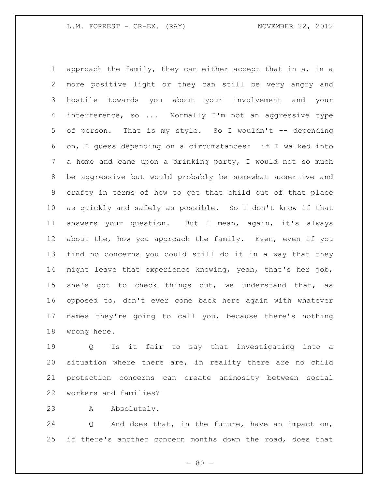approach the family, they can either accept that in a, in a more positive light or they can still be very angry and hostile towards you about your involvement and your 4 interference, so ... Normally I'm not an aggressive type of person. That is my style. So I wouldn't -- depending on, I guess depending on a circumstances: if I walked into a home and came upon a drinking party, I would not so much be aggressive but would probably be somewhat assertive and crafty in terms of how to get that child out of that place as quickly and safely as possible. So I don't know if that answers your question. But I mean, again, it's always about the, how you approach the family. Even, even if you find no concerns you could still do it in a way that they might leave that experience knowing, yeah, that's her job, 15 she's got to check things out, we understand that, as opposed to, don't ever come back here again with whatever names they're going to call you, because there's nothing wrong here.

 Q Is it fair to say that investigating into a situation where there are, in reality there are no child protection concerns can create animosity between social workers and families?

A Absolutely.

 Q And does that, in the future, have an impact on, 25 if there's another concern months down the road, does that

 $- 80 -$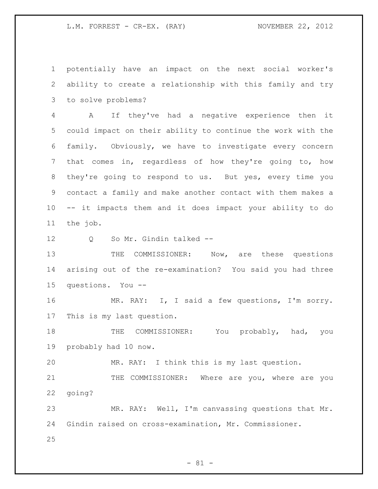potentially have an impact on the next social worker's ability to create a relationship with this family and try to solve problems?

 A If they've had a negative experience then it could impact on their ability to continue the work with the family. Obviously, we have to investigate every concern that comes in, regardless of how they're going to, how they're going to respond to us. But yes, every time you contact a family and make another contact with them makes a -- it impacts them and it does impact your ability to do the job.

12 Q So Mr. Gindin talked --

13 THE COMMISSIONER: Now, are these questions arising out of the re-examination? You said you had three questions. You --

 MR. RAY: I, I said a few questions, I'm sorry. This is my last question.

18 THE COMMISSIONER: You probably, had, you probably had 10 now.

MR. RAY: I think this is my last question.

21 THE COMMISSIONER: Where are you, where are you going?

 MR. RAY: Well, I'm canvassing questions that Mr. Gindin raised on cross-examination, Mr. Commissioner.

 $- 81 -$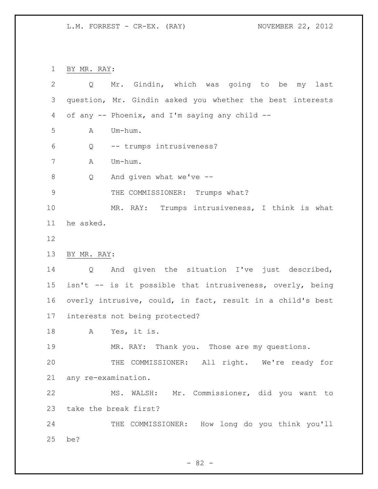BY MR. RAY:

| 2           | Q                   | Mr. Gindin, which was going to be my last                  |
|-------------|---------------------|------------------------------------------------------------|
| 3           |                     | question, Mr. Gindin asked you whether the best interests  |
| 4           |                     | of any -- Phoenix, and I'm saying any child --             |
| 5           | Α                   | Um-hum.                                                    |
| 6           | Q                   | -- trumps intrusiveness?                                   |
| 7           | Α                   | Um-hum.                                                    |
| 8           | Q                   | And given what we've --                                    |
| $\mathsf 9$ |                     | THE COMMISSIONER: Trumps what?                             |
| 10          |                     | MR. RAY: Trumps intrusiveness, I think is what             |
| 11          | he asked.           |                                                            |
| 12          |                     |                                                            |
| 13          | BY MR. RAY:         |                                                            |
| 14          | Q                   | And given the situation I've just described,               |
| 15          |                     | isn't -- is it possible that intrusiveness, overly, being  |
| 16          |                     | overly intrusive, could, in fact, result in a child's best |
| 17          |                     | interests not being protected?                             |
| 18          | A                   | Yes, it is.                                                |
| 19          |                     | MR. RAY: Thank you. Those are my questions.                |
| 20          |                     | THE COMMISSIONER: All right. We're ready for               |
| 21          | any re-examination. |                                                            |
| 22          |                     | MS. WALSH: Mr. Commissioner, did you want to               |
| 23          |                     | take the break first?                                      |
| 24          |                     | THE COMMISSIONER: How long do you think you'll             |
| 25          | be?                 |                                                            |

- 82 -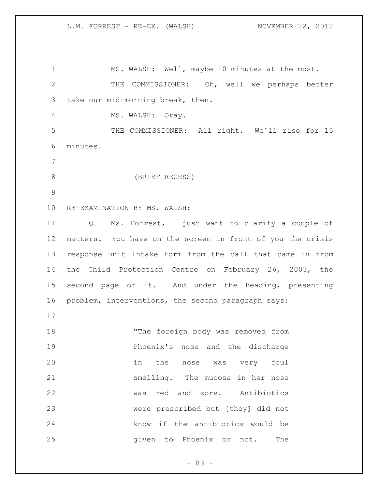MS. WALSH: Well, maybe 10 minutes at the most. THE COMMISSIONER: Oh, well we perhaps better take our mid-morning break, then. MS. WALSH: Okay. THE COMMISSIONER: All right. We'll rise for 15 minutes. (BRIEF RECESS) RE-EXAMINATION BY MS. WALSH: Q Ms. Forrest, I just want to clarify a couple of matters. You have on the screen in front of you the crisis response unit intake form from the call that came in from the Child Protection Centre on February 26, 2003, the second page of it. And under the heading, presenting problem, interventions, the second paragraph says: 18 The foreign body was removed from Phoenix's nose and the discharge in the nose was very foul smelling. The mucosa in her nose was red and sore. Antibiotics were prescribed but [they] did not know if the antibiotics would be 25 and given to Phoenix or not. The

 $- 83 -$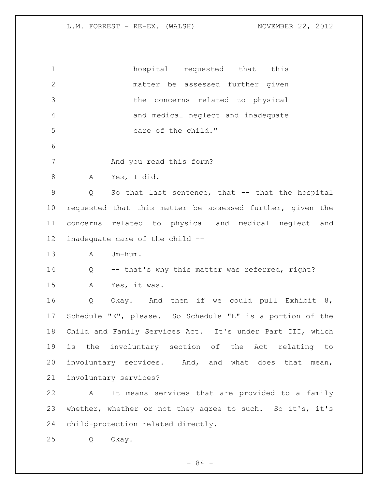| $\mathbf 1$     | hospital requested that this                              |
|-----------------|-----------------------------------------------------------|
| $\overline{2}$  | matter be assessed further given                          |
| 3               | the concerns related to physical                          |
| 4               | and medical neglect and inadequate                        |
| 5               | care of the child."                                       |
| 6               |                                                           |
| $7\phantom{.0}$ | And you read this form?                                   |
| $\,8\,$         | Yes, I did.<br>A                                          |
| $\mathsf 9$     | So that last sentence, that -- that the hospital<br>Q     |
| 10              | requested that this matter be assessed further, given the |
| 11              | concerns related to physical and medical neglect and      |
| 12              | inadequate care of the child --                           |
| 13              | $\mathbb A$<br>Um-hum.                                    |
| 14              | -- that's why this matter was referred, right?<br>Q       |
| 15              | Yes, it was.<br>A                                         |
| 16              | Q<br>Okay. And then if we could pull Exhibit 8,           |
| 17              | Schedule "E", please. So Schedule "E" is a portion of the |
| 18              | Child and Family Services Act. It's under Part III, which |
| 19              | is the involuntary section of the Act relating to         |
| 20              | involuntary services. And, and what does that mean,       |
| 21              | involuntary services?                                     |
| 22              | It means services that are provided to a family<br>A      |
| 23              | whether, whether or not they agree to such. So it's, it's |
| 24              | child-protection related directly.                        |
| 25              | Okay.<br>Q                                                |

- 84 -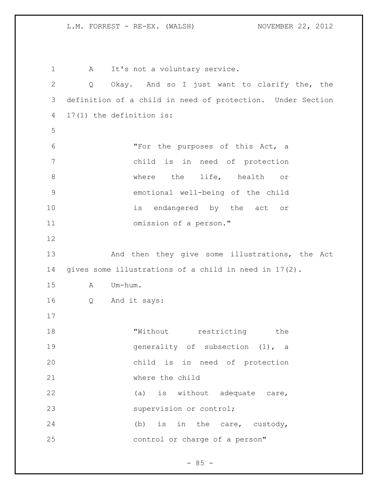1 A It's not a voluntary service. Q Okay. And so I just want to clarify the, the definition of a child in need of protection. Under Section 17(1) the definition is: "For the purposes of this Act, a child is in need of protection 8 where the life, health or emotional well-being of the child 10 is endangered by the act or omission of a person." 13 And then they give some illustrations, the Act gives some illustrations of a child in need in 17(2). A Um-hum. Q And it says: 18 TWithout restricting the generality of subsection (1), a child is in need of protection where the child 22 (a) is without adequate care, 23 supervision or control; 24 (b) is in the care, custody, control or charge of a person"

 $- 85 -$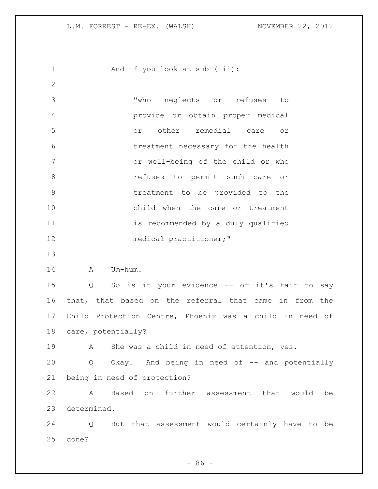1 And if you look at sub (iii): "who neglects or refuses to provide or obtain proper medical or other remedial care or treatment necessary for the health or well-being of the child or who **8** *refuses* to permit such care or treatment to be provided to the child when the care or treatment 11 is recommended by a duly qualified medical practitioner;" 14 A Um-hum. Q So is it your evidence -- or it's fair to say that, that based on the referral that came in from the Child Protection Centre, Phoenix was a child in need of care, potentially? A She was a child in need of attention, yes. 20 Q Okay. And being in need of -- and potentially being in need of protection? A Based on further assessment that would be determined. Q But that assessment would certainly have to be done?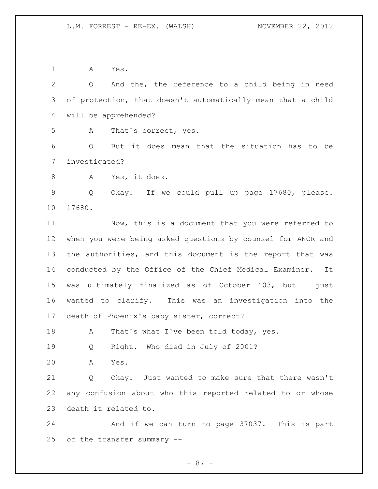A Yes.

| $\overline{2}$ | And the, the reference to a child being in need<br>Q         |
|----------------|--------------------------------------------------------------|
| 3              | of protection, that doesn't automatically mean that a child  |
| 4              | will be apprehended?                                         |
| 5              | That's correct, yes.<br>A                                    |
| 6              | But it does mean that the situation has to be<br>Q           |
| 7              | investigated?                                                |
| 8              | Yes, it does.<br>A                                           |
| $\mathsf 9$    | Q<br>Okay. If we could pull up page 17680, please.           |
| 10             | 17680.                                                       |
| 11             | Now, this is a document that you were referred to            |
| 12             | when you were being asked questions by counsel for ANCR and  |
|                |                                                              |
| 13             | the authorities, and this document is the report that was    |
| 14             | conducted by the Office of the Chief Medical Examiner.<br>It |
| 15             | was ultimately finalized as of October '03, but I just       |
| 16             | wanted to clarify. This was an investigation into the        |
| 17             | death of Phoenix's baby sister, correct?                     |
| 18             | That's what I've been told today, yes.<br>A                  |
| 19             | Right. Who died in July of 2001?<br>Q                        |
| 20             | Α<br>Yes.                                                    |
| 21             | Okay. Just wanted to make sure that there wasn't<br>Q        |
| 22             | any confusion about who this reported related to or whose    |
| 23             | death it related to.                                         |
| 24             | And if we can turn to page 37037. This is part               |
|                |                                                              |
| 25             | of the transfer summary --                                   |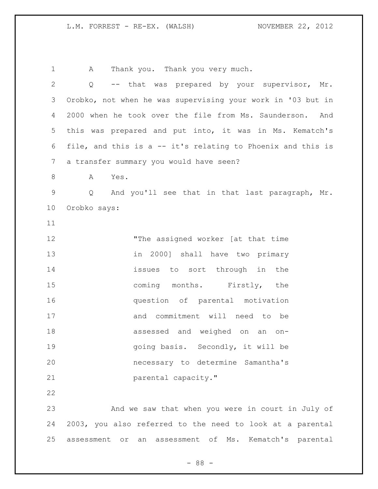A Thank you. Thank you very much. Q -- that was prepared by your supervisor, Mr. Orobko, not when he was supervising your work in '03 but in 2000 when he took over the file from Ms. Saunderson. And this was prepared and put into, it was in Ms. Kematch's file, and this is a -- it's relating to Phoenix and this is a transfer summary you would have seen? 8 A Yes. Q And you'll see that in that last paragraph, Mr. Orobko says: 12 The assigned worker [at that time in 2000] shall have two primary **issues** to sort through in the 15 coming months. Firstly, the question of parental motivation and commitment will need to be assessed and weighed on an on-19 and the secondly, it will be going basis. Secondly, it will be necessary to determine Samantha's parental capacity." And we saw that when you were in court in July of 2003, you also referred to the need to look at a parental assessment or an assessment of Ms. Kematch's parental

- 88 -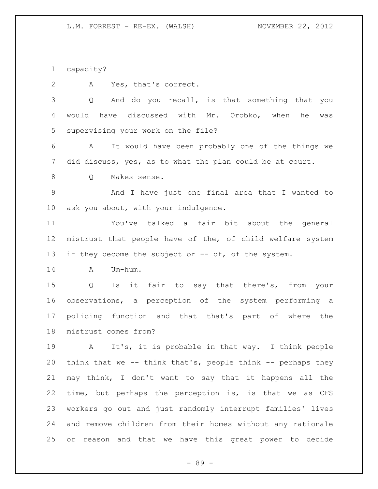capacity?

A Yes, that's correct.

 Q And do you recall, is that something that you would have discussed with Mr. Orobko, when he was supervising your work on the file?

 A It would have been probably one of the things we did discuss, yes, as to what the plan could be at court.

Q Makes sense.

 And I have just one final area that I wanted to ask you about, with your indulgence.

 You've talked a fair bit about the general mistrust that people have of the, of child welfare system 13 if they become the subject or -- of, of the system.

A Um-hum.

 Q Is it fair to say that there's, from your observations, a perception of the system performing a policing function and that that's part of where the mistrust comes from?

 A It's, it is probable in that way. I think people think that we -- think that's, people think -- perhaps they may think, I don't want to say that it happens all the time, but perhaps the perception is, is that we as CFS workers go out and just randomly interrupt families' lives and remove children from their homes without any rationale or reason and that we have this great power to decide

- 89 -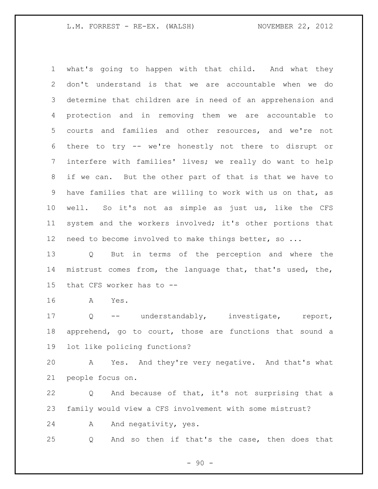what's going to happen with that child. And what they don't understand is that we are accountable when we do determine that children are in need of an apprehension and protection and in removing them we are accountable to courts and families and other resources, and we're not there to try -- we're honestly not there to disrupt or interfere with families' lives; we really do want to help if we can. But the other part of that is that we have to have families that are willing to work with us on that, as well. So it's not as simple as just us, like the CFS system and the workers involved; it's other portions that need to become involved to make things better, so ...

 Q But in terms of the perception and where the mistrust comes from, the language that, that's used, the, that CFS worker has to --

A Yes.

 Q -- understandably, investigate, report, apprehend, go to court, those are functions that sound a lot like policing functions?

 A Yes. And they're very negative. And that's what people focus on.

 Q And because of that, it's not surprising that a family would view a CFS involvement with some mistrust?

24 A And negativity, yes.

Q And so then if that's the case, then does that

 $-90 -$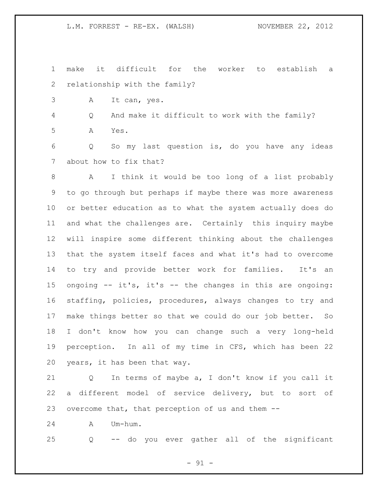make it difficult for the worker to establish a relationship with the family?

A It can, yes.

Q And make it difficult to work with the family?

A Yes.

 Q So my last question is, do you have any ideas about how to fix that?

 A I think it would be too long of a list probably to go through but perhaps if maybe there was more awareness or better education as to what the system actually does do and what the challenges are. Certainly this inquiry maybe will inspire some different thinking about the challenges that the system itself faces and what it's had to overcome to try and provide better work for families. It's an ongoing -- it's, it's -- the changes in this are ongoing: staffing, policies, procedures, always changes to try and make things better so that we could do our job better. So I don't know how you can change such a very long-held perception. In all of my time in CFS, which has been 22 years, it has been that way.

 Q In terms of maybe a, I don't know if you call it a different model of service delivery, but to sort of overcome that, that perception of us and them --

A Um-hum.

Q -- do you ever gather all of the significant

 $-91 -$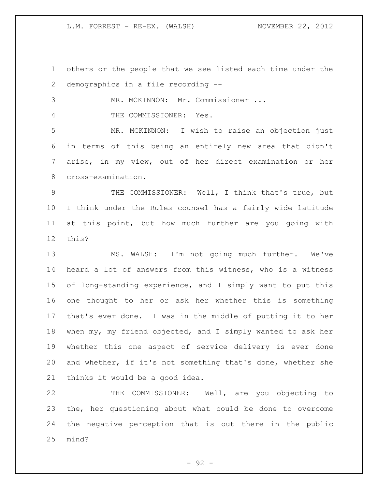others or the people that we see listed each time under the demographics in a file recording --

MR. MCKINNON: Mr. Commissioner ...

4 THE COMMISSIONER: Yes.

 MR. MCKINNON: I wish to raise an objection just in terms of this being an entirely new area that didn't arise, in my view, out of her direct examination or her cross-examination.

 THE COMMISSIONER: Well, I think that's true, but I think under the Rules counsel has a fairly wide latitude at this point, but how much further are you going with this?

 MS. WALSH: I'm not going much further. We've heard a lot of answers from this witness, who is a witness of long-standing experience, and I simply want to put this one thought to her or ask her whether this is something that's ever done. I was in the middle of putting it to her when my, my friend objected, and I simply wanted to ask her whether this one aspect of service delivery is ever done and whether, if it's not something that's done, whether she thinks it would be a good idea.

 THE COMMISSIONER: Well, are you objecting to the, her questioning about what could be done to overcome the negative perception that is out there in the public mind?

 $-92 -$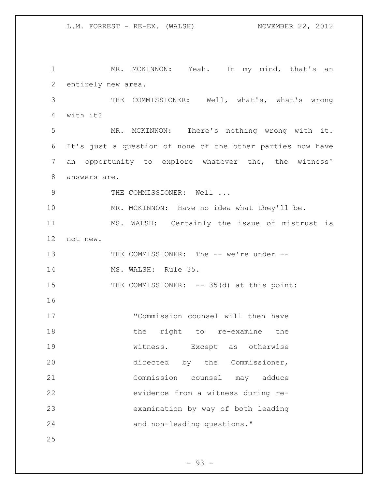1 MR. MCKINNON: Yeah. In my mind, that's an entirely new area. THE COMMISSIONER: Well, what's, what's wrong with it? MR. MCKINNON: There's nothing wrong with it. It's just a question of none of the other parties now have an opportunity to explore whatever the, the witness' answers are. 9 THE COMMISSIONER: Well ... 10 MR. MCKINNON: Have no idea what they'll be. MS. WALSH: Certainly the issue of mistrust is not new. THE COMMISSIONER: The -- we're under -- MS. WALSH: Rule 35. 15 THE COMMISSIONER: -- 35(d) at this point: "Commission counsel will then have 18 the right to re-examine the witness. Except as otherwise directed by the Commissioner, Commission counsel may adduce evidence from a witness during re- examination by way of both leading and non-leading questions."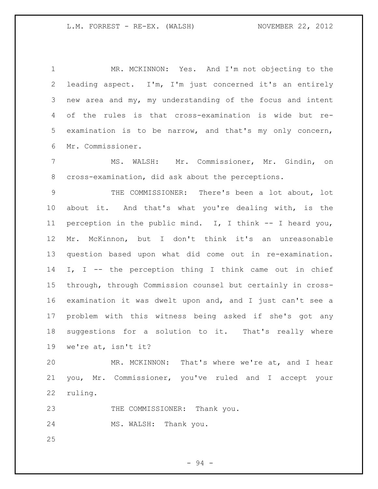MR. MCKINNON: Yes. And I'm not objecting to the leading aspect. I'm, I'm just concerned it's an entirely new area and my, my understanding of the focus and intent of the rules is that cross-examination is wide but re- examination is to be narrow, and that's my only concern, Mr. Commissioner.

 MS. WALSH: Mr. Commissioner, Mr. Gindin, on cross-examination, did ask about the perceptions.

 THE COMMISSIONER: There's been a lot about, lot about it. And that's what you're dealing with, is the perception in the public mind. I, I think -- I heard you, Mr. McKinnon, but I don't think it's an unreasonable question based upon what did come out in re-examination. 14 I, I -- the perception thing I think came out in chief through, through Commission counsel but certainly in cross- examination it was dwelt upon and, and I just can't see a problem with this witness being asked if she's got any suggestions for a solution to it. That's really where we're at, isn't it?

 MR. MCKINNON: That's where we're at, and I hear you, Mr. Commissioner, you've ruled and I accept your ruling.

23 THE COMMISSIONER: Thank you.

MS. WALSH: Thank you.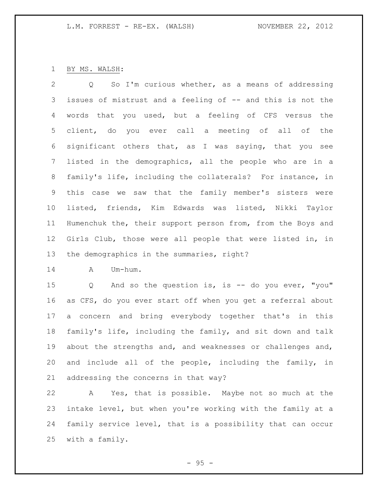## BY MS. WALSH:

 Q So I'm curious whether, as a means of addressing issues of mistrust and a feeling of -- and this is not the words that you used, but a feeling of CFS versus the client, do you ever call a meeting of all of the significant others that, as I was saying, that you see listed in the demographics, all the people who are in a family's life, including the collaterals? For instance, in this case we saw that the family member's sisters were listed, friends, Kim Edwards was listed, Nikki Taylor Humenchuk the, their support person from, from the Boys and Girls Club, those were all people that were listed in, in the demographics in the summaries, right?

A Um-hum.

 Q And so the question is, is -- do you ever, "you" as CFS, do you ever start off when you get a referral about a concern and bring everybody together that's in this family's life, including the family, and sit down and talk about the strengths and, and weaknesses or challenges and, and include all of the people, including the family, in addressing the concerns in that way?

 A Yes, that is possible. Maybe not so much at the intake level, but when you're working with the family at a family service level, that is a possibility that can occur with a family.

 $-95 -$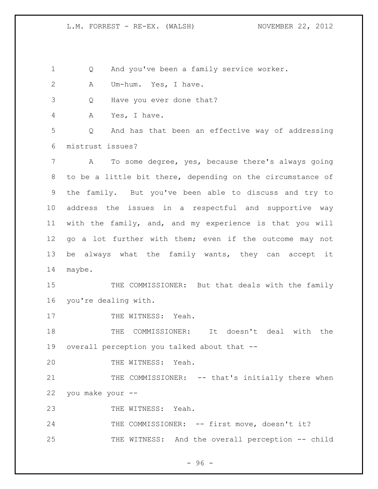Q And you've been a family service worker.

A Um-hum. Yes, I have.

Q Have you ever done that?

A Yes, I have.

 Q And has that been an effective way of addressing mistrust issues?

 A To some degree, yes, because there's always going to be a little bit there, depending on the circumstance of the family. But you've been able to discuss and try to address the issues in a respectful and supportive way with the family, and, and my experience is that you will go a lot further with them; even if the outcome may not be always what the family wants, they can accept it maybe.

 THE COMMISSIONER: But that deals with the family you're dealing with.

17 THE WITNESS: Yeah.

 THE COMMISSIONER: It doesn't deal with the overall perception you talked about that --

THE WITNESS: Yeah.

21 THE COMMISSIONER: -- that's initially there when you make your --

23 THE WITNESS: Yeah.

24 THE COMMISSIONER: -- first move, doesn't it? THE WITNESS: And the overall perception -- child

- 96 -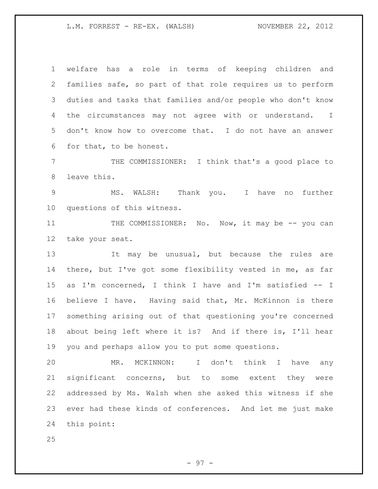welfare has a role in terms of keeping children and families safe, so part of that role requires us to perform duties and tasks that families and/or people who don't know the circumstances may not agree with or understand. I don't know how to overcome that. I do not have an answer for that, to be honest.

 THE COMMISSIONER: I think that's a good place to leave this.

 MS. WALSH: Thank you. I have no further questions of this witness.

11 THE COMMISSIONER: No. Now, it may be -- you can take your seat.

13 11 It may be unusual, but because the rules are there, but I've got some flexibility vested in me, as far as I'm concerned, I think I have and I'm satisfied -- I believe I have. Having said that, Mr. McKinnon is there something arising out of that questioning you're concerned about being left where it is? And if there is, I'll hear you and perhaps allow you to put some questions.

 MR. MCKINNON: I don't think I have any significant concerns, but to some extent they were addressed by Ms. Walsh when she asked this witness if she ever had these kinds of conferences. And let me just make this point: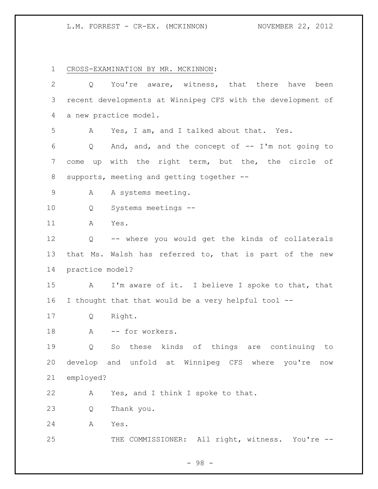L.M. FORREST - CR-EX. (MCKINNON) NOVEMBER 22, 2012

CROSS-EXAMINATION BY MR. MCKINNON:

| $\overline{2}$  | Q               | You're aware, witness, that there<br>have<br>been           |
|-----------------|-----------------|-------------------------------------------------------------|
| 3               |                 | recent developments at Winnipeg CFS with the development of |
| 4               |                 | a new practice model.                                       |
| 5               | A               | Yes, I am, and I talked about that. Yes.                    |
| 6               | Q               | And, and, and the concept of $-$ I'm not going to           |
| $7\phantom{.0}$ | come up         | with the right term, but the, the circle of                 |
| 8               |                 | supports, meeting and getting together --                   |
| $\mathsf 9$     | A               | A systems meeting.                                          |
| 10              | Q               | Systems meetings --                                         |
| 11              | A               | Yes.                                                        |
| 12              | Q               | -- where you would get the kinds of collaterals             |
| 13              |                 | that Ms. Walsh has referred to, that is part of the new     |
| 14              | practice model? |                                                             |
| 15              | A               | I'm aware of it. I believe I spoke to that, that            |
| 16              |                 | I thought that that would be a very helpful tool --         |
| 17              | Q               | Right.                                                      |
| 18              | A               | -- for workers.                                             |
| 19              | Q               | So these kinds of things are continuing<br>to               |
| 20              |                 | develop and unfold at Winnipeg CFS where you're<br>now      |
| 21              | employed?       |                                                             |
| 22              | А               | Yes, and I think I spoke to that.                           |
| 23              | Q               | Thank you.                                                  |
| 24              | Α               | Yes.                                                        |
| 25              |                 | THE COMMISSIONER: All right, witness. You're --             |

- 98 -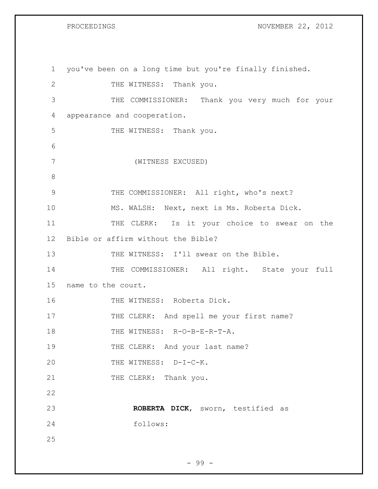PROCEEDINGS NOVEMBER 22, 2012

| $\mathbf 1$   | you've been on a long time but you're finally finished. |
|---------------|---------------------------------------------------------|
| 2             | THE WITNESS: Thank you.                                 |
| 3             | THE COMMISSIONER: Thank you very much for your          |
| 4             | appearance and cooperation.                             |
| 5             | THE WITNESS: Thank you.                                 |
| 6             |                                                         |
| 7             | (WITNESS EXCUSED)                                       |
| 8             |                                                         |
| $\mathcal{G}$ | THE COMMISSIONER: All right, who's next?                |
| 10            | MS. WALSH: Next, next is Ms. Roberta Dick.              |
| 11            | THE CLERK: Is it your choice to swear on the            |
| 12            | Bible or affirm without the Bible?                      |
| 13            | THE WITNESS: I'll swear on the Bible.                   |
| 14            | THE COMMISSIONER: All right. State your full            |
| 15            | name to the court.                                      |
| 16            | THE WITNESS: Roberta Dick.                              |
| 17            | THE CLERK: And spell me your first name?                |
| 18            | THE WITNESS: R-O-B-E-R-T-A.                             |
| 19            | THE CLERK: And your last name?                          |
| 20            | THE WITNESS: D-I-C-K.                                   |
| 21            | THE CLERK: Thank you.                                   |
| 22            |                                                         |
| 23            | ROBERTA DICK, sworn, testified as                       |
| 24            | follows:                                                |
| 25            |                                                         |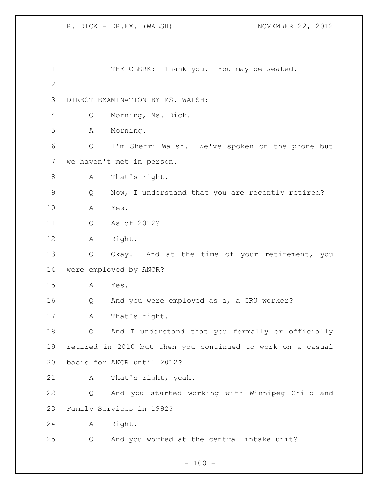| 1            |   | THE CLERK: Thank you. You may be seated.                   |
|--------------|---|------------------------------------------------------------|
| $\mathbf{2}$ |   |                                                            |
| 3            |   | DIRECT EXAMINATION BY MS. WALSH:                           |
| 4            | Q | Morning, Ms. Dick.                                         |
| 5            | A | Morning.                                                   |
| 6            | Q | I'm Sherri Walsh. We've spoken on the phone but            |
| 7            |   | we haven't met in person.                                  |
| $\,8\,$      | A | That's right.                                              |
| 9            | Q | Now, I understand that you are recently retired?           |
| 10           | Α | Yes.                                                       |
| 11           | Q | As of 2012?                                                |
| 12           | Α | Right.                                                     |
| 13           | Q | Okay. And at the time of your retirement, you              |
| 14           |   | were employed by ANCR?                                     |
| 15           | Α | Yes.                                                       |
| 16           | Q | And you were employed as a, a CRU worker?                  |
| 17           | A | That's right.                                              |
| 18           | Q | And I understand that you formally or officially           |
| 19           |   | retired in 2010 but then you continued to work on a casual |
| 20           |   | basis for ANCR until 2012?                                 |
| 21           | Α | That's right, yeah.                                        |
| 22           | Q | And you started working with Winnipeg Child and            |
| 23           |   | Family Services in 1992?                                   |
| 24           | Α | Right.                                                     |
| 25           | Q | And you worked at the central intake unit?                 |
|              |   |                                                            |

- 100 -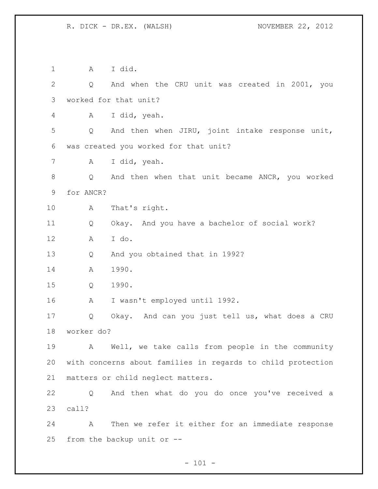A I did. Q And when the CRU unit was created in 2001, you worked for that unit? A I did, yeah. Q And then when JIRU, joint intake response unit, was created you worked for that unit? A I did, yeah. Q And then when that unit became ANCR, you worked for ANCR? A That's right. Q Okay. And you have a bachelor of social work? A I do. Q And you obtained that in 1992? A 1990. Q 1990. A I wasn't employed until 1992. Q Okay. And can you just tell us, what does a CRU worker do? A Well, we take calls from people in the community with concerns about families in regards to child protection matters or child neglect matters. Q And then what do you do once you've received a call? A Then we refer it either for an immediate response from the backup unit or --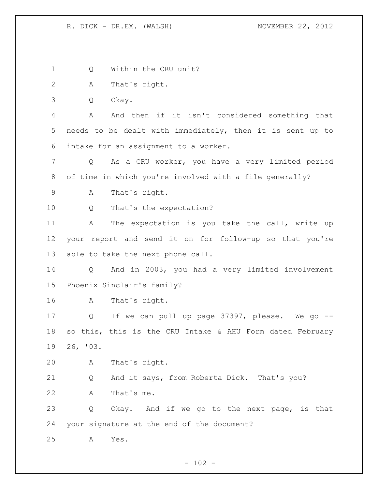1 Q Within the CRU unit? A That's right. Q Okay. A And then if it isn't considered something that needs to be dealt with immediately, then it is sent up to intake for an assignment to a worker. Q As a CRU worker, you have a very limited period of time in which you're involved with a file generally? A That's right. Q That's the expectation? 11 A The expectation is you take the call, write up your report and send it on for follow-up so that you're able to take the next phone call. Q And in 2003, you had a very limited involvement Phoenix Sinclair's family? A That's right. Q If we can pull up page 37397, please. We go -- so this, this is the CRU Intake & AHU Form dated February 26, '03. A That's right. Q And it says, from Roberta Dick. That's you? A That's me. Q Okay. And if we go to the next page, is that your signature at the end of the document? A Yes.

 $- 102 -$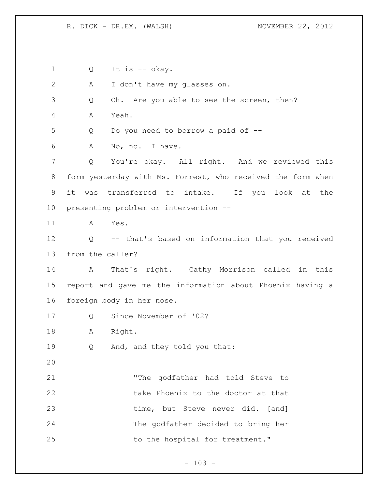Q It is -- okay. A I don't have my glasses on. Q Oh. Are you able to see the screen, then? A Yeah. Q Do you need to borrow a paid of -- A No, no. I have. Q You're okay. All right. And we reviewed this form yesterday with Ms. Forrest, who received the form when it was transferred to intake. If you look at the presenting problem or intervention -- A Yes. Q -- that's based on information that you received from the caller? A That's right. Cathy Morrison called in this report and gave me the information about Phoenix having a foreign body in her nose. Q Since November of '02? A Right. Q And, and they told you that: "The godfather had told Steve to 22 take Phoenix to the doctor at that 23 time, but Steve never did. [and] The godfather decided to bring her 25 to the hospital for treatment."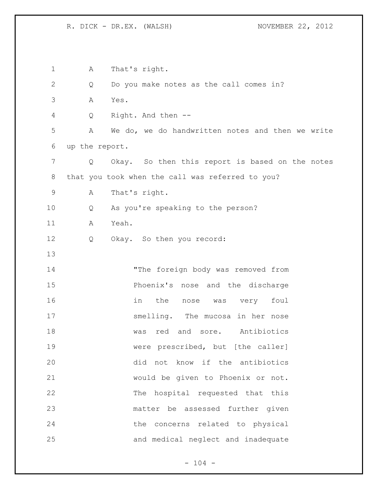| 1            | Α              | That's right.                                    |
|--------------|----------------|--------------------------------------------------|
| $\mathbf{2}$ | Q              | Do you make notes as the call comes in?          |
| 3            | Yes.<br>Α      |                                                  |
| 4            | Q              | Right. And then --                               |
| 5            | Α              | We do, we do handwritten notes and then we write |
| 6            | up the report. |                                                  |
| 7            | Q              | Okay. So then this report is based on the notes  |
| 8            |                | that you took when the call was referred to you? |
| $\mathsf 9$  | А              | That's right.                                    |
| 10           | Q              | As you're speaking to the person?                |
| 11           | Yeah.<br>Α     |                                                  |
| 12           | Q              | Okay. So then you record:                        |
| 13           |                |                                                  |
| 14           |                | "The foreign body was removed from               |
| 15           |                | Phoenix's nose and the discharge                 |
| 16           |                | in the<br>foul<br>was very<br>nose               |
| 17           |                | smelling. The mucosa in her nose                 |
| 18           |                | red<br>and<br>Antibiotics<br>was<br>sore.        |
| 19           |                | were prescribed, but [the caller]                |
| 20           |                | did not know if the antibiotics                  |
| 21           |                | would be given to Phoenix or not.                |
| 22           |                | The hospital requested that this                 |
| 23           |                | matter be assessed further given                 |
| 24           |                | the concerns related to physical                 |
| 25           |                | and medical neglect and inadequate               |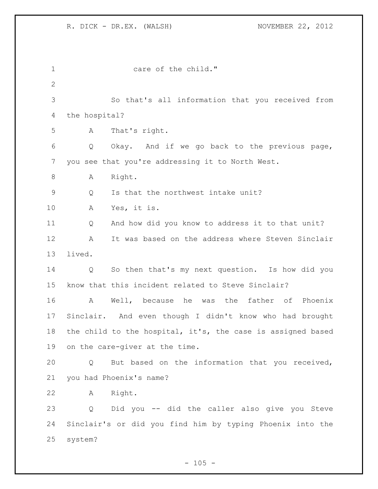1 care of the child." So that's all information that you received from the hospital? A That's right. Q Okay. And if we go back to the previous page, you see that you're addressing it to North West. 8 A Right. Q Is that the northwest intake unit? A Yes, it is. Q And how did you know to address it to that unit? A It was based on the address where Steven Sinclair lived. Q So then that's my next question. Is how did you know that this incident related to Steve Sinclair? A Well, because he was the father of Phoenix Sinclair. And even though I didn't know who had brought the child to the hospital, it's, the case is assigned based on the care-giver at the time. Q But based on the information that you received, you had Phoenix's name? A Right. Q Did you -- did the caller also give you Steve Sinclair's or did you find him by typing Phoenix into the system?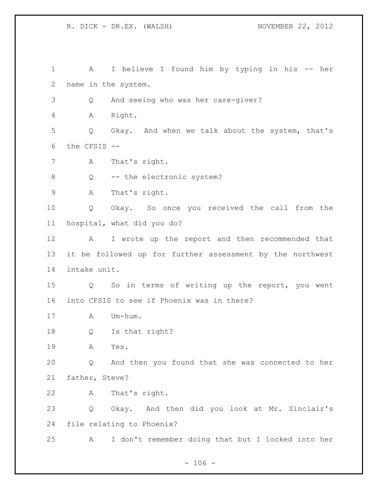A I believe I found him by typing in his -- her name in the system. Q And seeing who was her care-giver? A Right. Q Okay. And when we talk about the system, that's the CFSIS -- A That's right. 8 Q -- the electronic system? A That's right. Q Okay. So once you received the call from the hospital, what did you do? A I wrote up the report and then recommended that it be followed up for further assessment by the northwest intake unit. Q So in terms of writing up the report, you went into CFSIS to see if Phoenix was in there? A Um-hum. Q Is that right? A Yes. Q And then you found that she was connected to her father, Steve? A That's right. Q Okay. And then did you look at Mr. Sinclair's file relating to Phoenix? A I don't remember doing that but I looked into her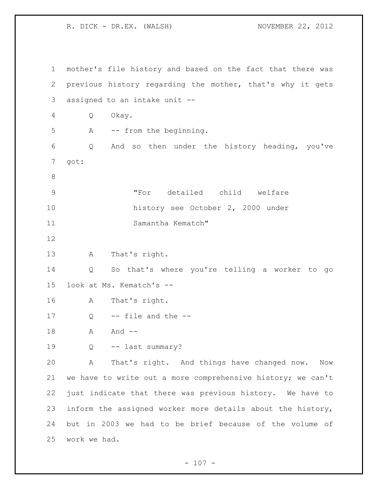mother's file history and based on the fact that there was previous history regarding the mother, that's why it gets assigned to an intake unit -- Q Okay. A -- from the beginning. Q And so then under the history heading, you've got: "For detailed child welfare history see October 2, 2000 under Samantha Kematch" A That's right. Q So that's where you're telling a worker to go look at Ms. Kematch's -- A That's right. Q -- file and the --18 A And -- Q -- last summary? A That's right. And things have changed now. Now we have to write out a more comprehensive history; we can't just indicate that there was previous history. We have to inform the assigned worker more details about the history, but in 2003 we had to be brief because of the volume of work we had.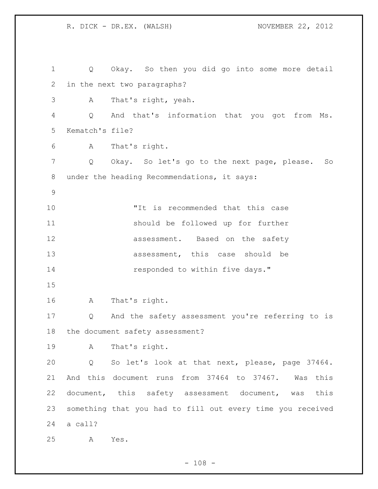R. DICK - DR.EX. (WALSH) NOVEMBER 22, 2012 Q Okay. So then you did go into some more detail in the next two paragraphs? A That's right, yeah. Q And that's information that you got from Ms. Kematch's file? A That's right. Q Okay. So let's go to the next page, please. So under the heading Recommendations, it says: "It is recommended that this case should be followed up for further **assessment**. Based on the safety 13 assessment, this case should be **responded** to within five days." A That's right. Q And the safety assessment you're referring to is the document safety assessment? A That's right. Q So let's look at that next, please, page 37464. And this document runs from 37464 to 37467. Was this document, this safety assessment document, was this something that you had to fill out every time you received a call? A Yes.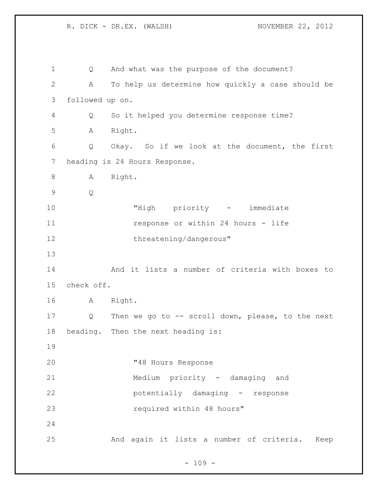Q And what was the purpose of the document? A To help us determine how quickly a case should be followed up on. Q So it helped you determine response time? A Right. Q Okay. So if we look at the document, the first heading is 24 Hours Response. 8 A Right. Q "High priority - immediate **response or within 24 hours - life** 12 threatening/dangerous" And it lists a number of criteria with boxes to check off. A Right. Q Then we go to -- scroll down, please, to the next heading. Then the next heading is: "48 Hours Response Medium priority - damaging and potentially damaging - response 23 required within 48 hours" And again it lists a number of criteria. Keep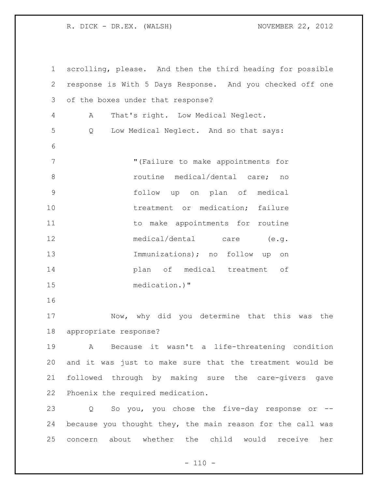scrolling, please. And then the third heading for possible response is With 5 Days Response. And you checked off one of the boxes under that response? A That's right. Low Medical Neglect. Q Low Medical Neglect. And so that says: 7 The Muller Music of the Make appointments for **8 19 routine** medical/dental care; no follow up on plan of medical 10 treatment or medication; failure 11 to make appointments for routine medical/dental care (e.g. Immunizations); no follow up on plan of medical treatment of medication.)" Now, why did you determine that this was the appropriate response? A Because it wasn't a life-threatening condition and it was just to make sure that the treatment would be followed through by making sure the care-givers gave Phoenix the required medication. Q So you, you chose the five-day response or -- because you thought they, the main reason for the call was concern about whether the child would receive her

 $- 110 -$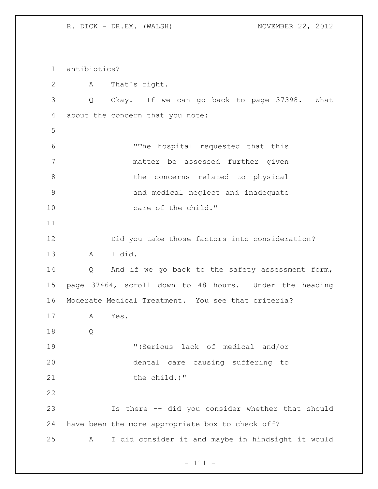antibiotics? A That's right. Q Okay. If we can go back to page 37398. What about the concern that you note: "The hospital requested that this matter be assessed further given 8 b the concerns related to physical and medical neglect and inadequate 10 care of the child." Did you take those factors into consideration? A I did. Q And if we go back to the safety assessment form, page 37464, scroll down to 48 hours. Under the heading Moderate Medical Treatment. You see that criteria? A Yes. Q "(Serious lack of medical and/or dental care causing suffering to 21 the child.)" Is there -- did you consider whether that should have been the more appropriate box to check off? A I did consider it and maybe in hindsight it would

- 111 -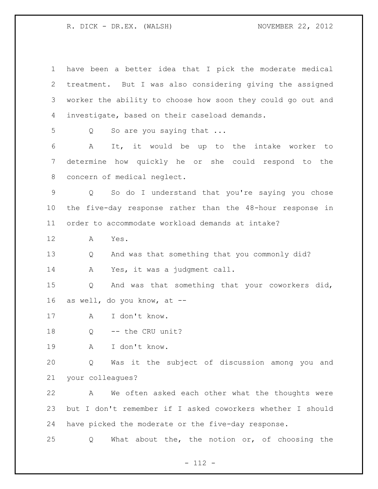have been a better idea that I pick the moderate medical treatment. But I was also considering giving the assigned worker the ability to choose how soon they could go out and investigate, based on their caseload demands. 5 Q So are you saying that ... A It, it would be up to the intake worker to determine how quickly he or she could respond to the concern of medical neglect. Q So do I understand that you're saying you chose the five-day response rather than the 48-hour response in order to accommodate workload demands at intake? A Yes. Q And was that something that you commonly did? A Yes, it was a judgment call. Q And was that something that your coworkers did, as well, do you know, at -- A I don't know. 18 Q -- the CRU unit? A I don't know. Q Was it the subject of discussion among you and your colleagues? A We often asked each other what the thoughts were but I don't remember if I asked coworkers whether I should have picked the moderate or the five-day response. Q What about the, the notion or, of choosing the

- 112 -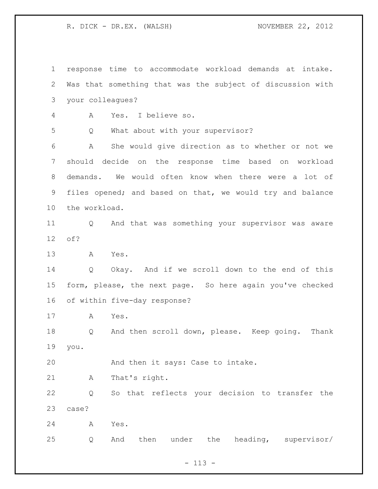response time to accommodate workload demands at intake. Was that something that was the subject of discussion with your colleagues? A Yes. I believe so. Q What about with your supervisor? A She would give direction as to whether or not we should decide on the response time based on workload demands. We would often know when there were a lot of files opened; and based on that, we would try and balance the workload. Q And that was something your supervisor was aware of? A Yes. Q Okay. And if we scroll down to the end of this form, please, the next page. So here again you've checked of within five-day response? A Yes. Q And then scroll down, please. Keep going. Thank you. And then it says: Case to intake. A That's right. Q So that reflects your decision to transfer the case? A Yes. Q And then under the heading, supervisor/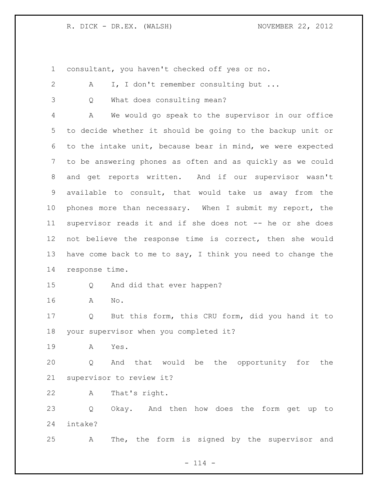consultant, you haven't checked off yes or no.

|                 | you huvch a cheeked off yes of                              |
|-----------------|-------------------------------------------------------------|
| $\mathbf{2}$    | I, I don't remember consulting but<br>A                     |
| 3               | What does consulting mean?<br>Q                             |
| 4               | We would go speak to the supervisor in our office<br>A      |
| 5               | to decide whether it should be going to the backup unit or  |
| 6               | to the intake unit, because bear in mind, we were expected  |
| $7\overline{ }$ | to be answering phones as often and as quickly as we could  |
| 8               | and get reports written. And if our supervisor wasn't       |
| 9               | available to consult, that would take us away from the      |
| 10              | phones more than necessary. When I submit my report, the    |
| 11              | supervisor reads it and if she does not -- he or she does   |
| 12              | not believe the response time is correct, then she would    |
| 13              | have come back to me to say, I think you need to change the |
| 14              | response time.                                              |
| 15              | And did that ever happen?<br>Q                              |
| 16              | No.<br>A                                                    |
| 17              | But this form, this CRU form, did you hand it to<br>Q       |
| 18              | your supervisor when you completed it?                      |
| 19              | A Yes.                                                      |
| 20              | And that would be the opportunity for the<br>Q              |
| 21              | supervisor to review it?                                    |
| 22              | Α<br>That's right.                                          |
| 23              | Okay. And then how does the form get up to<br>Q             |
| 24              | intake?                                                     |
| 25              | The, the form is signed by the supervisor and<br>А          |

- 114 -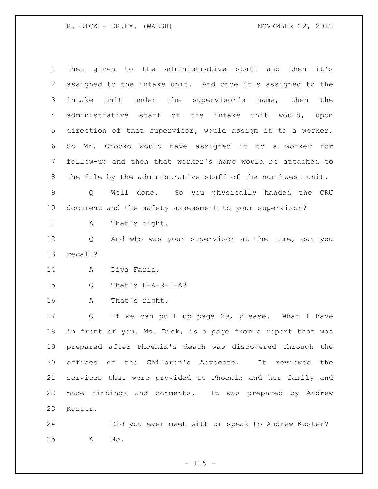then given to the administrative staff and then it's assigned to the intake unit. And once it's assigned to the intake unit under the supervisor's name, then the administrative staff of the intake unit would, upon direction of that supervisor, would assign it to a worker. So Mr. Orobko would have assigned it to a worker for follow-up and then that worker's name would be attached to the file by the administrative staff of the northwest unit. Q Well done. So you physically handed the CRU document and the safety assessment to your supervisor? 11 A That's right. Q And who was your supervisor at the time, can you recall? A Diva Faria. Q That's F-A-R-I-A? A That's right. Q If we can pull up page 29, please. What I have in front of you, Ms. Dick, is a page from a report that was prepared after Phoenix's death was discovered through the offices of the Children's Advocate. It reviewed the services that were provided to Phoenix and her family and made findings and comments. It was prepared by Andrew Koster.

 Did you ever meet with or speak to Andrew Koster? A No.

 $- 115 -$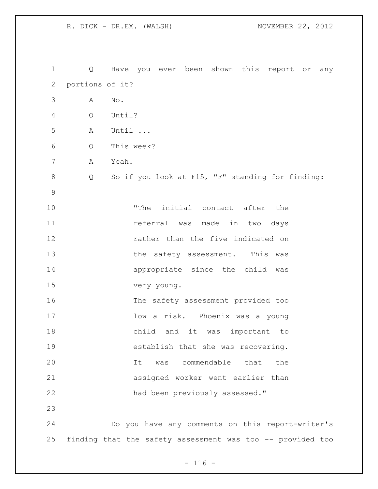Q Have you ever been shown this report or any portions of it? A No. Q Until? A Until ... Q This week? A Yeah. Q So if you look at F15, "F" standing for finding: "The initial contact after the 11 11 referral was made in two days rather than the five indicated on 13 the safety assessment. This was appropriate since the child was very young. The safety assessment provided too low a risk. Phoenix was a young child and it was important to establish that she was recovering. It was commendable that the assigned worker went earlier than had been previously assessed." Do you have any comments on this report-writer's finding that the safety assessment was too -- provided too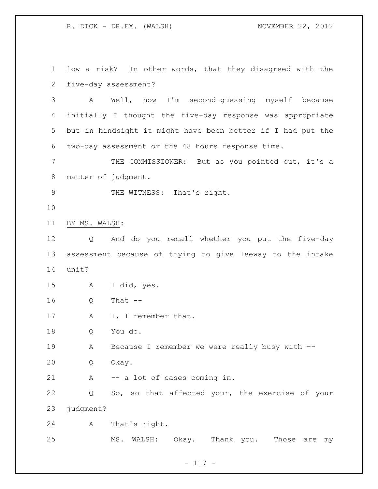low a risk? In other words, that they disagreed with the five-day assessment?

 A Well, now I'm second-guessing myself because initially I thought the five-day response was appropriate but in hindsight it might have been better if I had put the two-day assessment or the 48 hours response time.

 THE COMMISSIONER: But as you pointed out, it's a matter of judgment.

9 THE WITNESS: That's right.

BY MS. WALSH:

 Q And do you recall whether you put the five-day assessment because of trying to give leeway to the intake unit?

A I did, yes.

Q That --

17 A I, I remember that.

Q You do.

A Because I remember we were really busy with --

Q Okay.

A -- a lot of cases coming in.

 Q So, so that affected your, the exercise of your 23 judgment?

A That's right.

MS. WALSH: Okay. Thank you. Those are my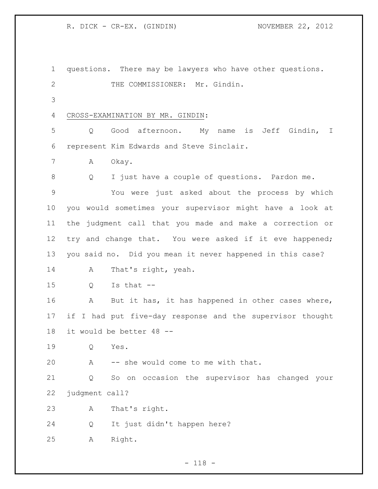R. DICK - CR-EX. (GINDIN) NOVEMBER 22, 2012

 questions. There may be lawyers who have other questions. 2 THE COMMISSIONER: Mr. Gindin. CROSS-EXAMINATION BY MR. GINDIN: Q Good afternoon. My name is Jeff Gindin, I represent Kim Edwards and Steve Sinclair. 7 A Okay. Q I just have a couple of questions. Pardon me. You were just asked about the process by which you would sometimes your supervisor might have a look at the judgment call that you made and make a correction or 12 try and change that. You were asked if it eve happened; you said no. Did you mean it never happened in this case? 14 A That's right, yeah. Q Is that -- A But it has, it has happened in other cases where, if I had put five-day response and the supervisor thought it would be better 48 -- Q Yes. A -- she would come to me with that. Q So on occasion the supervisor has changed your judgment call? A That's right. Q It just didn't happen here? A Right.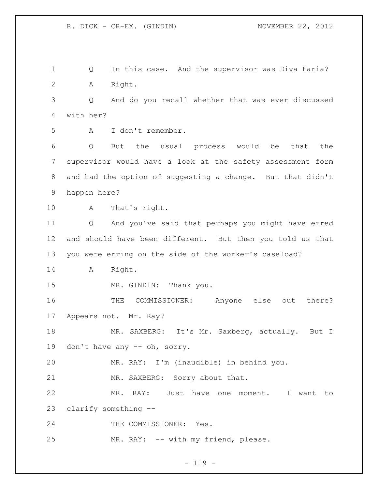Q In this case. And the supervisor was Diva Faria? A Right. Q And do you recall whether that was ever discussed with her? A I don't remember. Q But the usual process would be that the supervisor would have a look at the safety assessment form and had the option of suggesting a change. But that didn't happen here? A That's right. Q And you've said that perhaps you might have erred and should have been different. But then you told us that you were erring on the side of the worker's caseload? A Right. 15 MR. GINDIN: Thank you. THE COMMISSIONER: Anyone else out there? Appears not. Mr. Ray? 18 MR. SAXBERG: It's Mr. Saxberg, actually. But I don't have any -- oh, sorry. MR. RAY: I'm (inaudible) in behind you. 21 MR. SAXBERG: Sorry about that. MR. RAY: Just have one moment. I want to clarify something -- 24 THE COMMISSIONER: Yes. MR. RAY: -- with my friend, please.

 $- 119 -$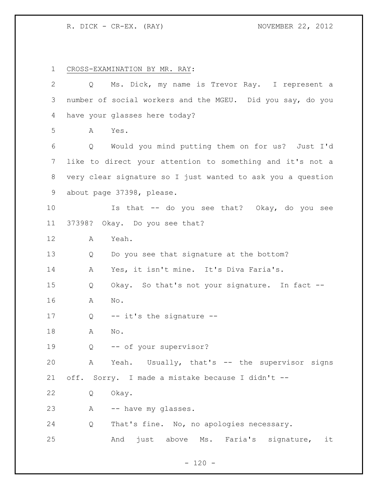CROSS-EXAMINATION BY MR. RAY:

| $\overline{2}$ | Q      | Ms. Dick, my name is Trevor Ray. I represent a              |
|----------------|--------|-------------------------------------------------------------|
| 3              |        | number of social workers and the MGEU. Did you say, do you  |
| 4              |        | have your glasses here today?                               |
| 5              | Α      | Yes.                                                        |
| 6              | Q      | Would you mind putting them on for us? Just I'd             |
| $\overline{7}$ |        | like to direct your attention to something and it's not a   |
| 8              |        | very clear signature so I just wanted to ask you a question |
| 9              |        | about page 37398, please.                                   |
| 10             |        | Is that -- do you see that? Okay, do you see                |
| 11             | 37398? | Okay. Do you see that?                                      |
| 12             | Α      | Yeah.                                                       |
| 13             | Q      | Do you see that signature at the bottom?                    |
| 14             | Α      | Yes, it isn't mine. It's Diva Faria's.                      |
| 15             | Q      | Okay. So that's not your signature. In fact --              |
| 16             | Α      | No.                                                         |
| 17             | Q      | -- it's the signature --                                    |
| 18             | Α      | No.                                                         |
| 19             | Q      | -- of your supervisor?                                      |
| 20             | A      | Yeah. Usually, that's -- the supervisor signs               |
| 21             |        | off. Sorry. I made a mistake because I didn't --            |
| 22             | Q      | Okay.                                                       |
| 23             | A      | -- have my glasses.                                         |
| 24             | Q      | That's fine. No, no apologies necessary.                    |
| 25             |        | And just above Ms. Faria's signature,<br>it                 |

- 120 -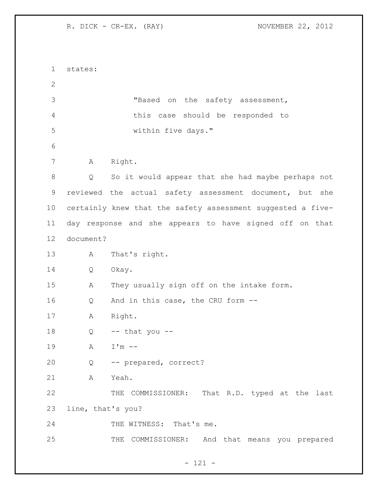| $\mathbf 1$    | states:           |                                                             |
|----------------|-------------------|-------------------------------------------------------------|
| $\mathbf{2}$   |                   |                                                             |
| 3              |                   | "Based on the safety assessment,                            |
| $\overline{4}$ |                   | this case should be responded to                            |
| 5              |                   | within five days."                                          |
| 6              |                   |                                                             |
| 7              | A                 | Right.                                                      |
| $8\,$          | Q                 | So it would appear that she had maybe perhaps not           |
| $\mathsf 9$    |                   | reviewed the actual safety assessment document, but<br>she  |
| 10             |                   | certainly knew that the safety assessment suggested a five- |
| 11             |                   | day response and she appears to have signed off on that     |
| 12             | document?         |                                                             |
| 13             | Α                 | That's right.                                               |
| 14             | Q                 | Okay.                                                       |
| 15             | Α                 | They usually sign off on the intake form.                   |
| 16             | Q                 | And in this case, the CRU form --                           |
| 17             | Α                 | Right.                                                      |
| 18             | Q                 | $--$ that you $--$                                          |
| 19             | Α                 | $I'm$ --                                                    |
| 20             | Q                 | -- prepared, correct?                                       |
| 21             | Α                 | Yeah.                                                       |
| 22             |                   | THE COMMISSIONER: That R.D. typed at the last               |
| 23             | line, that's you? |                                                             |
| 24             |                   | THE WITNESS: That's me.                                     |
| 25             |                   | THE COMMISSIONER: And that means you prepared               |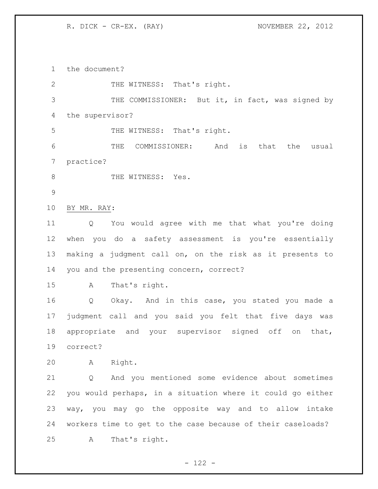the document?

| $\mathbf{2}$ | THE WITNESS: That's right.                                  |
|--------------|-------------------------------------------------------------|
| 3            | THE COMMISSIONER: But it, in fact, was signed by            |
| 4            | the supervisor?                                             |
| 5            | THE WITNESS: That's right.                                  |
| 6            | COMMISSIONER:<br>THE<br>And<br>is that<br>the<br>usual      |
| 7            | practice?                                                   |
| 8            | THE WITNESS: Yes.                                           |
| 9            |                                                             |
| 10           | BY MR. RAY:                                                 |
| 11           | You would agree with me that what you're doing<br>Q         |
| 12           | when you do a safety assessment is you're essentially       |
| 13           | making a judgment call on, on the risk as it presents to    |
| 14           | you and the presenting concern, correct?                    |
| 15           | That's right.<br>$\mathbb A$                                |
| 16           | Okay. And in this case, you stated you made a<br>Q          |
| 17           | judgment call and you said you felt that five days was      |
| 18           | appropriate and your supervisor signed off on<br>that,      |
| 19           | correct?                                                    |
| 20           | Right.<br>Α                                                 |
| 21           | And you mentioned some evidence about sometimes<br>Q        |
| 22           | you would perhaps, in a situation where it could go either  |
| 23           | way, you may go the opposite way and to allow intake        |
| 24           | workers time to get to the case because of their caseloads? |
| 25           | That's right.<br>Α                                          |
|              |                                                             |

- 122 -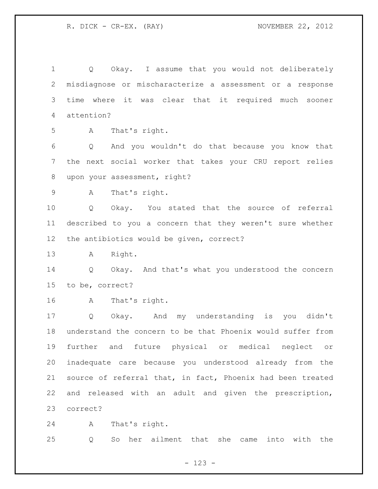Q Okay. I assume that you would not deliberately misdiagnose or mischaracterize a assessment or a response time where it was clear that it required much sooner attention? A That's right. Q And you wouldn't do that because you know that the next social worker that takes your CRU report relies 8 upon your assessment, right? A That's right. Q Okay. You stated that the source of referral described to you a concern that they weren't sure whether the antibiotics would be given, correct? A Right. Q Okay. And that's what you understood the concern to be, correct? A That's right. Q Okay. And my understanding is you didn't understand the concern to be that Phoenix would suffer from further and future physical or medical neglect or inadequate care because you understood already from the source of referral that, in fact, Phoenix had been treated and released with an adult and given the prescription, correct?

A That's right.

Q So her ailment that she came into with the

- 123 -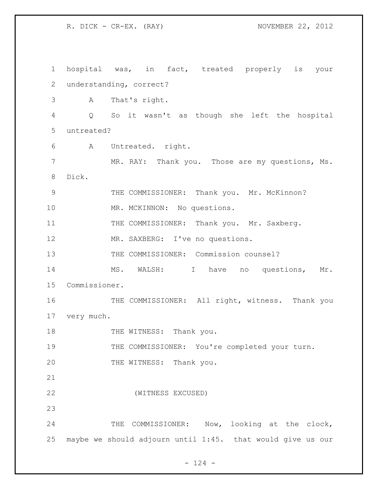1 hospital was, in fact, treated properly is your 2 understanding, correct? 3 A That's right. 4 Q So it wasn't as though she left the hospital 5 untreated? 6 A Untreated. right. 7 MR. RAY: Thank you. Those are my questions, Ms. 8 Dick. 9 THE COMMISSIONER: Thank you. Mr. McKinnon? 10 MR. MCKINNON: No questions. 11 THE COMMISSIONER: Thank you. Mr. Saxberg. 12 MR. SAXBERG: I've no questions. 13 THE COMMISSIONER: Commission counsel? 14 MS. WALSH: I have no questions, Mr. 15 Commissioner. 16 THE COMMISSIONER: All right, witness. Thank you 17 very much. 18 THE WITNESS: Thank you. 19 THE COMMISSIONER: You're completed your turn. 20 THE WITNESS: Thank you. 21 22 (WITNESS EXCUSED) 23 24 THE COMMISSIONER: Now, looking at the clock, 25 maybe we should adjourn until 1:45. that would give us our

 $- 124 -$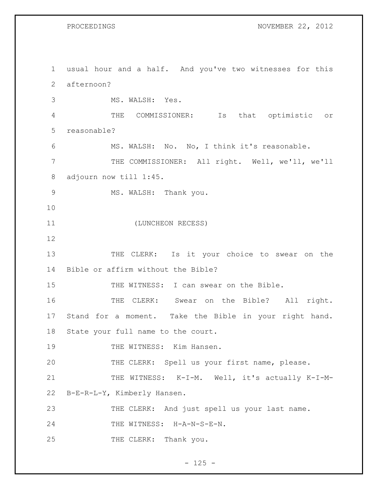PROCEEDINGS NOVEMBER 22, 2012

1 usual hour and a half. And you've two witnesses for this 2 afternoon? 3 MS. WALSH: Yes. 4 THE COMMISSIONER: Is that optimistic or 5 reasonable? 6 MS. WALSH: No. No, I think it's reasonable. 7 THE COMMISSIONER: All right. Well, we'll, we'll 8 adjourn now till 1:45. 9 MS. WALSH: Thank you. 10 11 (LUNCHEON RECESS) 12 13 THE CLERK: Is it your choice to swear on the 14 Bible or affirm without the Bible? 15 THE WITNESS: I can swear on the Bible. 16 THE CLERK: Swear on the Bible? All right. 17 Stand for a moment. Take the Bible in your right hand. 18 State your full name to the court. 19 THE WITNESS: Kim Hansen. 20 THE CLERK: Spell us your first name, please. 21 THE WITNESS: K-I-M. Well, it's actually K-I-M-22 B-E-R-L-Y, Kimberly Hansen. 23 THE CLERK: And just spell us your last name. 24 THE WITNESS: H-A-N-S-E-N. 25 THE CLERK: Thank you.

 $- 125 -$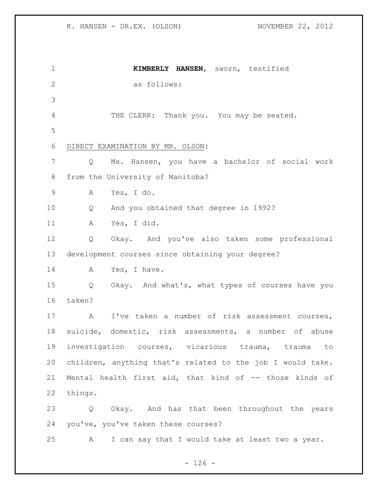**KIMBERLY HANSEN**, sworn, testified as follows: THE CLERK: Thank you. You may be seated. DIRECT EXAMINATION BY MR. OLSON: Q Ms. Hansen, you have a bachelor of social work from the University of Manitoba? A Yes, I do. Q And you obtained that degree in 1992? A Yes, I did. Q Okay. And you've also taken some professional development courses since obtaining your degree? 14 A Yes, I have. Q Okay. And what's, what types of courses have you taken? A I've taken a number of risk assessment courses, suicide, domestic, risk assessments, a number of abuse investigation courses, vicarious trauma, trauma to children, anything that's related to the job I would take. Mental health first aid, that kind of -- those kinds of things. Q Okay. And has that been throughout the years you've, you've taken these courses? A I can say that I would take at least two a year.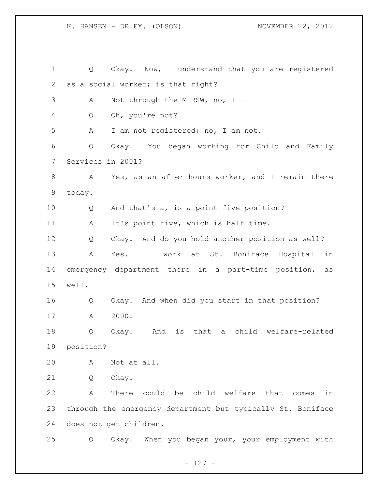Q Okay. Now, I understand that you are registered as a social worker; is that right? A Not through the MIRSW, no, I -- Q Oh, you're not? A I am not registered; no, I am not. Q Okay. You began working for Child and Family Services in 2001? A Yes, as an after-hours worker, and I remain there today. Q And that's a, is a point five position? A It's point five, which is half time. Q Okay. And do you hold another position as well? A Yes. I work at St. Boniface Hospital in emergency department there in a part-time position, as well. Q Okay. And when did you start in that position? A 2000. Q Okay. And is that a child welfare-related position? A Not at all. Q Okay. A There could be child welfare that comes in through the emergency department but typically St. Boniface does not get children. Q Okay. When you began your, your employment with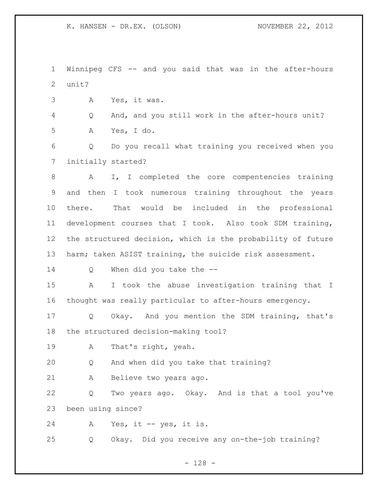Winnipeg CFS -- and you said that was in the after-hours unit?

A Yes, it was.

 Q And, and you still work in the after-hours unit? A Yes, I do.

 Q Do you recall what training you received when you initially started?

 A I, I completed the core compentencies training and then I took numerous training throughout the years there. That would be included in the professional development courses that I took. Also took SDM training, the structured decision, which is the probability of future harm; taken ASIST training, the suicide risk assessment.

Q When did you take the --

 A I took the abuse investigation training that I thought was really particular to after-hours emergency.

 Q Okay. And you mention the SDM training, that's the structured decision-making tool?

A That's right, yeah.

Q And when did you take that training?

A Believe two years ago.

 Q Two years ago. Okay. And is that a tool you've been using since?

A Yes, it -- yes, it is.

Q Okay. Did you receive any on-the-job training?

- 128 -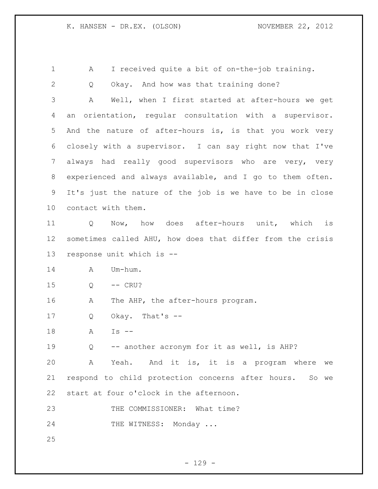A I received quite a bit of on-the-job training.

 Q Okay. And how was that training done? A Well, when I first started at after-hours we get an orientation, regular consultation with a supervisor. And the nature of after-hours is, is that you work very closely with a supervisor. I can say right now that I've always had really good supervisors who are very, very experienced and always available, and I go to them often. It's just the nature of the job is we have to be in close contact with them. Q Now, how does after-hours unit, which is sometimes called AHU, how does that differ from the crisis response unit which is -- 14 A Um-hum. Q -- CRU? 16 A The AHP, the after-hours program. Q Okay. That's -- A Is -- Q -- another acronym for it as well, is AHP? A Yeah. And it is, it is a program where we respond to child protection concerns after hours. So we start at four o'clock in the afternoon. 23 THE COMMISSIONER: What time?

24 THE WITNESS: Monday ...

 $- 129 -$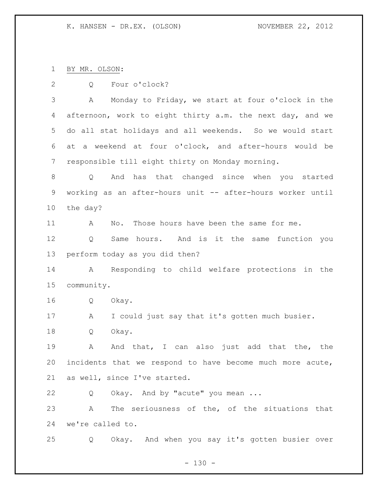BY MR. OLSON:

Q Four o'clock?

 A Monday to Friday, we start at four o'clock in the afternoon, work to eight thirty a.m. the next day, and we do all stat holidays and all weekends. So we would start at a weekend at four o'clock, and after-hours would be responsible till eight thirty on Monday morning.

 Q And has that changed since when you started working as an after-hours unit -- after-hours worker until the day?

A No. Those hours have been the same for me.

 Q Same hours. And is it the same function you perform today as you did then?

 A Responding to child welfare protections in the community.

Q Okay.

A I could just say that it's gotten much busier.

Q Okay.

 A And that, I can also just add that the, the incidents that we respond to have become much more acute, as well, since I've started.

Q Okay. And by "acute" you mean ...

 A The seriousness of the, of the situations that we're called to.

Q Okay. And when you say it's gotten busier over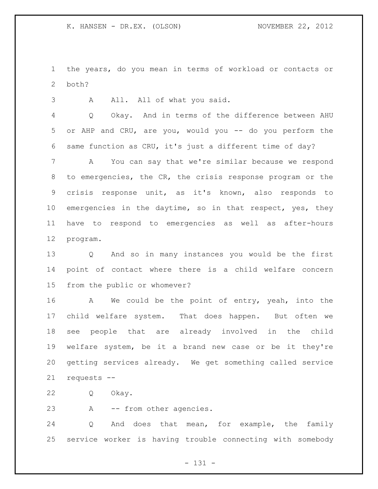the years, do you mean in terms of workload or contacts or both?

3 A All. All of what you said.

 Q Okay. And in terms of the difference between AHU or AHP and CRU, are you, would you -- do you perform the same function as CRU, it's just a different time of day?

 A You can say that we're similar because we respond to emergencies, the CR, the crisis response program or the crisis response unit, as it's known, also responds to emergencies in the daytime, so in that respect, yes, they have to respond to emergencies as well as after-hours program.

 Q And so in many instances you would be the first point of contact where there is a child welfare concern from the public or whomever?

16 A We could be the point of entry, yeah, into the child welfare system. That does happen. But often we see people that are already involved in the child welfare system, be it a brand new case or be it they're getting services already. We get something called service requests --

Q Okay.

A -- from other agencies.

 Q And does that mean, for example, the family service worker is having trouble connecting with somebody

- 131 -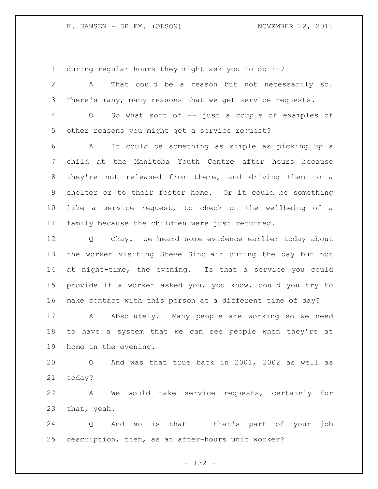during regular hours they might ask you to do it?

| 2               | That could be a reason but not necessarily so.<br>Α                  |
|-----------------|----------------------------------------------------------------------|
| 3               | There's many, many reasons that we get service requests.             |
| 4               | So what sort of -- just a couple of examples of<br>$Q \qquad \qquad$ |
| 5               | other reasons you might get a service request?                       |
| 6               | It could be something as simple as picking up a<br>A                 |
| $7\phantom{.0}$ | child at the Manitoba Youth Centre after hours because               |
| 8               | they're not released from there, and driving them to a               |
| 9               | shelter or to their foster home. Or it could be something            |
| 10 <sub>o</sub> | like a service request, to check on the wellbeing of a               |
| 11              | family because the children were just returned.                      |
| 12              | Q Okay. We heard some evidence earlier today about                   |
| 13              | the worker visiting Steve Sinclair during the day but not            |
| 14              | at night-time, the evening. Is that a service you could              |
| 15              | provide if a worker asked you, you know, could you try to            |
| 16              | make contact with this person at a different time of day?            |
| 17              | Absolutely. Many people are working so we need<br>A                  |
| 18              | to have a system that we can see people when they're at              |
| 19              | home in the evening.                                                 |
| 20              | And was that true back in 2001, 2002 as well as<br>O                 |

today?

 A We would take service requests, certainly for that, yeah.

 Q And so is that -- that's part of your job description, then, as an after-hours unit worker?

- 132 -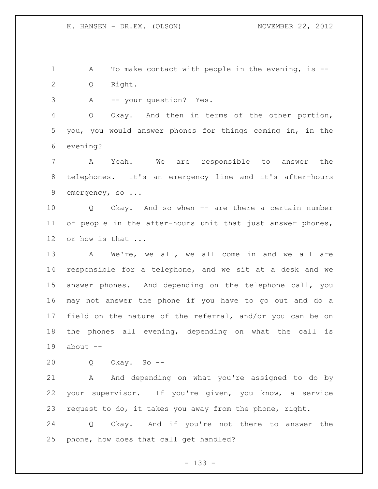1 A To make contact with people in the evening, is --Q Right.

A -- your question? Yes.

 Q Okay. And then in terms of the other portion, you, you would answer phones for things coming in, in the evening?

 A Yeah. We are responsible to answer the telephones. It's an emergency line and it's after-hours 9 emergency, so ...

 Q Okay. And so when -- are there a certain number 11 of people in the after-hours unit that just answer phones, or how is that ...

13 A We're, we all, we all come in and we all are responsible for a telephone, and we sit at a desk and we answer phones. And depending on the telephone call, you may not answer the phone if you have to go out and do a field on the nature of the referral, and/or you can be on the phones all evening, depending on what the call is about --

Q Okay. So --

 A And depending on what you're assigned to do by your supervisor. If you're given, you know, a service request to do, it takes you away from the phone, right.

 Q Okay. And if you're not there to answer the phone, how does that call get handled?

- 133 -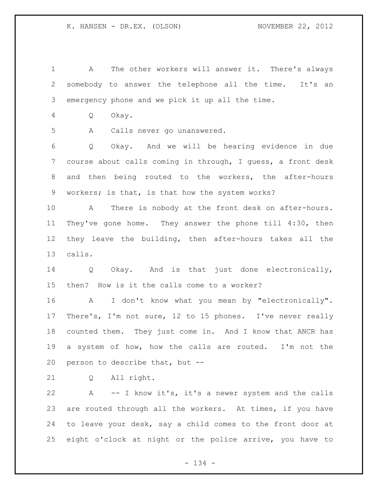A The other workers will answer it. There's always somebody to answer the telephone all the time. It's an emergency phone and we pick it up all the time.

Q Okay.

A Calls never go unanswered.

 Q Okay. And we will be hearing evidence in due course about calls coming in through, I guess, a front desk and then being routed to the workers, the after-hours workers; is that, is that how the system works?

 A There is nobody at the front desk on after-hours. They've gone home. They answer the phone till 4:30, then they leave the building, then after-hours takes all the calls.

 Q Okay. And is that just done electronically, then? How is it the calls come to a worker?

 A I don't know what you mean by "electronically". There's, I'm not sure, 12 to 15 phones. I've never really counted them. They just come in. And I know that ANCR has a system of how, how the calls are routed. I'm not the person to describe that, but --

Q All right.

 A -- I know it's, it's a newer system and the calls are routed through all the workers. At times, if you have to leave your desk, say a child comes to the front door at eight o'clock at night or the police arrive, you have to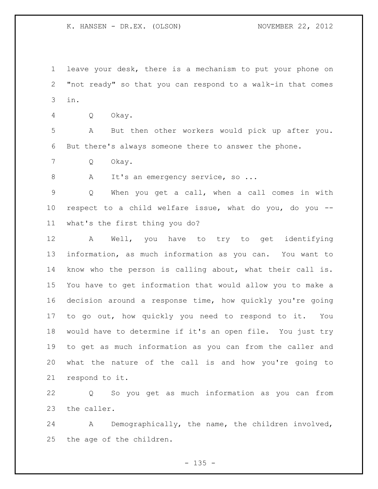leave your desk, there is a mechanism to put your phone on "not ready" so that you can respond to a walk-in that comes in.

Q Okay.

 A But then other workers would pick up after you. But there's always someone there to answer the phone.

Q Okay.

8 A It's an emergency service, so ...

 Q When you get a call, when a call comes in with respect to a child welfare issue, what do you, do you -- what's the first thing you do?

 A Well, you have to try to get identifying information, as much information as you can. You want to know who the person is calling about, what their call is. You have to get information that would allow you to make a decision around a response time, how quickly you're going to go out, how quickly you need to respond to it. You would have to determine if it's an open file. You just try to get as much information as you can from the caller and what the nature of the call is and how you're going to respond to it.

 Q So you get as much information as you can from the caller.

 A Demographically, the name, the children involved, the age of the children.

 $- 135 -$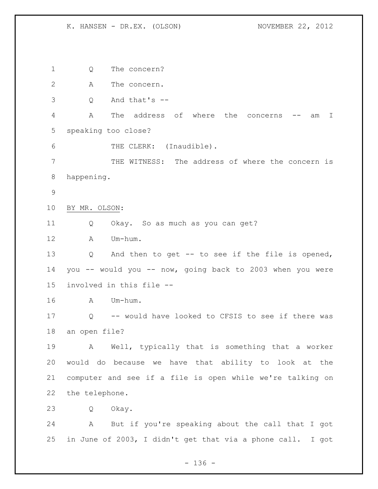Q The concern? A The concern. Q And that's -- A The address of where the concerns -- am I speaking too close? 6 THE CLERK: (Inaudible). THE WITNESS: The address of where the concern is happening. BY MR. OLSON: Q Okay. So as much as you can get? A Um-hum. Q And then to get -- to see if the file is opened, you -- would you -- now, going back to 2003 when you were involved in this file -- A Um-hum. Q -- would have looked to CFSIS to see if there was an open file? A Well, typically that is something that a worker would do because we have that ability to look at the computer and see if a file is open while we're talking on the telephone. Q Okay. A But if you're speaking about the call that I got in June of 2003, I didn't get that via a phone call. I got

- 136 -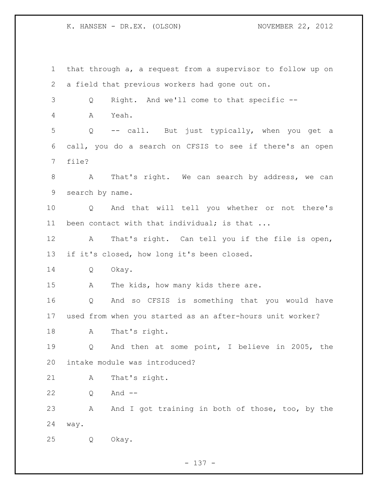that through a, a request from a supervisor to follow up on a field that previous workers had gone out on. Q Right. And we'll come to that specific -- A Yeah. Q -- call. But just typically, when you get a call, you do a search on CFSIS to see if there's an open file? 8 A That's right. We can search by address, we can search by name. Q And that will tell you whether or not there's 11 been contact with that individual; is that ... A That's right. Can tell you if the file is open, if it's closed, how long it's been closed. Q Okay. 15 A The kids, how many kids there are. Q And so CFSIS is something that you would have used from when you started as an after-hours unit worker? A That's right. Q And then at some point, I believe in 2005, the intake module was introduced? A That's right. Q And -- 23 A And I got training in both of those, too, by the way. Q Okay.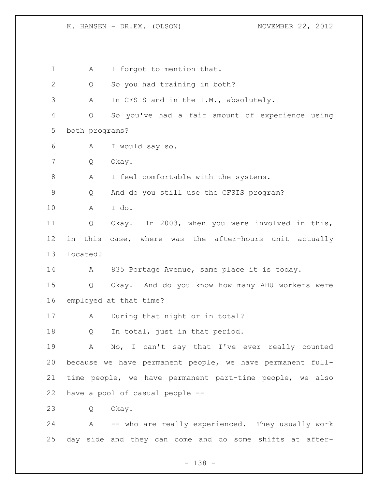1 A I forgot to mention that. 2 Q So you had training in both? A In CFSIS and in the I.M., absolutely. Q So you've had a fair amount of experience using both programs? A I would say so. Q Okay. A I feel comfortable with the systems. Q And do you still use the CFSIS program? A I do. Q Okay. In 2003, when you were involved in this, in this case, where was the after-hours unit actually located? A 835 Portage Avenue, same place it is today. Q Okay. And do you know how many AHU workers were employed at that time? A During that night or in total? 18 Q In total, just in that period. A No, I can't say that I've ever really counted because we have permanent people, we have permanent full- time people, we have permanent part-time people, we also have a pool of casual people -- Q Okay. A -- who are really experienced. They usually work day side and they can come and do some shifts at after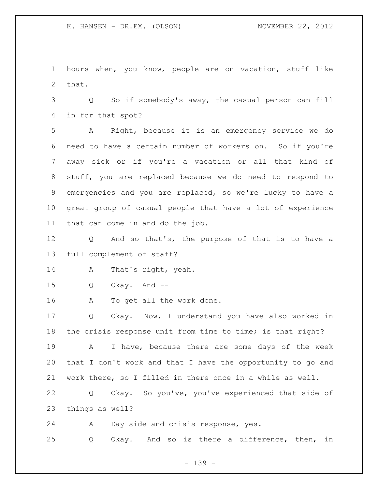hours when, you know, people are on vacation, stuff like that.

 Q So if somebody's away, the casual person can fill in for that spot?

 A Right, because it is an emergency service we do need to have a certain number of workers on. So if you're away sick or if you're a vacation or all that kind of stuff, you are replaced because we do need to respond to emergencies and you are replaced, so we're lucky to have a great group of casual people that have a lot of experience that can come in and do the job.

 Q And so that's, the purpose of that is to have a full complement of staff?

A That's right, yeah.

Q Okay. And --

A To get all the work done.

 Q Okay. Now, I understand you have also worked in the crisis response unit from time to time; is that right? A I have, because there are some days of the week that I don't work and that I have the opportunity to go and work there, so I filled in there once in a while as well.

 Q Okay. So you've, you've experienced that side of things as well?

 A Day side and crisis response, yes. Q Okay. And so is there a difference, then, in

- 139 -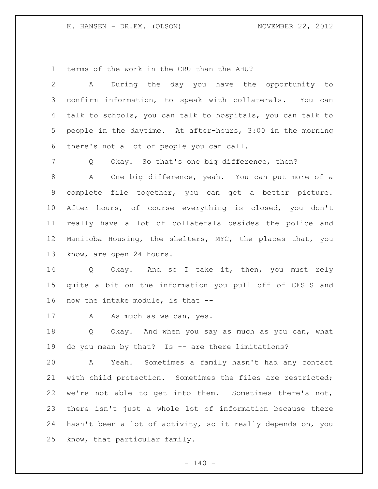terms of the work in the CRU than the AHU?

 A During the day you have the opportunity to confirm information, to speak with collaterals. You can talk to schools, you can talk to hospitals, you can talk to people in the daytime. At after-hours, 3:00 in the morning there's not a lot of people you can call.

Q Okay. So that's one big difference, then?

 A One big difference, yeah. You can put more of a complete file together, you can get a better picture. After hours, of course everything is closed, you don't really have a lot of collaterals besides the police and Manitoba Housing, the shelters, MYC, the places that, you know, are open 24 hours.

 Q Okay. And so I take it, then, you must rely quite a bit on the information you pull off of CFSIS and now the intake module, is that --

17 A As much as we can, yes.

 Q Okay. And when you say as much as you can, what do you mean by that? Is -- are there limitations?

 A Yeah. Sometimes a family hasn't had any contact with child protection. Sometimes the files are restricted; we're not able to get into them. Sometimes there's not, there isn't just a whole lot of information because there hasn't been a lot of activity, so it really depends on, you know, that particular family.

 $- 140 -$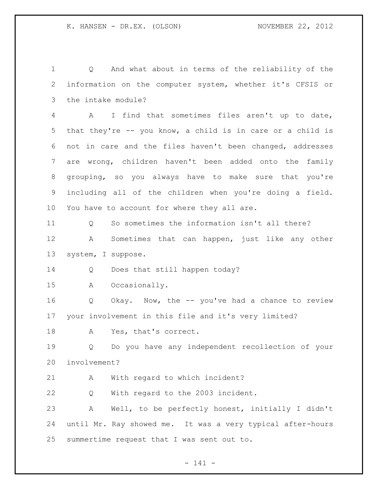Q And what about in terms of the reliability of the information on the computer system, whether it's CFSIS or the intake module? A I find that sometimes files aren't up to date, that they're -- you know, a child is in care or a child is not in care and the files haven't been changed, addresses are wrong, children haven't been added onto the family grouping, so you always have to make sure that you're including all of the children when you're doing a field. You have to account for where they all are. Q So sometimes the information isn't all there? A Sometimes that can happen, just like any other system, I suppose. Q Does that still happen today? A Occasionally. Q Okay. Now, the -- you've had a chance to review your involvement in this file and it's very limited? 18 A Yes, that's correct. Q Do you have any independent recollection of your involvement? A With regard to which incident? Q With regard to the 2003 incident. A Well, to be perfectly honest, initially I didn't until Mr. Ray showed me. It was a very typical after-hours summertime request that I was sent out to.

- 141 -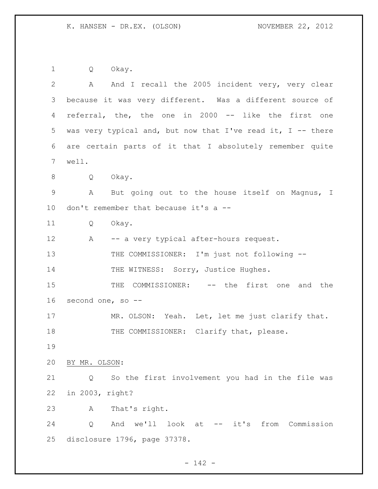Q Okay.

| $\mathbf{2}$ | And I recall the 2005 incident very, very clear<br>A        |
|--------------|-------------------------------------------------------------|
| 3            | because it was very different. Was a different source of    |
| 4            | referral, the, the one in 2000 -- like the first one        |
| 5            | was very typical and, but now that I've read it, I -- there |
| 6            | are certain parts of it that I absolutely remember quite    |
| 7            | well.                                                       |
| 8            | Okay.<br>Q                                                  |
| 9            | But going out to the house itself on Magnus, I<br>A         |
| 10           | don't remember that because it's a --                       |
| 11           | Q<br>Okay.                                                  |
| 12           | -- a very typical after-hours request.<br>A                 |
| 13           | THE COMMISSIONER: I'm just not following --                 |
| 14           | THE WITNESS: Sorry, Justice Hughes.                         |
| 15           | COMMISSIONER: -- the first one<br>THE<br>and the            |
| 16           | second one, so --                                           |
| 17           | MR. OLSON: Yeah. Let, let me just clarify that.             |
| 18           | THE COMMISSIONER: Clarify that, please.                     |
| 19           |                                                             |
| 20           | BY MR. OLSON:                                               |
| 21           | So the first involvement you had in the file was<br>Q       |
| 22           | in 2003, right?                                             |
| 23           | That's right.<br>Α                                          |
| 24           | And we'll look at -- it's from Commission<br>Q              |
| 25           | disclosure 1796, page 37378.                                |

- 142 -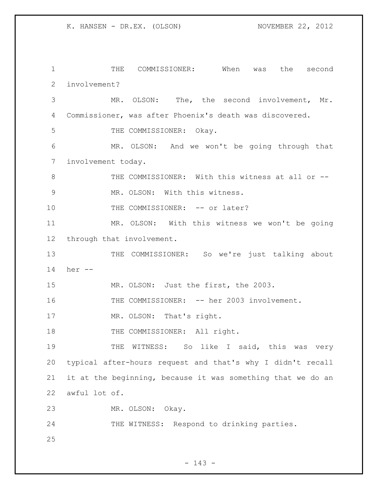THE COMMISSIONER: When was the second involvement? MR. OLSON: The, the second involvement, Mr. Commissioner, was after Phoenix's death was discovered. 5 THE COMMISSIONER: Okay. MR. OLSON: And we won't be going through that involvement today. 8 THE COMMISSIONER: With this witness at all or -- MR. OLSON: With this witness. 10 THE COMMISSIONER: -- or later? MR. OLSON: With this witness we won't be going through that involvement. 13 THE COMMISSIONER: So we're just talking about her -- MR. OLSON: Just the first, the 2003. 16 THE COMMISSIONER: -- her 2003 involvement. 17 MR. OLSON: That's right. 18 THE COMMISSIONER: All right. THE WITNESS: So like I said, this was very typical after-hours request and that's why I didn't recall it at the beginning, because it was something that we do an awful lot of. MR. OLSON: Okay. 24 THE WITNESS: Respond to drinking parties.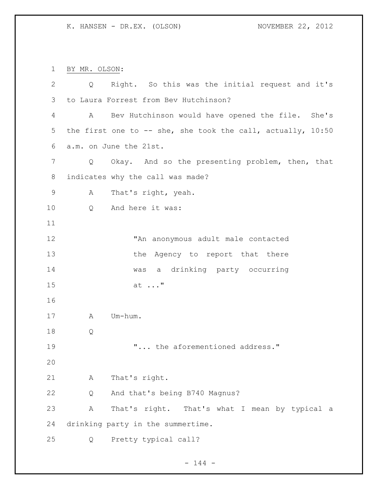BY MR. OLSON: Q Right. So this was the initial request and it's to Laura Forrest from Bev Hutchinson? A Bev Hutchinson would have opened the file. She's the first one to -- she, she took the call, actually, 10:50 a.m. on June the 21st. Q Okay. And so the presenting problem, then, that indicates why the call was made? A That's right, yeah. Q And here it was: "An anonymous adult male contacted 13 the Agency to report that there was a drinking party occurring at ..." A Um-hum. Q "... the aforementioned address." A That's right. Q And that's being B740 Magnus? A That's right. That's what I mean by typical a drinking party in the summertime.

Q Pretty typical call?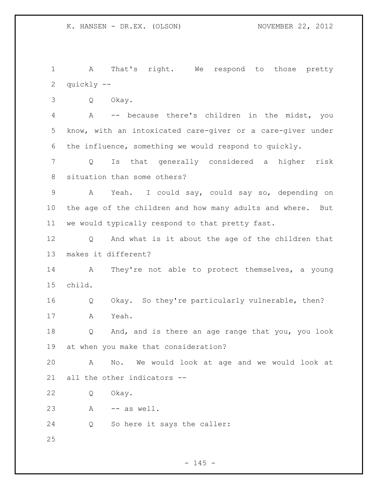A That's right. We respond to those pretty quickly --

Q Okay.

 A -- because there's children in the midst, you know, with an intoxicated care-giver or a care-giver under the influence, something we would respond to quickly.

 Q Is that generally considered a higher risk situation than some others?

 A Yeah. I could say, could say so, depending on the age of the children and how many adults and where. But we would typically respond to that pretty fast.

 Q And what is it about the age of the children that makes it different?

 A They're not able to protect themselves, a young child.

 Q Okay. So they're particularly vulnerable, then? A Yeah.

 Q And, and is there an age range that you, you look at when you make that consideration?

 A No. We would look at age and we would look at all the other indicators --

Q Okay.

A -- as well.

Q So here it says the caller: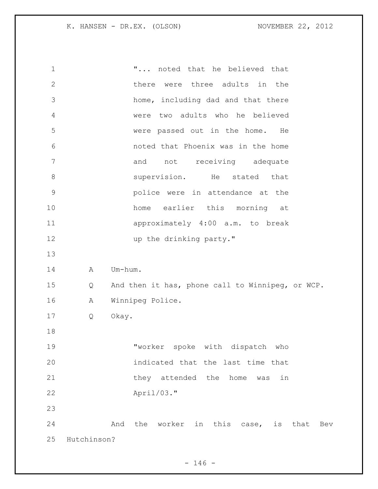"... noted that he believed that there were three adults in the home, including dad and that there were two adults who he believed were passed out in the home. He noted that Phoenix was in the home 7 and not receiving adequate **Supervision.** He stated that police were in attendance at the 10 home earlier this morning at approximately 4:00 a.m. to break 12 up the drinking party." 14 A Um-hum. Q And then it has, phone call to Winnipeg, or WCP. A Winnipeg Police. Q Okay. "worker spoke with dispatch who indicated that the last time that 21 they attended the home was in April/03." 24 And the worker in this case, is that Bev Hutchinson?

 $- 146 -$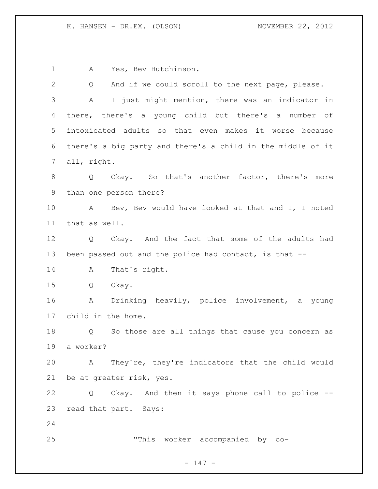A Yes, Bev Hutchinson.

| 2  | And if we could scroll to the next page, please.<br>Q                  |
|----|------------------------------------------------------------------------|
| 3  | I just might mention, there was an indicator in<br>A                   |
| 4  | there, there's a young child but there's a number of                   |
| 5  | intoxicated adults so that even makes it worse because                 |
| 6  | there's a big party and there's a child in the middle of it            |
| 7  | all, right.                                                            |
| 8  | Okay. So that's another factor, there's more<br>$Q \qquad \qquad$      |
| 9  | than one person there?                                                 |
| 10 | Bev, Bev would have looked at that and I, I noted<br>A                 |
| 11 | that as well.                                                          |
| 12 | Q Okay. And the fact that some of the adults had                       |
| 13 | been passed out and the police had contact, is that --                 |
| 14 | That's right.<br>Α                                                     |
| 15 | Q<br>Okay.                                                             |
| 16 | Drinking heavily, police involvement, a young<br>A                     |
| 17 | child in the home.                                                     |
| 18 | So those are all things that cause you concern as<br>$Q \qquad \qquad$ |
| 19 | a worker?                                                              |
| 20 | A They're, they're indicators that the child would                     |
| 21 | be at greater risk, yes.                                               |
| 22 | Okay. And then it says phone call to police --<br>Q                    |
| 23 | read that part. Says:                                                  |
| 24 |                                                                        |
| 25 | "This worker accompanied by co-                                        |
|    |                                                                        |

- 147 -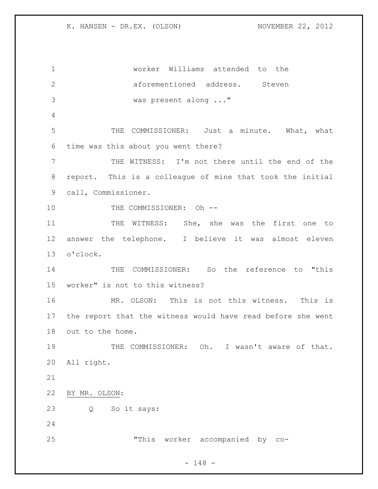worker Williams attended to the aforementioned address. Steven was present along ..." THE COMMISSIONER: Just a minute. What, what time was this about you went there? THE WITNESS: I'm not there until the end of the report. This is a colleague of mine that took the initial call, Commissioner. 10 THE COMMISSIONER: Oh --11 THE WITNESS: She, she was the first one to answer the telephone. I believe it was almost eleven o'clock. THE COMMISSIONER: So the reference to "this worker" is not to this witness? MR. OLSON: This is not this witness. This is the report that the witness would have read before she went out to the home. THE COMMISSIONER: Oh. I wasn't aware of that. All right. BY MR. OLSON: Q So it says: "This worker accompanied by co-

- 148 -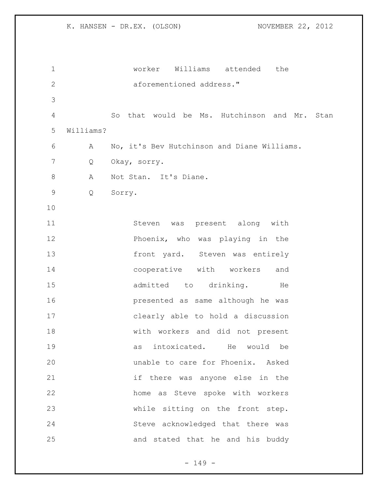worker Williams attended the aforementioned address." So that would be Ms. Hutchinson and Mr. Stan Williams? A No, it's Bev Hutchinson and Diane Williams. Q Okay, sorry. 8 A Not Stan. It's Diane. Q Sorry. Steven was present along with Phoenix, who was playing in the 13 front yard. Steven was entirely cooperative with workers and 15 admitted to drinking. He presented as same although he was clearly able to hold a discussion with workers and did not present as intoxicated. He would be unable to care for Phoenix. Asked if there was anyone else in the home as Steve spoke with workers while sitting on the front step. Steve acknowledged that there was and stated that he and his buddy

- 149 -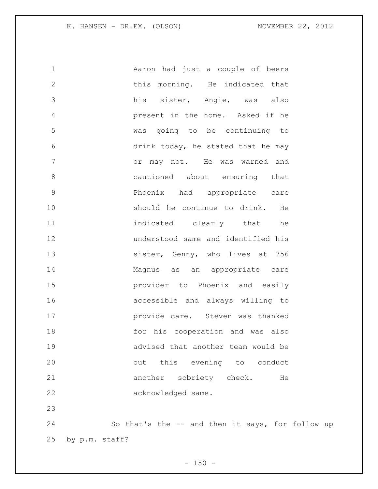| $\mathbf 1$   | Aaron had just a couple of beers   |
|---------------|------------------------------------|
| $\mathbf{2}$  | this morning. He indicated that    |
| 3             | his sister, Angie, was also        |
| 4             | present in the home. Asked if he   |
| 5             | was going to be continuing to      |
| 6             | drink today, he stated that he may |
| 7             | or may not. He was warned and      |
| $8\,$         | cautioned about ensuring that      |
| $\mathcal{G}$ | Phoenix had appropriate care       |
| 10            | should he continue to drink. He    |
| 11            | indicated clearly that he          |
| 12            | understood same and identified his |
| 13            | sister, Genny, who lives at 756    |
| 14            | Magnus as an appropriate care      |
| 15            | provider to Phoenix and easily     |
| 16            | accessible and always willing to   |
| 17            | provide care. Steven was thanked   |
| 18            | for his cooperation and was also   |
| 19            | advised that another team would be |
| 20            | this evening to conduct<br>out     |
| 21            | another sobriety check.<br>He      |
| 22            | acknowledged same.                 |
| 23            |                                    |
|               |                                    |

 So that's the -- and then it says, for follow up by p.m. staff?

 $- 150 -$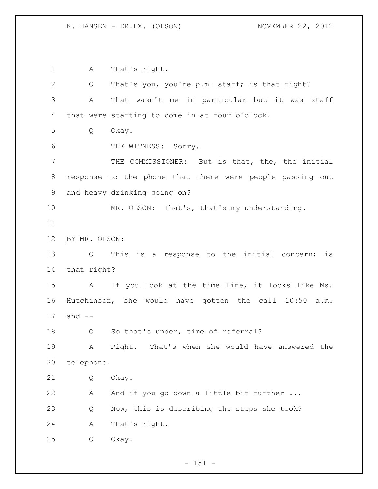A That's right. Q That's you, you're p.m. staff; is that right? A That wasn't me in particular but it was staff that were starting to come in at four o'clock. Q Okay. THE WITNESS: Sorry. THE COMMISSIONER: But is that, the, the initial response to the phone that there were people passing out and heavy drinking going on? MR. OLSON: That's, that's my understanding. BY MR. OLSON: Q This is a response to the initial concern; is that right? A If you look at the time line, it looks like Ms. Hutchinson, she would have gotten the call 10:50 a.m. and -- 18 Q So that's under, time of referral? A Right. That's when she would have answered the telephone. Q Okay. A And if you go down a little bit further ... Q Now, this is describing the steps she took? A That's right. Q Okay.

- 151 -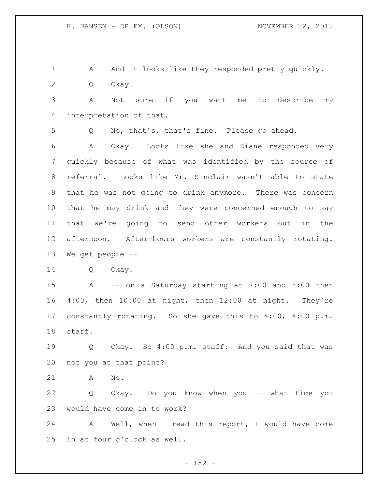1 A And it looks like they responded pretty quickly. Q Okay.

 A Not sure if you want me to describe my interpretation of that.

Q No, that's, that's fine. Please go ahead.

 A Okay. Looks like she and Diane responded very quickly because of what was identified by the source of referral. Looks like Mr. Sinclair wasn't able to state that he was not going to drink anymore. There was concern that he may drink and they were concerned enough to say that we're going to send other workers out in the afternoon. After-hours workers are constantly rotating. We get people --

Q Okay.

 A -- on a Saturday starting at 7:00 and 8:00 then 4:00, then 10:00 at night, then 12:00 at night. They're constantly rotating. So she gave this to 4:00, 4:00 p.m. staff.

 Q Okay. So 4:00 p.m. staff. And you said that was not you at that point?

A No.

 Q Okay. Do you know when you -- what time you would have come in to work?

 A Well, when I read this report, I would have come in at four o'clock as well.

 $- 152 -$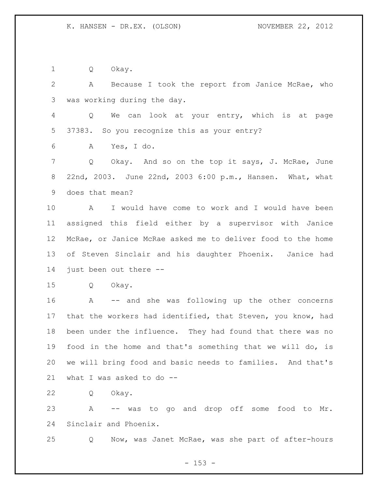Q Okay.

 A Because I took the report from Janice McRae, who was working during the day.

 Q We can look at your entry, which is at page 37383. So you recognize this as your entry?

A Yes, I do.

7 Q Okay. And so on the top it says, J. McRae, June 22nd, 2003. June 22nd, 2003 6:00 p.m., Hansen. What, what does that mean?

 A I would have come to work and I would have been assigned this field either by a supervisor with Janice McRae, or Janice McRae asked me to deliver food to the home of Steven Sinclair and his daughter Phoenix. Janice had just been out there --

Q Okay.

 A -- and she was following up the other concerns that the workers had identified, that Steven, you know, had been under the influence. They had found that there was no food in the home and that's something that we will do, is we will bring food and basic needs to families. And that's what I was asked to do --

Q Okay.

 A -- was to go and drop off some food to Mr. Sinclair and Phoenix.

Q Now, was Janet McRae, was she part of after-hours

 $- 153 -$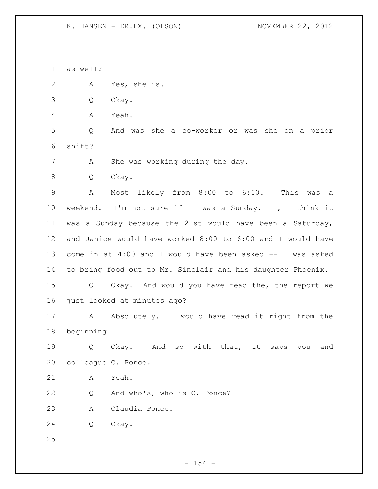as well?

A Yes, she is.

Q Okay.

A Yeah.

 Q And was she a co-worker or was she on a prior shift?

A She was working during the day.

Q Okay.

 A Most likely from 8:00 to 6:00. This was a weekend. I'm not sure if it was a Sunday. I, I think it was a Sunday because the 21st would have been a Saturday, and Janice would have worked 8:00 to 6:00 and I would have come in at 4:00 and I would have been asked -- I was asked to bring food out to Mr. Sinclair and his daughter Phoenix.

 Q Okay. And would you have read the, the report we just looked at minutes ago?

17 A Absolutely. I would have read it right from the beginning.

 Q Okay. And so with that, it says you and colleague C. Ponce.

A Yeah.

Q And who's, who is C. Ponce?

A Claudia Ponce.

Q Okay.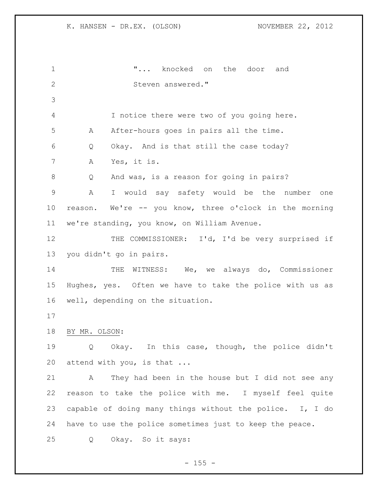"... knocked on the door and 2 Steven answered." I notice there were two of you going here. A After-hours goes in pairs all the time. Q Okay. And is that still the case today? A Yes, it is. Q And was, is a reason for going in pairs? A I would say safety would be the number one reason. We're -- you know, three o'clock in the morning we're standing, you know, on William Avenue. 12 THE COMMISSIONER: I'd, I'd be very surprised if you didn't go in pairs. 14 THE WITNESS: We, we always do, Commissioner Hughes, yes. Often we have to take the police with us as well, depending on the situation. BY MR. OLSON: Q Okay. In this case, though, the police didn't 20 attend with you, is that ... A They had been in the house but I did not see any reason to take the police with me. I myself feel quite capable of doing many things without the police. I, I do have to use the police sometimes just to keep the peace. Q Okay. So it says: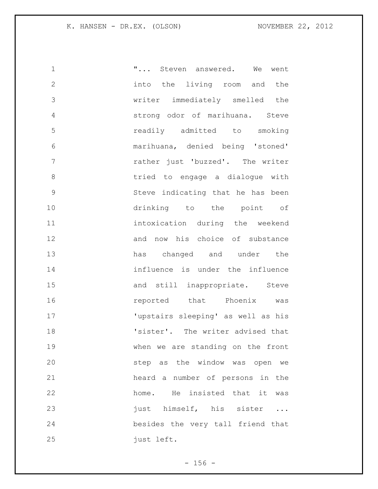| $\mathbf 1$    | " Steven answered. We went         |
|----------------|------------------------------------|
| $\overline{2}$ | into the living room and the       |
| $\mathcal{S}$  | writer immediately smelled the     |
| $\overline{4}$ | strong odor of marihuana. Steve    |
| 5              | readily admitted to smoking        |
| 6              | marihuana, denied being 'stoned'   |
| 7              | rather just 'buzzed'. The writer   |
| $8\,$          | tried to engage a dialogue with    |
| $\mathsf 9$    | Steve indicating that he has been  |
| 10             | drinking to the point of           |
| 11             | intoxication during the weekend    |
| 12             | and now his choice of substance    |
| 13             | has changed and under the          |
| 14             | influence is under the influence   |
| 15             | and still inappropriate. Steve     |
| 16             | reported that Phoenix was          |
| 17             | 'upstairs sleeping' as well as his |
| 18             | 'sister'. The writer advised that  |
| 19             | when we are standing on the front  |
| 20             | step as the window was open we     |
| 21             | heard a number of persons in the   |
| 22             | home. He insisted that it was      |
| 23             | just himself, his sister           |
| 24             | besides the very tall friend that  |
| 25             | just left.                         |

- 156 -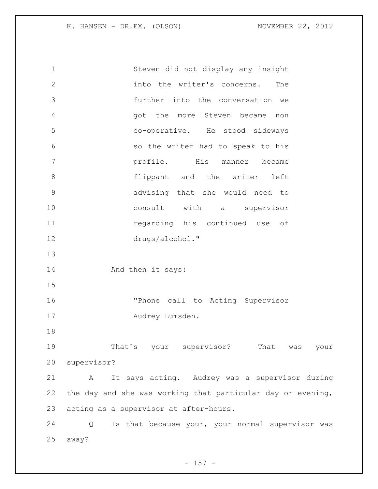Steven did not display any insight into the writer's concerns. The further into the conversation we got the more Steven became non co-operative. He stood sideways so the writer had to speak to his profile. His manner became **flippant** and the writer left advising that she would need to consult with a supervisor regarding his continued use of drugs/alcohol." 14 And then it says: "Phone call to Acting Supervisor 17 Audrey Lumsden. That's your supervisor? That was your supervisor? A It says acting. Audrey was a supervisor during the day and she was working that particular day or evening, acting as a supervisor at after-hours. Q Is that because your, your normal supervisor was away?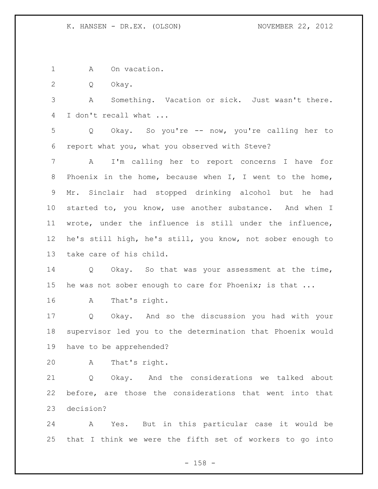1 A On vacation.

Q Okay.

 A Something. Vacation or sick. Just wasn't there. I don't recall what ...

 Q Okay. So you're -- now, you're calling her to report what you, what you observed with Steve?

 A I'm calling her to report concerns I have for Phoenix in the home, because when I, I went to the home, Mr. Sinclair had stopped drinking alcohol but he had started to, you know, use another substance. And when I wrote, under the influence is still under the influence, he's still high, he's still, you know, not sober enough to take care of his child.

 Q Okay. So that was your assessment at the time, 15 he was not sober enough to care for Phoenix; is that ...

A That's right.

 Q Okay. And so the discussion you had with your supervisor led you to the determination that Phoenix would have to be apprehended?

A That's right.

 Q Okay. And the considerations we talked about before, are those the considerations that went into that decision?

 A Yes. But in this particular case it would be that I think we were the fifth set of workers to go into

- 158 -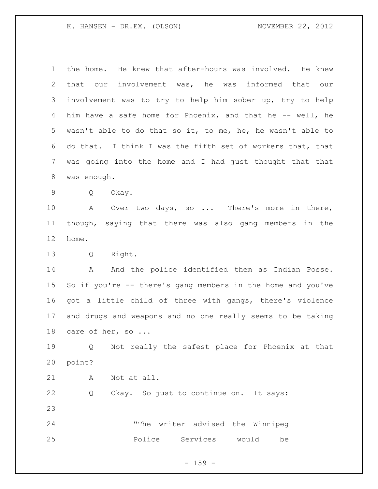the home. He knew that after-hours was involved. He knew that our involvement was, he was informed that our involvement was to try to help him sober up, try to help him have a safe home for Phoenix, and that he -- well, he wasn't able to do that so it, to me, he, he wasn't able to do that. I think I was the fifth set of workers that, that was going into the home and I had just thought that that was enough.

Q Okay.

 A Over two days, so ... There's more in there, though, saying that there was also gang members in the home.

Q Right.

14 A And the police identified them as Indian Posse. So if you're -- there's gang members in the home and you've got a little child of three with gangs, there's violence and drugs and weapons and no one really seems to be taking 18 care of her, so ...

 Q Not really the safest place for Phoenix at that point?

A Not at all.

 Q Okay. So just to continue on. It says: 

 "The writer advised the Winnipeg Police Services would be

 $- 159 -$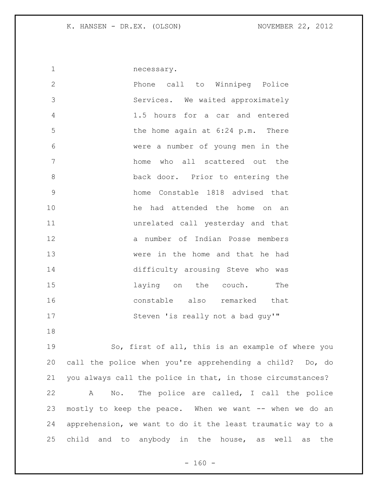necessary. Phone call to Winnipeg Police Services. We waited approximately 1.5 hours for a car and entered the home again at 6:24 p.m. There were a number of young men in the home who all scattered out the back door. Prior to entering the home Constable 1818 advised that he had attended the home on an unrelated call yesterday and that a number of Indian Posse members were in the home and that he had difficulty arousing Steve who was **15** laying on the couch. The constable also remarked that 17 Steven 'is really not a bad guy'" 

 So, first of all, this is an example of where you call the police when you're apprehending a child? Do, do you always call the police in that, in those circumstances? A No. The police are called, I call the police mostly to keep the peace. When we want -- when we do an apprehension, we want to do it the least traumatic way to a child and to anybody in the house, as well as the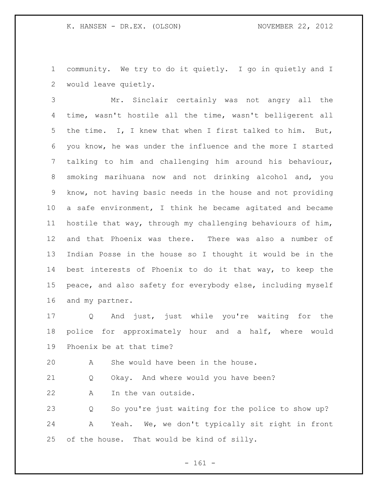community. We try to do it quietly. I go in quietly and I would leave quietly.

 Mr. Sinclair certainly was not angry all the time, wasn't hostile all the time, wasn't belligerent all the time. I, I knew that when I first talked to him. But, you know, he was under the influence and the more I started talking to him and challenging him around his behaviour, smoking marihuana now and not drinking alcohol and, you know, not having basic needs in the house and not providing a safe environment, I think he became agitated and became hostile that way, through my challenging behaviours of him, and that Phoenix was there. There was also a number of Indian Posse in the house so I thought it would be in the best interests of Phoenix to do it that way, to keep the peace, and also safety for everybody else, including myself and my partner.

 Q And just, just while you're waiting for the police for approximately hour and a half, where would Phoenix be at that time?

A She would have been in the house.

Q Okay. And where would you have been?

A In the van outside.

 Q So you're just waiting for the police to show up? A Yeah. We, we don't typically sit right in front of the house. That would be kind of silly.

- 161 -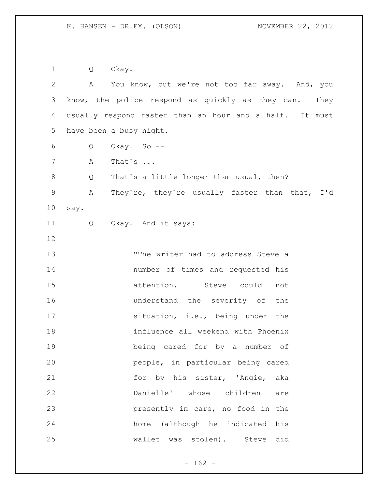Q Okay.

 A You know, but we're not too far away. And, you know, the police respond as quickly as they can. They usually respond faster than an hour and a half. It must have been a busy night. Q Okay. So -- A That's ... 8 Q That's a little longer than usual, then? A They're, they're usually faster than that, I'd say. Q Okay. And it says: "The writer had to address Steve a number of times and requested his attention. Steve could not **16** understand the severity of the 17 situation, i.e., being under the influence all weekend with Phoenix being cared for by a number of people, in particular being cared for by his sister, 'Angie, aka Danielle' whose children are presently in care, no food in the home (although he indicated his wallet was stolen). Steve did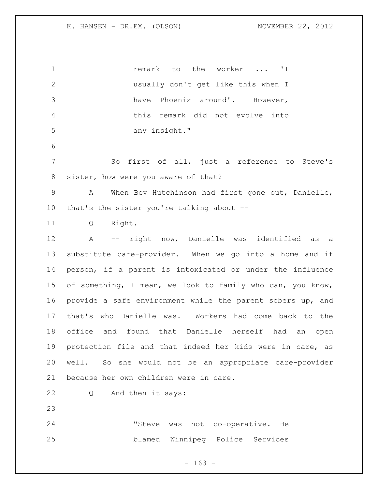1 1 **remark** to the worker ... 'I usually don't get like this when I have Phoenix around'. However, this remark did not evolve into any insight." So first of all, just a reference to Steve's sister, how were you aware of that? A When Bev Hutchinson had first gone out, Danielle, that's the sister you're talking about -- Q Right. A -- right now, Danielle was identified as a substitute care-provider. When we go into a home and if person, if a parent is intoxicated or under the influence of something, I mean, we look to family who can, you know, provide a safe environment while the parent sobers up, and that's who Danielle was. Workers had come back to the office and found that Danielle herself had an open protection file and that indeed her kids were in care, as well. So she would not be an appropriate care-provider because her own children were in care. Q And then it says: "Steve was not co-operative. He blamed Winnipeg Police Services

 $- 163 -$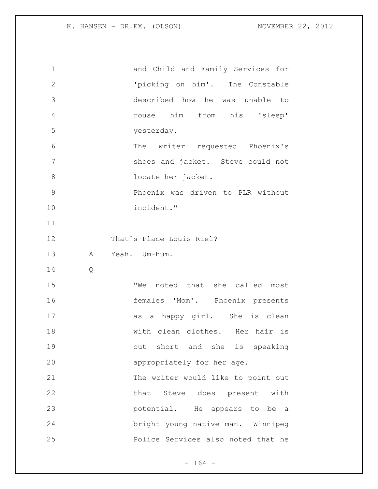| 1            | and Child and Family Services for  |
|--------------|------------------------------------|
| $\mathbf{2}$ | 'picking on him'. The Constable    |
| 3            | described how he was unable to     |
| 4            | rouse him from his 'sleep'         |
| 5            | yesterday.                         |
| 6            | The writer requested Phoenix's     |
| 7            | shoes and jacket. Steve could not  |
| 8            | locate her jacket.                 |
| $\mathsf 9$  | Phoenix was driven to PLR without  |
| 10           | incident."                         |
| 11           |                                    |
| 12           | That's Place Louis Riel?           |
| 13           | Α<br>Yeah. Um-hum.                 |
| 14           | $\mathsf{Q}$                       |
| 15           | "We noted that she called most     |
| 16           | females 'Mom'. Phoenix presents    |
| 17           | as a happy girl. She is clean      |
| 18           | with clean clothes. Her hair is    |
| 19           | cut short and she is speaking      |
| 20           | appropriately for her age.         |
| 21           | The writer would like to point out |
| 22           | that Steve does present with       |
| 23           | potential. He appears to be a      |
|              |                                    |
| 24           | bright young native man. Winnipeg  |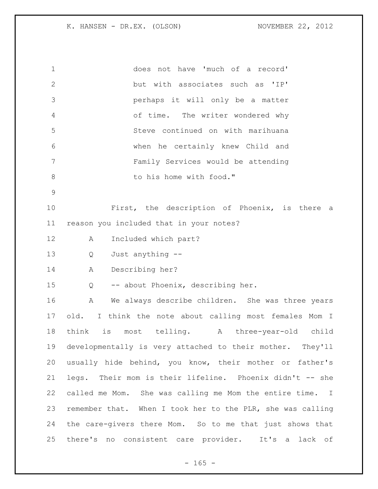| $\mathbf 1$     | does not have 'much of a record'                           |
|-----------------|------------------------------------------------------------|
| $\mathbf{2}$    | but with associates such as 'IP'                           |
| 3               | perhaps it will only be a matter                           |
| $\overline{4}$  | of time. The writer wondered why                           |
| 5               | Steve continued on with marihuana                          |
| 6               | when he certainly knew Child and                           |
| $7\phantom{.0}$ | Family Services would be attending                         |
| $8\,$           | to his home with food."                                    |
| $\mathsf 9$     |                                                            |
| 10              | First, the description of Phoenix, is there a              |
| 11              | reason you included that in your notes?                    |
| 12              | Included which part?<br>A                                  |
| 13              | Just anything --<br>Q                                      |
| 14              | Describing her?<br>A                                       |
| 15              | -- about Phoenix, describing her.<br>Q                     |
| 16              | We always describe children. She was three years<br>A      |
| 17              | old. I think the note about calling most females Mom I     |
| 18              | think is most telling.<br>A three-year-old child           |
| 19              | developmentally is very attached to their mother. They'll  |
| 20              | usually hide behind, you know, their mother or father's    |
| 21              | legs. Their mom is their lifeline. Phoenix didn't -- she   |
| 22              | called me Mom. She was calling me Mom the entire time. I   |
| 23              | remember that. When I took her to the PLR, she was calling |
| 24              | the care-givers there Mom. So to me that just shows that   |
| 25              | there's no consistent care provider. It's a lack of        |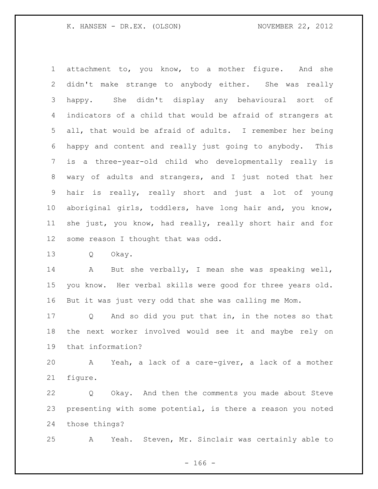attachment to, you know, to a mother figure. And she didn't make strange to anybody either. She was really happy. She didn't display any behavioural sort of indicators of a child that would be afraid of strangers at all, that would be afraid of adults. I remember her being happy and content and really just going to anybody. This is a three-year-old child who developmentally really is wary of adults and strangers, and I just noted that her hair is really, really short and just a lot of young aboriginal girls, toddlers, have long hair and, you know, she just, you know, had really, really short hair and for some reason I thought that was odd.

Q Okay.

 A But she verbally, I mean she was speaking well, you know. Her verbal skills were good for three years old. But it was just very odd that she was calling me Mom.

 Q And so did you put that in, in the notes so that the next worker involved would see it and maybe rely on that information?

 A Yeah, a lack of a care-giver, a lack of a mother figure.

 Q Okay. And then the comments you made about Steve presenting with some potential, is there a reason you noted those things?

A Yeah. Steven, Mr. Sinclair was certainly able to

- 166 -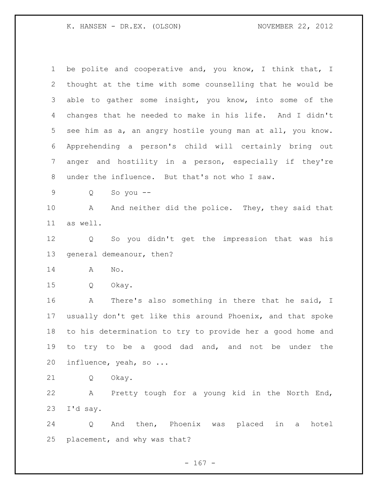be polite and cooperative and, you know, I think that, I thought at the time with some counselling that he would be able to gather some insight, you know, into some of the changes that he needed to make in his life. And I didn't see him as a, an angry hostile young man at all, you know. Apprehending a person's child will certainly bring out anger and hostility in a person, especially if they're under the influence. But that's not who I saw. Q So you -- 10 A And neither did the police. They, they said that as well. Q So you didn't get the impression that was his general demeanour, then? A No. Q Okay. A There's also something in there that he said, I usually don't get like this around Phoenix, and that spoke to his determination to try to provide her a good home and to try to be a good dad and, and not be under the influence, yeah, so ... Q Okay. A Pretty tough for a young kid in the North End, I'd say. Q And then, Phoenix was placed in a hotel placement, and why was that?

- 167 -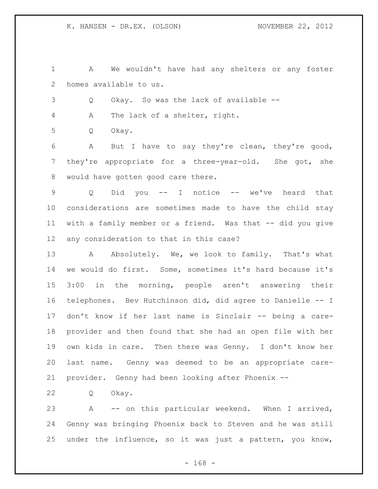A We wouldn't have had any shelters or any foster homes available to us.

Q Okay. So was the lack of available --

A The lack of a shelter, right.

Q Okay.

 A But I have to say they're clean, they're good, they're appropriate for a three-year-old. She got, she would have gotten good care there.

 Q Did you -- I notice -- we've heard that considerations are sometimes made to have the child stay with a family member or a friend. Was that -- did you give any consideration to that in this case?

13 A Absolutely. We, we look to family. That's what we would do first. Some, sometimes it's hard because it's 3:00 in the morning, people aren't answering their telephones. Bev Hutchinson did, did agree to Danielle -- I don't know if her last name is Sinclair -- being a care- provider and then found that she had an open file with her own kids in care. Then there was Genny. I don't know her last name. Genny was deemed to be an appropriate care-provider. Genny had been looking after Phoenix --

Q Okay.

 A -- on this particular weekend. When I arrived, Genny was bringing Phoenix back to Steven and he was still under the influence, so it was just a pattern, you know,

- 168 -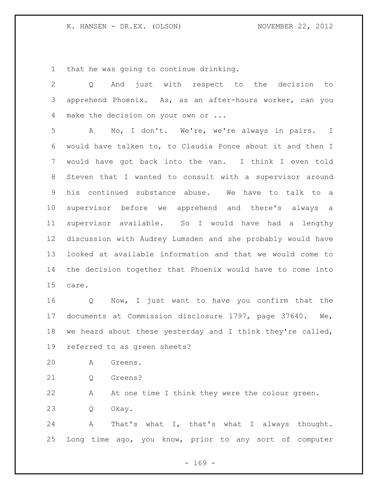that he was going to continue drinking.

| $\overline{2}$ | just with respect to the decision to<br>And<br>$Q \qquad \qquad$ |
|----------------|------------------------------------------------------------------|
| 3              | apprehend Phoenix. As, as an after-hours worker, can you         |
| 4              | make the decision on your own or                                 |
| 5              | No, I don't. We're, we're always in pairs. I<br>A                |
| 6              | would have talken to, to Claudia Ponce about it and then I       |
| 7              | would have got back into the van. I think I even told            |
| 8              | Steven that I wanted to consult with a supervisor around         |
| 9              | his continued substance abuse. We have to talk to a              |
| 10             | supervisor before we apprehend and there's always a              |
| 11             | supervisor available. So I would have had a lengthy              |
| 12             | discussion with Audrey Lumsden and she probably would have       |
| 13             | looked at available information and that we would come to        |
| 14             | the decision together that Phoenix would have to come into       |
| 15             | care.                                                            |
| 16             | Q Now, I just want to have you confirm that the                  |
| 17             | documents at Commission disclosure 1797, page 37640. We,         |
| 18             | we heard about these yesterday and I think they're called,       |
| 19             | referred to as green sheets?                                     |
| 20             | А<br>Greens.                                                     |
| 21             | Greens?<br>Q                                                     |
| 22             | At one time I think they were the colour green.<br>А             |
| 23             | Okay.<br>Q                                                       |
| 24             | That's what I, that's what I always thought.<br>Α                |
| 25             | Long time ago, you know, prior to any sort of computer           |

- 169 -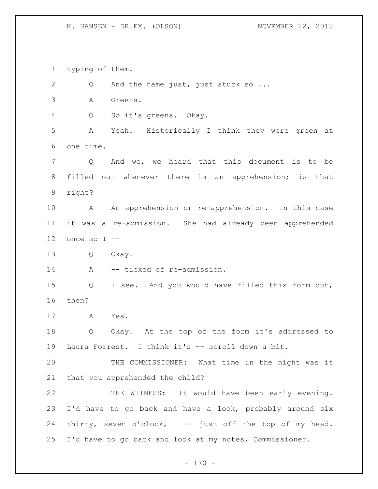typing of them. 2 Q And the name just, just stuck so ... A Greens. Q So it's greens. Okay. A Yeah. Historically I think they were green at one time. Q And we, we heard that this document is to be filled out whenever there is an apprehension; is that right? A An apprehension or re-apprehension. In this case it was a re-admission. She had already been apprehended once so I  $-$  Q Okay. 14 A -- ticked of re-admission. Q I see. And you would have filled this form out, then? A Yes. Q Okay. At the top of the form it's addressed to Laura Forrest. I think it's -- scroll down a bit. THE COMMISSIONER: What time in the night was it that you apprehended the child? THE WITNESS: It would have been early evening. I'd have to go back and have a look, probably around six thirty, seven o'clock, I -- just off the top of my head. I'd have to go back and look at my notes, Commissioner.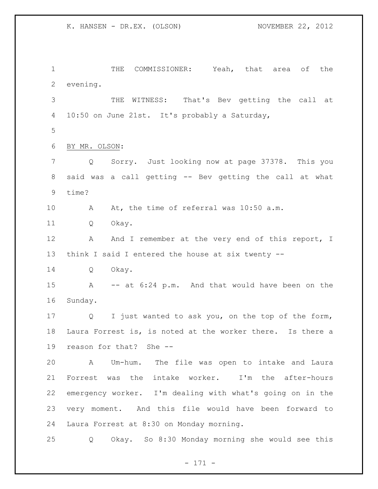THE COMMISSIONER: Yeah, that area of the evening. THE WITNESS: That's Bev getting the call at 10:50 on June 21st. It's probably a Saturday, BY MR. OLSON: Q Sorry. Just looking now at page 37378. This you said was a call getting -- Bev getting the call at what time? A At, the time of referral was 10:50 a.m. Q Okay. 12 A And I remember at the very end of this report, I think I said I entered the house at six twenty -- Q Okay. A -- at 6:24 p.m. And that would have been on the Sunday. Q I just wanted to ask you, on the top of the form, Laura Forrest is, is noted at the worker there. Is there a reason for that? She -- A Um-hum. The file was open to intake and Laura Forrest was the intake worker. I'm the after-hours emergency worker. I'm dealing with what's going on in the very moment. And this file would have been forward to Laura Forrest at 8:30 on Monday morning. Q Okay. So 8:30 Monday morning she would see this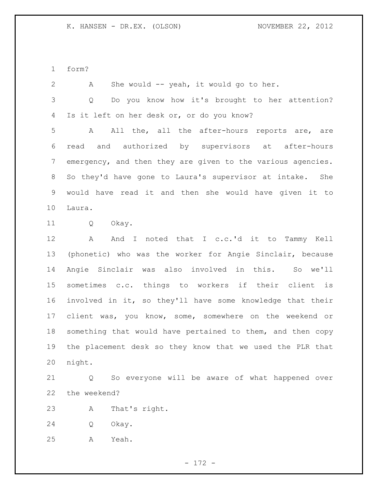form?

 A She would -- yeah, it would go to her. Q Do you know how it's brought to her attention? Is it left on her desk or, or do you know? A All the, all the after-hours reports are, are read and authorized by supervisors at after-hours emergency, and then they are given to the various agencies. So they'd have gone to Laura's supervisor at intake. She would have read it and then she would have given it to Laura. Q Okay. A And I noted that I c.c.'d it to Tammy Kell (phonetic) who was the worker for Angie Sinclair, because Angie Sinclair was also involved in this. So we'll sometimes c.c. things to workers if their client is involved in it, so they'll have some knowledge that their 17 client was, you know, some, somewhere on the weekend or something that would have pertained to them, and then copy the placement desk so they know that we used the PLR that night.

 Q So everyone will be aware of what happened over the weekend?

A That's right.

Q Okay.

A Yeah.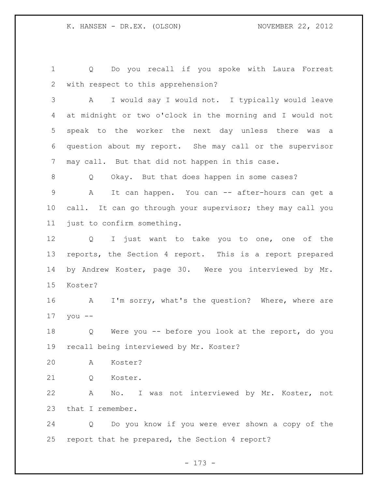Q Do you recall if you spoke with Laura Forrest with respect to this apprehension?

 A I would say I would not. I typically would leave at midnight or two o'clock in the morning and I would not speak to the worker the next day unless there was a question about my report. She may call or the supervisor may call. But that did not happen in this case.

Q Okay. But that does happen in some cases?

 A It can happen. You can -- after-hours can get a 10 call. It can go through your supervisor; they may call you just to confirm something.

 Q I just want to take you to one, one of the reports, the Section 4 report. This is a report prepared by Andrew Koster, page 30. Were you interviewed by Mr. Koster?

 A I'm sorry, what's the question? Where, where are you --

 Q Were you -- before you look at the report, do you recall being interviewed by Mr. Koster?

A Koster?

Q Koster.

 A No. I was not interviewed by Mr. Koster, not that I remember.

 Q Do you know if you were ever shown a copy of the report that he prepared, the Section 4 report?

- 173 -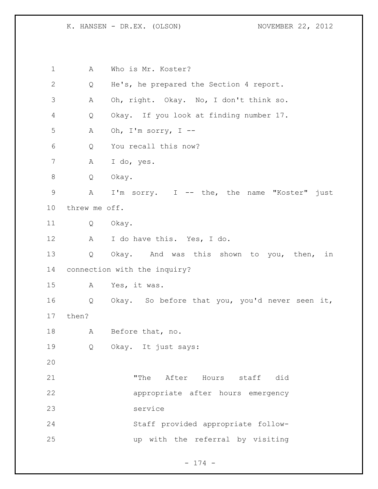A Who is Mr. Koster? Q He's, he prepared the Section 4 report. A Oh, right. Okay. No, I don't think so. Q Okay. If you look at finding number 17. 5 A Oh, I'm sorry,  $I$  -- Q You recall this now? A I do, yes. Q Okay. A I'm sorry. I -- the, the name "Koster" just threw me off. Q Okay. A I do have this. Yes, I do. Q Okay. And was this shown to you, then, in connection with the inquiry? A Yes, it was. Q Okay. So before that you, you'd never seen it, then? A Before that, no. Q Okay. It just says: "The After Hours staff did appropriate after hours emergency service Staff provided appropriate follow-up with the referral by visiting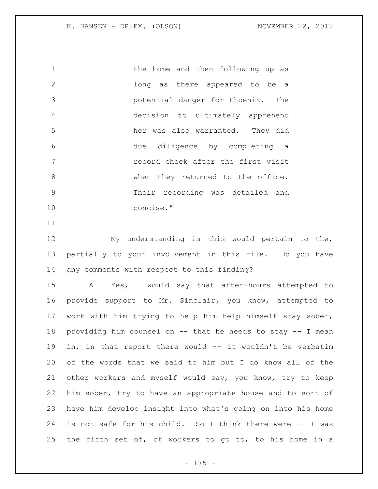the home and then following up as long as there appeared to be a potential danger for Phoenix. The decision to ultimately apprehend her was also warranted. They did due diligence by completing a record check after the first visit 8 When they returned to the office. Their recording was detailed and concise."

 My understanding is this would pertain to the, partially to your involvement in this file. Do you have any comments with respect to this finding?

 A Yes, I would say that after-hours attempted to provide support to Mr. Sinclair, you know, attempted to work with him trying to help him help himself stay sober, providing him counsel on -- that he needs to stay -- I mean in, in that report there would -- it wouldn't be verbatim of the words that we said to him but I do know all of the other workers and myself would say, you know, try to keep him sober, try to have an appropriate house and to sort of have him develop insight into what's going on into his home is not safe for his child. So I think there were -- I was the fifth set of, of workers to go to, to his home in a

- 175 -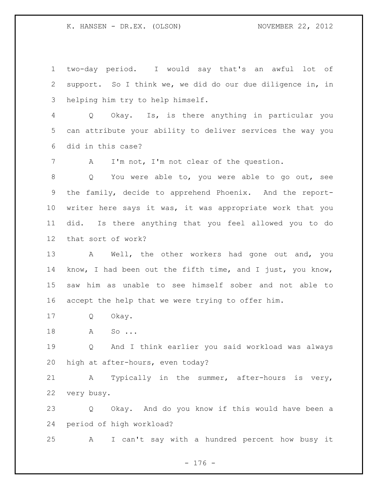two-day period. I would say that's an awful lot of support. So I think we, we did do our due diligence in, in helping him try to help himself.

 Q Okay. Is, is there anything in particular you can attribute your ability to deliver services the way you did in this case?

A I'm not, I'm not clear of the question.

 Q You were able to, you were able to go out, see the family, decide to apprehend Phoenix. And the report- writer here says it was, it was appropriate work that you did. Is there anything that you feel allowed you to do that sort of work?

 A Well, the other workers had gone out and, you know, I had been out the fifth time, and I just, you know, saw him as unable to see himself sober and not able to accept the help that we were trying to offer him.

Q Okay.

18 A So...

 Q And I think earlier you said workload was always high at after-hours, even today?

 A Typically in the summer, after-hours is very, very busy.

 Q Okay. And do you know if this would have been a period of high workload?

A I can't say with a hundred percent how busy it

- 176 -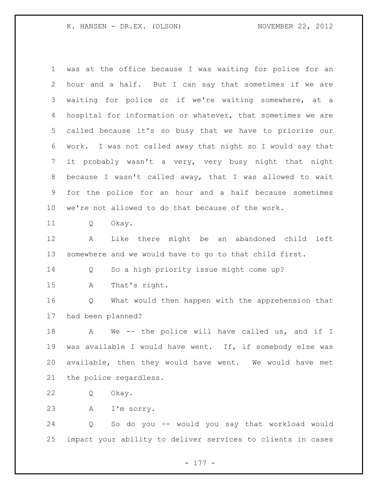was at the office because I was waiting for police for an hour and a half. But I can say that sometimes if we are waiting for police or if we're waiting somewhere, at a hospital for information or whatever, that sometimes we are called because it's so busy that we have to priorize our work. I was not called away that night so I would say that it probably wasn't a very, very busy night that night because I wasn't called away, that I was allowed to wait for the police for an hour and a half because sometimes we're not allowed to do that because of the work. Q Okay. A Like there might be an abandoned child left somewhere and we would have to go to that child first. Q So a high priority issue might come up? A That's right. Q What would then happen with the apprehension that had been planned? 18 A We -- the police will have called us, and if I was available I would have went. If, if somebody else was available, then they would have went. We would have met

the police regardless.

Q Okay.

A I'm sorry.

 Q So do you -- would you say that workload would impact your ability to deliver services to clients in cases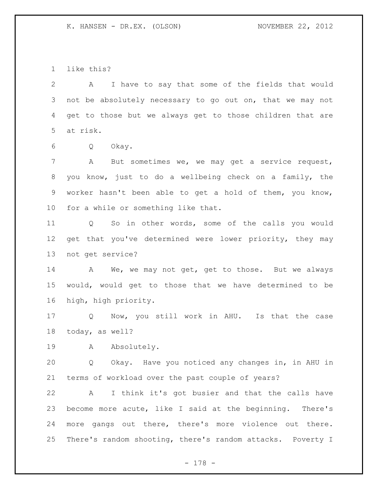like this?

 A I have to say that some of the fields that would not be absolutely necessary to go out on, that we may not get to those but we always get to those children that are at risk.

Q Okay.

 A But sometimes we, we may get a service request, you know, just to do a wellbeing check on a family, the worker hasn't been able to get a hold of them, you know, for a while or something like that.

 Q So in other words, some of the calls you would 12 get that you've determined were lower priority, they may not get service?

14 A We, we may not get, get to those. But we always would, would get to those that we have determined to be high, high priority.

 Q Now, you still work in AHU. Is that the case today, as well?

19 A Absolutely.

 Q Okay. Have you noticed any changes in, in AHU in terms of workload over the past couple of years?

 A I think it's got busier and that the calls have become more acute, like I said at the beginning. There's more gangs out there, there's more violence out there. There's random shooting, there's random attacks. Poverty I

- 178 -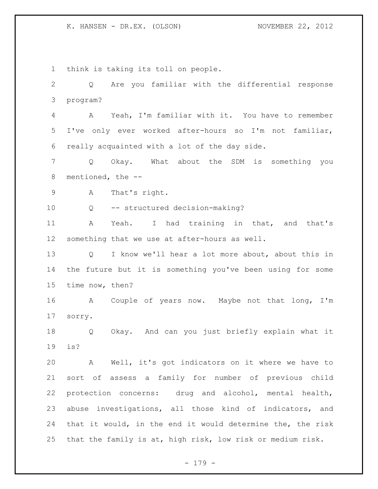K. HANSEN - DR.EX. (OLSON) NOVEMBER 22, 2012

 think is taking its toll on people. Q Are you familiar with the differential response program? A Yeah, I'm familiar with it. You have to remember I've only ever worked after-hours so I'm not familiar, really acquainted with a lot of the day side. Q Okay. What about the SDM is something you mentioned, the -- A That's right. Q -- structured decision-making? A Yeah. I had training in that, and that's something that we use at after-hours as well. Q I know we'll hear a lot more about, about this in the future but it is something you've been using for some time now, then? A Couple of years now. Maybe not that long, I'm sorry. Q Okay. And can you just briefly explain what it is? A Well, it's got indicators on it where we have to sort of assess a family for number of previous child protection concerns: drug and alcohol, mental health, abuse investigations, all those kind of indicators, and that it would, in the end it would determine the, the risk that the family is at, high risk, low risk or medium risk.

- 179 -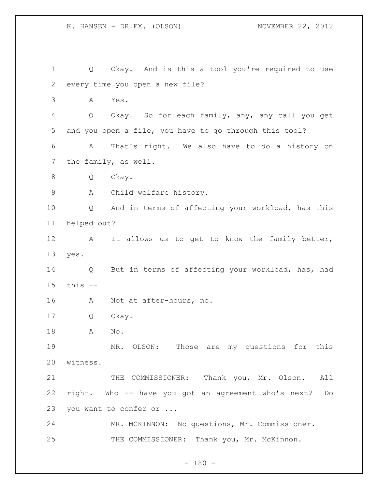K. HANSEN - DR.EX. (OLSON) NOVEMBER 22, 2012

 Q Okay. And is this a tool you're required to use every time you open a new file? A Yes. Q Okay. So for each family, any, any call you get and you open a file, you have to go through this tool? A That's right. We also have to do a history on the family, as well. Q Okay. A Child welfare history. Q And in terms of affecting your workload, has this helped out? 12 A It allows us to get to know the family better, yes. Q But in terms of affecting your workload, has, had this -- A Not at after-hours, no. Q Okay. A No. MR. OLSON: Those are my questions for this witness. 21 THE COMMISSIONER: Thank you, Mr. Olson. All right. Who -- have you got an agreement who's next? Do you want to confer or ... MR. MCKINNON: No questions, Mr. Commissioner. 25 THE COMMISSIONER: Thank you, Mr. McKinnon.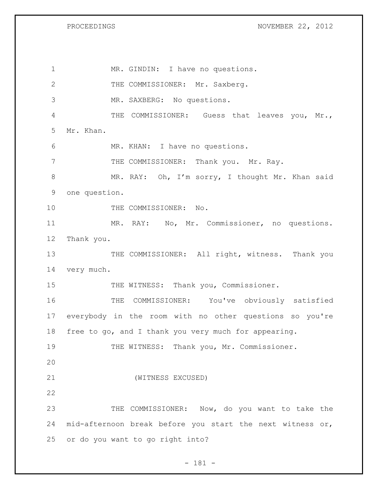PROCEEDINGS NOVEMBER 22, 2012

1 MR. GINDIN: I have no questions. 2 THE COMMISSIONER: Mr. Saxberg. MR. SAXBERG: No questions. THE COMMISSIONER: Guess that leaves you, Mr., Mr. Khan. MR. KHAN: I have no questions. 7 THE COMMISSIONER: Thank you. Mr. Ray. 8 MR. RAY: Oh, I'm sorry, I thought Mr. Khan said one question. 10 THE COMMISSIONER: No. MR. RAY: No, Mr. Commissioner, no questions. Thank you. 13 THE COMMISSIONER: All right, witness. Thank you very much. 15 THE WITNESS: Thank you, Commissioner. THE COMMISSIONER: You've obviously satisfied everybody in the room with no other questions so you're free to go, and I thank you very much for appearing. THE WITNESS: Thank you, Mr. Commissioner. (WITNESS EXCUSED) THE COMMISSIONER: Now, do you want to take the mid-afternoon break before you start the next witness or, or do you want to go right into?

- 181 -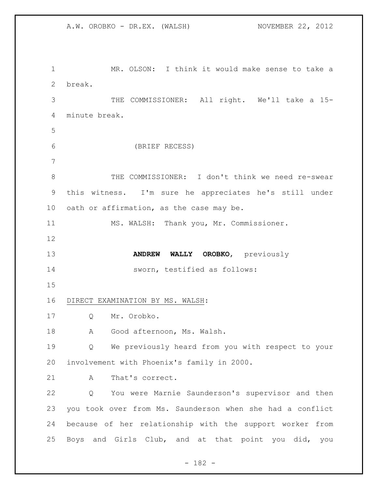MR. OLSON: I think it would make sense to take a break. THE COMMISSIONER: All right. We'll take a 15- minute break. (BRIEF RECESS) THE COMMISSIONER: I don't think we need re-swear this witness. I'm sure he appreciates he's still under 10 oath or affirmation, as the case may be. MS. WALSH: Thank you, Mr. Commissioner. **ANDREW WALLY OROBKO**, previously sworn, testified as follows: DIRECT EXAMINATION BY MS. WALSH: Q Mr. Orobko. 18 A Good afternoon, Ms. Walsh. Q We previously heard from you with respect to your involvement with Phoenix's family in 2000. 21 A That's correct. Q You were Marnie Saunderson's supervisor and then you took over from Ms. Saunderson when she had a conflict because of her relationship with the support worker from Boys and Girls Club, and at that point you did, you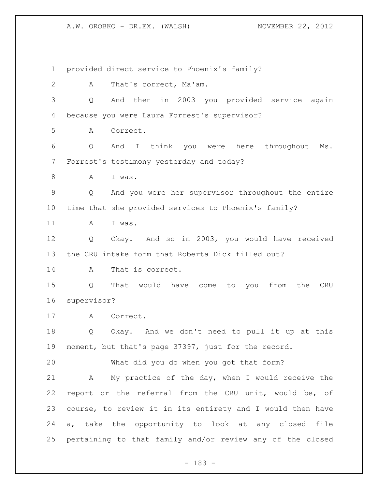provided direct service to Phoenix's family? A That's correct, Ma'am. Q And then in 2003 you provided service again because you were Laura Forrest's supervisor? A Correct. Q And I think you were here throughout Ms. Forrest's testimony yesterday and today? 8 A I was. Q And you were her supervisor throughout the entire time that she provided services to Phoenix's family? A I was. Q Okay. And so in 2003, you would have received the CRU intake form that Roberta Dick filled out? A That is correct. Q That would have come to you from the CRU supervisor? A Correct. Q Okay. And we don't need to pull it up at this moment, but that's page 37397, just for the record. What did you do when you got that form? A My practice of the day, when I would receive the report or the referral from the CRU unit, would be, of course, to review it in its entirety and I would then have a, take the opportunity to look at any closed file pertaining to that family and/or review any of the closed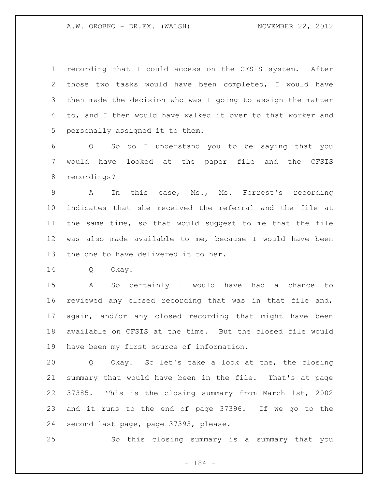recording that I could access on the CFSIS system. After those two tasks would have been completed, I would have then made the decision who was I going to assign the matter to, and I then would have walked it over to that worker and personally assigned it to them.

 Q So do I understand you to be saying that you would have looked at the paper file and the CFSIS recordings?

 A In this case, Ms., Ms. Forrest's recording indicates that she received the referral and the file at the same time, so that would suggest to me that the file was also made available to me, because I would have been the one to have delivered it to her.

Q Okay.

 A So certainly I would have had a chance to reviewed any closed recording that was in that file and, again, and/or any closed recording that might have been available on CFSIS at the time. But the closed file would have been my first source of information.

 Q Okay. So let's take a look at the, the closing summary that would have been in the file. That's at page 37385. This is the closing summary from March 1st, 2002 and it runs to the end of page 37396. If we go to the second last page, page 37395, please.

So this closing summary is a summary that you

- 184 -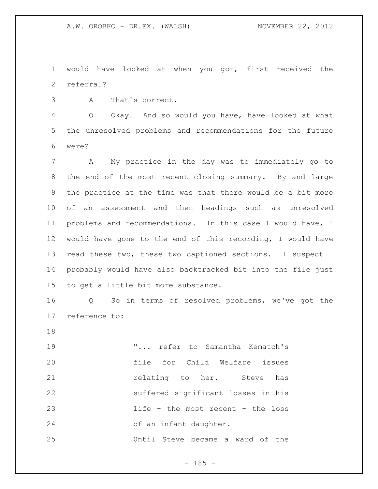would have looked at when you got, first received the referral?

A That's correct.

 Q Okay. And so would you have, have looked at what the unresolved problems and recommendations for the future were?

 A My practice in the day was to immediately go to the end of the most recent closing summary. By and large the practice at the time was that there would be a bit more of an assessment and then headings such as unresolved problems and recommendations. In this case I would have, I would have gone to the end of this recording, I would have read these two, these two captioned sections. I suspect I probably would have also backtracked bit into the file just to get a little bit more substance.

 Q So in terms of resolved problems, we've got the reference to:

 "... refer to Samantha Kematch's file for Child Welfare issues **12 relating to her.** Steve has suffered significant losses in his life - the most recent - the loss of an infant daughter. Until Steve became a ward of the

 $- 185 -$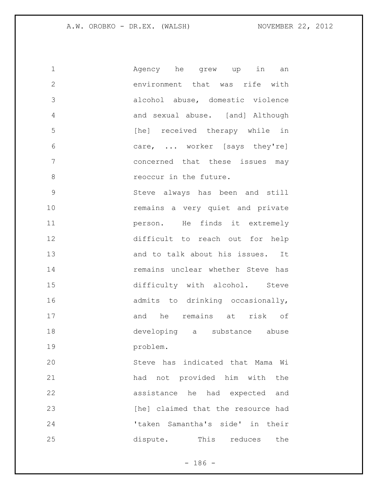| $\mathbf 1$    | Agency he grew up in<br>an         |
|----------------|------------------------------------|
| $\overline{2}$ | environment that was rife with     |
| 3              | alcohol abuse, domestic violence   |
| 4              | and sexual abuse. [and] Although   |
| 5              | [he] received therapy while in     |
| 6              | care,  worker [says they're]       |
| 7              | concerned that these issues may    |
| 8              | reoccur in the future.             |
| $\mathcal{G}$  | Steve always has been and still    |
| 10             | remains a very quiet and private   |
| 11             | person. He finds it extremely      |
| 12             | difficult to reach out for help    |
| 13             | and to talk about his issues. It   |
| 14             | remains unclear whether Steve has  |
| 15             | difficulty with alcohol. Steve     |
| 16             | admits to drinking occasionally,   |
| 17             | and he remains at risk of          |
| 18             | developing a substance abuse       |
| 19             | problem.                           |
| 20             | Steve has indicated that Mama Wi   |
| 21             | had not provided him with<br>the   |
| 22             | assistance he had expected<br>and  |
| 23             | [he] claimed that the resource had |
| 24             | 'taken Samantha's side' in their   |
| 25             | dispute.<br>This reduces<br>the    |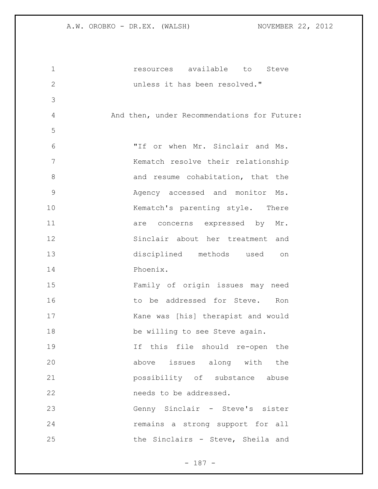| $\mathbf 1$   | resources available<br>to<br>Steve          |
|---------------|---------------------------------------------|
| $\mathbf{2}$  | unless it has been resolved."               |
| 3             |                                             |
| 4             | And then, under Recommendations for Future: |
| 5             |                                             |
| 6             | "If or when Mr. Sinclair and Ms.            |
| 7             | Kematch resolve their relationship          |
| 8             | and resume cohabitation, that the           |
| $\mathcal{G}$ | Agency accessed and monitor Ms.             |
| 10            | Kematch's parenting style. There            |
| 11            | are concerns expressed by Mr.               |
| 12            | Sinclair about her treatment and            |
| 13            | disciplined methods used<br>on              |
| 14            | Phoenix.                                    |
| 15            | Family of origin issues may need            |
| 16            | to be addressed for Steve.<br>Ron           |
| 17            | Kane was [his] therapist and would          |
| 18            | be willing to see Steve again.              |
| 19            | If this file should re-open the             |
| 20            | above issues along with the                 |
| 21            | possibility of substance abuse              |
| 22            | needs to be addressed.                      |
| 23            | Genny Sinclair - Steve's sister             |
| 24            | remains a strong support for all            |
| 25            | the Sinclairs - Steve, Sheila and           |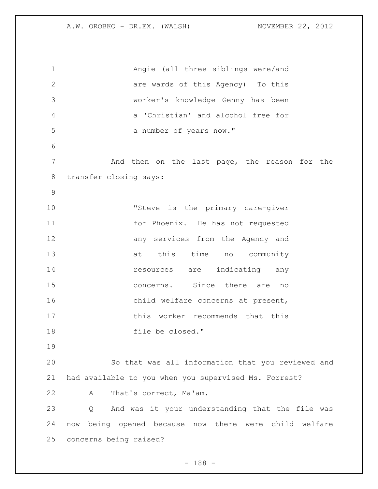Angie (all three siblings were/and are wards of this Agency) To this worker's knowledge Genny has been a 'Christian' and alcohol free for 5 a number of years now." And then on the last page, the reason for the transfer closing says: "Steve is the primary care-giver for Phoenix. He has not requested 12 any services from the Agency and 13 at this time no community **resources** are indicating any concerns. Since there are no 16 child welfare concerns at present, 17 this worker recommends that this 18 file be closed." So that was all information that you reviewed and had available to you when you supervised Ms. Forrest? A That's correct, Ma'am. Q And was it your understanding that the file was now being opened because now there were child welfare concerns being raised?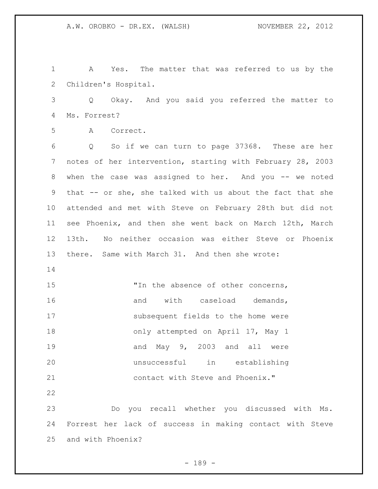A Yes. The matter that was referred to us by the Children's Hospital. Q Okay. And you said you referred the matter to Ms. Forrest? A Correct. Q So if we can turn to page 37368. These are her notes of her intervention, starting with February 28, 2003 8 when the case was assigned to her. And you -- we noted that -- or she, she talked with us about the fact that she attended and met with Steve on February 28th but did not see Phoenix, and then she went back on March 12th, March 13th. No neither occasion was either Steve or Phoenix there. Same with March 31. And then she wrote: 15 TIN the absence of other concerns, 16 and with caseload demands, subsequent fields to the home were 18 only attempted on April 17, May 1 19 and May 9, 2003 and all were unsuccessful in establishing contact with Steve and Phoenix." Do you recall whether you discussed with Ms. Forrest her lack of success in making contact with Steve and with Phoenix?

- 189 -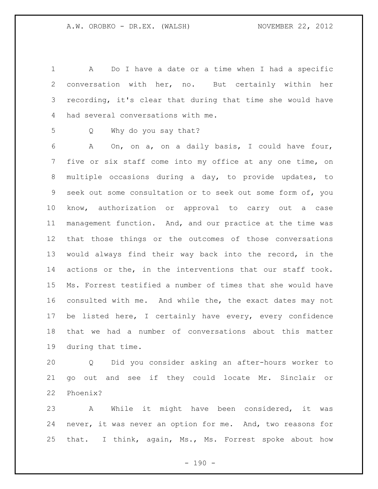A Do I have a date or a time when I had a specific conversation with her, no. But certainly within her recording, it's clear that during that time she would have had several conversations with me.

Q Why do you say that?

 A On, on a, on a daily basis, I could have four, five or six staff come into my office at any one time, on multiple occasions during a day, to provide updates, to seek out some consultation or to seek out some form of, you know, authorization or approval to carry out a case management function. And, and our practice at the time was that those things or the outcomes of those conversations would always find their way back into the record, in the actions or the, in the interventions that our staff took. Ms. Forrest testified a number of times that she would have consulted with me. And while the, the exact dates may not be listed here, I certainly have every, every confidence that we had a number of conversations about this matter during that time.

 Q Did you consider asking an after-hours worker to go out and see if they could locate Mr. Sinclair or Phoenix?

 A While it might have been considered, it was never, it was never an option for me. And, two reasons for that. I think, again, Ms., Ms. Forrest spoke about how

 $- 190 -$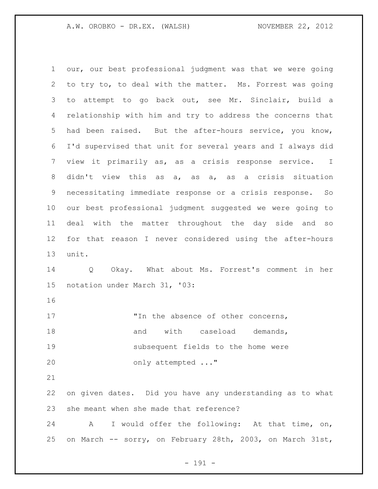our, our best professional judgment was that we were going to try to, to deal with the matter. Ms. Forrest was going to attempt to go back out, see Mr. Sinclair, build a relationship with him and try to address the concerns that had been raised. But the after-hours service, you know, I'd supervised that unit for several years and I always did view it primarily as, as a crisis response service. I didn't view this as a, as a, as a crisis situation necessitating immediate response or a crisis response. So our best professional judgment suggested we were going to deal with the matter throughout the day side and so for that reason I never considered using the after-hours unit. Q Okay. What about Ms. Forrest's comment in her notation under March 31, '03: 17 The absence of other concerns, 18 and with caseload demands, subsequent fields to the home were only attempted ..." on given dates. Did you have any understanding as to what she meant when she made that reference? A I would offer the following: At that time, on, on March -- sorry, on February 28th, 2003, on March 31st,

- 191 -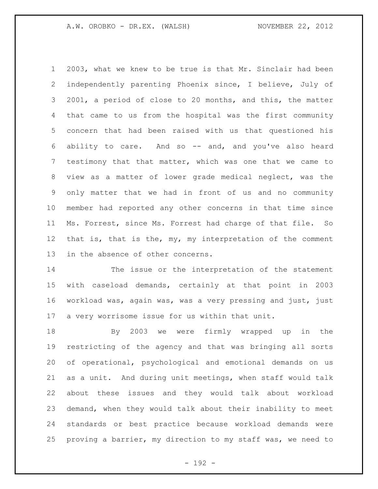2003, what we knew to be true is that Mr. Sinclair had been independently parenting Phoenix since, I believe, July of 2001, a period of close to 20 months, and this, the matter that came to us from the hospital was the first community concern that had been raised with us that questioned his ability to care. And so -- and, and you've also heard testimony that that matter, which was one that we came to view as a matter of lower grade medical neglect, was the only matter that we had in front of us and no community member had reported any other concerns in that time since Ms. Forrest, since Ms. Forrest had charge of that file. So that is, that is the, my, my interpretation of the comment in the absence of other concerns.

 The issue or the interpretation of the statement with caseload demands, certainly at that point in 2003 workload was, again was, was a very pressing and just, just a very worrisome issue for us within that unit.

 By 2003 we were firmly wrapped up in the restricting of the agency and that was bringing all sorts of operational, psychological and emotional demands on us as a unit. And during unit meetings, when staff would talk about these issues and they would talk about workload demand, when they would talk about their inability to meet standards or best practice because workload demands were proving a barrier, my direction to my staff was, we need to

- 192 -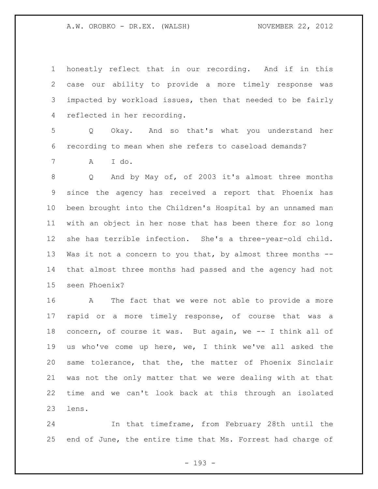honestly reflect that in our recording. And if in this case our ability to provide a more timely response was impacted by workload issues, then that needed to be fairly reflected in her recording.

 Q Okay. And so that's what you understand her recording to mean when she refers to caseload demands?

A I do.

 Q And by May of, of 2003 it's almost three months since the agency has received a report that Phoenix has been brought into the Children's Hospital by an unnamed man with an object in her nose that has been there for so long she has terrible infection. She's a three-year-old child. 13 Was it not a concern to you that, by almost three months -- that almost three months had passed and the agency had not seen Phoenix?

 A The fact that we were not able to provide a more rapid or a more timely response, of course that was a concern, of course it was. But again, we -- I think all of us who've come up here, we, I think we've all asked the same tolerance, that the, the matter of Phoenix Sinclair was not the only matter that we were dealing with at that time and we can't look back at this through an isolated lens.

 In that timeframe, from February 28th until the end of June, the entire time that Ms. Forrest had charge of

- 193 -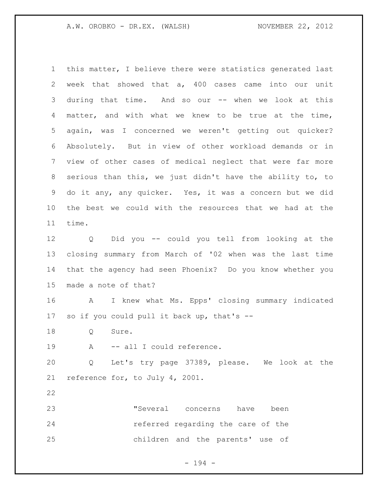this matter, I believe there were statistics generated last week that showed that a, 400 cases came into our unit during that time. And so our -- when we look at this matter, and with what we knew to be true at the time, again, was I concerned we weren't getting out quicker? Absolutely. But in view of other workload demands or in view of other cases of medical neglect that were far more serious than this, we just didn't have the ability to, to do it any, any quicker. Yes, it was a concern but we did the best we could with the resources that we had at the time.

 Q Did you -- could you tell from looking at the closing summary from March of '02 when was the last time that the agency had seen Phoenix? Do you know whether you made a note of that?

 A I knew what Ms. Epps' closing summary indicated so if you could pull it back up, that's --

Q Sure.

19 A -- all I could reference.

 Q Let's try page 37389, please. We look at the reference for, to July 4, 2001.

 "Several concerns have been **referred regarding the care of the** children and the parents' use of

- 194 -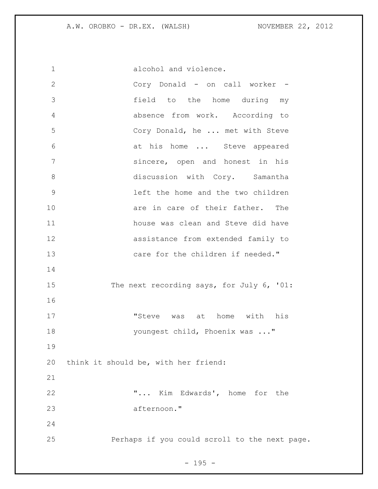| $\mathbf{2}$  | Cory Donald - on call worker -                |
|---------------|-----------------------------------------------|
| 3             | field to the home during my                   |
| 4             | absence from work. According to               |
| 5             | Cory Donald, he  met with Steve               |
| 6             | at his home  Steve appeared                   |
| 7             | sincere, open and honest in his               |
| 8             | discussion with Cory. Samantha                |
| $\mathcal{G}$ | left the home and the two children            |
| 10            | are in care of their father. The              |
| 11            | house was clean and Steve did have            |
| 12            | assistance from extended family to            |
| 13            | care for the children if needed."             |
| 14            |                                               |
| 15            | The next recording says, for July 6, '01:     |
| 16            |                                               |
| 17            | "Steve was at home with his                   |
| 18            | youngest child, Phoenix was "                 |
| 19            |                                               |
| 20            | think it should be, with her friend:          |
| 21            |                                               |
| 22            | " Kim Edwards', home for the                  |
| 23            | afternoon."                                   |
| 24            |                                               |
| 25            | Perhaps if you could scroll to the next page. |

- 195 -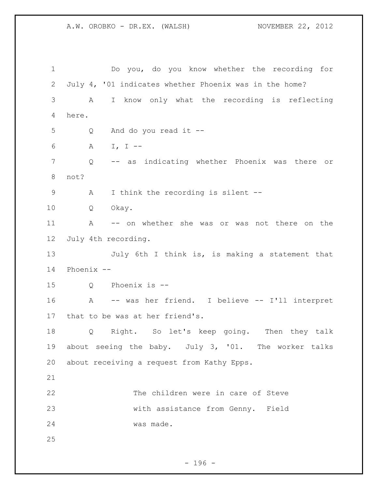Do you, do you know whether the recording for July 4, '01 indicates whether Phoenix was in the home? A I know only what the recording is reflecting here. Q And do you read it -- A I, I -- Q -- as indicating whether Phoenix was there or not? A I think the recording is silent -- Q Okay. A -- on whether she was or was not there on the July 4th recording. 13 July 6th I think is, is making a statement that Phoenix -- Q Phoenix is -- A -- was her friend. I believe -- I'll interpret that to be was at her friend's. Q Right. So let's keep going. Then they talk 19 about seeing the baby. July 3, '01. The worker talks about receiving a request from Kathy Epps. The children were in care of Steve with assistance from Genny. Field was made. 

 $- 196 -$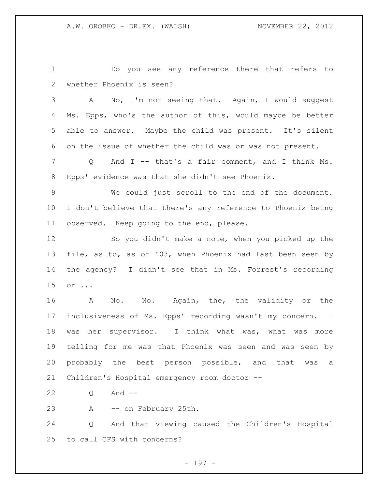Do you see any reference there that refers to whether Phoenix is seen?

 A No, I'm not seeing that. Again, I would suggest Ms. Epps, who's the author of this, would maybe be better able to answer. Maybe the child was present. It's silent on the issue of whether the child was or was not present.

 Q And I -- that's a fair comment, and I think Ms. Epps' evidence was that she didn't see Phoenix.

 We could just scroll to the end of the document. I don't believe that there's any reference to Phoenix being observed. Keep going to the end, please.

 So you didn't make a note, when you picked up the file, as to, as of '03, when Phoenix had last been seen by the agency? I didn't see that in Ms. Forrest's recording or ...

16 A No. No. Again, the, the validity or the inclusiveness of Ms. Epps' recording wasn't my concern. I was her supervisor. I think what was, what was more telling for me was that Phoenix was seen and was seen by probably the best person possible, and that was a Children's Hospital emergency room doctor --

Q And --

A -- on February 25th.

 Q And that viewing caused the Children's Hospital to call CFS with concerns?

- 197 -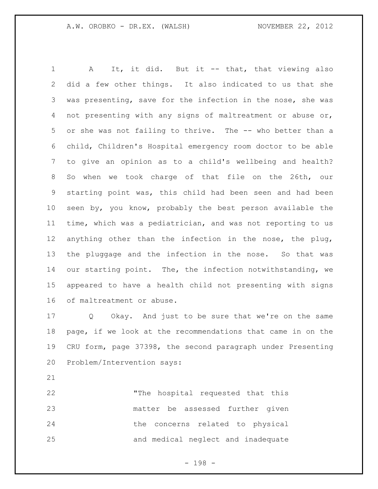1 A It, it did. But it -- that, that viewing also did a few other things. It also indicated to us that she was presenting, save for the infection in the nose, she was not presenting with any signs of maltreatment or abuse or, or she was not failing to thrive. The -- who better than a child, Children's Hospital emergency room doctor to be able to give an opinion as to a child's wellbeing and health? So when we took charge of that file on the 26th, our starting point was, this child had been seen and had been seen by, you know, probably the best person available the time, which was a pediatrician, and was not reporting to us anything other than the infection in the nose, the plug, the pluggage and the infection in the nose. So that was 14 our starting point. The, the infection notwithstanding, we appeared to have a health child not presenting with signs of maltreatment or abuse.

 Q Okay. And just to be sure that we're on the same page, if we look at the recommendations that came in on the CRU form, page 37398, the second paragraph under Presenting Problem/Intervention says:

 "The hospital requested that this matter be assessed further given the concerns related to physical and medical neglect and inadequate

- 198 -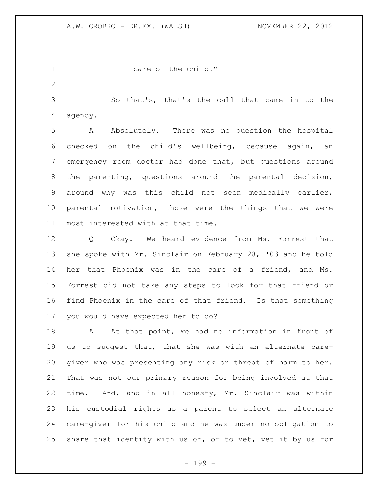1 care of the child."

 So that's, that's the call that came in to the agency.

 A Absolutely. There was no question the hospital checked on the child's wellbeing, because again, an emergency room doctor had done that, but questions around the parenting, questions around the parental decision, around why was this child not seen medically earlier, parental motivation, those were the things that we were most interested with at that time.

 Q Okay. We heard evidence from Ms. Forrest that she spoke with Mr. Sinclair on February 28, '03 and he told her that Phoenix was in the care of a friend, and Ms. Forrest did not take any steps to look for that friend or find Phoenix in the care of that friend. Is that something you would have expected her to do?

18 A At that point, we had no information in front of us to suggest that, that she was with an alternate care- giver who was presenting any risk or threat of harm to her. That was not our primary reason for being involved at that time. And, and in all honesty, Mr. Sinclair was within his custodial rights as a parent to select an alternate care-giver for his child and he was under no obligation to share that identity with us or, or to vet, vet it by us for

- 199 -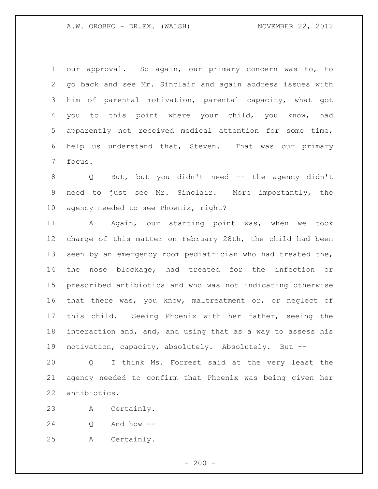our approval. So again, our primary concern was to, to go back and see Mr. Sinclair and again address issues with him of parental motivation, parental capacity, what got you to this point where your child, you know, had apparently not received medical attention for some time, help us understand that, Steven. That was our primary focus.

 Q But, but you didn't need -- the agency didn't need to just see Mr. Sinclair. More importantly, the agency needed to see Phoenix, right?

11 A Again, our starting point was, when we took charge of this matter on February 28th, the child had been seen by an emergency room pediatrician who had treated the, the nose blockage, had treated for the infection or prescribed antibiotics and who was not indicating otherwise that there was, you know, maltreatment or, or neglect of this child. Seeing Phoenix with her father, seeing the interaction and, and, and using that as a way to assess his motivation, capacity, absolutely. Absolutely. But --

 Q I think Ms. Forrest said at the very least the agency needed to confirm that Phoenix was being given her antibiotics.

A Certainly.

Q And how --

A Certainly.

 $-200 -$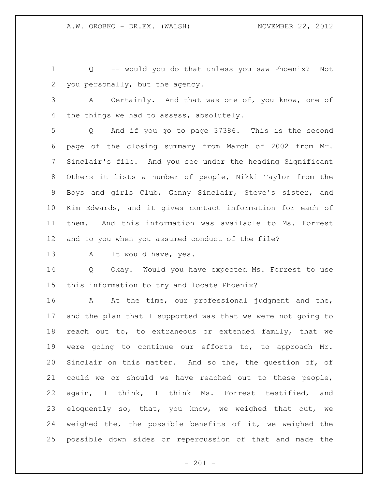Q -- would you do that unless you saw Phoenix? Not you personally, but the agency.

 A Certainly. And that was one of, you know, one of 4 the things we had to assess, absolutely.

 Q And if you go to page 37386. This is the second page of the closing summary from March of 2002 from Mr. Sinclair's file. And you see under the heading Significant Others it lists a number of people, Nikki Taylor from the Boys and girls Club, Genny Sinclair, Steve's sister, and Kim Edwards, and it gives contact information for each of them. And this information was available to Ms. Forrest and to you when you assumed conduct of the file?

13 A It would have, yes.

 Q Okay. Would you have expected Ms. Forrest to use this information to try and locate Phoenix?

16 A At the time, our professional judgment and the, and the plan that I supported was that we were not going to reach out to, to extraneous or extended family, that we were going to continue our efforts to, to approach Mr. Sinclair on this matter. And so the, the question of, of could we or should we have reached out to these people, again, I think, I think Ms. Forrest testified, and eloquently so, that, you know, we weighed that out, we weighed the, the possible benefits of it, we weighed the possible down sides or repercussion of that and made the

 $- 201 -$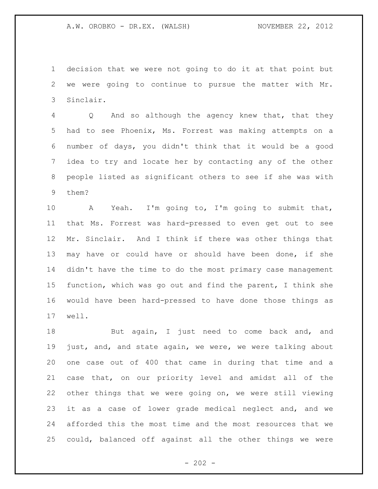decision that we were not going to do it at that point but we were going to continue to pursue the matter with Mr. Sinclair.

 Q And so although the agency knew that, that they had to see Phoenix, Ms. Forrest was making attempts on a number of days, you didn't think that it would be a good idea to try and locate her by contacting any of the other people listed as significant others to see if she was with them?

 A Yeah. I'm going to, I'm going to submit that, that Ms. Forrest was hard-pressed to even get out to see Mr. Sinclair. And I think if there was other things that may have or could have or should have been done, if she didn't have the time to do the most primary case management function, which was go out and find the parent, I think she would have been hard-pressed to have done those things as well.

18 But again, I just need to come back and, and just, and, and state again, we were, we were talking about one case out of 400 that came in during that time and a case that, on our priority level and amidst all of the other things that we were going on, we were still viewing it as a case of lower grade medical neglect and, and we afforded this the most time and the most resources that we could, balanced off against all the other things we were

 $- 202 -$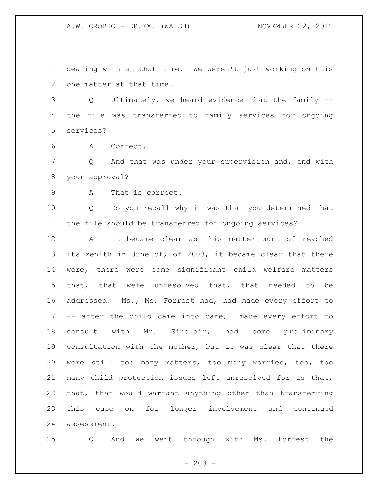dealing with at that time. We weren't just working on this one matter at that time.

 Q Ultimately, we heard evidence that the family -- the file was transferred to family services for ongoing services?

A Correct.

 Q And that was under your supervision and, and with your approval?

A That is correct.

 Q Do you recall why it was that you determined that the file should be transferred for ongoing services?

 A It became clear as this matter sort of reached its zenith in June of, of 2003, it became clear that there were, there were some significant child welfare matters that, that were unresolved that, that needed to be addressed. Ms., Ms. Forrest had, had made every effort to -- after the child came into care, made every effort to consult with Mr. Sinclair, had some preliminary consultation with the mother, but it was clear that there were still too many matters, too many worries, too, too many child protection issues left unresolved for us that, that, that would warrant anything other than transferring this case on for longer involvement and continued assessment.

Q And we went through with Ms. Forrest the

 $- 203 -$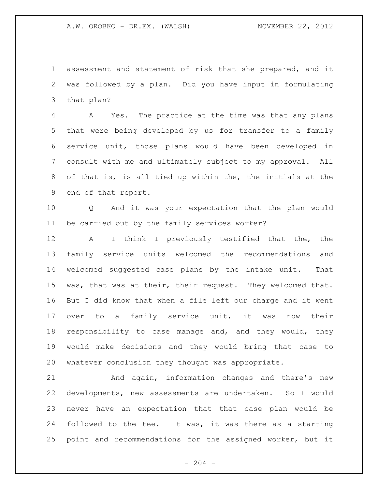assessment and statement of risk that she prepared, and it was followed by a plan. Did you have input in formulating that plan?

 A Yes. The practice at the time was that any plans that were being developed by us for transfer to a family service unit, those plans would have been developed in consult with me and ultimately subject to my approval. All of that is, is all tied up within the, the initials at the end of that report.

 Q And it was your expectation that the plan would be carried out by the family services worker?

 A I think I previously testified that the, the family service units welcomed the recommendations and welcomed suggested case plans by the intake unit. That was, that was at their, their request. They welcomed that. But I did know that when a file left our charge and it went over to a family service unit, it was now their responsibility to case manage and, and they would, they would make decisions and they would bring that case to whatever conclusion they thought was appropriate.

 And again, information changes and there's new developments, new assessments are undertaken. So I would never have an expectation that that case plan would be followed to the tee. It was, it was there as a starting point and recommendations for the assigned worker, but it

 $-204 -$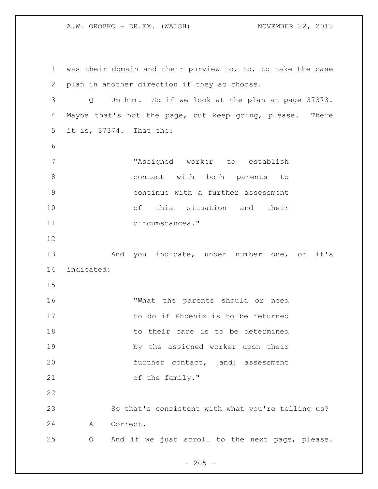was their domain and their purview to, to, to take the case plan in another direction if they so choose. Q Um-hum. So if we look at the plan at page 37373. Maybe that's not the page, but keep going, please. There it is, 37374. That the: "Assigned worker to establish 8 contact with both parents to continue with a further assessment of this situation and their circumstances." 13 And you indicate, under number one, or it's indicated: "What the parents should or need 17 to do if Phoenix is to be returned 18 to their care is to be determined by the assigned worker upon their further contact, [and] assessment 21 of the family." So that's consistent with what you're telling us? A Correct. Q And if we just scroll to the next page, please.

 $- 205 -$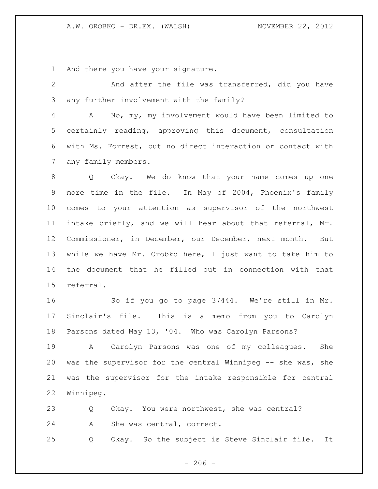And there you have your signature.

 And after the file was transferred, did you have any further involvement with the family?

 A No, my, my involvement would have been limited to certainly reading, approving this document, consultation with Ms. Forrest, but no direct interaction or contact with any family members.

 Q Okay. We do know that your name comes up one more time in the file. In May of 2004, Phoenix's family comes to your attention as supervisor of the northwest intake briefly, and we will hear about that referral, Mr. Commissioner, in December, our December, next month. But while we have Mr. Orobko here, I just want to take him to the document that he filled out in connection with that referral.

 So if you go to page 37444. We're still in Mr. Sinclair's file. This is a memo from you to Carolyn Parsons dated May 13, '04. Who was Carolyn Parsons?

 A Carolyn Parsons was one of my colleagues. She was the supervisor for the central Winnipeg -- she was, she was the supervisor for the intake responsible for central Winnipeg.

 Q Okay. You were northwest, she was central? A She was central, correct. Q Okay. So the subject is Steve Sinclair file. It

 $-206 -$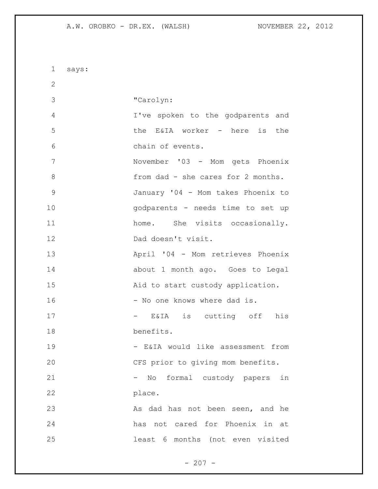says: "Carolyn: I've spoken to the godparents and the E&IA worker - here is the chain of events. November '03 - Mom gets Phoenix 8 from dad - she cares for 2 months. January '04 - Mom takes Phoenix to godparents - needs time to set up 11 home. She visits occasionally. Dad doesn't visit. April '04 - Mom retrieves Phoenix about 1 month ago. Goes to Legal Aid to start custody application. 16 - No one knows where dad is. - E&IA is cutting off his benefits. 19 - E&IA would like assessment from CFS prior to giving mom benefits. - No formal custody papers in place. 23 As dad has not been seen, and he has not cared for Phoenix in at least 6 months (not even visited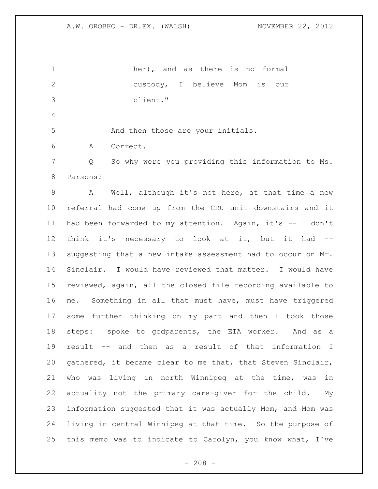her), and as there is no formal custody, I believe Mom is our client." 5 And then those are your initials. A Correct. Q So why were you providing this information to Ms. Parsons? A Well, although it's not here, at that time a new referral had come up from the CRU unit downstairs and it had been forwarded to my attention. Again, it's -- I don't think it's necessary to look at it, but it had -- suggesting that a new intake assessment had to occur on Mr. Sinclair. I would have reviewed that matter. I would have reviewed, again, all the closed file recording available to me. Something in all that must have, must have triggered some further thinking on my part and then I took those steps: spoke to godparents, the EIA worker. And as a result -- and then as a result of that information I gathered, it became clear to me that, that Steven Sinclair, who was living in north Winnipeg at the time, was in actuality not the primary care-giver for the child. My information suggested that it was actually Mom, and Mom was living in central Winnipeg at that time. So the purpose of this memo was to indicate to Carolyn, you know what, I've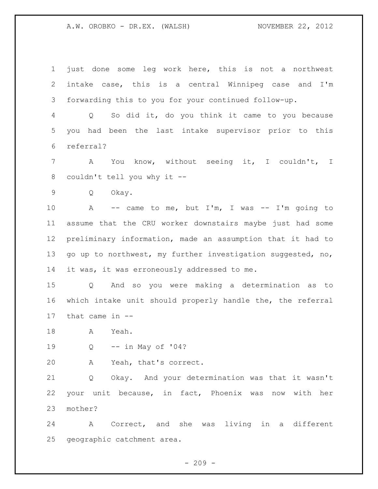just done some leg work here, this is not a northwest intake case, this is a central Winnipeg case and I'm forwarding this to you for your continued follow-up.

 Q So did it, do you think it came to you because you had been the last intake supervisor prior to this referral?

 A You know, without seeing it, I couldn't, I couldn't tell you why it --

Q Okay.

 A -- came to me, but I'm, I was -- I'm going to assume that the CRU worker downstairs maybe just had some preliminary information, made an assumption that it had to go up to northwest, my further investigation suggested, no, 14 it was, it was erroneously addressed to me.

 Q And so you were making a determination as to which intake unit should properly handle the, the referral that came in --

A Yeah.

Q -- in May of '04?

A Yeah, that's correct.

 Q Okay. And your determination was that it wasn't your unit because, in fact, Phoenix was now with her mother?

 A Correct, and she was living in a different geographic catchment area.

 $-209 -$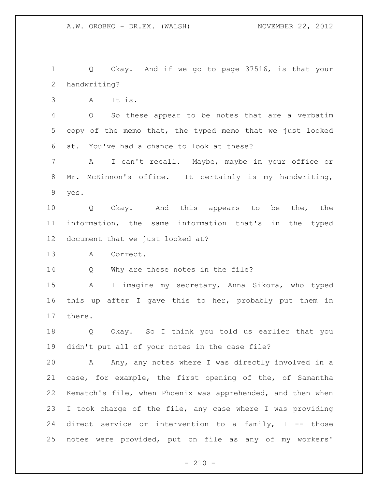Q Okay. And if we go to page 37516, is that your handwriting?

A It is.

 Q So these appear to be notes that are a verbatim copy of the memo that, the typed memo that we just looked at. You've had a chance to look at these?

 A I can't recall. Maybe, maybe in your office or Mr. McKinnon's office. It certainly is my handwriting, yes.

 Q Okay. And this appears to be the, the information, the same information that's in the typed document that we just looked at?

A Correct.

14 Q Why are these notes in the file?

 A I imagine my secretary, Anna Sikora, who typed this up after I gave this to her, probably put them in there.

 Q Okay. So I think you told us earlier that you didn't put all of your notes in the case file?

 A Any, any notes where I was directly involved in a case, for example, the first opening of the, of Samantha Kematch's file, when Phoenix was apprehended, and then when I took charge of the file, any case where I was providing 24 direct service or intervention to a family, I -- those notes were provided, put on file as any of my workers'

 $- 210 -$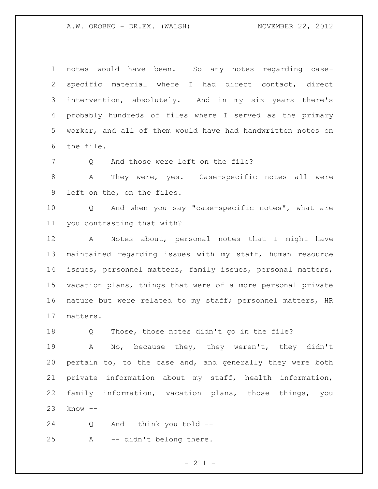notes would have been. So any notes regarding case- specific material where I had direct contact, direct intervention, absolutely. And in my six years there's probably hundreds of files where I served as the primary worker, and all of them would have had handwritten notes on the file.

7 O And those were left on the file?

 A They were, yes. Case-specific notes all were left on the, on the files.

 Q And when you say "case-specific notes", what are you contrasting that with?

 A Notes about, personal notes that I might have maintained regarding issues with my staff, human resource issues, personnel matters, family issues, personal matters, vacation plans, things that were of a more personal private nature but were related to my staff; personnel matters, HR matters.

Q Those, those notes didn't go in the file?

 A No, because they, they weren't, they didn't pertain to, to the case and, and generally they were both private information about my staff, health information, family information, vacation plans, those things, you know --

 Q And I think you told -- A -- didn't belong there.

 $- 211 -$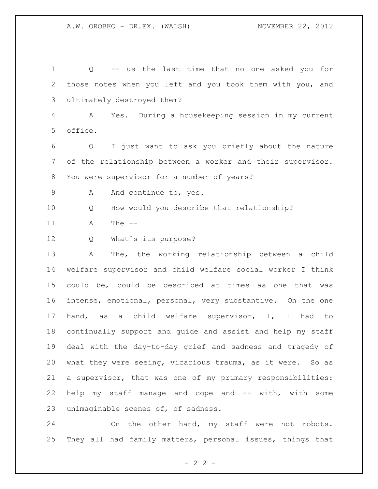Q -- us the last time that no one asked you for those notes when you left and you took them with you, and ultimately destroyed them? A Yes. During a housekeeping session in my current office. Q I just want to ask you briefly about the nature of the relationship between a worker and their supervisor. You were supervisor for a number of years? 9 A And continue to, yes. Q How would you describe that relationship? A The -- Q What's its purpose? A The, the working relationship between a child welfare supervisor and child welfare social worker I think could be, could be described at times as one that was intense, emotional, personal, very substantive. On the one hand, as a child welfare supervisor, I, I had to continually support and guide and assist and help my staff deal with the day-to-day grief and sadness and tragedy of what they were seeing, vicarious trauma, as it were. So as a supervisor, that was one of my primary responsibilities: 22 help my staff manage and cope and -- with, with some unimaginable scenes of, of sadness.

 On the other hand, my staff were not robots. They all had family matters, personal issues, things that

- 212 -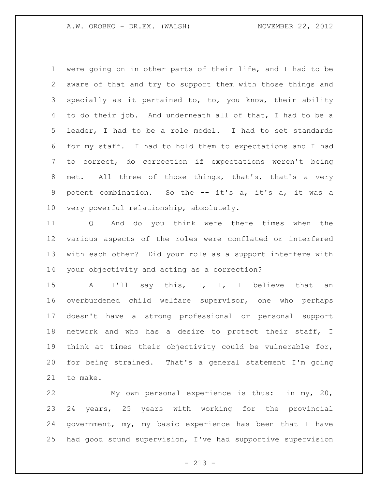were going on in other parts of their life, and I had to be aware of that and try to support them with those things and specially as it pertained to, to, you know, their ability to do their job. And underneath all of that, I had to be a leader, I had to be a role model. I had to set standards for my staff. I had to hold them to expectations and I had to correct, do correction if expectations weren't being 8 met. All three of those things, that's, that's a very potent combination. So the -- it's a, it's a, it was a very powerful relationship, absolutely.

 Q And do you think were there times when the various aspects of the roles were conflated or interfered with each other? Did your role as a support interfere with your objectivity and acting as a correction?

15 A I'll say this, I, I, I believe that an overburdened child welfare supervisor, one who perhaps doesn't have a strong professional or personal support network and who has a desire to protect their staff, I think at times their objectivity could be vulnerable for, for being strained. That's a general statement I'm going to make.

 My own personal experience is thus: in my, 20, 24 years, 25 years with working for the provincial government, my, my basic experience has been that I have had good sound supervision, I've had supportive supervision

 $- 213 -$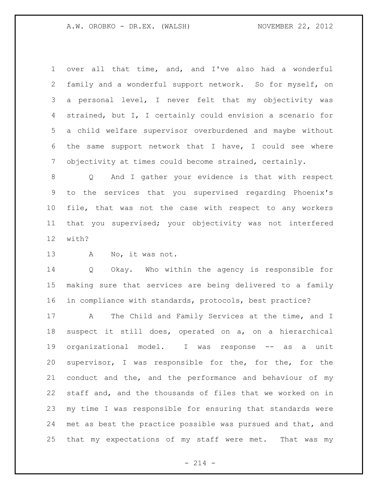over all that time, and, and I've also had a wonderful family and a wonderful support network. So for myself, on a personal level, I never felt that my objectivity was strained, but I, I certainly could envision a scenario for a child welfare supervisor overburdened and maybe without the same support network that I have, I could see where objectivity at times could become strained, certainly.

 Q And I gather your evidence is that with respect to the services that you supervised regarding Phoenix's file, that was not the case with respect to any workers that you supervised; your objectivity was not interfered with?

A No, it was not.

 Q Okay. Who within the agency is responsible for making sure that services are being delivered to a family in compliance with standards, protocols, best practice?

17 A The Child and Family Services at the time, and I suspect it still does, operated on a, on a hierarchical organizational model. I was response -- as a unit supervisor, I was responsible for the, for the, for the conduct and the, and the performance and behaviour of my staff and, and the thousands of files that we worked on in my time I was responsible for ensuring that standards were met as best the practice possible was pursued and that, and that my expectations of my staff were met. That was my

 $- 214 -$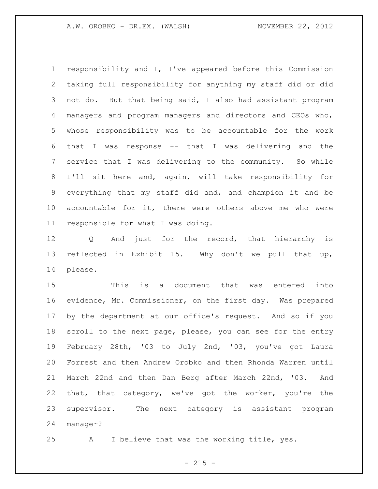responsibility and I, I've appeared before this Commission taking full responsibility for anything my staff did or did not do. But that being said, I also had assistant program managers and program managers and directors and CEOs who, whose responsibility was to be accountable for the work that I was response -- that I was delivering and the service that I was delivering to the community. So while I'll sit here and, again, will take responsibility for everything that my staff did and, and champion it and be accountable for it, there were others above me who were responsible for what I was doing.

 Q And just for the record, that hierarchy is reflected in Exhibit 15. Why don't we pull that up, please.

 This is a document that was entered into evidence, Mr. Commissioner, on the first day. Was prepared by the department at our office's request. And so if you scroll to the next page, please, you can see for the entry February 28th, '03 to July 2nd, '03, you've got Laura Forrest and then Andrew Orobko and then Rhonda Warren until March 22nd and then Dan Berg after March 22nd, '03. And that, that category, we've got the worker, you're the supervisor. The next category is assistant program manager?

A I believe that was the working title, yes.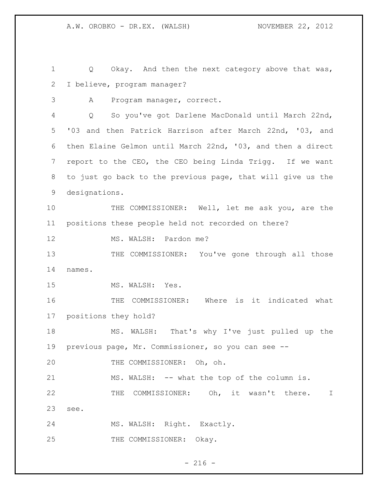Q Okay. And then the next category above that was, I believe, program manager? A Program manager, correct. Q So you've got Darlene MacDonald until March 22nd, '03 and then Patrick Harrison after March 22nd, '03, and then Elaine Gelmon until March 22nd, '03, and then a direct report to the CEO, the CEO being Linda Trigg. If we want to just go back to the previous page, that will give us the designations. THE COMMISSIONER: Well, let me ask you, are the positions these people held not recorded on there? 12 MS. WALSH: Pardon me? 13 THE COMMISSIONER: You've gone through all those names. 15 MS. WALSH: Yes. THE COMMISSIONER: Where is it indicated what positions they hold? MS. WALSH: That's why I've just pulled up the previous page, Mr. Commissioner, so you can see -- THE COMMISSIONER: Oh, oh. MS. WALSH: -- what the top of the column is. THE COMMISSIONER: Oh, it wasn't there. I see. MS. WALSH: Right. Exactly. 25 THE COMMISSIONER: Okay.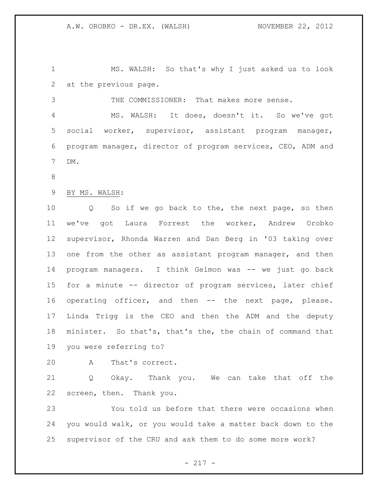MS. WALSH: So that's why I just asked us to look at the previous page.

 THE COMMISSIONER: That makes more sense. MS. WALSH: It does, doesn't it. So we've got social worker, supervisor, assistant program manager, program manager, director of program services, CEO, ADM and DM.

BY MS. WALSH:

 Q So if we go back to the, the next page, so then we've got Laura Forrest the worker, Andrew Orobko supervisor, Rhonda Warren and Dan Berg in '03 taking over one from the other as assistant program manager, and then program managers. I think Gelmon was -- we just go back for a minute -- director of program services, later chief operating officer, and then -- the next page, please. Linda Trigg is the CEO and then the ADM and the deputy minister. So that's, that's the, the chain of command that you were referring to?

A That's correct.

 Q Okay. Thank you. We can take that off the screen, then. Thank you.

 You told us before that there were occasions when you would walk, or you would take a matter back down to the supervisor of the CRU and ask them to do some more work?

- 217 -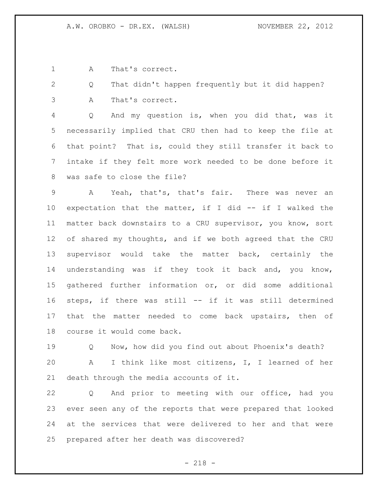A That's correct.

 Q That didn't happen frequently but it did happen? A That's correct.

 Q And my question is, when you did that, was it necessarily implied that CRU then had to keep the file at that point? That is, could they still transfer it back to intake if they felt more work needed to be done before it was safe to close the file?

 A Yeah, that's, that's fair. There was never an expectation that the matter, if I did -- if I walked the matter back downstairs to a CRU supervisor, you know, sort of shared my thoughts, and if we both agreed that the CRU supervisor would take the matter back, certainly the understanding was if they took it back and, you know, gathered further information or, or did some additional steps, if there was still -- if it was still determined that the matter needed to come back upstairs, then of course it would come back.

 Q Now, how did you find out about Phoenix's death? A I think like most citizens, I, I learned of her death through the media accounts of it.

 Q And prior to meeting with our office, had you ever seen any of the reports that were prepared that looked at the services that were delivered to her and that were prepared after her death was discovered?

- 218 -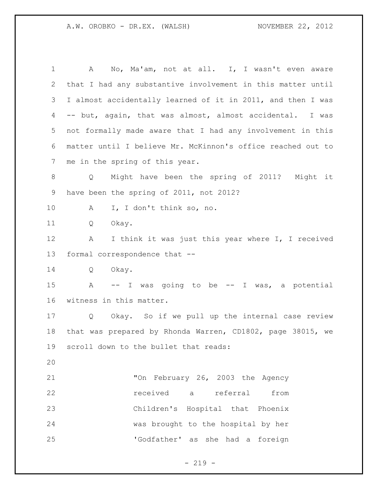A No, Ma'am, not at all. I, I wasn't even aware that I had any substantive involvement in this matter until I almost accidentally learned of it in 2011, and then I was -- but, again, that was almost, almost accidental. I was not formally made aware that I had any involvement in this matter until I believe Mr. McKinnon's office reached out to me in the spring of this year. Q Might have been the spring of 2011? Might it have been the spring of 2011, not 2012? A I, I don't think so, no. Q Okay. 12 A I think it was just this year where I, I received formal correspondence that -- Q Okay. A -- I was going to be -- I was, a potential witness in this matter. Q Okay. So if we pull up the internal case review that was prepared by Rhonda Warren, CD1802, page 38015, we scroll down to the bullet that reads: "On February 26, 2003 the Agency received a referral from Children's Hospital that Phoenix was brought to the hospital by her 'Godfather' as she had a foreign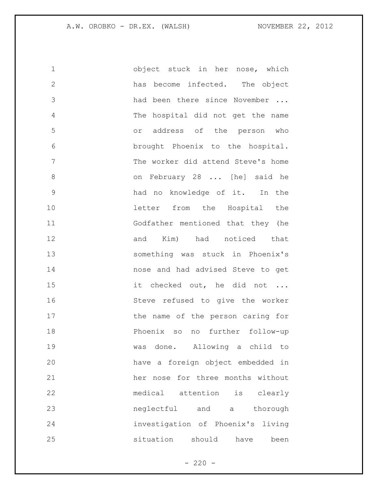| $\mathbf 1$   | object stuck in her nose, which    |
|---------------|------------------------------------|
| $\mathbf{2}$  | has become infected. The object    |
| 3             | had been there since November      |
| 4             | The hospital did not get the name  |
| 5             | or address of the person who       |
| 6             | brought Phoenix to the hospital.   |
| 7             | The worker did attend Steve's home |
| 8             | on February 28  [he] said he       |
| $\mathcal{G}$ | had no knowledge of it. In the     |
| 10            | letter from the Hospital the       |
| 11            | Godfather mentioned that they (he  |
| 12            | and Kim) had noticed that          |
| 13            | something was stuck in Phoenix's   |
| 14            | nose and had advised Steve to get  |
| 15            | it checked out, he did not         |
| 16            | Steve refused to give the worker   |
| 17            | the name of the person caring for  |
| 18            | Phoenix so<br>no further follow-up |
| 19            | was done. Allowing a child to      |
| 20            | have a foreign object embedded in  |
| 21            | her nose for three months without  |
| 22            | medical attention is clearly       |
| 23            | neglectful and a thorough          |
| 24            | investigation of Phoenix's living  |
| 25            | situation should<br>have<br>been   |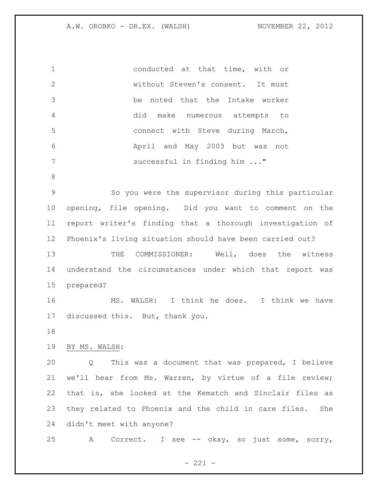| $\mathbf 1$  | conducted at that time, with or                             |
|--------------|-------------------------------------------------------------|
| $\mathbf{2}$ | without Steven's consent. It must                           |
| 3            | noted that the Intake worker<br>be                          |
| 4            | make numerous attempts to<br>did                            |
| 5            | connect with Steve during March,                            |
| 6            | April and May 2003 but was not                              |
| 7            | successful in finding him "                                 |
| 8            |                                                             |
| $\mathsf 9$  | So you were the supervisor during this particular           |
| 10           | opening, file opening. Did you want to comment on the       |
| 11           | report writer's finding that a thorough investigation of    |
| 12           | Phoenix's living situation should have been carried out?    |
| 13           | COMMISSIONER: Well, does the witness<br>THE                 |
| 14           | understand the circumstances under which that report was    |
| 15           | prepared?                                                   |
| 16           | MS. WALSH: I think he does. I think we have                 |
| 17           | discussed this. But, thank you.                             |
| 18           |                                                             |
|              |                                                             |
| 19           | BY MS. WALSH:                                               |
| 20           | This was a document that was prepared, I believe<br>Q       |
| 21           | we'll hear from Ms. Warren, by virtue of a file review;     |
| 22           | that is, she looked at the Kematch and Sinclair files as    |
| 23           | they related to Phoenix and the child in care files.<br>She |
| 24           | didn't meet with anyone?                                    |
| 25           | Correct. I see -- okay, so just some, sorry,<br>А           |

- 221 -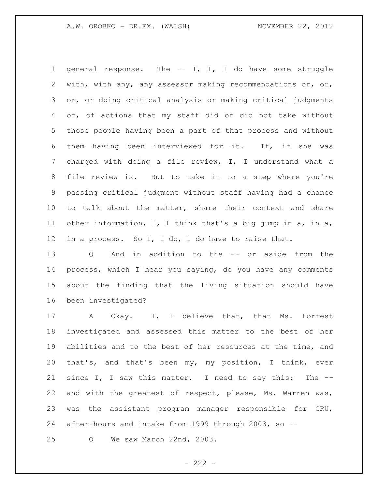general response. The -- I, I, I do have some struggle with, with any, any assessor making recommendations or, or, or, or doing critical analysis or making critical judgments of, of actions that my staff did or did not take without those people having been a part of that process and without them having been interviewed for it. If, if she was charged with doing a file review, I, I understand what a file review is. But to take it to a step where you're passing critical judgment without staff having had a chance to talk about the matter, share their context and share other information, I, I think that's a big jump in a, in a, in a process. So I, I do, I do have to raise that.

 Q And in addition to the -- or aside from the process, which I hear you saying, do you have any comments about the finding that the living situation should have been investigated?

 A Okay. I, I believe that, that Ms. Forrest investigated and assessed this matter to the best of her abilities and to the best of her resources at the time, and that's, and that's been my, my position, I think, ever since I, I saw this matter. I need to say this: The -- and with the greatest of respect, please, Ms. Warren was, was the assistant program manager responsible for CRU, after-hours and intake from 1999 through 2003, so --

Q We saw March 22nd, 2003.

 $- 222 -$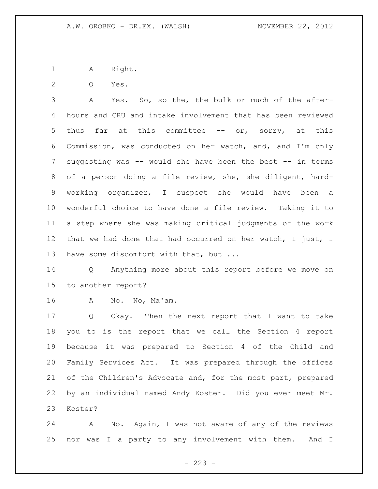1 A Right.

Q Yes.

 A Yes. So, so the, the bulk or much of the after- hours and CRU and intake involvement that has been reviewed 5 thus far at this committee -- or, sorry, at this Commission, was conducted on her watch, and, and I'm only suggesting was -- would she have been the best -- in terms of a person doing a file review, she, she diligent, hard- working organizer, I suspect she would have been a wonderful choice to have done a file review. Taking it to a step where she was making critical judgments of the work that we had done that had occurred on her watch, I just, I 13 have some discomfort with that, but ...

 Q Anything more about this report before we move on to another report?

A No. No, Ma'am.

 Q Okay. Then the next report that I want to take you to is the report that we call the Section 4 report because it was prepared to Section 4 of the Child and Family Services Act. It was prepared through the offices 21 of the Children's Advocate and, for the most part, prepared by an individual named Andy Koster. Did you ever meet Mr. Koster?

 A No. Again, I was not aware of any of the reviews nor was I a party to any involvement with them. And I

 $- 223 -$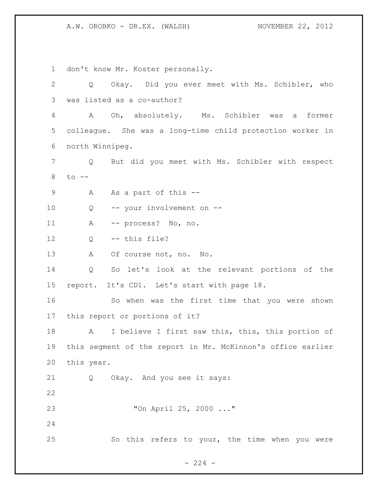don't know Mr. Koster personally. Q Okay. Did you ever meet with Ms. Schibler, who was listed as a co-author? A Oh, absolutely. Ms. Schibler was a former colleague. She was a long-time child protection worker in north Winnipeg. Q But did you meet with Ms. Schibler with respect to -- 9 A As a part of this -- Q -- your involvement on -- A -- process? No, no. Q -- this file? 13 A Of course not, no. No. Q So let's look at the relevant portions of the report. It's CD1. Let's start with page 18. So when was the first time that you were shown this report or portions of it? 18 A I believe I first saw this, this, this portion of this segment of the report in Mr. McKinnon's office earlier this year. Q Okay. And you see it says: "On April 25, 2000 ..." So this refers to your, the time when you were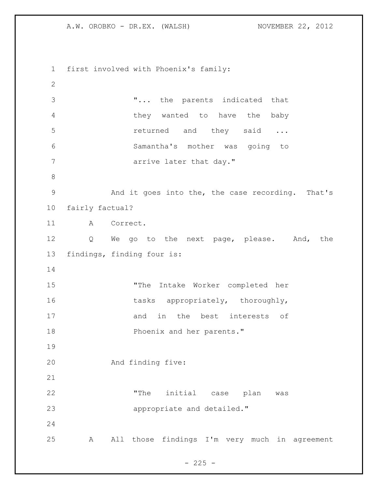first involved with Phoenix's family: "... the parents indicated that they wanted to have the baby **returned** and they said ... Samantha's mother was going to **arrive later that day."**  And it goes into the, the case recording. That's fairly factual? A Correct. Q We go to the next page, please. And, the findings, finding four is: "The Intake Worker completed her 16 tasks appropriately, thoroughly, 17 and in the best interests of **Phoenix and her parents."**  And finding five: "The initial case plan was **appropriate** and detailed." A All those findings I'm very much in agreement

 $- 225 -$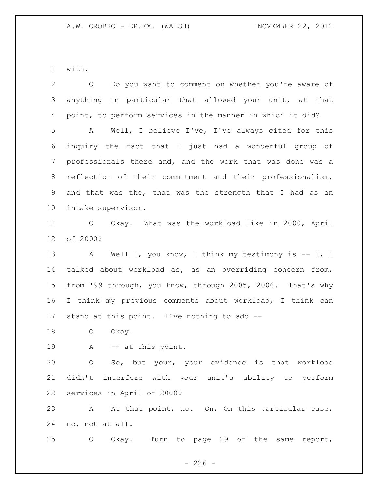with.

| $\overline{2}$  | Do you want to comment on whether you're aware of<br>Q               |
|-----------------|----------------------------------------------------------------------|
| 3               | anything in particular that allowed your unit, at that               |
| 4               | point, to perform services in the manner in which it did?            |
| 5               | Well, I believe I've, I've always cited for this<br>A                |
| 6               | inquiry the fact that I just had a wonderful group of                |
| 7               | professionals there and, and the work that was done was a            |
| 8               | reflection of their commitment and their professionalism,            |
| 9               | and that was the, that was the strength that I had as an             |
| 10 <sub>o</sub> | intake supervisor.                                                   |
| 11              | Okay. What was the workload like in 2000, April<br>$Q \qquad \qquad$ |
| 12              | of 2000?                                                             |
| 13              | Well I, you know, I think my testimony is $-$ I, I<br>$\mathbf{A}$   |
| 14              | talked about workload as, as an overriding concern from,             |
| 15              | from '99 through, you know, through 2005, 2006. That's why           |
| 16              | I think my previous comments about workload, I think can             |
| 17              | stand at this point. I've nothing to add --                          |
| 18              | Okay.<br>Q                                                           |
| 19              | A -- at this point.                                                  |
| 20              | Q So, but your, your evidence is that workload                       |
| 21              | didn't interfere with your unit's ability to perform                 |
| 22              | services in April of 2000?                                           |
| 23              | At that point, no. On, On this particular case,<br>A                 |
| 24              | no, not at all.                                                      |
| 25              | Turn to page 29 of the same<br>Okay.<br>report,<br>Q                 |

- 226 -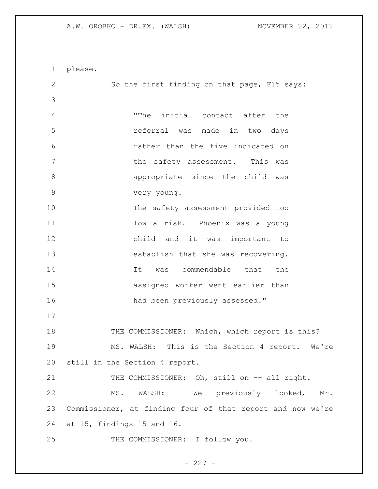please. So the first finding on that page, F15 says: "The initial contact after the referral was made in two days rather than the five indicated on 7 This was the safety assessment. This was appropriate since the child was very young. The safety assessment provided too 11 10w a risk. Phoenix was a young child and it was important to establish that she was recovering. 14 14 It was commendable that the assigned worker went earlier than 16 had been previously assessed." 18 THE COMMISSIONER: Which, which report is this? MS. WALSH: This is the Section 4 report. We're still in the Section 4 report. 21 THE COMMISSIONER: Oh, still on -- all right. MS. WALSH: We previously looked, Mr. Commissioner, at finding four of that report and now we're at 15, findings 15 and 16. THE COMMISSIONER: I follow you.

 $- 227 -$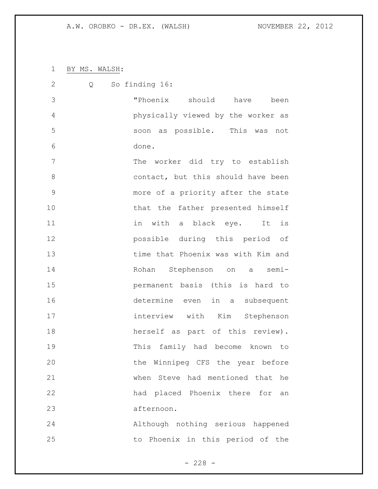BY MS. WALSH:

| $\mathbf{2}$  | So finding 16:<br>Q                |
|---------------|------------------------------------|
| 3             | "Phoenix should have<br>been       |
| 4             | physically viewed by the worker as |
| 5             | soon as possible. This was not     |
| 6             | done.                              |
| 7             | The worker did try to establish    |
| 8             | contact, but this should have been |
| $\mathcal{G}$ | more of a priority after the state |
| 10            | that the father presented himself  |
| 11            | in with a black eye. It is         |
| 12            | possible during this period of     |
| 13            | time that Phoenix was with Kim and |
| 14            | Rohan Stephenson on a semi-        |
| 15            | permanent basis (this is hard to   |
| 16            | determine even in a subsequent     |
| 17            | interview with Kim Stephenson      |
| 18            | herself as part of this review).   |
| 19            | This family had become known<br>to |
| 20            | the Winnipeg CFS the year before   |
| 21            | when Steve had mentioned that he   |
| 22            | had placed Phoenix there for<br>an |
| 23            | afternoon.                         |
| 24            | Although nothing serious happened  |
| 25            | to Phoenix in this period of the   |

- 228 -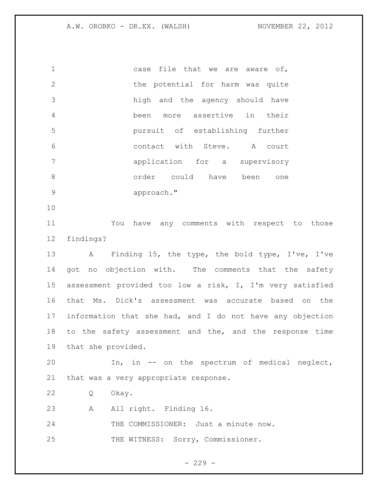case file that we are aware of, 2 the potential for harm was quite high and the agency should have been more assertive in their pursuit of establishing further contact with Steve. A court application for a supervisory order could have been one approach."

 You have any comments with respect to those findings?

 A Finding 15, the type, the bold type, I've, I've 14 got no objection with. The comments that the safety assessment provided too low a risk, I, I'm very satisfied that Ms. Dick's assessment was accurate based on the information that she had, and I do not have any objection to the safety assessment and the, and the response time that she provided.

 In, in -- on the spectrum of medical neglect, that was a very appropriate response.

Q Okay.

A All right. Finding 16.

24 THE COMMISSIONER: Just a minute now.

25 THE WITNESS: Sorry, Commissioner.

 $-229 -$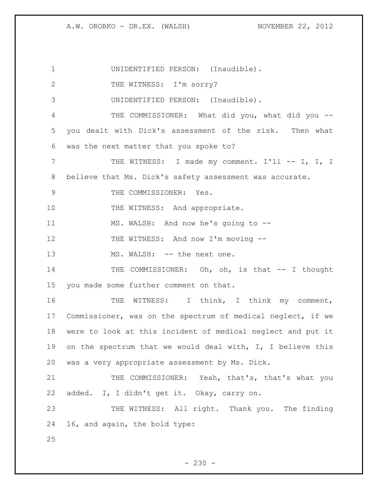| $\mathbf 1$   | UNIDENTIFIED PERSON: (Inaudible).                           |
|---------------|-------------------------------------------------------------|
| 2             | THE WITNESS: I'm sorry?                                     |
| 3             | UNIDENTIFIED PERSON: (Inaudible).                           |
| 4             | THE COMMISSIONER: What did you, what did you --             |
| 5             | you dealt with Dick's assessment of the risk. Then what     |
| 6             | was the next matter that you spoke to?                      |
| 7             | THE WITNESS: I made my comment. I'll -- I, I, I             |
| 8             | believe that Ms. Dick's safety assessment was accurate.     |
| $\mathcal{G}$ | THE COMMISSIONER: Yes.                                      |
| 10            | THE WITNESS: And appropriate.                               |
| 11            | MS. WALSH: And now he's going to --                         |
| 12            | THE WITNESS: And now I'm moving --                          |
| 13            | MS. WALSH: -- the next one.                                 |
| 14            | THE COMMISSIONER: Oh, oh, is that -- I thought              |
| 15            | you made some further comment on that.                      |
| 16            | THE WITNESS: I think, I think my comment,                   |
| 17            | Commissioner, was on the spectrum of medical neglect, if we |
| 18            | were to look at this incident of medical neglect and put it |
| 19            | on the spectrum that we would deal with, I, I believe this  |
| 20            | was a very appropriate assessment by Ms. Dick.              |
| 21            | THE COMMISSIONER: Yeah, that's, that's what you             |
| 22            | added. I, I didn't get it. Okay, carry on.                  |
| 23            | THE WITNESS: All right. Thank you. The finding              |
| 24            | 16, and again, the bold type:                               |
| 25            |                                                             |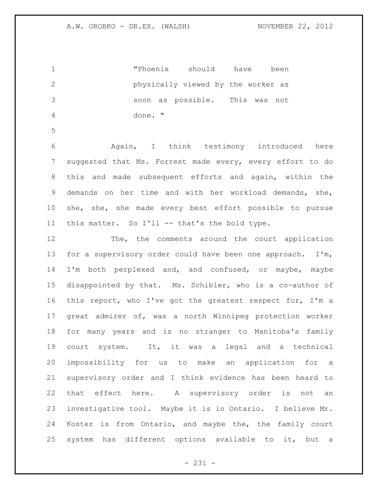"Phoenix should have been physically viewed by the worker as soon as possible. This was not done. "

 Again, I think testimony introduced here suggested that Ms. Forrest made every, every effort to do this and made subsequent efforts and again, within the demands on her time and with her workload demands, she, she, she, she made every best effort possible to pursue this matter. So I'll -- that's the bold type.

 The, the comments around the court application for a supervisory order could have been one approach. I'm, I'm both perplexed and, and confused, or maybe, maybe disappointed by that. Ms. Schibler, who is a co-author of this report, who I've got the greatest respect for, I'm a great admirer of, was a north Winnipeg protection worker for many years and is no stranger to Manitoba's family court system. It, it was a legal and a technical impossibility for us to make an application for a supervisory order and I think evidence has been heard to that effect here. A supervisory order is not an investigative tool. Maybe it is in Ontario. I believe Mr. Koster is from Ontario, and maybe the, the family court system has different options available to it, but a

- 231 -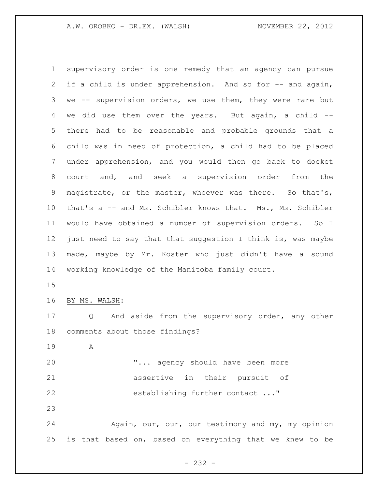supervisory order is one remedy that an agency can pursue 2 if a child is under apprehension. And so for -- and again, 3 we -- supervision orders, we use them, they were rare but we did use them over the years. But again, a child -- there had to be reasonable and probable grounds that a child was in need of protection, a child had to be placed under apprehension, and you would then go back to docket court and, and seek a supervision order from the magistrate, or the master, whoever was there. So that's, 10 that's a -- and Ms. Schibler knows that. Ms., Ms. Schibler would have obtained a number of supervision orders. So I just need to say that that suggestion I think is, was maybe made, maybe by Mr. Koster who just didn't have a sound working knowledge of the Manitoba family court. BY MS. WALSH: Q And aside from the supervisory order, any other comments about those findings? A "... agency should have been more assertive in their pursuit of

establishing further contact ..."

24 Again, our, our, our testimony and my, my opinion is that based on, based on everything that we knew to be

- 232 -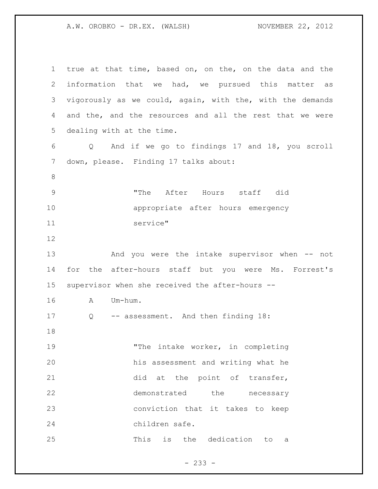true at that time, based on, on the, on the data and the information that we had, we pursued this matter as vigorously as we could, again, with the, with the demands and the, and the resources and all the rest that we were dealing with at the time. Q And if we go to findings 17 and 18, you scroll down, please. Finding 17 talks about: "The After Hours staff did appropriate after hours emergency service" And you were the intake supervisor when -- not for the after-hours staff but you were Ms. Forrest's supervisor when she received the after-hours -- A Um-hum. 17 Q -- assessment. And then finding 18: "The intake worker, in completing his assessment and writing what he 21 did at the point of transfer, demonstrated the necessary conviction that it takes to keep children safe. This is the dedication to a

- 233 -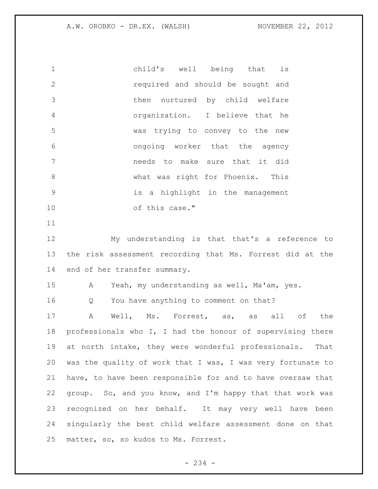child's well being that is required and should be sought and then nurtured by child welfare organization. I believe that he was trying to convey to the new ongoing worker that the agency needs to make sure that it did what was right for Phoenix. This is a highlight in the management of this case."

 My understanding is that that's a reference to the risk assessment recording that Ms. Forrest did at the end of her transfer summary.

A Yeah, my understanding as well, Ma'am, yes.

Q You have anything to comment on that?

 A Well, Ms. Forrest, as, as all of the professionals who I, I had the honour of supervising there at north intake, they were wonderful professionals. That was the quality of work that I was, I was very fortunate to have, to have been responsible for and to have oversaw that group. So, and you know, and I'm happy that that work was recognized on her behalf. It may very well have been singularly the best child welfare assessment done on that matter, so, so kudos to Ms. Forrest.

- 234 -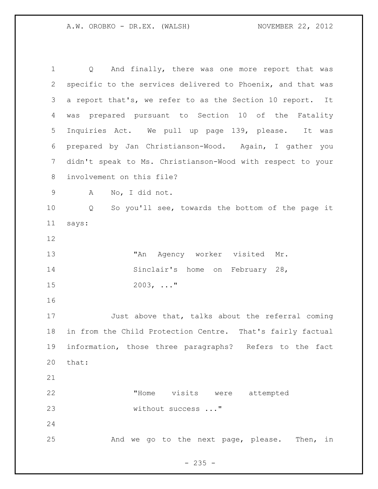Q And finally, there was one more report that was specific to the services delivered to Phoenix, and that was a report that's, we refer to as the Section 10 report. It was prepared pursuant to Section 10 of the Fatality Inquiries Act. We pull up page 139, please. It was prepared by Jan Christianson-Wood. Again, I gather you didn't speak to Ms. Christianson-Wood with respect to your involvement on this file? A No, I did not. Q So you'll see, towards the bottom of the page it says: 13 TAN Agency worker visited Mr. 14 Sinclair's home on February 28, 2003, ..." Just above that, talks about the referral coming in from the Child Protection Centre. That's fairly factual information, those three paragraphs? Refers to the fact that: "Home visits were attempted 23 without success ..." And we go to the next page, please. Then, in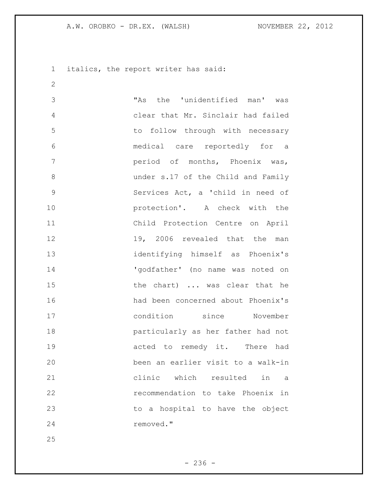italics, the report writer has said:

 "As the 'unidentified man' was clear that Mr. Sinclair had failed to follow through with necessary medical care reportedly for a period of months, Phoenix was, under s.17 of the Child and Family Services Act, a 'child in need of **protection'.** A check with the Child Protection Centre on April 12 19, 2006 revealed that the man identifying himself as Phoenix's 14 'godfather' (no name was noted on 15 the chart) ... was clear that he had been concerned about Phoenix's condition since November particularly as her father had not **19 acted to remedy it.** There had been an earlier visit to a walk-in clinic which resulted in a recommendation to take Phoenix in 23 to a hospital to have the object removed."

 $-236 -$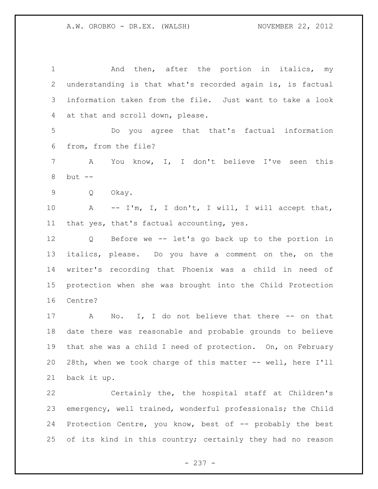1 and then, after the portion in italics, my understanding is that what's recorded again is, is factual information taken from the file. Just want to take a look at that and scroll down, please. Do you agree that that's factual information from, from the file? A You know, I, I don't believe I've seen this but -- Q Okay. 10 A -- I'm, I, I don't, I will, I will accept that, that yes, that's factual accounting, yes. Q Before we -- let's go back up to the portion in italics, please. Do you have a comment on the, on the writer's recording that Phoenix was a child in need of protection when she was brought into the Child Protection Centre? 17 A No. I, I do not believe that there -- on that date there was reasonable and probable grounds to believe that she was a child I need of protection. On, on February 28th, when we took charge of this matter -- well, here I'll back it up.

 Certainly the, the hospital staff at Children's emergency, well trained, wonderful professionals; the Child Protection Centre, you know, best of -- probably the best 25 of its kind in this country; certainly they had no reason

- 237 -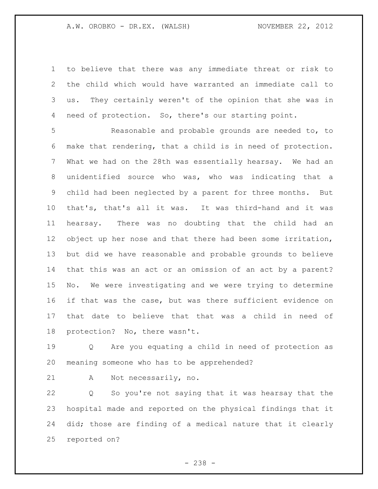to believe that there was any immediate threat or risk to the child which would have warranted an immediate call to us. They certainly weren't of the opinion that she was in need of protection. So, there's our starting point.

 Reasonable and probable grounds are needed to, to make that rendering, that a child is in need of protection. What we had on the 28th was essentially hearsay. We had an unidentified source who was, who was indicating that a child had been neglected by a parent for three months. But that's, that's all it was. It was third-hand and it was hearsay. There was no doubting that the child had an object up her nose and that there had been some irritation, but did we have reasonable and probable grounds to believe that this was an act or an omission of an act by a parent? No. We were investigating and we were trying to determine if that was the case, but was there sufficient evidence on that date to believe that that was a child in need of protection? No, there wasn't.

 Q Are you equating a child in need of protection as meaning someone who has to be apprehended?

A Not necessarily, no.

 Q So you're not saying that it was hearsay that the hospital made and reported on the physical findings that it did; those are finding of a medical nature that it clearly reported on?

- 238 -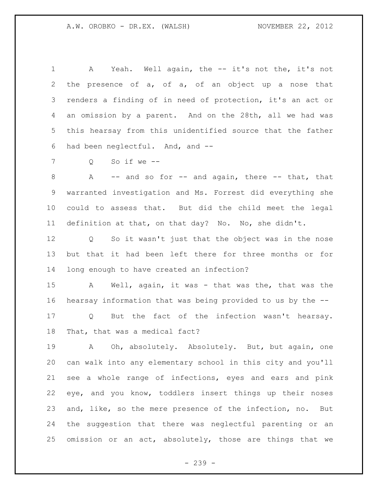A Yeah. Well again, the -- it's not the, it's not the presence of a, of a, of an object up a nose that renders a finding of in need of protection, it's an act or an omission by a parent. And on the 28th, all we had was this hearsay from this unidentified source that the father had been neglectful. And, and --

Q So if we --

8 A -- and so for -- and again, there -- that, that warranted investigation and Ms. Forrest did everything she could to assess that. But did the child meet the legal definition at that, on that day? No. No, she didn't.

 Q So it wasn't just that the object was in the nose but that it had been left there for three months or for long enough to have created an infection?

 A Well, again, it was - that was the, that was the hearsay information that was being provided to us by the -- Q But the fact of the infection wasn't hearsay. That, that was a medical fact?

19 A Oh, absolutely. Absolutely. But, but again, one can walk into any elementary school in this city and you'll see a whole range of infections, eyes and ears and pink eye, and you know, toddlers insert things up their noses and, like, so the mere presence of the infection, no. But the suggestion that there was neglectful parenting or an omission or an act, absolutely, those are things that we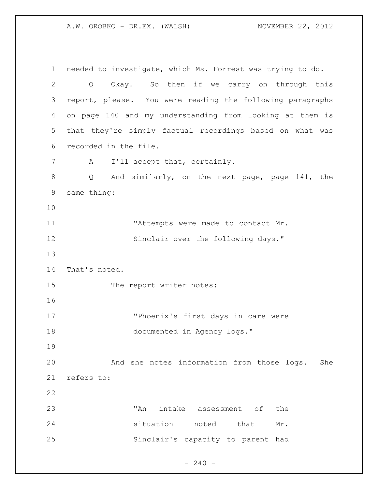needed to investigate, which Ms. Forrest was trying to do. Q Okay. So then if we carry on through this report, please. You were reading the following paragraphs on page 140 and my understanding from looking at them is that they're simply factual recordings based on what was recorded in the file. 7 A I'll accept that, certainly. Q And similarly, on the next page, page 141, the same thing: **"Attempts were made to contact Mr.** 12 Sinclair over the following days." That's noted. 15 The report writer notes: "Phoenix's first days in care were documented in Agency logs." And she notes information from those logs. She refers to: 23 TAn intake assessment of the situation noted that Mr. Sinclair's capacity to parent had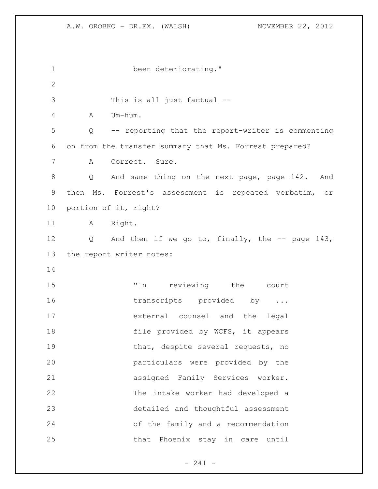| $\mathbf 1$  | been deteriorating."                                                |
|--------------|---------------------------------------------------------------------|
| $\mathbf{2}$ |                                                                     |
| 3            | This is all just factual --                                         |
| 4            | Um-hum.<br>A                                                        |
| 5            | -- reporting that the report-writer is commenting<br>$\overline{Q}$ |
| 6            | on from the transfer summary that Ms. Forrest prepared?             |
| 7            | Correct. Sure.<br>A                                                 |
| 8            | Q And same thing on the next page, page 142. And                    |
| $\mathsf 9$  | then Ms. Forrest's assessment is repeated verbatim, or              |
| 10           | portion of it, right?                                               |
| 11           | A Right.                                                            |
| 12           | Q and then if we go to, finally, the $-$ page 143,                  |
| 13           | the report writer notes:                                            |
| 14           |                                                                     |
| 15           | "In reviewing the court                                             |
| 16           | transcripts provided by                                             |
| 17           | external counsel and the legal                                      |
| 18           | file provided by WCFS, it appears                                   |
| 19           | that, despite several requests, no                                  |
| 20           | particulars were provided by the                                    |
| 21           | assigned Family Services worker.                                    |
| 22           | The intake worker had developed a                                   |
| 23           | detailed and thoughtful assessment                                  |
| 24           | of the family and a recommendation                                  |
| 25           | that Phoenix stay in care until                                     |

- 241 -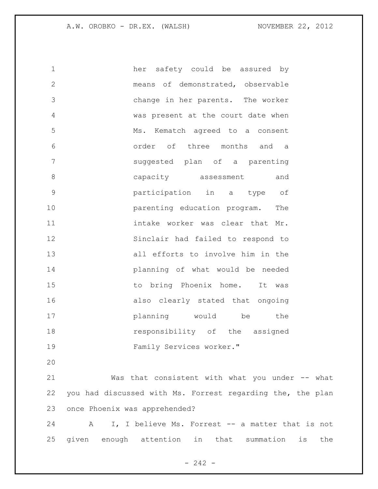her safety could be assured by means of demonstrated, observable change in her parents. The worker was present at the court date when Ms. Kematch agreed to a consent order of three months and a suggested plan of a parenting 8 capacity assessment and participation in a type of **parenting education program.** The intake worker was clear that Mr. Sinclair had failed to respond to all efforts to involve him in the planning of what would be needed 15 to bring Phoenix home. It was also clearly stated that ongoing planning would be the **responsibility** of the assigned Family Services worker."

 Was that consistent with what you under -- what you had discussed with Ms. Forrest regarding the, the plan once Phoenix was apprehended?

 A I, I believe Ms. Forrest -- a matter that is not given enough attention in that summation is the

 $- 242 -$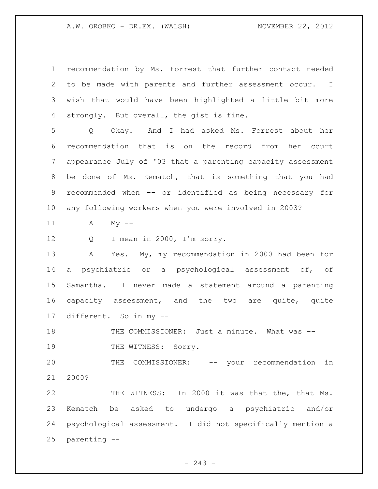recommendation by Ms. Forrest that further contact needed to be made with parents and further assessment occur. I wish that would have been highlighted a little bit more strongly. But overall, the gist is fine. Q Okay. And I had asked Ms. Forrest about her recommendation that is on the record from her court appearance July of '03 that a parenting capacity assessment be done of Ms. Kematch, that is something that you had recommended when -- or identified as being necessary for any following workers when you were involved in 2003? A My -- 12 Q I mean in 2000, I'm sorry. A Yes. My, my recommendation in 2000 had been for a psychiatric or a psychological assessment of, of Samantha. I never made a statement around a parenting capacity assessment, and the two are quite, quite different. So in my -- 18 THE COMMISSIONER: Just a minute. What was --19 THE WITNESS: Sorry. THE COMMISSIONER: -- your recommendation in 2000? THE WITNESS: In 2000 it was that the, that Ms. Kematch be asked to undergo a psychiatric and/or psychological assessment. I did not specifically mention a parenting --

 $- 243 -$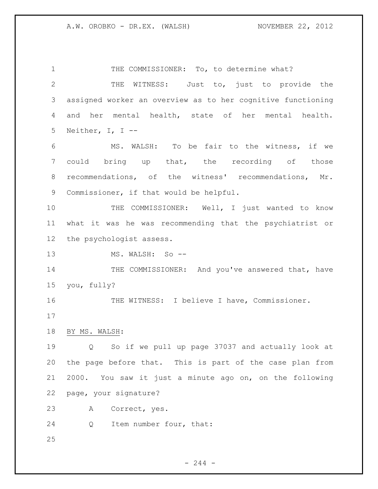1 THE COMMISSIONER: To, to determine what? THE WITNESS: Just to, just to provide the assigned worker an overview as to her cognitive functioning and her mental health, state of her mental health. Neither, I, I -- MS. WALSH: To be fair to the witness, if we 7 could bring up that, the recording of those recommendations, of the witness' recommendations, Mr. Commissioner, if that would be helpful. 10 THE COMMISSIONER: Well, I just wanted to know what it was he was recommending that the psychiatrist or the psychologist assess. 13 MS. WALSH: So --14 THE COMMISSIONER: And you've answered that, have you, fully? THE WITNESS: I believe I have, Commissioner. BY MS. WALSH: Q So if we pull up page 37037 and actually look at the page before that. This is part of the case plan from 2000. You saw it just a minute ago on, on the following page, your signature? A Correct, yes. 24 Q Item number four, that: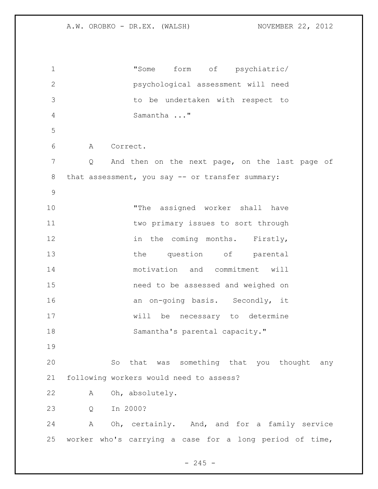"Some form of psychiatric/ psychological assessment will need to be undertaken with respect to Samantha ..." A Correct. Q And then on the next page, on the last page of 8 that assessment, you say -- or transfer summary: "The assigned worker shall have **two primary issues to sort through** 12 in the coming months. Firstly, 13 the question of parental motivation and commitment will need to be assessed and weighed on 16 an on-going basis. Secondly, it will be necessary to determine 18 Samantha's parental capacity." So that was something that you thought any following workers would need to assess? A Oh, absolutely. Q In 2000? A Oh, certainly. And, and for a family service worker who's carrying a case for a long period of time,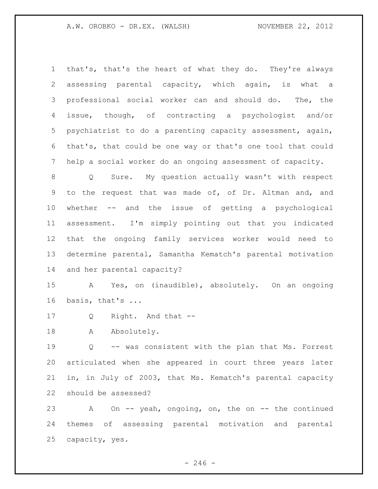that's, that's the heart of what they do. They're always assessing parental capacity, which again, is what a professional social worker can and should do. The, the issue, though, of contracting a psychologist and/or psychiatrist to do a parenting capacity assessment, again, that's, that could be one way or that's one tool that could help a social worker do an ongoing assessment of capacity.

 Q Sure. My question actually wasn't with respect to the request that was made of, of Dr. Altman and, and whether -- and the issue of getting a psychological assessment. I'm simply pointing out that you indicated that the ongoing family services worker would need to determine parental, Samantha Kematch's parental motivation and her parental capacity?

 A Yes, on (inaudible), absolutely. On an ongoing basis, that's ...

Q Right. And that --

18 A Absolutely.

 Q -- was consistent with the plan that Ms. Forrest articulated when she appeared in court three years later in, in July of 2003, that Ms. Kematch's parental capacity should be assessed?

 A On -- yeah, ongoing, on, the on -- the continued themes of assessing parental motivation and parental capacity, yes.

 $-246 -$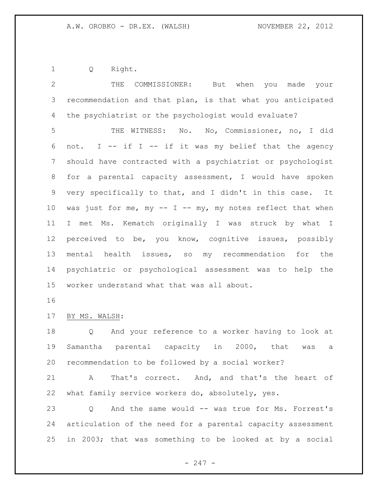Q Right.

| $\mathbf{2}$ | THE<br>COMMISSIONER: But when<br>you made your              |
|--------------|-------------------------------------------------------------|
| 3            | recommendation and that plan, is that what you anticipated  |
| 4            | the psychiatrist or the psychologist would evaluate?        |
| 5            | THE WITNESS: No. No, Commissioner, no, I did                |
| 6            | not. I -- if I -- if it was my belief that the agency       |
| 7            | should have contracted with a psychiatrist or psychologist  |
| 8            | for a parental capacity assessment, I would have spoken     |
| $\mathsf 9$  | very specifically to that, and I didn't in this case. It    |
| 10           | was just for me, my -- I -- my, my notes reflect that when  |
| 11           | I met Ms. Kematch originally I was struck by what I         |
| 12           | perceived to be, you know, cognitive issues, possibly       |
| 13           | mental health issues, so my recommendation for the          |
| 14           | psychiatric or psychological assessment was to help the     |
| 15           | worker understand what that was all about.                  |
| 16           |                                                             |
|              |                                                             |
| 17           | BY MS. WALSH:                                               |
| 18           | And your reference to a worker having to look at<br>Q       |
| 19           | Samantha parental capacity in 2000, that<br>was<br>a        |
| 20           | recommendation to be followed by a social worker?           |
| 21           | That's correct. And, and that's the heart of<br>A           |
| 22           | what family service workers do, absolutely, yes.            |
| 23           | And the same would -- was true for Ms. Forrest's<br>Q       |
| 24           | articulation of the need for a parental capacity assessment |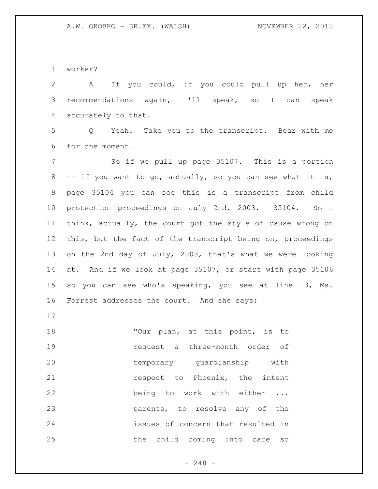worker?

 A If you could, if you could pull up her, her recommendations again, I'll speak, so I can speak accurately to that.

 Q Yeah. Take you to the transcript. Bear with me for one moment.

 So if we pull up page 35107. This is a portion -- if you want to go, actually, so you can see what it is, page 35104 you can see this is a transcript from child protection proceedings on July 2nd, 2003. 35104. So I think, actually, the court got the style of cause wrong on this, but the fact of the transcript being on, proceedings on the 2nd day of July, 2003, that's what we were looking at. And if we look at page 35107, or start with page 35106 so you can see who's speaking, you see at line 13, Ms. Forrest addresses the court. And she says:

18 Tour plan, at this point, is to request a three-month order of temporary guardianship with **respect** to Phoenix, the intent being to work with either ... parents, to resolve any of the issues of concern that resulted in 25 the child coming into care so

- 248 -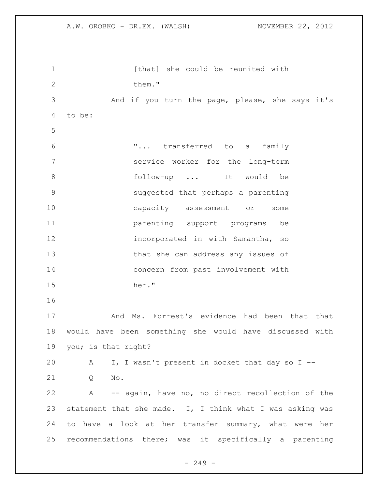| $\mathbf 1$   | [that] she could be reunited with                         |
|---------------|-----------------------------------------------------------|
| $\mathbf{2}$  | them."                                                    |
| 3             | And if you turn the page, please, she says it's           |
| 4             | to be:                                                    |
| 5             |                                                           |
| 6             | " transferred to a<br>family                              |
| 7             | service worker for the long-term                          |
| 8             | follow-up  It would be                                    |
| $\mathcal{G}$ | suggested that perhaps a parenting                        |
| 10            | capacity assessment or<br>some                            |
| 11            | parenting support programs be                             |
| 12            | incorporated in with Samantha, so                         |
| 13            | that she can address any issues of                        |
| 14            | concern from past involvement with                        |
| 15            | her."                                                     |
| 16            |                                                           |
| 17            | And Ms. Forrest's evidence had been that that             |
| 18            | would have been something she would have discussed with   |
| 19            | you; is that right?                                       |
| 20            | I, I wasn't present in docket that day so I --<br>A       |
| 21            | Q<br>No.                                                  |
| 22            | A -- again, have no, no direct recollection of the        |
| 23            | statement that she made. I, I think what I was asking was |
| 24            | to have a look at her transfer summary, what were her     |
| 25            | recommendations there; was it specifically a parenting    |
|               |                                                           |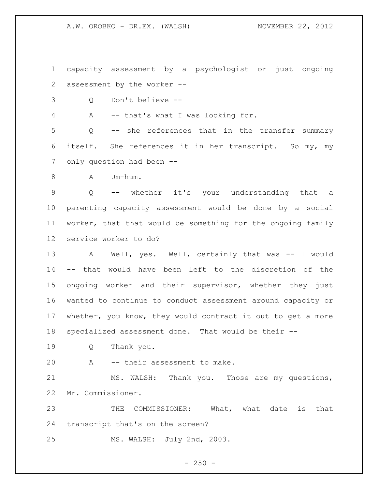A.W. OROBKO - DR.EX. (WALSH) NOVEMBER 22, 2012

 capacity assessment by a psychologist or just ongoing assessment by the worker --

Q Don't believe --

A -- that's what I was looking for.

 Q -- she references that in the transfer summary itself. She references it in her transcript. So my, my 7 only question had been --

8 A Um-hum.

 Q -- whether it's your understanding that a parenting capacity assessment would be done by a social worker, that that would be something for the ongoing family service worker to do?

13 A Well, yes. Well, certainly that was -- I would -- that would have been left to the discretion of the ongoing worker and their supervisor, whether they just wanted to continue to conduct assessment around capacity or whether, you know, they would contract it out to get a more specialized assessment done. That would be their --

- Q Thank you.
- A -- their assessment to make.

 MS. WALSH: Thank you. Those are my questions, Mr. Commissioner.

 THE COMMISSIONER: What, what date is that transcript that's on the screen?

MS. WALSH: July 2nd, 2003.

 $- 250 -$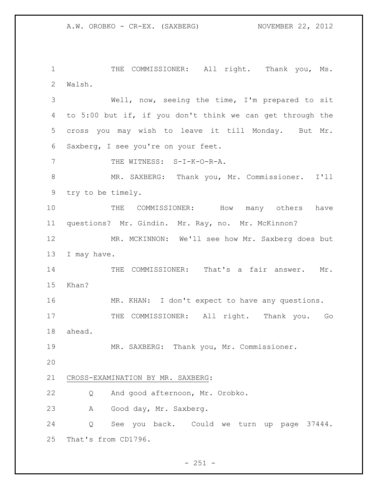1 THE COMMISSIONER: All right. Thank you, Ms. Walsh.

 Well, now, seeing the time, I'm prepared to sit to 5:00 but if, if you don't think we can get through the cross you may wish to leave it till Monday. But Mr. Saxberg, I see you're on your feet.

7 THE WITNESS: S-I-K-O-R-A.

 MR. SAXBERG: Thank you, Mr. Commissioner. I'll try to be timely.

 THE COMMISSIONER: How many others have questions? Mr. Gindin. Mr. Ray, no. Mr. McKinnon?

 MR. MCKINNON: We'll see how Mr. Saxberg does but I may have.

14 THE COMMISSIONER: That's a fair answer. Mr. Khan?

 MR. KHAN: I don't expect to have any questions. 17 THE COMMISSIONER: All right. Thank you. Go ahead.

MR. SAXBERG: Thank you, Mr. Commissioner.

## CROSS-EXAMINATION BY MR. SAXBERG:

Q And good afternoon, Mr. Orobko.

A Good day, Mr. Saxberg.

 Q See you back. Could we turn up page 37444. That's from CD1796.

 $- 251 -$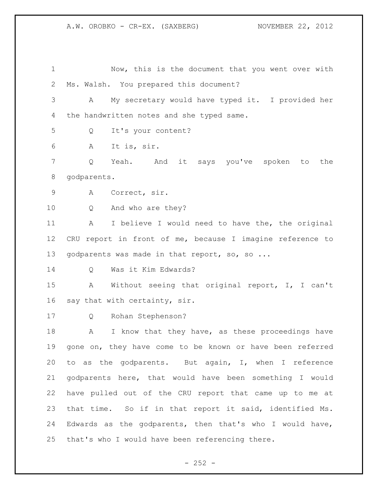Now, this is the document that you went over with Ms. Walsh. You prepared this document? A My secretary would have typed it. I provided her 4 the handwritten notes and she typed same. Q It's your content? A It is, sir. Q Yeah. And it says you've spoken to the godparents. A Correct, sir. Q And who are they? A I believe I would need to have the, the original CRU report in front of me, because I imagine reference to 13 godparents was made in that report, so, so ... Q Was it Kim Edwards? A Without seeing that original report, I, I can't say that with certainty, sir. Q Rohan Stephenson? 18 A I know that they have, as these proceedings have gone on, they have come to be known or have been referred to as the godparents. But again, I, when I reference godparents here, that would have been something I would have pulled out of the CRU report that came up to me at that time. So if in that report it said, identified Ms. Edwards as the godparents, then that's who I would have, that's who I would have been referencing there.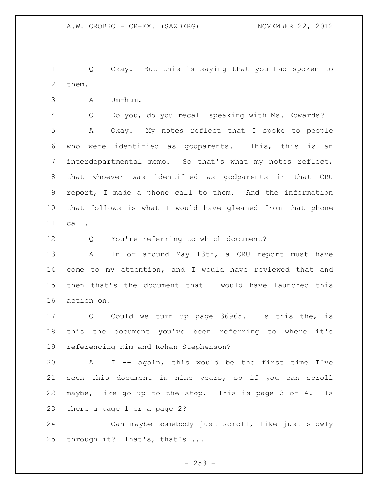Q Okay. But this is saying that you had spoken to them.

A Um-hum.

 Q Do you, do you recall speaking with Ms. Edwards? A Okay. My notes reflect that I spoke to people who were identified as godparents. This, this is an interdepartmental memo. So that's what my notes reflect, that whoever was identified as godparents in that CRU report, I made a phone call to them. And the information that follows is what I would have gleaned from that phone call.

Q You're referring to which document?

13 A In or around May 13th, a CRU report must have come to my attention, and I would have reviewed that and then that's the document that I would have launched this action on.

 Q Could we turn up page 36965. Is this the, is this the document you've been referring to where it's referencing Kim and Rohan Stephenson?

 A I -- again, this would be the first time I've seen this document in nine years, so if you can scroll maybe, like go up to the stop. This is page 3 of 4. Is there a page 1 or a page 2?

 Can maybe somebody just scroll, like just slowly through it? That's, that's ...

 $-253 -$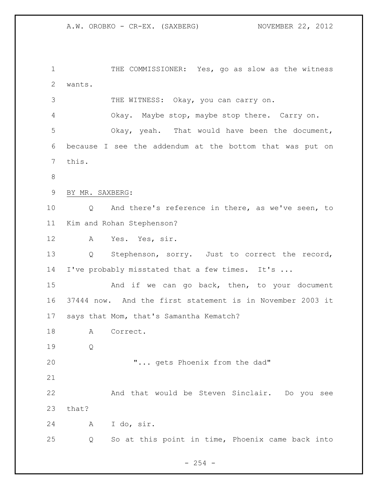THE COMMISSIONER: Yes, go as slow as the witness wants. 3 THE WITNESS: Okay, you can carry on. Okay. Maybe stop, maybe stop there. Carry on. Okay, yeah. That would have been the document, because I see the addendum at the bottom that was put on this. BY MR. SAXBERG: Q And there's reference in there, as we've seen, to Kim and Rohan Stephenson? A Yes. Yes, sir. Q Stephenson, sorry. Just to correct the record, I've probably misstated that a few times. It's ... 15 And if we can go back, then, to your document 37444 now. And the first statement is in November 2003 it says that Mom, that's Samantha Kematch? A Correct. Q "... gets Phoenix from the dad" And that would be Steven Sinclair. Do you see that? A I do, sir. Q So at this point in time, Phoenix came back into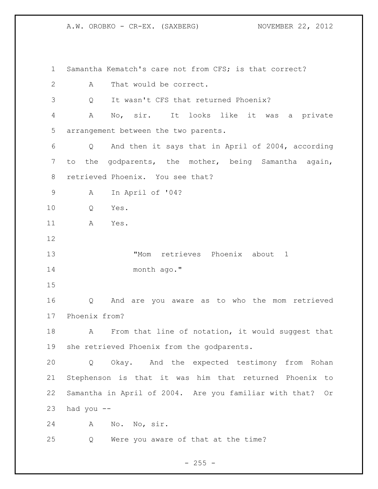A.W. OROBKO - CR-EX. (SAXBERG) NOVEMBER 22, 2012

| 1              | Samantha Kematch's care not from CFS; is that correct?    |
|----------------|-----------------------------------------------------------|
| $\overline{2}$ | That would be correct.<br>A                               |
| 3              | It wasn't CFS that returned Phoenix?<br>Q                 |
| $\overline{4}$ | No, sir.<br>It looks like it was a private<br>А           |
| 5              | arrangement between the two parents.                      |
| 6              | And then it says that in April of 2004, according<br>Q    |
| 7              | to the godparents, the mother, being Samantha again,      |
| 8              | retrieved Phoenix. You see that?                          |
| 9              | In April of '04?<br>A                                     |
| 10             | Yes.<br>Q                                                 |
| 11             | A<br>Yes.                                                 |
| 12             |                                                           |
| 13             | "Mom retrieves Phoenix about 1                            |
| 14             | month ago."                                               |
| 15             |                                                           |
| 16             | And are you aware as to who the mom retrieved<br>Q        |
| 17             | Phoenix from?                                             |
| 18             | From that line of notation, it would suggest that<br>A    |
| 19             | she retrieved Phoenix from the godparents.                |
| 20             | Okay. And the expected testimony from Rohan<br>Q          |
| 21             | Stephenson is that it was him that returned Phoenix to    |
| 22             | Samantha in April of 2004. Are you familiar with that? Or |
| 23             | had you --                                                |
| 24             | Α<br>No. No, sir.                                         |
| 25             | Were you aware of that at the time?<br>Q                  |

- 255 -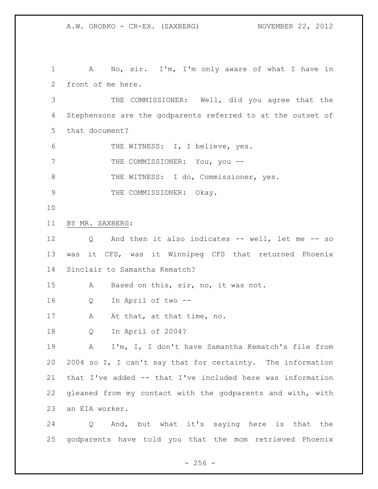A No, sir. I'm, I'm only aware of what I have in front of me here. THE COMMISSIONER: Well, did you agree that the Stephensons are the godparents referred to at the outset of that document? THE WITNESS: I, I believe, yes. 7 THE COMMISSIONER: You, you --8 THE WITNESS: I do, Commissioner, yes. 9 THE COMMISSIONER: Okay. BY MR. SAXBERG: Q And then it also indicates -- well, let me -- so was it CFS, was it Winnipeg CFS that returned Phoenix Sinclair to Samantha Kematch? A Based on this, sir, no, it was not. Q In April of two -- 17 A At that, at that time, no. Q In April of 2004? A I'm, I, I don't have Samantha Kematch's file from 2004 so I, I can't say that for certainty. The information that I've added -- that I've included here was information gleaned from my contact with the godparents and with, with an EIA worker. Q And, but what it's saying here is that the

godparents have told you that the mom retrieved Phoenix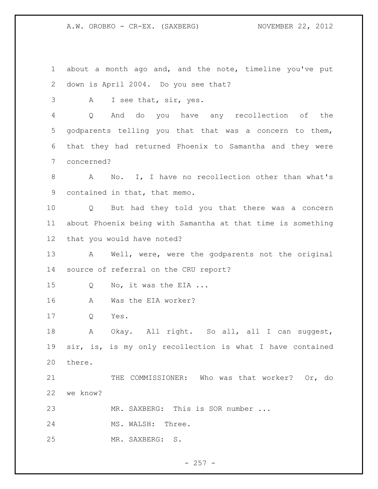A.W. OROBKO - CR-EX. (SAXBERG) NOVEMBER 22, 2012

 about a month ago and, and the note, timeline you've put down is April 2004. Do you see that? A I see that, sir, yes. Q And do you have any recollection of the godparents telling you that that was a concern to them, that they had returned Phoenix to Samantha and they were concerned? A No. I, I have no recollection other than what's contained in that, that memo. Q But had they told you that there was a concern about Phoenix being with Samantha at that time is something that you would have noted? A Well, were, were the godparents not the original source of referral on the CRU report? 15 Q No, it was the EIA ... A Was the EIA worker? Q Yes. A Okay. All right. So all, all I can suggest, sir, is, is my only recollection is what I have contained there. 21 THE COMMISSIONER: Who was that worker? Or, do we know? 23 MR. SAXBERG: This is SOR number ... 24 MS. WALSH: Three. MR. SAXBERG: S.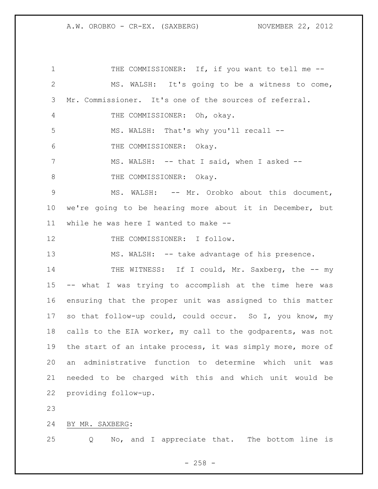1 THE COMMISSIONER: If, if you want to tell me --2 MS. WALSH: It's going to be a witness to come, 3 Mr. Commissioner. It's one of the sources of referral. 4 THE COMMISSIONER: Oh, okay. 5 MS. WALSH: That's why you'll recall -- 6 THE COMMISSIONER: Okay. 7 MS. WALSH: -- that I said, when I asked --8 THE COMMISSIONER: Okay. 9 MS. WALSH:  $--$  Mr. Orobko about this document, 10 we're going to be hearing more about it in December, but 11 while he was here I wanted to make -- 12 THE COMMISSIONER: I follow. 13 MS. WALSH: -- take advantage of his presence. 14 THE WITNESS: If I could, Mr. Saxberg, the -- my 15 -- what I was trying to accomplish at the time here was 16 ensuring that the proper unit was assigned to this matter 17 so that follow-up could, could occur. So I, you know, my 18 calls to the EIA worker, my call to the godparents, was not 19 the start of an intake process, it was simply more, more of 20 an administrative function to determine which unit was 21 needed to be charged with this and which unit would be 22 providing follow-up. 23

24 BY MR. SAXBERG:

25 Q No, and I appreciate that. The bottom line is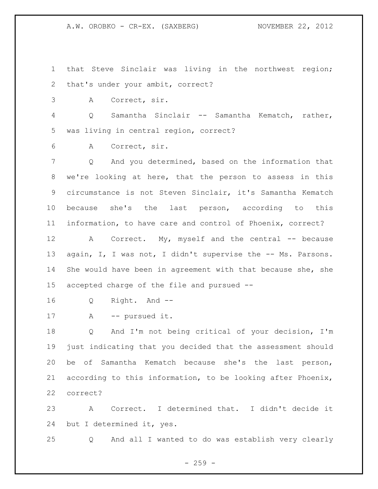A.W. OROBKO - CR-EX. (SAXBERG) NOVEMBER 22, 2012

 that Steve Sinclair was living in the northwest region; that's under your ambit, correct?

A Correct, sir.

 Q Samantha Sinclair -- Samantha Kematch, rather, was living in central region, correct?

A Correct, sir.

 Q And you determined, based on the information that we're looking at here, that the person to assess in this circumstance is not Steven Sinclair, it's Samantha Kematch because she's the last person, according to this information, to have care and control of Phoenix, correct?

12 A Correct. My, myself and the central -- because 13 again, I, I was not, I didn't supervise the -- Ms. Parsons. She would have been in agreement with that because she, she accepted charge of the file and pursued --

Q Right. And --

```
17 A -- pursued it.
```
 Q And I'm not being critical of your decision, I'm just indicating that you decided that the assessment should be of Samantha Kematch because she's the last person, according to this information, to be looking after Phoenix, correct?

 A Correct. I determined that. I didn't decide it but I determined it, yes.

Q And all I wanted to do was establish very clearly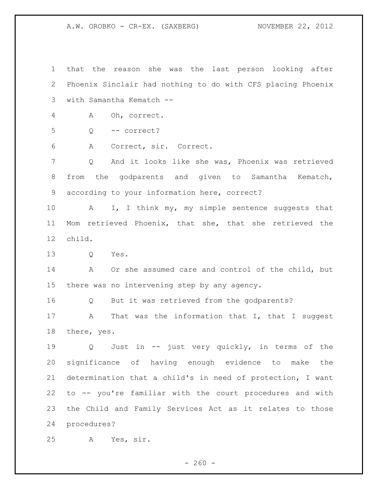A.W. OROBKO - CR-EX. (SAXBERG) NOVEMBER 22, 2012

 that the reason she was the last person looking after Phoenix Sinclair had nothing to do with CFS placing Phoenix with Samantha Kematch -- A Oh, correct.

Q -- correct?

A Correct, sir. Correct.

 Q And it looks like she was, Phoenix was retrieved from the godparents and given to Samantha Kematch, according to your information here, correct?

10 A I, I think my, my simple sentence suggests that Mom retrieved Phoenix, that she, that she retrieved the child.

Q Yes.

 A Or she assumed care and control of the child, but there was no intervening step by any agency.

Q But it was retrieved from the godparents?

17 A That was the information that I, that I suggest there, yes.

 Q Just in -- just very quickly, in terms of the significance of having enough evidence to make the determination that a child's in need of protection, I want to -- you're familiar with the court procedures and with the Child and Family Services Act as it relates to those procedures?

A Yes, sir.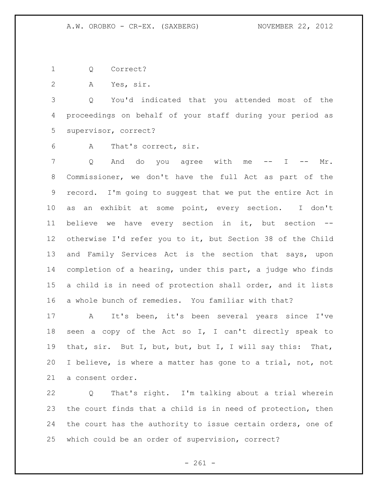Q Correct?

A Yes, sir.

 Q You'd indicated that you attended most of the proceedings on behalf of your staff during your period as supervisor, correct?

A That's correct, sir.

7 Q And do you agree with me -- I -- Mr. Commissioner, we don't have the full Act as part of the record. I'm going to suggest that we put the entire Act in as an exhibit at some point, every section. I don't believe we have every section in it, but section -- otherwise I'd refer you to it, but Section 38 of the Child and Family Services Act is the section that says, upon completion of a hearing, under this part, a judge who finds a child is in need of protection shall order, and it lists a whole bunch of remedies. You familiar with that?

 A It's been, it's been several years since I've seen a copy of the Act so I, I can't directly speak to that, sir. But I, but, but, but I, I will say this: That, I believe, is where a matter has gone to a trial, not, not a consent order.

 Q That's right. I'm talking about a trial wherein the court finds that a child is in need of protection, then 24 the court has the authority to issue certain orders, one of which could be an order of supervision, correct?

 $- 261 -$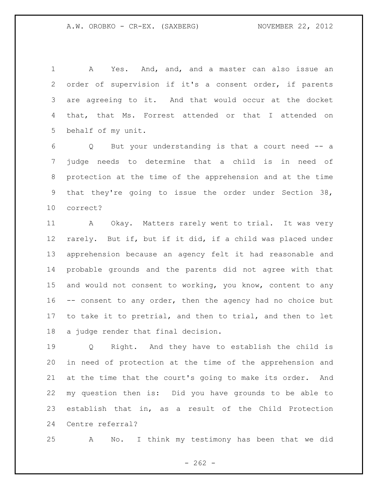A Yes. And, and, and a master can also issue an order of supervision if it's a consent order, if parents are agreeing to it. And that would occur at the docket that, that Ms. Forrest attended or that I attended on behalf of my unit.

 Q But your understanding is that a court need -- a judge needs to determine that a child is in need of protection at the time of the apprehension and at the time that they're going to issue the order under Section 38, correct?

 A Okay. Matters rarely went to trial. It was very rarely. But if, but if it did, if a child was placed under apprehension because an agency felt it had reasonable and probable grounds and the parents did not agree with that and would not consent to working, you know, content to any -- consent to any order, then the agency had no choice but to take it to pretrial, and then to trial, and then to let a judge render that final decision.

 Q Right. And they have to establish the child is in need of protection at the time of the apprehension and at the time that the court's going to make its order. And my question then is: Did you have grounds to be able to establish that in, as a result of the Child Protection Centre referral?

A No. I think my testimony has been that we did

 $- 262 -$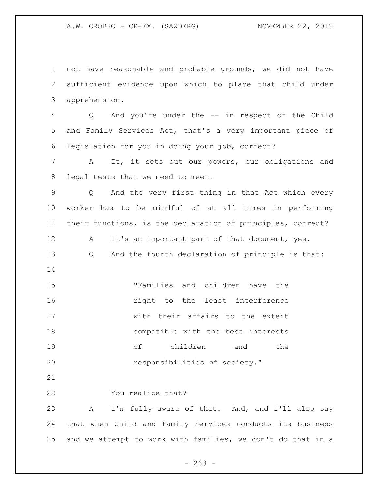A.W. OROBKO - CR-EX. (SAXBERG) NOVEMBER 22, 2012

 not have reasonable and probable grounds, we did not have sufficient evidence upon which to place that child under apprehension.

 Q And you're under the -- in respect of the Child and Family Services Act, that's a very important piece of legislation for you in doing your job, correct?

 A It, it sets out our powers, our obligations and legal tests that we need to meet.

 Q And the very first thing in that Act which every worker has to be mindful of at all times in performing their functions, is the declaration of principles, correct?

12 A It's an important part of that document, yes. Q And the fourth declaration of principle is that: 

 "Families and children have the **16** right to the least interference with their affairs to the extent compatible with the best interests of children and the **responsibilities of society."** 

You realize that?

 A I'm fully aware of that. And, and I'll also say that when Child and Family Services conducts its business and we attempt to work with families, we don't do that in a

 $- 263 -$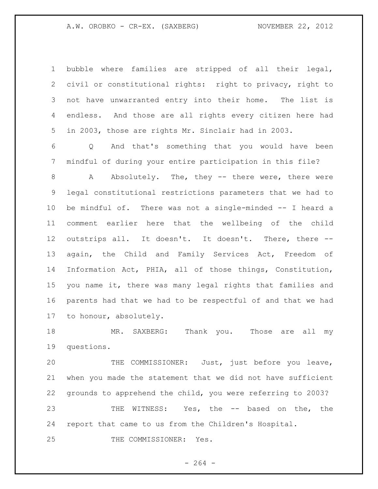## A.W. OROBKO - CR-EX. (SAXBERG) NOVEMBER 22, 2012

 bubble where families are stripped of all their legal, civil or constitutional rights: right to privacy, right to not have unwarranted entry into their home. The list is endless. And those are all rights every citizen here had in 2003, those are rights Mr. Sinclair had in 2003.

 Q And that's something that you would have been mindful of during your entire participation in this file?

 A Absolutely. The, they -- there were, there were legal constitutional restrictions parameters that we had to be mindful of. There was not a single-minded -- I heard a comment earlier here that the wellbeing of the child outstrips all. It doesn't. It doesn't. There, there -- again, the Child and Family Services Act, Freedom of Information Act, PHIA, all of those things, Constitution, you name it, there was many legal rights that families and parents had that we had to be respectful of and that we had to honour, absolutely.

 MR. SAXBERG: Thank you. Those are all my questions.

 THE COMMISSIONER: Just, just before you leave, when you made the statement that we did not have sufficient grounds to apprehend the child, you were referring to 2003? THE WITNESS: Yes, the -- based on the, the report that came to us from the Children's Hospital. THE COMMISSIONER: Yes.

- 264 -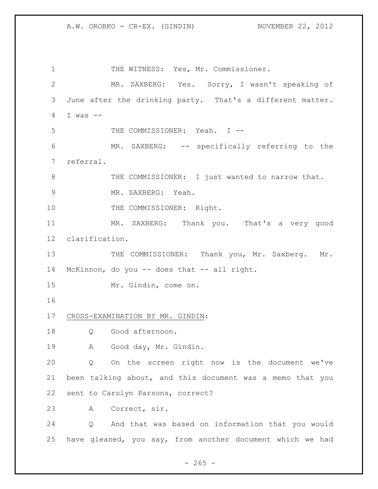1 THE WITNESS: Yes, Mr. Commissioner. MR. SAXBERG: Yes. Sorry, I wasn't speaking of June after the drinking party. That's a different matter. I was -- 5 THE COMMISSIONER: Yeah. I -- MR. SAXBERG: -- specifically referring to the referral. 8 THE COMMISSIONER: I just wanted to narrow that. MR. SAXBERG: Yeah. 10 THE COMMISSIONER: Right. MR. SAXBERG: Thank you. That's a very good clarification. 13 THE COMMISSIONER: Thank you, Mr. Saxberg. Mr. McKinnon, do you -- does that -- all right. Mr. Gindin, come on. CROSS-EXAMINATION BY MR. GINDIN: Q Good afternoon. A Good day, Mr. Gindin. Q On the screen right now is the document we've been talking about, and this document was a memo that you sent to Carolyn Parsons, correct? A Correct, sir. Q And that was based on information that you would

have gleaned, you say, from another document which we had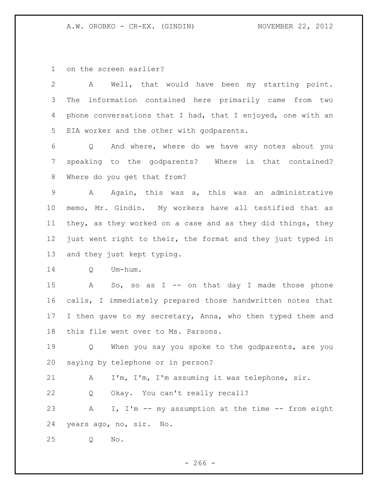on the screen earlier?

 A Well, that would have been my starting point. The information contained here primarily came from two phone conversations that I had, that I enjoyed, one with an EIA worker and the other with godparents.

 Q And where, where do we have any notes about you speaking to the godparents? Where is that contained? Where do you get that from?

 A Again, this was a, this was an administrative memo, Mr. Gindin. My workers have all testified that as they, as they worked on a case and as they did things, they just went right to their, the format and they just typed in and they just kept typing.

Q Um-hum.

15 A So, so as I -- on that day I made those phone calls, I immediately prepared those handwritten notes that 17 I then gave to my secretary, Anna, who then typed them and this file went over to Ms. Parsons.

19 Q When you say you spoke to the godparents, are you saying by telephone or in person?

A I'm, I'm, I'm assuming it was telephone, sir.

Q Okay. You can't really recall?

23 A I, I'm -- my assumption at the time -- from eight years ago, no, sir. No.

Q No.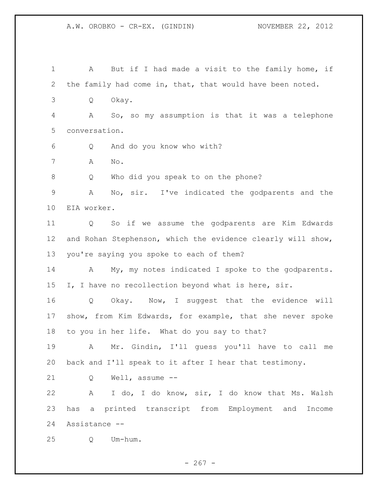1 A But if I had made a visit to the family home, if the family had come in, that, that would have been noted. Q Okay. A So, so my assumption is that it was a telephone conversation. Q And do you know who with? A No. Q Who did you speak to on the phone? A No, sir. I've indicated the godparents and the EIA worker. Q So if we assume the godparents are Kim Edwards and Rohan Stephenson, which the evidence clearly will show, you're saying you spoke to each of them? 14 A My, my notes indicated I spoke to the godparents. 15 I, I have no recollection beyond what is here, sir. Q Okay. Now, I suggest that the evidence will show, from Kim Edwards, for example, that she never spoke to you in her life. What do you say to that? A Mr. Gindin, I'll guess you'll have to call me back and I'll speak to it after I hear that testimony. Q Well, assume -- A I do, I do know, sir, I do know that Ms. Walsh has a printed transcript from Employment and Income Assistance -- Q Um-hum.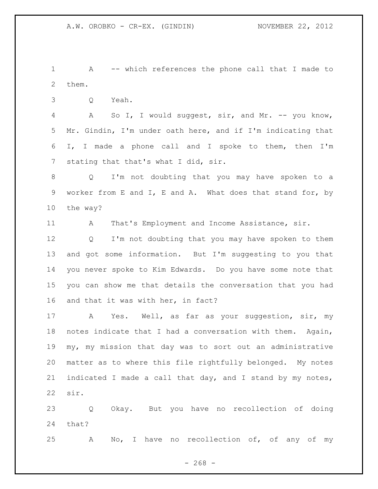A -- which references the phone call that I made to them.

Q Yeah.

 A So I, I would suggest, sir, and Mr. -- you know, Mr. Gindin, I'm under oath here, and if I'm indicating that I, I made a phone call and I spoke to them, then I'm stating that that's what I did, sir.

 Q I'm not doubting that you may have spoken to a worker from E and I, E and A. What does that stand for, by the way?

11 A That's Employment and Income Assistance, sir.

 Q I'm not doubting that you may have spoken to them and got some information. But I'm suggesting to you that you never spoke to Kim Edwards. Do you have some note that you can show me that details the conversation that you had and that it was with her, in fact?

 A Yes. Well, as far as your suggestion, sir, my notes indicate that I had a conversation with them. Again, my, my mission that day was to sort out an administrative matter as to where this file rightfully belonged. My notes 21 indicated I made a call that day, and I stand by my notes, sir.

 Q Okay. But you have no recollection of doing that?

A No, I have no recollection of, of any of my

 $- 268 -$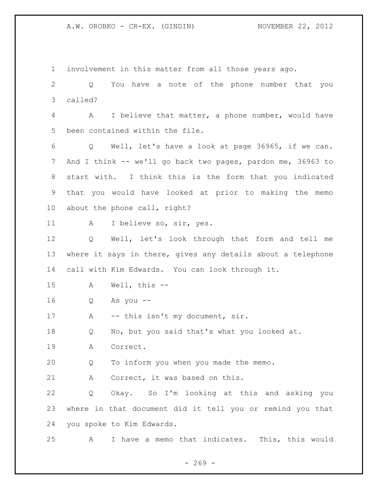involvement in this matter from all those years ago. Q You have a note of the phone number that you called? A I believe that matter, a phone number, would have been contained within the file. Q Well, let's have a look at page 36965, if we can. And I think -- we'll go back two pages, pardon me, 36963 to start with. I think this is the form that you indicated that you would have looked at prior to making the memo about the phone call, right? A I believe so, sir, yes. Q Well, let's look through that form and tell me where it says in there, gives any details about a telephone call with Kim Edwards. You can look through it. A Well, this -- Q As you -- 17 A -- this isn't my document, sir. Q No, but you said that's what you looked at. A Correct. Q To inform you when you made the memo. 21 A Correct, it was based on this. Q Okay. So I'm looking at this and asking you where in that document did it tell you or remind you that you spoke to Kim Edwards. A I have a memo that indicates. This, this would

 $- 269 -$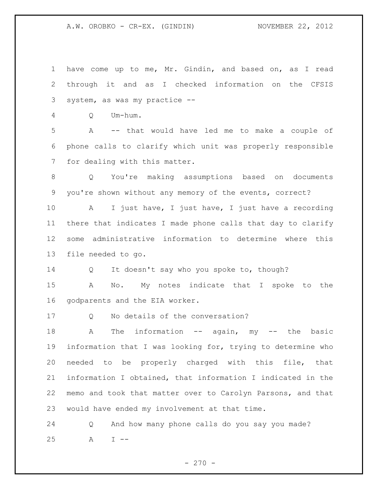have come up to me, Mr. Gindin, and based on, as I read through it and as I checked information on the CFSIS system, as was my practice -- Q Um-hum. A -- that would have led me to make a couple of phone calls to clarify which unit was properly responsible for dealing with this matter. Q You're making assumptions based on documents you're shown without any memory of the events, correct? A I just have, I just have, I just have a recording there that indicates I made phone calls that day to clarify some administrative information to determine where this file needed to go. 14 Q It doesn't say who you spoke to, though? A No. My notes indicate that I spoke to the godparents and the EIA worker. Q No details of the conversation? 18 A The information -- again, my -- the basic information that I was looking for, trying to determine who needed to be properly charged with this file, that information I obtained, that information I indicated in the memo and took that matter over to Carolyn Parsons, and that would have ended my involvement at that time. Q And how many phone calls do you say you made? A I --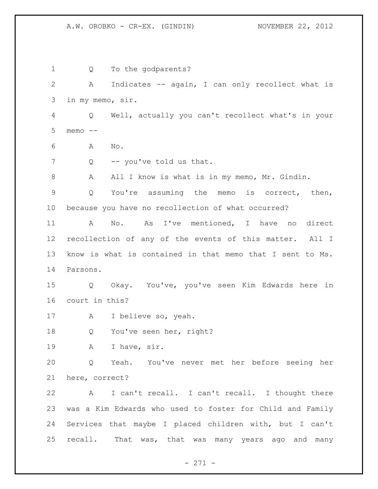1 Q To the godparents? A Indicates -- again, I can only recollect what is in my memo, sir. Q Well, actually you can't recollect what's in your memo -- A No. 7 Q -- you've told us that. A All I know is what is in my memo, Mr. Gindin. Q You're assuming the memo is correct, then, because you have no recollection of what occurred? A No. As I've mentioned, I have no direct recollection of any of the events of this matter. All I know is what is contained in that memo that I sent to Ms. Parsons. Q Okay. You've, you've seen Kim Edwards here in court in this? A I believe so, yeah. 18 Q You've seen her, right? A I have, sir. Q Yeah. You've never met her before seeing her here, correct? A I can't recall. I can't recall. I thought there was a Kim Edwards who used to foster for Child and Family Services that maybe I placed children with, but I can't recall. That was, that was many years ago and many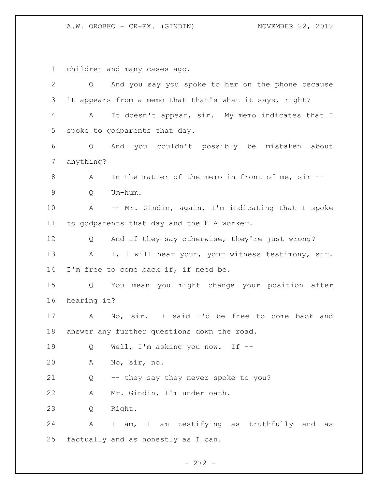children and many cases ago. Q And you say you spoke to her on the phone because it appears from a memo that that's what it says, right? A It doesn't appear, sir. My memo indicates that I spoke to godparents that day. Q And you couldn't possibly be mistaken about anything? A In the matter of the memo in front of me, sir -- Q Um-hum. A -- Mr. Gindin, again, I'm indicating that I spoke to godparents that day and the EIA worker. Q And if they say otherwise, they're just wrong? 13 A I, I will hear your, your witness testimony, sir. I'm free to come back if, if need be. Q You mean you might change your position after hearing it? A No, sir. I said I'd be free to come back and answer any further questions down the road. Q Well, I'm asking you now. If -- A No, sir, no. Q -- they say they never spoke to you? A Mr. Gindin, I'm under oath. Q Right. A I am, I am testifying as truthfully and as factually and as honestly as I can.

- 272 -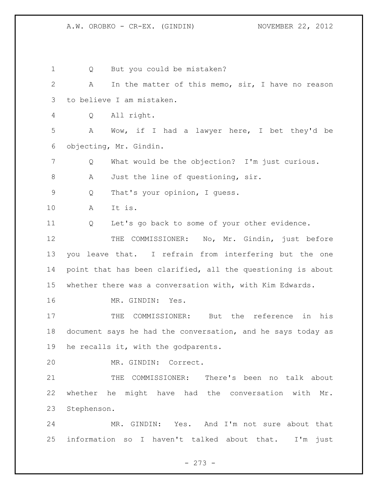Q But you could be mistaken? A In the matter of this memo, sir, I have no reason to believe I am mistaken. Q All right. A Wow, if I had a lawyer here, I bet they'd be objecting, Mr. Gindin. Q What would be the objection? I'm just curious. 8 A Just the line of questioning, sir. Q That's your opinion, I guess. A It is. Q Let's go back to some of your other evidence. THE COMMISSIONER: No, Mr. Gindin, just before you leave that. I refrain from interfering but the one point that has been clarified, all the questioning is about whether there was a conversation with, with Kim Edwards. MR. GINDIN: Yes. THE COMMISSIONER: But the reference in his document says he had the conversation, and he says today as he recalls it, with the godparents. MR. GINDIN: Correct. THE COMMISSIONER: There's been no talk about whether he might have had the conversation with Mr. Stephenson. MR. GINDIN: Yes. And I'm not sure about that information so I haven't talked about that. I'm just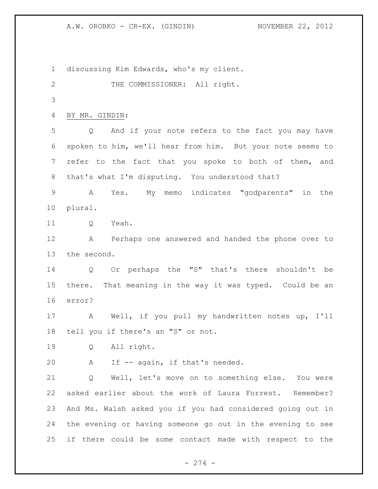discussing Kim Edwards, who's my client. 2 THE COMMISSIONER: All right. BY MR. GINDIN: Q And if your note refers to the fact you may have spoken to him, we'll hear from him. But your note seems to 7 refer to the fact that you spoke to both of them, and 8 that's what I'm disputing. You understood that? A Yes. My memo indicates "godparents" in the plural. 11 O Yeah. A Perhaps one answered and handed the phone over to the second. Q Or perhaps the "S" that's there shouldn't be there. That meaning in the way it was typed. Could be an error? A Well, if you pull my handwritten notes up, I'll tell you if there's an "S" or not. Q All right. A If -- again, if that's needed. Q Well, let's move on to something else. You were asked earlier about the work of Laura Forrest. Remember? And Ms. Walsh asked you if you had considered going out in the evening or having someone go out in the evening to see if there could be some contact made with respect to the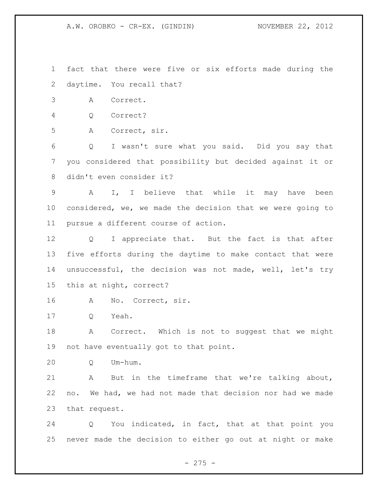fact that there were five or six efforts made during the daytime. You recall that?

A Correct.

Q Correct?

A Correct, sir.

 Q I wasn't sure what you said. Did you say that you considered that possibility but decided against it or didn't even consider it?

 A I, I believe that while it may have been considered, we, we made the decision that we were going to pursue a different course of action.

 Q I appreciate that. But the fact is that after five efforts during the daytime to make contact that were unsuccessful, the decision was not made, well, let's try this at night, correct?

A No. Correct, sir.

Q Yeah.

 A Correct. Which is not to suggest that we might not have eventually got to that point.

Q Um-hum.

 A But in the timeframe that we're talking about, no. We had, we had not made that decision nor had we made that request.

 Q You indicated, in fact, that at that point you never made the decision to either go out at night or make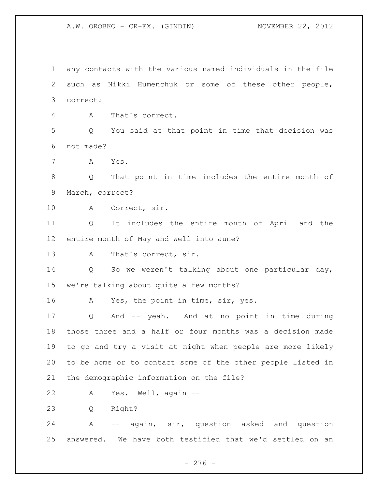any contacts with the various named individuals in the file such as Nikki Humenchuk or some of these other people, correct? A That's correct. Q You said at that point in time that decision was not made? A Yes. Q That point in time includes the entire month of March, correct? A Correct, sir. Q It includes the entire month of April and the entire month of May and well into June? A That's correct, sir. Q So we weren't talking about one particular day, we're talking about quite a few months? A Yes, the point in time, sir, yes. Q And -- yeah. And at no point in time during those three and a half or four months was a decision made to go and try a visit at night when people are more likely to be home or to contact some of the other people listed in the demographic information on the file? A Yes. Well, again -- Q Right? A -- again, sir, question asked and question answered. We have both testified that we'd settled on an

- 276 -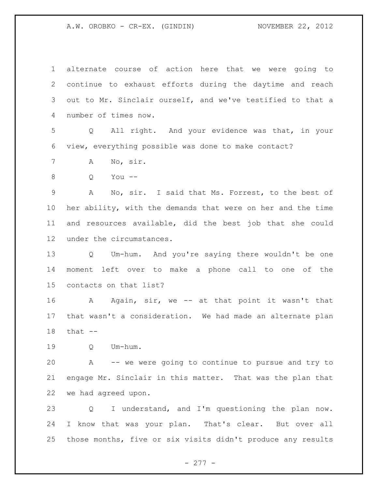alternate course of action here that we were going to continue to exhaust efforts during the daytime and reach out to Mr. Sinclair ourself, and we've testified to that a number of times now.

 Q All right. And your evidence was that, in your view, everything possible was done to make contact?

A No, sir.

Q You --

 A No, sir. I said that Ms. Forrest, to the best of her ability, with the demands that were on her and the time and resources available, did the best job that she could under the circumstances.

 Q Um-hum. And you're saying there wouldn't be one moment left over to make a phone call to one of the contacts on that list?

 A Again, sir, we -- at that point it wasn't that that wasn't a consideration. We had made an alternate plan that --

Q Um-hum.

 A -- we were going to continue to pursue and try to engage Mr. Sinclair in this matter. That was the plan that we had agreed upon.

 Q I understand, and I'm questioning the plan now. I know that was your plan. That's clear. But over all those months, five or six visits didn't produce any results

- 277 -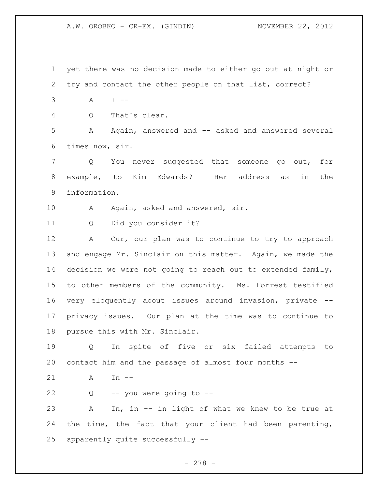yet there was no decision made to either go out at night or try and contact the other people on that list, correct? A I -- Q That's clear. A Again, answered and -- asked and answered several times now, sir. Q You never suggested that someone go out, for example, to Kim Edwards? Her address as in the information. 10 A Again, asked and answered, sir. Q Did you consider it? A Our, our plan was to continue to try to approach and engage Mr. Sinclair on this matter. Again, we made the decision we were not going to reach out to extended family, to other members of the community. Ms. Forrest testified very eloquently about issues around invasion, private -- privacy issues. Our plan at the time was to continue to pursue this with Mr. Sinclair. Q In spite of five or six failed attempts to contact him and the passage of almost four months -- A In --  $22 \qquad Q \qquad -- you were going to --$  A In, in -- in light of what we knew to be true at the time, the fact that your client had been parenting, apparently quite successfully --

- 278 -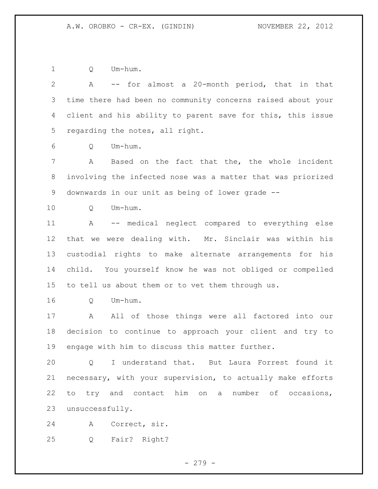Q Um-hum.

 A -- for almost a 20-month period, that in that time there had been no community concerns raised about your client and his ability to parent save for this, this issue regarding the notes, all right. Q Um-hum. A Based on the fact that the, the whole incident involving the infected nose was a matter that was priorized downwards in our unit as being of lower grade -- Q Um-hum. A -- medical neglect compared to everything else that we were dealing with. Mr. Sinclair was within his custodial rights to make alternate arrangements for his child. You yourself know he was not obliged or compelled to tell us about them or to vet them through us. Q Um-hum. 17 A All of those things were all factored into our decision to continue to approach your client and try to engage with him to discuss this matter further. Q I understand that. But Laura Forrest found it necessary, with your supervision, to actually make efforts to try and contact him on a number of occasions, unsuccessfully. A Correct, sir.

Q Fair? Right?

- 279 -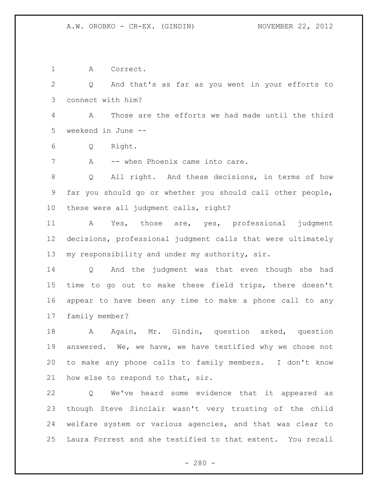A Correct.

 Q And that's as far as you went in your efforts to connect with him?

 A Those are the efforts we had made until the third weekend in June --

Q Right.

7 A -- when Phoenix came into care.

 Q All right. And these decisions, in terms of how far you should go or whether you should call other people, these were all judgment calls, right?

 A Yes, those are, yes, professional judgment decisions, professional judgment calls that were ultimately 13 my responsibility and under my authority, sir.

 Q And the judgment was that even though she had time to go out to make these field trips, there doesn't appear to have been any time to make a phone call to any family member?

18 A Again, Mr. Gindin, question asked, question answered. We, we have, we have testified why we chose not to make any phone calls to family members. I don't know how else to respond to that, sir.

 Q We've heard some evidence that it appeared as though Steve Sinclair wasn't very trusting of the child welfare system or various agencies, and that was clear to Laura Forrest and she testified to that extent. You recall

 $- 280 -$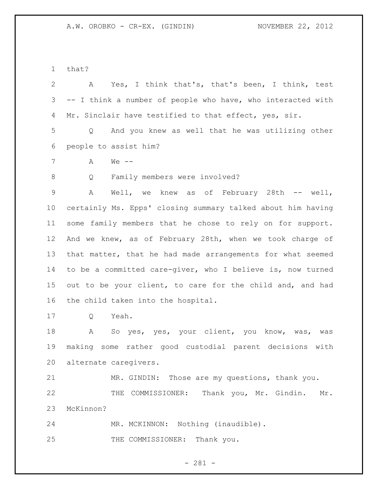that?

 A Yes, I think that's, that's been, I think, test -- I think a number of people who have, who interacted with 4 Mr. Sinclair have testified to that effect, yes, sir. Q And you knew as well that he was utilizing other people to assist him? A We -- Q Family members were involved? A Well, we knew as of February 28th -- well, certainly Ms. Epps' closing summary talked about him having some family members that he chose to rely on for support. And we knew, as of February 28th, when we took charge of that matter, that he had made arrangements for what seemed to be a committed care-giver, who I believe is, now turned out to be your client, to care for the child and, and had the child taken into the hospital.

Q Yeah.

 A So yes, yes, your client, you know, was, was making some rather good custodial parent decisions with alternate caregivers.

 MR. GINDIN: Those are my questions, thank you. THE COMMISSIONER: Thank you, Mr. Gindin. Mr. McKinnon?

MR. MCKINNON: Nothing (inaudible).

25 THE COMMISSIONER: Thank you.

- 281 -